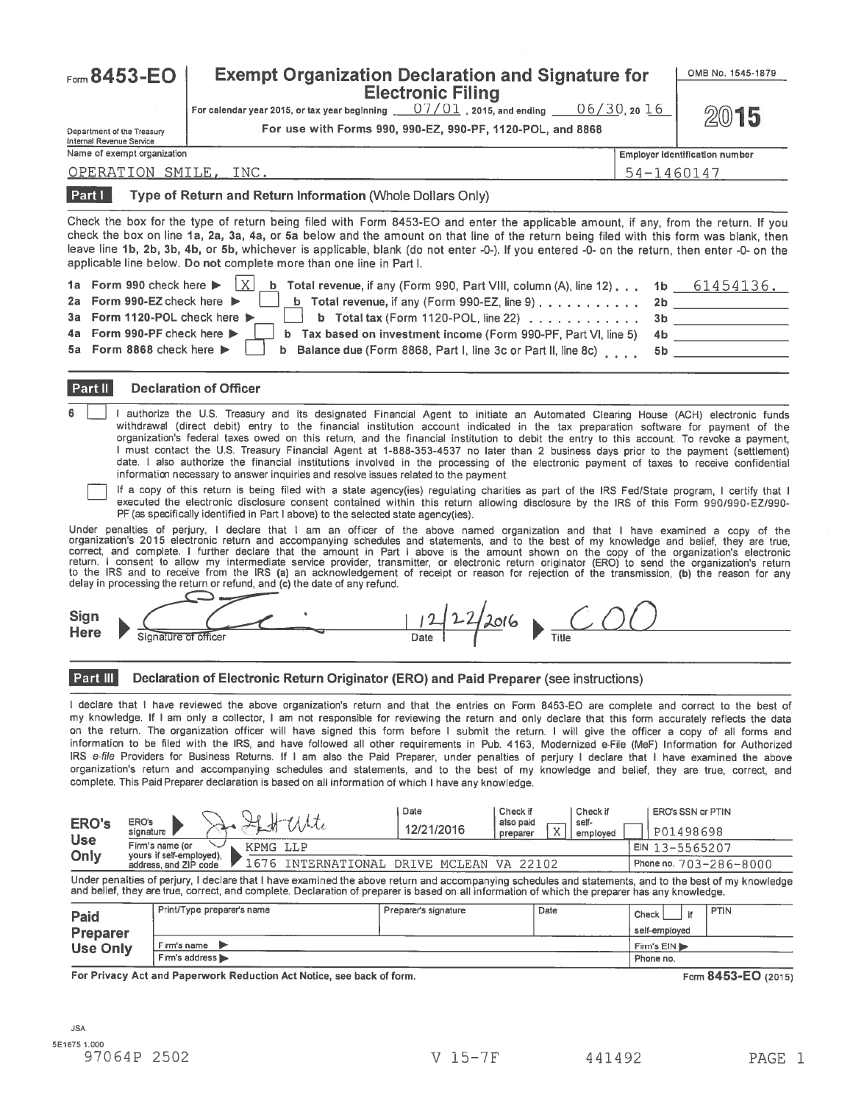| Form $8453 - EO$                                                        | For calendar year 2015, or tax year beginning $\sqrt{07/01}$ , 2015, and ending $\sqrt{06/30}$ , 20 $16$                                                                                                                                                                                                                                                                                                                                                                                                                                                                                                                                                                                                                                                                                                                                                                                                                                                                                                                                                                                                                                                                                                                                                                                                                                                                                                                                                                                                                                                                                                                                                                                                                                                                                                                                                                                                                                                                                                          | <b>Exempt Organization Declaration and Signature for</b><br><b>Electronic Filing</b>                                                                                                                                                                                                                                                |                                    | OMB No. 1545-1879                                                         |
|-------------------------------------------------------------------------|-------------------------------------------------------------------------------------------------------------------------------------------------------------------------------------------------------------------------------------------------------------------------------------------------------------------------------------------------------------------------------------------------------------------------------------------------------------------------------------------------------------------------------------------------------------------------------------------------------------------------------------------------------------------------------------------------------------------------------------------------------------------------------------------------------------------------------------------------------------------------------------------------------------------------------------------------------------------------------------------------------------------------------------------------------------------------------------------------------------------------------------------------------------------------------------------------------------------------------------------------------------------------------------------------------------------------------------------------------------------------------------------------------------------------------------------------------------------------------------------------------------------------------------------------------------------------------------------------------------------------------------------------------------------------------------------------------------------------------------------------------------------------------------------------------------------------------------------------------------------------------------------------------------------------------------------------------------------------------------------------------------------|-------------------------------------------------------------------------------------------------------------------------------------------------------------------------------------------------------------------------------------------------------------------------------------------------------------------------------------|------------------------------------|---------------------------------------------------------------------------|
| Department of the Treasury                                              |                                                                                                                                                                                                                                                                                                                                                                                                                                                                                                                                                                                                                                                                                                                                                                                                                                                                                                                                                                                                                                                                                                                                                                                                                                                                                                                                                                                                                                                                                                                                                                                                                                                                                                                                                                                                                                                                                                                                                                                                                   | For use with Forms 990, 990-EZ, 990-PF, 1120-POL, and 8868                                                                                                                                                                                                                                                                          |                                    | 2015                                                                      |
| Internal Revenue Service<br>Name of exempt organization                 |                                                                                                                                                                                                                                                                                                                                                                                                                                                                                                                                                                                                                                                                                                                                                                                                                                                                                                                                                                                                                                                                                                                                                                                                                                                                                                                                                                                                                                                                                                                                                                                                                                                                                                                                                                                                                                                                                                                                                                                                                   |                                                                                                                                                                                                                                                                                                                                     |                                    | <b>Employer identification number</b>                                     |
|                                                                         | OPERATION SMILE, INC.                                                                                                                                                                                                                                                                                                                                                                                                                                                                                                                                                                                                                                                                                                                                                                                                                                                                                                                                                                                                                                                                                                                                                                                                                                                                                                                                                                                                                                                                                                                                                                                                                                                                                                                                                                                                                                                                                                                                                                                             |                                                                                                                                                                                                                                                                                                                                     |                                    | 54-1460147                                                                |
| Part I                                                                  | Type of Return and Return Information (Whole Dollars Only)                                                                                                                                                                                                                                                                                                                                                                                                                                                                                                                                                                                                                                                                                                                                                                                                                                                                                                                                                                                                                                                                                                                                                                                                                                                                                                                                                                                                                                                                                                                                                                                                                                                                                                                                                                                                                                                                                                                                                        |                                                                                                                                                                                                                                                                                                                                     |                                    |                                                                           |
|                                                                         | Check the box for the type of return being filed with Form 8453-EO and enter the applicable amount, if any, from the return. If you<br>check the box on line 1a, 2a, 3a, 4a, or 5a below and the amount on that line of the return being filed with this form was blank, then<br>leave line 1b, 2b, 3b, 4b, or 5b, whichever is applicable, blank (do not enter -0-). If you entered -0- on the return, then enter -0- on the<br>applicable line below. Do not complete more than one line in Part I.                                                                                                                                                                                                                                                                                                                                                                                                                                                                                                                                                                                                                                                                                                                                                                                                                                                                                                                                                                                                                                                                                                                                                                                                                                                                                                                                                                                                                                                                                                             |                                                                                                                                                                                                                                                                                                                                     |                                    |                                                                           |
| Form 990 check here $\blacktriangleright$<br>1a<br>2a<br>Зa<br>4а<br>5а | $\boldsymbol{\chi}$<br>Form 990-EZ check here ▶<br>Form 1120-POL check here<br>Form 990-PF check here $\blacktriangleright$<br>b<br>Form 8868 check here $\blacktriangleright$<br>b                                                                                                                                                                                                                                                                                                                                                                                                                                                                                                                                                                                                                                                                                                                                                                                                                                                                                                                                                                                                                                                                                                                                                                                                                                                                                                                                                                                                                                                                                                                                                                                                                                                                                                                                                                                                                               | <b>b</b> Total revenue, if any (Form 990, Part VIII, column (A), line 12) $\ldots$<br><b>b</b> Total revenue, if any (Form 990-EZ, line 9) $\ldots$<br><b>b</b> Total tax (Form 1120-POL, line 22)<br>Tax based on investment income (Form 990-PF, Part VI, line 5)<br>Balance due (Form 8868, Part I, line 3c or Part II, line 8c) |                                    | $1b$ 61454136.<br>4b<br><u> 1989 - John Stein, Amerikaansk kanton en </u> |
| Part II                                                                 | <b>Declaration of Officer</b>                                                                                                                                                                                                                                                                                                                                                                                                                                                                                                                                                                                                                                                                                                                                                                                                                                                                                                                                                                                                                                                                                                                                                                                                                                                                                                                                                                                                                                                                                                                                                                                                                                                                                                                                                                                                                                                                                                                                                                                     |                                                                                                                                                                                                                                                                                                                                     |                                    |                                                                           |
| <b>Sign</b><br><b>Here</b>                                              | I authorize the U.S. Treasury and its designated Financial Agent to initiate an Automated Clearing House (ACH) electronic funds<br>withdrawal (direct debit) entry to the financial institution account indicated in the tax preparation software for payment of the<br>organization's federal taxes owed on this return, and the financial institution to debit the entry to this account. To revoke a payment,<br>I must contact the U.S. Treasury Financial Agent at 1-888-353-4537 no later than 2 business days prior to the payment (settlement)<br>date. I also authorize the financial institutions involved in the processing of the electronic payment of taxes to receive confidential<br>information necessary to answer inquiries and resolve issues related to the payment.<br>If a copy of this return is being filed with a state agency(ies) regulating charities as part of the IRS Fed/State program, I certify that I<br>executed the electronic disclosure consent contained within this return allowing disclosure by the IRS of this Form 990/990-EZ/990-<br>PF (as specifically identified in Part I above) to the selected state agency(ies).<br>Under penalties of perjury, I declare that I am an officer of the above named organization and that I have examined a copy of the<br>organization's 2015 electronic return and accompanying schedules and statements, and to the best of my knowledge and belief, they are true,<br>correct, and complete. I further declare that the amount in Part I above is the amount shown on the copy of the organization's electronic<br>return. I consent to allow my intermediate service provider, transmitter, or electronic return originator (ERO) to send the organization's return<br>to the IRS and to receive from the IRS (a) an acknowledgement of receipt or reason for rejection of the transmission, (b) the reason for any<br>delay in processing the return or refund, and (c) the date of any refund.<br>Signature of officer | $1222206$ Title                                                                                                                                                                                                                                                                                                                     |                                    |                                                                           |
| Part III                                                                | Declaration of Electronic Return Originator (ERO) and Paid Preparer (see instructions)                                                                                                                                                                                                                                                                                                                                                                                                                                                                                                                                                                                                                                                                                                                                                                                                                                                                                                                                                                                                                                                                                                                                                                                                                                                                                                                                                                                                                                                                                                                                                                                                                                                                                                                                                                                                                                                                                                                            |                                                                                                                                                                                                                                                                                                                                     |                                    |                                                                           |
|                                                                         | I declare that I have reviewed the above organization's return and that the entries on Form 8453-EO are complete and correct to the best of<br>my knowledge. If I am only a collector, I am not responsible for reviewing the return and only declare that this form accurately reflects the data<br>on the return. The organization officer will have signed this form before I submit the return. I will give the officer a copy of all forms and<br>information to be filed with the IRS, and have followed all other requirements in Pub. 4163, Modernized e-File (MeF) Information for Authorized<br>IRS e-file Providers for Business Returns. If I am also the Paid Preparer, under penalties of perjury I declare that I have examined the above<br>organization's return and accompanying schedules and statements, and to the best of my knowledge and belief, they are true, correct, and<br>complete. This Paid Preparer declaration is based on all information of which I have any knowledge.                                                                                                                                                                                                                                                                                                                                                                                                                                                                                                                                                                                                                                                                                                                                                                                                                                                                                                                                                                                                       |                                                                                                                                                                                                                                                                                                                                     |                                    |                                                                           |
| ERO's<br>ERO's<br>signature<br><b>Use</b><br>Only                       | At Witc<br>Firm's name (or<br>KPMG LLP<br>yours if self-employed),                                                                                                                                                                                                                                                                                                                                                                                                                                                                                                                                                                                                                                                                                                                                                                                                                                                                                                                                                                                                                                                                                                                                                                                                                                                                                                                                                                                                                                                                                                                                                                                                                                                                                                                                                                                                                                                                                                                                                | Date<br>Check if<br>also paid<br>12/21/2016<br>preparer                                                                                                                                                                                                                                                                             | Check if<br>self-<br>Χ<br>employed | ERO's SSN or PTIN<br>P01498698<br>EIN 13-5565207                          |
|                                                                         | 1676<br>address, and ZIP code<br>Under penalties of perjury, I declare that I have examined the above return and accompanying schedules and statements, and to the best of my knowledge                                                                                                                                                                                                                                                                                                                                                                                                                                                                                                                                                                                                                                                                                                                                                                                                                                                                                                                                                                                                                                                                                                                                                                                                                                                                                                                                                                                                                                                                                                                                                                                                                                                                                                                                                                                                                           | INTERNATIONAL DRIVE MCLEAN VA 22102                                                                                                                                                                                                                                                                                                 |                                    | Phone no. 703-286-8000                                                    |
|                                                                         | and belief, they are true, correct, and complete. Declaration of preparer is based on all information of which the preparer has any knowledge.<br>Print/Type preparer's name                                                                                                                                                                                                                                                                                                                                                                                                                                                                                                                                                                                                                                                                                                                                                                                                                                                                                                                                                                                                                                                                                                                                                                                                                                                                                                                                                                                                                                                                                                                                                                                                                                                                                                                                                                                                                                      | Preparer's signature                                                                                                                                                                                                                                                                                                                | Date                               |                                                                           |
| Paid                                                                    |                                                                                                                                                                                                                                                                                                                                                                                                                                                                                                                                                                                                                                                                                                                                                                                                                                                                                                                                                                                                                                                                                                                                                                                                                                                                                                                                                                                                                                                                                                                                                                                                                                                                                                                                                                                                                                                                                                                                                                                                                   |                                                                                                                                                                                                                                                                                                                                     | Check                              | PTIN<br>if<br>self-employed                                               |
| <b>Preparer</b><br><b>Use Only</b>                                      | Firm's name                                                                                                                                                                                                                                                                                                                                                                                                                                                                                                                                                                                                                                                                                                                                                                                                                                                                                                                                                                                                                                                                                                                                                                                                                                                                                                                                                                                                                                                                                                                                                                                                                                                                                                                                                                                                                                                                                                                                                                                                       |                                                                                                                                                                                                                                                                                                                                     |                                    | Firm's EIN                                                                |
|                                                                         | Firm's address >                                                                                                                                                                                                                                                                                                                                                                                                                                                                                                                                                                                                                                                                                                                                                                                                                                                                                                                                                                                                                                                                                                                                                                                                                                                                                                                                                                                                                                                                                                                                                                                                                                                                                                                                                                                                                                                                                                                                                                                                  |                                                                                                                                                                                                                                                                                                                                     | Phone no.                          |                                                                           |

For Privacy Act and Paperwork Reduction Act Notice, see back of form.

Form 8453-EO (2015)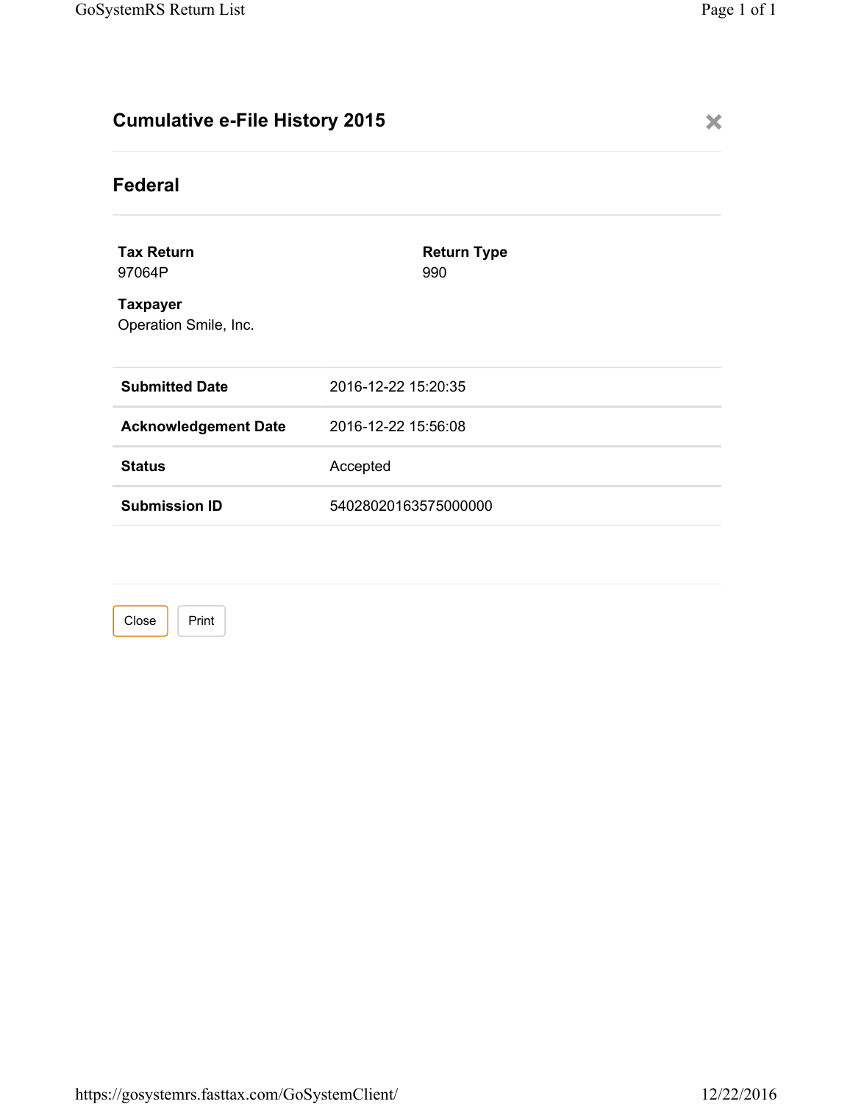| <b>Cumulative e-File History 2015</b> |  |  |  |
|---------------------------------------|--|--|--|
|---------------------------------------|--|--|--|

| <b>Federal</b>                           |                           |
|------------------------------------------|---------------------------|
| <b>Tax Return</b><br>97064P              | <b>Return Type</b><br>990 |
| <b>Taxpayer</b><br>Operation Smile, Inc. |                           |
| <b>Submitted Date</b>                    | 2016-12-22 15:20:35       |
| <b>Acknowledgement Date</b>              | 2016-12-22 15:56:08       |
| <b>Status</b>                            | Accepted                  |
| <b>Submission ID</b>                     | 54028020163575000000      |
|                                          |                           |

| Close | Print |
|-------|-------|
|-------|-------|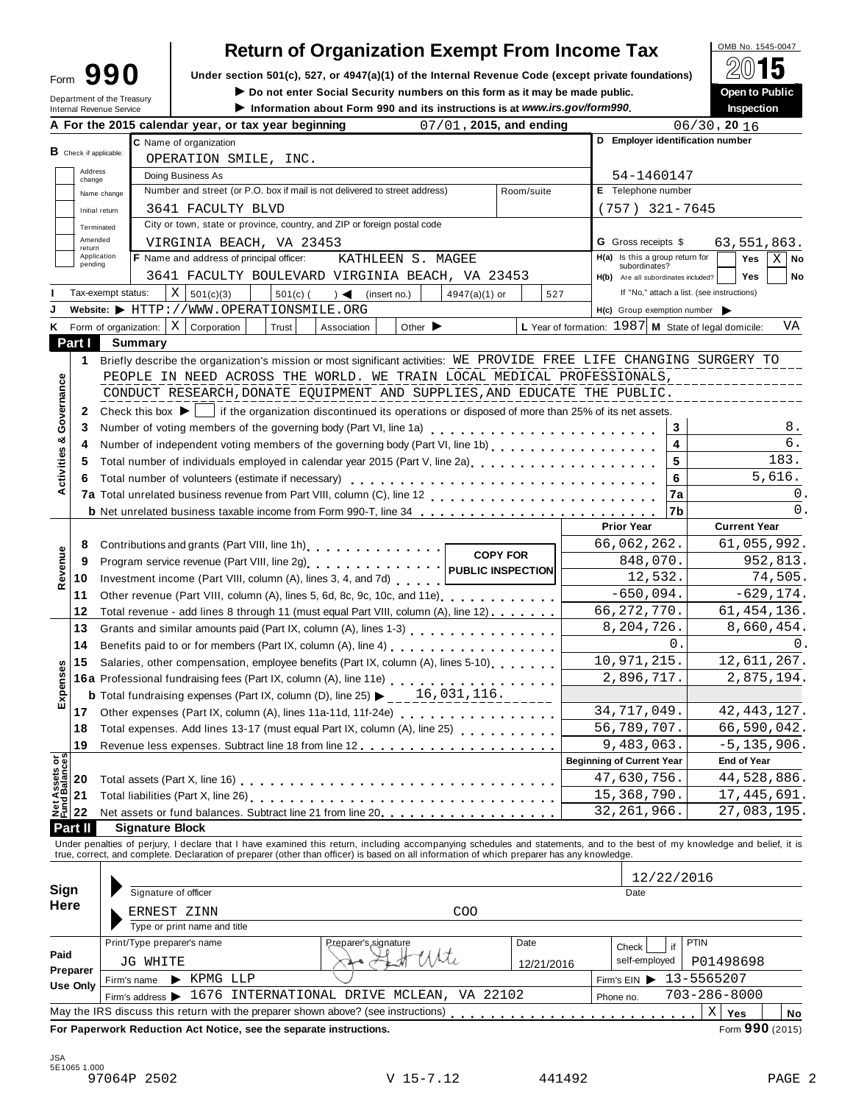| Form                       |  | 990 |
|----------------------------|--|-----|
| Department of the Treasury |  |     |

# **Return of Organization Exempt From Income Tax**<br>section 501(c), 527, or 4947(a)(1) of the Internal Revenue Code (except private foundations)

**Under section 501(c), 527, or 4947(a)(1) of the Internal Revenue Code (except private foundations) <b>Form 990** B **COV D D Do** not enter Social Security numbers on this form as it may be made public. **Open to Public** 

▶ **Do** not enter Social Security numbers on this form as it may be made public.<br>
▶ Information about Form 000 and ite instructions is at usualise southerm000.

|                                |                                     | Department of the Treasury<br><b>Internal Revenue Service</b> |                                                                           |                                                                                                   |                            | $\blacktriangleright$ Do not enter Social Security numbers on this form as it may be made public.<br>Information about Form 990 and its instructions is at www.irs.gov/form990.                                                   |                             |                            |                 |             |                                                        |                                  |               | <b>Open to Public</b><br><b>Inspection</b> |             |  |  |
|--------------------------------|-------------------------------------|---------------------------------------------------------------|---------------------------------------------------------------------------|---------------------------------------------------------------------------------------------------|----------------------------|-----------------------------------------------------------------------------------------------------------------------------------------------------------------------------------------------------------------------------------|-----------------------------|----------------------------|-----------------|-------------|--------------------------------------------------------|----------------------------------|---------------|--------------------------------------------|-------------|--|--|
|                                |                                     |                                                               |                                                                           | A For the 2015 calendar year, or tax year beginning                                               |                            |                                                                                                                                                                                                                                   |                             | $07/01$ , 2015, and ending |                 |             |                                                        | $06/30$ , 20 $16$                |               |                                            |             |  |  |
|                                |                                     |                                                               |                                                                           | C Name of organization                                                                            |                            |                                                                                                                                                                                                                                   |                             |                            |                 |             |                                                        | D Employer identification number |               |                                            |             |  |  |
|                                | <b>B</b> Check if applicable:       |                                                               |                                                                           | OPERATION SMILE, INC.                                                                             |                            |                                                                                                                                                                                                                                   |                             |                            |                 |             |                                                        |                                  |               |                                            |             |  |  |
|                                | Address<br>change                   |                                                               |                                                                           | Doing Business As                                                                                 |                            |                                                                                                                                                                                                                                   |                             |                            |                 |             | 54-1460147                                             |                                  |               |                                            |             |  |  |
|                                |                                     | Name change                                                   |                                                                           |                                                                                                   |                            | Number and street (or P.O. box if mail is not delivered to street address)                                                                                                                                                        |                             |                            | Room/suite      |             | E Telephone number                                     |                                  |               |                                            |             |  |  |
|                                | 3641 FACULTY BLVD<br>Initial return |                                                               |                                                                           |                                                                                                   |                            |                                                                                                                                                                                                                                   |                             |                            |                 |             |                                                        | $(757)$ 321-7645                 |               |                                            |             |  |  |
|                                | Terminated                          |                                                               |                                                                           | City or town, state or province, country, and ZIP or foreign postal code                          |                            |                                                                                                                                                                                                                                   |                             |                            |                 |             |                                                        |                                  |               |                                            |             |  |  |
|                                | Amended<br>return                   |                                                               |                                                                           | VIRGINIA BEACH, VA 23453                                                                          |                            |                                                                                                                                                                                                                                   |                             |                            |                 |             | <b>G</b> Gross receipts \$                             |                                  |               | 63,551,863.                                |             |  |  |
|                                | Application<br>pending              |                                                               |                                                                           | F Name and address of principal officer:                                                          |                            | KATHLEEN S. MAGEE                                                                                                                                                                                                                 |                             |                            |                 |             | H(a) Is this a group return for<br>subordinates?       |                                  |               | Yes                                        | $X \mid$ No |  |  |
|                                |                                     |                                                               |                                                                           |                                                                                                   |                            | 3641 FACULTY BOULEVARD VIRGINIA BEACH, VA 23453                                                                                                                                                                                   |                             |                            |                 |             | H(b) Are all subordinates included?                    |                                  |               | <b>Yes</b>                                 | No          |  |  |
|                                |                                     | Tax-exempt status:                                            |                                                                           | Χ<br>501(c)(3)                                                                                    | $501(c)$ (                 | $) \triangleleft$ (insert no.)                                                                                                                                                                                                    |                             | $4947(a)(1)$ or            |                 | 527         | If "No," attach a list. (see instructions)             |                                  |               |                                            |             |  |  |
|                                |                                     |                                                               |                                                                           | Website: $\blacktriangleright$ HTTP://WWW.OPERATIONSMILE.ORG                                      |                            |                                                                                                                                                                                                                                   |                             |                            |                 |             | H(c) Group exemption number                            |                                  |               |                                            |             |  |  |
|                                |                                     |                                                               | K Form of organization:                                                   | X<br>Corporation                                                                                  | Trust                      | Association                                                                                                                                                                                                                       | Other $\blacktriangleright$ |                            |                 |             | L Year of formation: $1987$ M State of legal domicile: |                                  |               |                                            | VA          |  |  |
|                                | Part I                              |                                                               | Summary                                                                   |                                                                                                   |                            |                                                                                                                                                                                                                                   |                             |                            |                 |             |                                                        |                                  |               |                                            |             |  |  |
|                                | 1.                                  |                                                               |                                                                           |                                                                                                   |                            | Briefly describe the organization's mission or most significant activities: WE PROVIDE FREE LIFE CHANGING SURGERY TO                                                                                                              |                             |                            |                 |             |                                                        |                                  |               |                                            |             |  |  |
|                                |                                     |                                                               |                                                                           |                                                                                                   |                            | PEOPLE IN NEED ACROSS THE WORLD. WE TRAIN LOCAL MEDICAL PROFESSIONALS,                                                                                                                                                            |                             |                            |                 |             |                                                        |                                  |               |                                            |             |  |  |
|                                |                                     |                                                               |                                                                           |                                                                                                   |                            | CONDUCT RESEARCH, DONATE EOUIPMENT AND SUPPLIES, AND EDUCATE THE PUBLIC.                                                                                                                                                          |                             |                            |                 |             |                                                        |                                  |               |                                            |             |  |  |
| Governance                     | $\mathbf{2}$                        |                                                               |                                                                           |                                                                                                   |                            | Check this box $\blacktriangleright$   if the organization discontinued its operations or disposed of more than 25% of its net assets.                                                                                            |                             |                            |                 |             |                                                        |                                  |               |                                            |             |  |  |
|                                | 3                                   |                                                               |                                                                           |                                                                                                   |                            |                                                                                                                                                                                                                                   |                             |                            |                 |             |                                                        | 3                                |               |                                            | 8.          |  |  |
|                                | 4                                   |                                                               |                                                                           |                                                                                                   |                            | Number of independent voting members of the governing body (Part VI, line 1b)                                                                                                                                                     |                             |                            |                 |             |                                                        | 4                                |               |                                            | б.          |  |  |
|                                | 5                                   |                                                               |                                                                           |                                                                                                   |                            | Total number of individuals employed in calendar year 2015 (Part V, line 2a)                                                                                                                                                      |                             |                            |                 |             |                                                        | 5                                |               |                                            | 183.        |  |  |
| Activities &                   | 6                                   |                                                               |                                                                           | Total number of volunteers (estimate if necessary)                                                |                            |                                                                                                                                                                                                                                   |                             |                            |                 |             |                                                        | 6                                |               | 5,616.                                     |             |  |  |
|                                |                                     |                                                               |                                                                           |                                                                                                   |                            |                                                                                                                                                                                                                                   |                             |                            |                 |             |                                                        | 7a                               |               |                                            | 0.          |  |  |
|                                |                                     |                                                               |                                                                           |                                                                                                   |                            | <b>b</b> Net unrelated business taxable income from Form 990-T, line 34                                                                                                                                                           |                             |                            |                 |             |                                                        | l7b                              |               |                                            | $0$ .       |  |  |
|                                |                                     |                                                               |                                                                           |                                                                                                   |                            |                                                                                                                                                                                                                                   |                             |                            |                 |             | <b>Prior Year</b>                                      |                                  |               | <b>Current Year</b>                        |             |  |  |
|                                | 8                                   |                                                               |                                                                           |                                                                                                   |                            |                                                                                                                                                                                                                                   |                             |                            | <b>COPY FOR</b> |             | 66,062,262.                                            |                                  |               | 61,055,992.                                |             |  |  |
|                                | 9                                   |                                                               |                                                                           |                                                                                                   |                            |                                                                                                                                                                                                                                   |                             |                            |                 |             | 848,070.                                               |                                  |               | 952,813.                                   |             |  |  |
| Revenue                        | 10                                  |                                                               |                                                                           | Investment income (Part VIII, column (A), lines 3, 4, and 7d)                                     |                            |                                                                                                                                                                                                                                   |                             |                            |                 |             |                                                        | 12,532.                          | 74,505.       |                                            |             |  |  |
|                                | 11                                  |                                                               |                                                                           | Other revenue (Part VIII, column (A), lines 5, 6d, 8c, 9c, 10c, and 11e)                          |                            |                                                                                                                                                                                                                                   |                             |                            |                 |             |                                                        | $-650,094.$                      | $-629, 174.$  |                                            |             |  |  |
|                                | 12                                  |                                                               |                                                                           |                                                                                                   |                            | Total revenue - add lines 8 through 11 (must equal Part VIII, column (A), line 12)                                                                                                                                                |                             |                            |                 |             | 66, 272, 770.                                          |                                  |               | 61, 454, 136.                              |             |  |  |
|                                | 13                                  |                                                               |                                                                           |                                                                                                   |                            |                                                                                                                                                                                                                                   |                             |                            |                 |             | 8,204,726.                                             |                                  | 8,660,454.    |                                            |             |  |  |
|                                | 14                                  |                                                               |                                                                           |                                                                                                   |                            | Benefits paid to or for members (Part IX, column (A), line 4)                                                                                                                                                                     |                             |                            |                 |             |                                                        | 0.                               | 0.            |                                            |             |  |  |
|                                | 15                                  |                                                               |                                                                           |                                                                                                   |                            | Salaries, other compensation, employee benefits (Part IX, column (A), lines 5-10)                                                                                                                                                 |                             |                            |                 | 10,971,215. |                                                        | 12,611,267.                      |               |                                            |             |  |  |
|                                |                                     |                                                               |                                                                           |                                                                                                   |                            | 16a Professional fundraising fees (Part IX, column (A), line 11e)<br>16a Professional fundraising fees (Part IX, column (A), line 11e)                                                                                            |                             |                            |                 |             | 2,896,717.                                             |                                  | 2,875,194.    |                                            |             |  |  |
| Expenses                       |                                     |                                                               |                                                                           | <b>b</b> Total fundraising expenses (Part IX, column (D), line 25) $\triangleright$ 16, 031, 116. |                            |                                                                                                                                                                                                                                   |                             |                            |                 |             |                                                        |                                  |               |                                            |             |  |  |
|                                |                                     |                                                               |                                                                           | 17 Other expenses (Part IX, column (A), lines 11a-11d, 11f-24e)                                   | 34,717,049.<br>56,789,707. |                                                                                                                                                                                                                                   | 42, 443, 127.               |                            |                 |             |                                                        |                                  |               |                                            |             |  |  |
|                                | 18                                  |                                                               | Total expenses. Add lines 13-17 (must equal Part IX, column (A), line 25) |                                                                                                   |                            |                                                                                                                                                                                                                                   |                             |                            |                 |             |                                                        |                                  | 66,590,042.   |                                            |             |  |  |
|                                | 19                                  |                                                               |                                                                           |                                                                                                   |                            |                                                                                                                                                                                                                                   |                             |                            |                 |             | 9,483,063.                                             |                                  |               | $-5, 135, 906.$                            |             |  |  |
|                                |                                     |                                                               |                                                                           |                                                                                                   |                            |                                                                                                                                                                                                                                   |                             |                            |                 |             | <b>Beginning of Current Year</b>                       |                                  |               | <b>End of Year</b>                         |             |  |  |
| Net Assets or<br>Fund Balances | 20                                  |                                                               |                                                                           |                                                                                                   |                            | Total assets (Part X, line 16) enterpreteration of the set of the set of the set of the set of the set of the set of the set of the set of the set of the set of the set of the set of the set of the set of the set of the se    |                             |                            |                 |             | 47,630,756.                                            |                                  |               | 44,528,886.                                |             |  |  |
|                                | 21                                  |                                                               |                                                                           |                                                                                                   |                            |                                                                                                                                                                                                                                   |                             |                            |                 |             | 15,368,790.                                            |                                  |               | 17, 445, 691.                              |             |  |  |
|                                | 22                                  |                                                               |                                                                           |                                                                                                   |                            | Net assets or fund balances. Subtract line 21 from line 20.                                                                                                                                                                       |                             |                            |                 |             | 32, 261, 966.                                          |                                  |               | 27,083,195.                                |             |  |  |
|                                | Part II                             |                                                               | <b>Signature Block</b>                                                    |                                                                                                   |                            |                                                                                                                                                                                                                                   |                             |                            |                 |             |                                                        |                                  |               |                                            |             |  |  |
|                                |                                     |                                                               |                                                                           |                                                                                                   |                            | Under penalties of perjury, I declare that I have examined this return, including accompanying schedules and statements, and to the best of my knowledge and belief, it is<br>true, correct, and complete. Declaration of prepare |                             |                            |                 |             |                                                        |                                  |               |                                            |             |  |  |
|                                |                                     |                                                               |                                                                           |                                                                                                   |                            |                                                                                                                                                                                                                                   |                             |                            |                 |             |                                                        | 12/22/2016                       |               |                                            |             |  |  |
| Sign                           |                                     |                                                               |                                                                           | Signature of officer                                                                              |                            |                                                                                                                                                                                                                                   |                             |                            |                 |             | Date                                                   |                                  |               |                                            |             |  |  |
| Here                           |                                     |                                                               |                                                                           | ERNEST ZINN                                                                                       |                            |                                                                                                                                                                                                                                   |                             | COO                        |                 |             |                                                        |                                  |               |                                            |             |  |  |
|                                |                                     |                                                               |                                                                           | Type or print name and title                                                                      |                            |                                                                                                                                                                                                                                   |                             |                            |                 |             |                                                        |                                  |               |                                            |             |  |  |
|                                |                                     |                                                               |                                                                           | Print/Type preparer's name                                                                        |                            | Preparer's signature                                                                                                                                                                                                              |                             |                            | Date            |             |                                                        | <b>PTIN</b>                      |               |                                            |             |  |  |
| Paid                           |                                     |                                                               | JG WHITE                                                                  |                                                                                                   |                            |                                                                                                                                                                                                                                   |                             |                            |                 |             | Check<br>self-employed                                 | if                               | P01498698     |                                            |             |  |  |
|                                | Preparer                            |                                                               |                                                                           | $\blacktriangleright$ KPMG LLP                                                                    |                            |                                                                                                                                                                                                                                   |                             |                            | 12/21/2016      |             | Firm's EIN > 13-5565207                                |                                  |               |                                            |             |  |  |
|                                | Use Only                            |                                                               | Firm's name                                                               |                                                                                                   |                            | Firm's address > 1676 INTERNATIONAL DRIVE MCLEAN, VA 22102                                                                                                                                                                        |                             |                            |                 |             |                                                        | $703 - 286 - 8000$               |               |                                            |             |  |  |
|                                |                                     |                                                               |                                                                           |                                                                                                   |                            | May the IRS discuss this return with the preparer shown above? (see instructions)                                                                                                                                                 |                             |                            |                 |             | Phone no.                                              |                                  | $X \mid Y$ es |                                            |             |  |  |
|                                |                                     |                                                               |                                                                           |                                                                                                   |                            |                                                                                                                                                                                                                                   |                             |                            |                 |             | .                                                      |                                  |               | 0.00                                       | No          |  |  |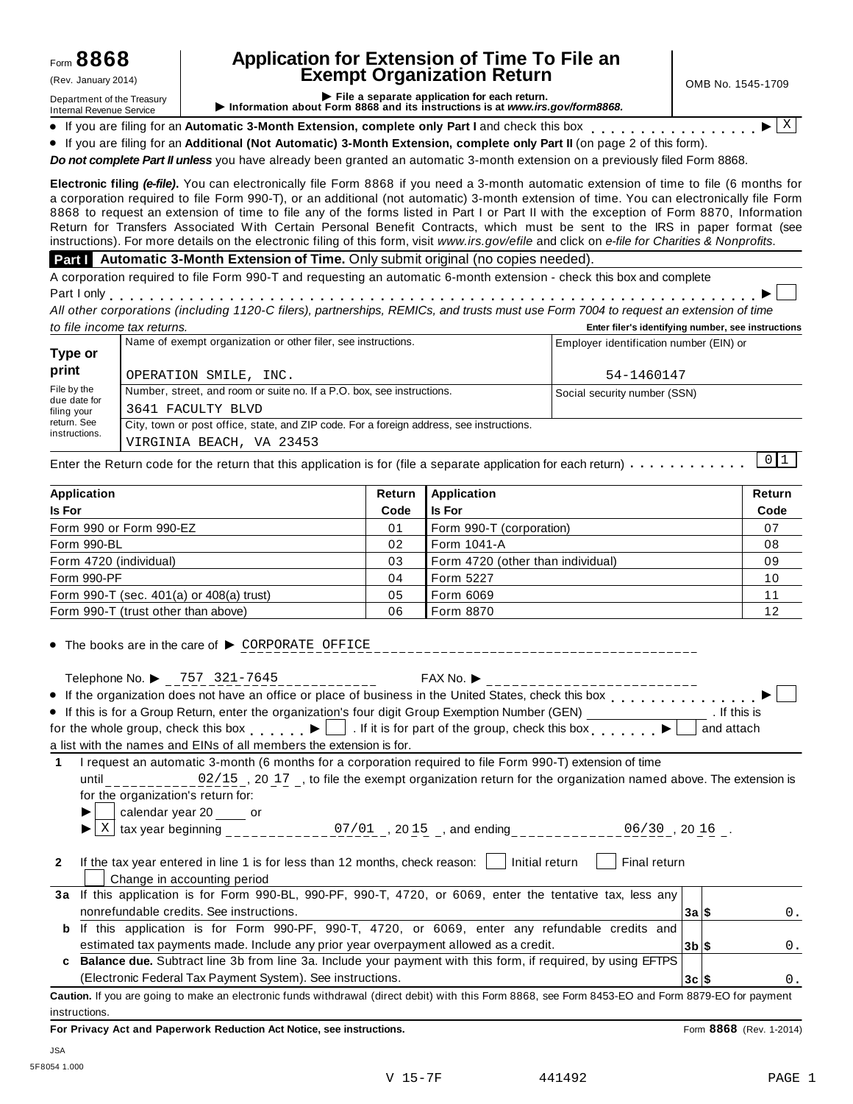## **Application for Extension of Time To File an** (Rev. January 2014)<br>Department of the Treasury **COLL CONDINGLY CONDUCT DEXEMPLE OF SHEAR-DEAL CONDINGLY CONDINGLY CONDINGLY CONDING**<br>Department of the Treasury

I FILE A SURFALL OF SURFACT TIME AT A SURFACT TIME OF THE A SURFACT TIME A SURFACT TIME OF A SURFACT TIME OF A<br>Information about Form 8868 and its instructions is at *www.irs.gov/form8868.*<br>Information about Form 8868 and Internal Revenue Service<br>• If you are filing for an Automatic 3-Month Extension, complete only Part I and check this box<br>• If you are filing for an Automatic 3-Month Extension, complete only Part I and check this box

X

■ If you are filing for an **Additional (Not Automatic) 3-Month Extension, complete only Part II** (on page 2 of this form).<br>● If you are filing for an **Additional (Not Automatic) 3-Month Extension, complete only Part II** (  $\begin{array}{c|c|c} \mathbf{an} & & & \\ \mathbf{on}_{\mathsf{B}} & & & \\ \hline \mathbf{on}_{\mathsf{B}} & & & \\ \hline \mathbf{on}_{\mathsf{B}} & & & \\ \mathbf{on}_{\mathsf{B}} & & & \\ \mathbf{on}_{\mathsf{B}} & & & \\ \mathbf{on}_{\mathsf{B}} & & & \\ \mathbf{on}_{\mathsf{B}} & & & \\ \hline \mathbf{on}_{\mathsf{B}} & & & \\ \hline \mathbf{on}_{\mathsf{B}} & & & \\ \hline \mathbf{on}_{\mathsf{B}} & & & \\ \hline \mathbf{on}_{\mathsf{B}} & & & \\ \hline \math$ 

*Do not complete Part II unless* you have already been granted an automatic 3-month extension on a previously filed Form 8868.

**Electronic filing (e-file).** You can electronically file Form 8868 if you need a 3-month automatic extension of time to file (6 months for a corporation required to file Form 990-T), or an additional (not automatic) 3-month extension of time. You can electronically file Form 8868 to request an extension of time to file any of the forms listed in Part I or Part II with the exception of Form 8870, Information Return for Transfers Associated With Certain Personal Benefit Contracts, which must be sent to the IRS in paper format (see instructions). For more details on the electronic filing of this form, visit *www.irs.gov/efile* and click on *e-file for Charities & Nonprofits*. a corporation required to file Form 990-T), or an additional (not automatic) 3-month extension of time. You can electronically file Form 8868 to request an extension of time to file any of the forms listed in Part I or Par

#### **Part I** Automatic 3-Month Extension of Time. Only submit original (no copies needed).

A corporation required to file Form 990-T and requesting an automatic 6-month extension - check this box and complete

*All other corporations (including 1120-C filers), partnerships, REMICs, and trusts must use Form 7004 to request an extension of time to file income tax returns.* **Enter filer's identifying number, see instructions**

| <u>io mo moomo iux roiumo.</u> |                                                                                          | Like mer a luchtin ynny humber, acc mau ucuona |
|--------------------------------|------------------------------------------------------------------------------------------|------------------------------------------------|
| Type or                        | Name of exempt organization or other filer, see instructions.                            | Employer identification number (EIN) or        |
| print                          | OPERATION SMILE, INC.                                                                    | 54-1460147                                     |
| File by the<br>due date for    | Number, street, and room or suite no. If a P.O. box, see instructions.                   | Social security number (SSN)                   |
| filing your                    | 3641 FACULTY BLVD                                                                        |                                                |
| return. See<br>instructions.   | City, town or post office, state, and ZIP code. For a foreign address, see instructions. |                                                |
|                                | VIRGINIA BEACH, VA 23453                                                                 |                                                |

Enter the Return code for the return that this application is for (file a separate application for each return)  $\ldots \ldots \ldots$  $\begin{array}{c|c} 0 & 1 \end{array}$ 

| Application                              | Return | Application                       | Return |
|------------------------------------------|--------|-----------------------------------|--------|
| <b>Is For</b>                            | Code   | <b>Is For</b>                     | Code   |
| Form 990 or Form 990-EZ                  | 01     | Form 990-T (corporation)          | 07     |
| Form 990-BL                              | 02     | <b>Form 1041-A</b>                | 08     |
| Form 4720 (individual)                   | 03     | Form 4720 (other than individual) | 09     |
| Form 990-PF                              | 04     | l Form 5227                       | 10     |
| Form 990-T (sec. 401(a) or 408(a) trust) | 05     | Form 6069                         | 11     |
| Form 990-T (trust other than above)      | 06     | Form 8870                         | 12     |

| $1$ 0.111 000 1 (000. 401(a) 01 400(a) (1001)                                                                             | ັບ | vuu vuu   | . .          |
|---------------------------------------------------------------------------------------------------------------------------|----|-----------|--------------|
| Form 990-T (trust other than above)                                                                                       | 06 | Form 8870 | 12           |
| $\bullet$ The books are in the care of $\triangleright$ CORPORATE OFFICE                                                  |    |           |              |
|                                                                                                                           |    |           |              |
| Telephone No. ▶ 757 321-7645                                                                                              |    | FAX No.   |              |
| • If the organization does not have an office or place of business in the United States, check this box                   |    |           |              |
| • If this is for a Group Return, enter the organization's four digit Group Exemption Number (GEN)                         |    |           | . If this is |
| for the whole group, check this box $\begin{array}{c} \bullet \end{array}$ If it is for part of the group, check this box |    |           | and attach   |
| a list with the names and EINs of all members the extension is for.                                                       |    |           |              |
| d I request as outamatic 2 month (6 months for a corporation required to file Ferm 000 T) outapoiso of time               |    |           |              |

| for the whole group, check this box $\Box$ If it is for part of the group, check this box $\Box$ |  |  |
|--------------------------------------------------------------------------------------------------|--|--|
|                                                                                                  |  |  |

**1** I request an automatic 3-month (6 months for a corporation required to file Form 990-T) extension of time with the names and EINs of all members the extension is for.<br>I request an automatic 3-month (6 months for a corporation required to file Form 990-T) extension of time<br>until \_\_\_\_\_\_\_\_\_\_\_\_02/15 \_, 20 17 \_, to file the exempt for the organization's return for:<br>  $\blacktriangleright$  calendar year 20 \_\_\_\_\_\_ or calendar year 20 or

 $X$ organization's return for:<br>calendar year 20 \_\_\_\_\_ or<br>tax year beginning \_\_\_\_\_\_\_\_\_\_\_\_\_07/01\_ , 20 15 <sub>\_</sub> , and ending \_\_\_\_\_\_\_\_\_\_\_\_06/<u>30</u> \_, 20 16 \_.  $\overline{X}$  tax year beginning \_\_\_\_\_\_\_\_\_\_\_\_\_\_07/01\_, 20 15\_, and ending \_\_\_\_\_\_\_\_\_\_\_\_06/30\_, 20 16

| $\triangleright$ [A] lax year beginning ______________07/01_, 2015 _, and ending ___________06/30_, 201                                          |  |  |
|--------------------------------------------------------------------------------------------------------------------------------------------------|--|--|
| 2 If the tax year entered in line 1 is for less than 12 months, check reason:     Initial return     Final return<br>Change in accounting period |  |  |

|                                          | 3a If this application is for Form 990-BL, 990-PF, 990-T, 4720, or 6069, enter the tentative tax, less any |  |  |  |  |  |  |  |       |  |  |  |
|------------------------------------------|------------------------------------------------------------------------------------------------------------|--|--|--|--|--|--|--|-------|--|--|--|
| nonrefundable credits. See instructions. |                                                                                                            |  |  |  |  |  |  |  | 3a  ∫ |  |  |  |
|                                          | the 14 this specification is for Espec 000 DE 000 T 1700 on 0000 pattern and refundable specific and       |  |  |  |  |  |  |  |       |  |  |  |

**3b \$ b** If this application is for Form 990-PF, 990-T, 4720, or 6069, enter any refundable credits and estimated tax payments made. Include any prior year overpayment allowed as a credit. **Balance due.** Subtract line 3b from line 3a. Include your payment with this form, if required, by using FFTPS  $\Omega$ .

| (Electronic Federal Tax Payment System). See instructions.                                                              | $3c$ $s$ |  |
|-------------------------------------------------------------------------------------------------------------------------|----------|--|
| <b>C Dalaftle due.</b> Subtract lifte 3D from lifte 3d. mclude your payment with this form, if required, by using EFTFS |          |  |

**Caution.** If you are going to make an electronic funds withdrawal (direct debit) with this Form 8868, see Form 8453-EO and Form 8879-EO for payment instructions.

**For Privacy Act and Paperwork Reduction Act Notice, see instructions.** Form **8868** (Rev. 1-2014) Form 8868 (Rev. 1-2014)

0.

 $\,0$  .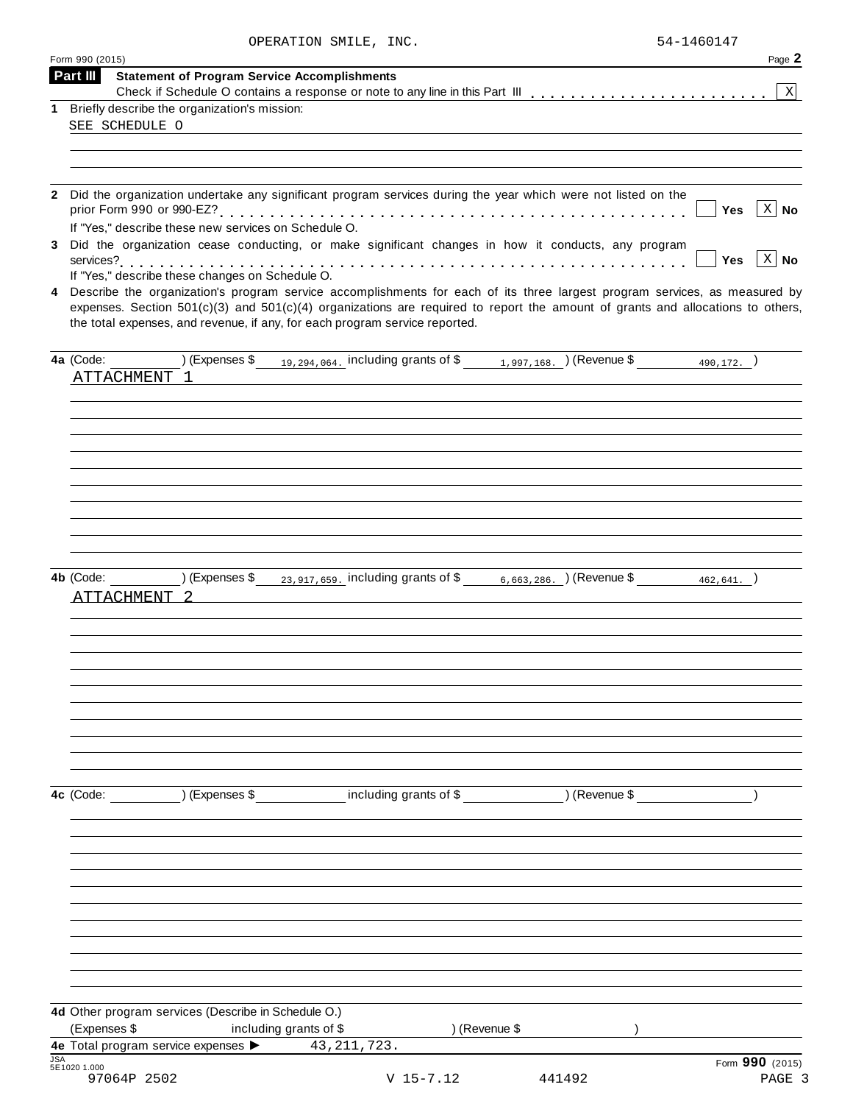| OPERATION SMILE, INC. |  | 54-1460147 |
|-----------------------|--|------------|

|             | Form 990 (2015)                                                                                                                                                                                                   | Page 2                     |
|-------------|-------------------------------------------------------------------------------------------------------------------------------------------------------------------------------------------------------------------|----------------------------|
|             | Part III<br><b>Statement of Program Service Accomplishments</b>                                                                                                                                                   |                            |
|             |                                                                                                                                                                                                                   | $\mathbf{x}$               |
| $\mathbf 1$ | Briefly describe the organization's mission:<br>SEE SCHEDULE O                                                                                                                                                    |                            |
|             |                                                                                                                                                                                                                   |                            |
|             |                                                                                                                                                                                                                   |                            |
|             |                                                                                                                                                                                                                   |                            |
|             | 2 Did the organization undertake any significant program services during the year which were not listed on the                                                                                                    | $X \mid N$ o<br>Yes        |
|             | If "Yes," describe these new services on Schedule O.                                                                                                                                                              |                            |
|             | 3 Did the organization cease conducting, or make significant changes in how it conducts, any program                                                                                                              | $X \mid N$ o<br><b>Yes</b> |
|             | If "Yes," describe these changes on Schedule O.                                                                                                                                                                   |                            |
| 4           | Describe the organization's program service accomplishments for each of its three largest program services, as measured by                                                                                        |                            |
|             | expenses. Section $501(c)(3)$ and $501(c)(4)$ organizations are required to report the amount of grants and allocations to others,<br>the total expenses, and revenue, if any, for each program service reported. |                            |
|             | (Expenses \$ $_{19,294,064}$ including grants of \$ $_{1,997,168}$ (Revenue \$ $_{490,172}$ )<br>4a (Code:                                                                                                        |                            |
|             | ATTACHMENT 1                                                                                                                                                                                                      |                            |
|             |                                                                                                                                                                                                                   |                            |
|             |                                                                                                                                                                                                                   |                            |
|             |                                                                                                                                                                                                                   |                            |
|             |                                                                                                                                                                                                                   |                            |
|             |                                                                                                                                                                                                                   |                            |
|             |                                                                                                                                                                                                                   |                            |
|             |                                                                                                                                                                                                                   |                            |
|             |                                                                                                                                                                                                                   |                            |
|             |                                                                                                                                                                                                                   |                            |
|             |                                                                                                                                                                                                                   |                            |
|             | ) (Expenses \$ $_{23,917,659}$ including grants of \$ $_{6,663,286}$ ) (Revenue \$<br>4b (Code:                                                                                                                   | $462,641.$ )               |
|             | ATTACHMENT                                                                                                                                                                                                        |                            |
|             |                                                                                                                                                                                                                   |                            |
|             |                                                                                                                                                                                                                   |                            |
|             |                                                                                                                                                                                                                   |                            |
|             |                                                                                                                                                                                                                   |                            |
|             |                                                                                                                                                                                                                   |                            |
|             |                                                                                                                                                                                                                   |                            |
|             |                                                                                                                                                                                                                   |                            |
|             |                                                                                                                                                                                                                   |                            |
|             |                                                                                                                                                                                                                   |                            |
|             |                                                                                                                                                                                                                   |                            |
|             |                                                                                                                                                                                                                   |                            |
|             | 4c (Code: ) (Expenses \$ including grants of \$ ) (Revenue \$                                                                                                                                                     |                            |
|             |                                                                                                                                                                                                                   |                            |
|             |                                                                                                                                                                                                                   |                            |
|             |                                                                                                                                                                                                                   |                            |
|             |                                                                                                                                                                                                                   |                            |
|             |                                                                                                                                                                                                                   |                            |
|             |                                                                                                                                                                                                                   |                            |
|             |                                                                                                                                                                                                                   |                            |
|             |                                                                                                                                                                                                                   |                            |
|             |                                                                                                                                                                                                                   |                            |
|             |                                                                                                                                                                                                                   |                            |
|             |                                                                                                                                                                                                                   |                            |
|             |                                                                                                                                                                                                                   |                            |
|             | 4d Other program services (Describe in Schedule O.)                                                                                                                                                               |                            |
|             | (Expenses \$<br>including grants of \$<br>) (Revenue \$                                                                                                                                                           |                            |
|             | 4e Total program service expenses > 43, 211, 723.                                                                                                                                                                 |                            |
| <b>JSA</b>  | 5E1020 1.000                                                                                                                                                                                                      | Form 990 (2015)            |
|             | 97064P 2502<br>$V$ 15-7.12<br>441492                                                                                                                                                                              | PAGE 3                     |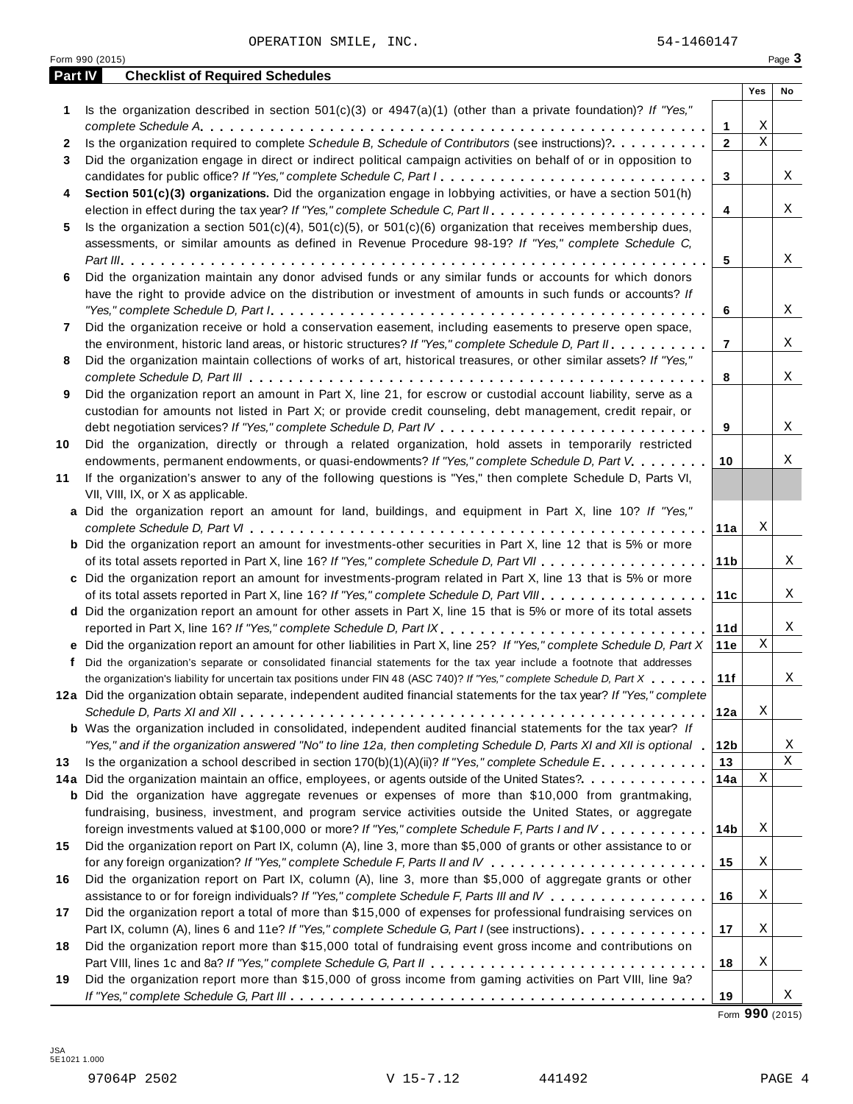OPERATION SMILE, INC. 54-1460147

|         | Form 990 (2015)                                                                                                                                                                                                                                                                                                                                                                               |                 |             | Page 3 |
|---------|-----------------------------------------------------------------------------------------------------------------------------------------------------------------------------------------------------------------------------------------------------------------------------------------------------------------------------------------------------------------------------------------------|-----------------|-------------|--------|
| Part IV | <b>Checklist of Required Schedules</b>                                                                                                                                                                                                                                                                                                                                                        |                 |             |        |
|         |                                                                                                                                                                                                                                                                                                                                                                                               |                 | Yes         | No     |
| 1.      | Is the organization described in section $501(c)(3)$ or $4947(a)(1)$ (other than a private foundation)? If "Yes,"                                                                                                                                                                                                                                                                             | 1               | Χ           |        |
| 2       | Is the organization required to complete Schedule B, Schedule of Contributors (see instructions)?.                                                                                                                                                                                                                                                                                            | $\mathbf{2}$    | $\mathbf X$ |        |
| 3       | Did the organization engage in direct or indirect political campaign activities on behalf of or in opposition to                                                                                                                                                                                                                                                                              |                 |             |        |
|         | candidates for public office? If "Yes," complete Schedule C, Part I.                                                                                                                                                                                                                                                                                                                          | 3               |             | X      |
| 4       | Section 501(c)(3) organizations. Did the organization engage in lobbying activities, or have a section 501(h)                                                                                                                                                                                                                                                                                 |                 |             |        |
|         |                                                                                                                                                                                                                                                                                                                                                                                               | 4               |             | X      |
| 5       | Is the organization a section $501(c)(4)$ , $501(c)(5)$ , or $501(c)(6)$ organization that receives membership dues,                                                                                                                                                                                                                                                                          |                 |             |        |
|         | assessments, or similar amounts as defined in Revenue Procedure 98-19? If "Yes," complete Schedule C,                                                                                                                                                                                                                                                                                         |                 |             |        |
|         |                                                                                                                                                                                                                                                                                                                                                                                               | 5               |             | Χ      |
| 6       | Did the organization maintain any donor advised funds or any similar funds or accounts for which donors                                                                                                                                                                                                                                                                                       |                 |             |        |
|         | have the right to provide advice on the distribution or investment of amounts in such funds or accounts? If                                                                                                                                                                                                                                                                                   |                 |             |        |
|         | "Yes," complete Schedule D, Part $l_1, \ldots, l_k, \ldots, l_k, \ldots, l_k, \ldots, l_k, \ldots, l_k, \ldots, l_k, \ldots, l_k, \ldots, l_k, \ldots, l_k, \ldots, l_k, \ldots, l_k, \ldots, l_k, \ldots, l_k, \ldots, l_k, \ldots, l_k, \ldots, l_k, \ldots, l_k, \ldots, l_k, \ldots, l_k, \ldots, l_k, \ldots, l_k, \ldots, l_k, \ldots, l_k, \ldots, l_k, \ldots, l_k, \ldots, l_k, \ld$ | 6               |             | X      |
| 7       | Did the organization receive or hold a conservation easement, including easements to preserve open space,                                                                                                                                                                                                                                                                                     |                 |             |        |
|         | the environment, historic land areas, or historic structures? If "Yes," complete Schedule D, Part II.                                                                                                                                                                                                                                                                                         | $\overline{7}$  |             | X      |
| 8       | Did the organization maintain collections of works of art, historical treasures, or other similar assets? If "Yes,"                                                                                                                                                                                                                                                                           |                 |             |        |
|         |                                                                                                                                                                                                                                                                                                                                                                                               | 8               |             | X      |
| 9       | Did the organization report an amount in Part X, line 21, for escrow or custodial account liability, serve as a                                                                                                                                                                                                                                                                               |                 |             |        |
|         | custodian for amounts not listed in Part X; or provide credit counseling, debt management, credit repair, or                                                                                                                                                                                                                                                                                  |                 |             |        |
|         |                                                                                                                                                                                                                                                                                                                                                                                               | 9               |             | Χ      |
| 10      | Did the organization, directly or through a related organization, hold assets in temporarily restricted                                                                                                                                                                                                                                                                                       |                 |             |        |
|         | endowments, permanent endowments, or quasi-endowments? If "Yes," complete Schedule D, Part V.                                                                                                                                                                                                                                                                                                 | 10              |             | Χ      |
| 11      | If the organization's answer to any of the following questions is "Yes," then complete Schedule D, Parts VI,                                                                                                                                                                                                                                                                                  |                 |             |        |
|         | VII, VIII, IX, or X as applicable.                                                                                                                                                                                                                                                                                                                                                            |                 |             |        |
|         | a Did the organization report an amount for land, buildings, and equipment in Part X, line 10? If "Yes,"                                                                                                                                                                                                                                                                                      |                 |             |        |
|         |                                                                                                                                                                                                                                                                                                                                                                                               | 11a             | Χ           |        |
|         | <b>b</b> Did the organization report an amount for investments-other securities in Part X, line 12 that is 5% or more                                                                                                                                                                                                                                                                         |                 |             |        |
|         |                                                                                                                                                                                                                                                                                                                                                                                               | 11 <sub>b</sub> |             | Χ      |
|         | c Did the organization report an amount for investments-program related in Part X, line 13 that is 5% or more                                                                                                                                                                                                                                                                                 |                 |             |        |
|         |                                                                                                                                                                                                                                                                                                                                                                                               | 11c             |             | X      |
|         | d Did the organization report an amount for other assets in Part X, line 15 that is 5% or more of its total assets                                                                                                                                                                                                                                                                            |                 |             |        |
|         | reported in Part X, line 16? If "Yes," complete Schedule D, Part IX.                                                                                                                                                                                                                                                                                                                          | 11d             |             | X      |
|         | e Did the organization report an amount for other liabilities in Part X, line 25? If "Yes," complete Schedule D, Part X                                                                                                                                                                                                                                                                       | 11e             | $\mathbf X$ |        |
|         | f Did the organization's separate or consolidated financial statements for the tax year include a footnote that addresses                                                                                                                                                                                                                                                                     |                 |             |        |
|         | the organization's liability for uncertain tax positions under FIN 48 (ASC 740)? If "Yes," complete Schedule D, Part X                                                                                                                                                                                                                                                                        | 11f             |             | Χ      |
|         | 12a Did the organization obtain separate, independent audited financial statements for the tax year? If "Yes," complete                                                                                                                                                                                                                                                                       |                 |             |        |
|         |                                                                                                                                                                                                                                                                                                                                                                                               | 12a             | Χ           |        |
|         | <b>b</b> Was the organization included in consolidated, independent audited financial statements for the tax year? If                                                                                                                                                                                                                                                                         |                 |             |        |
|         | "Yes," and if the organization answered "No" to line 12a, then completing Schedule D, Parts XI and XII is optional 1                                                                                                                                                                                                                                                                          | 12b             |             | Χ      |
| 13      | Is the organization a school described in section $170(b)(1)(A)(ii)?$ If "Yes," complete Schedule E.                                                                                                                                                                                                                                                                                          | 13              |             | Χ      |
|         | 14a Did the organization maintain an office, employees, or agents outside of the United States?.                                                                                                                                                                                                                                                                                              | 14a             | Χ           |        |
|         | <b>b</b> Did the organization have aggregate revenues or expenses of more than \$10,000 from grantmaking,                                                                                                                                                                                                                                                                                     |                 |             |        |
|         | fundraising, business, investment, and program service activities outside the United States, or aggregate                                                                                                                                                                                                                                                                                     |                 | Χ           |        |
|         | foreign investments valued at \$100,000 or more? If "Yes," complete Schedule F, Parts I and IV                                                                                                                                                                                                                                                                                                | 14b             |             |        |
| 15      | Did the organization report on Part IX, column (A), line 3, more than \$5,000 of grants or other assistance to or                                                                                                                                                                                                                                                                             |                 | Χ           |        |
|         |                                                                                                                                                                                                                                                                                                                                                                                               | 15              |             |        |
| 16      | Did the organization report on Part IX, column (A), line 3, more than \$5,000 of aggregate grants or other                                                                                                                                                                                                                                                                                    |                 | Χ           |        |
|         | assistance to or for foreign individuals? If "Yes," complete Schedule F, Parts III and IV<br>Did the organization report a total of more than \$15,000 of expenses for professional fundraising services on                                                                                                                                                                                   | 16              |             |        |
| 17      | Part IX, column (A), lines 6 and 11e? If "Yes," complete Schedule G, Part I (see instructions)                                                                                                                                                                                                                                                                                                | 17              | Χ           |        |
| 18      | Did the organization report more than \$15,000 total of fundraising event gross income and contributions on                                                                                                                                                                                                                                                                                   |                 |             |        |
|         |                                                                                                                                                                                                                                                                                                                                                                                               | 18              | Χ           |        |
| 19      | Did the organization report more than \$15,000 of gross income from gaming activities on Part VIII, line 9a?                                                                                                                                                                                                                                                                                  |                 |             |        |
|         |                                                                                                                                                                                                                                                                                                                                                                                               | 19              |             | Χ      |
|         |                                                                                                                                                                                                                                                                                                                                                                                               |                 |             |        |

Form **990** (2015)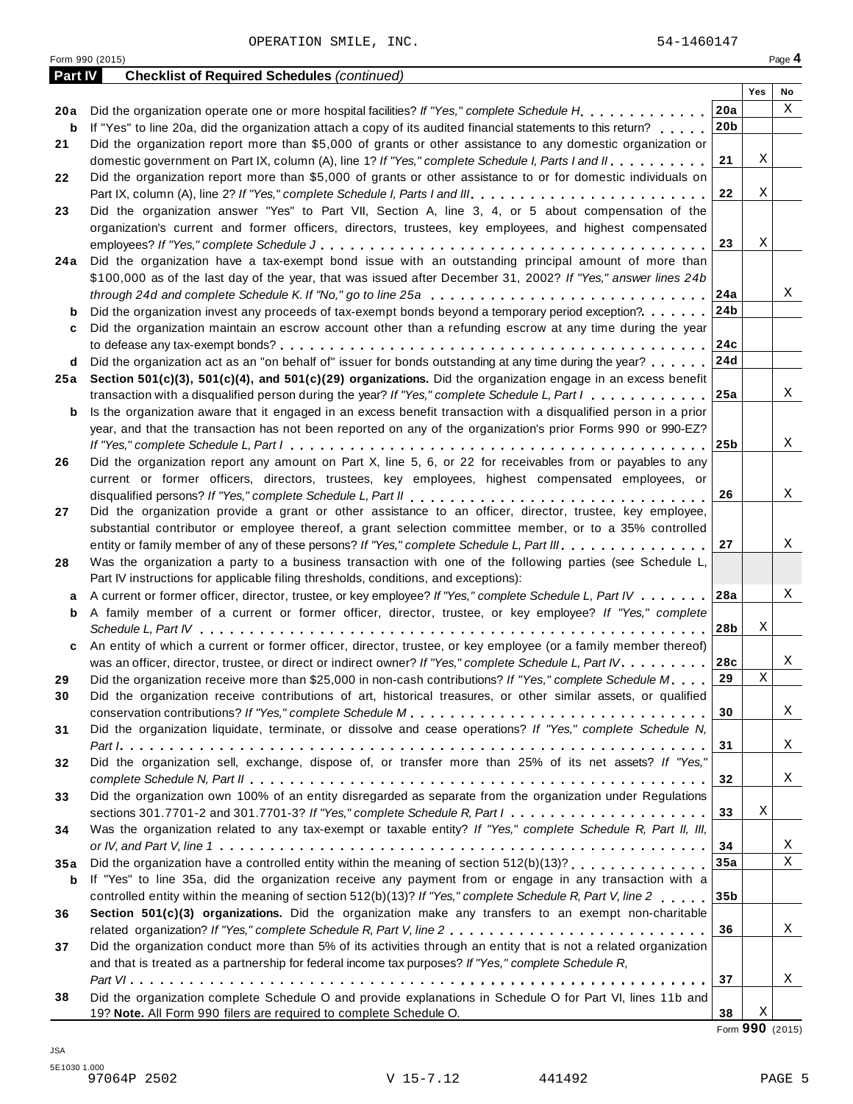| <b>Part IV</b> | <b>Checklist of Required Schedules (continued)</b>                                                                                                                                                                |                 |     |    |
|----------------|-------------------------------------------------------------------------------------------------------------------------------------------------------------------------------------------------------------------|-----------------|-----|----|
|                |                                                                                                                                                                                                                   |                 | Yes | No |
| 20 a           | Did the organization operate one or more hospital facilities? If "Yes," complete Schedule H                                                                                                                       | 20a             |     | X  |
| b              | If "Yes" to line 20a, did the organization attach a copy of its audited financial statements to this return?                                                                                                      | 20 <sub>b</sub> |     |    |
| 21             | Did the organization report more than \$5,000 of grants or other assistance to any domestic organization or                                                                                                       |                 |     |    |
|                | domestic government on Part IX, column (A), line 1? If "Yes," complete Schedule I, Parts I and II.                                                                                                                | 21              | Χ   |    |
| 22             | Did the organization report more than \$5,000 of grants or other assistance to or for domestic individuals on                                                                                                     |                 |     |    |
|                |                                                                                                                                                                                                                   | 22              | Χ   |    |
| 23             | Did the organization answer "Yes" to Part VII, Section A, line 3, 4, or 5 about compensation of the                                                                                                               |                 |     |    |
|                | organization's current and former officers, directors, trustees, key employees, and highest compensated                                                                                                           |                 |     |    |
|                |                                                                                                                                                                                                                   | 23              | Χ   |    |
| 24 a           | Did the organization have a tax-exempt bond issue with an outstanding principal amount of more than                                                                                                               |                 |     |    |
|                | \$100,000 as of the last day of the year, that was issued after December 31, 2002? If "Yes," answer lines 24b                                                                                                     |                 |     |    |
|                |                                                                                                                                                                                                                   | 24a             |     | Χ  |
| b              | Did the organization invest any proceeds of tax-exempt bonds beyond a temporary period exception?                                                                                                                 | 24b             |     |    |
| c              | Did the organization maintain an escrow account other than a refunding escrow at any time during the year                                                                                                         |                 |     |    |
|                |                                                                                                                                                                                                                   | 24c             |     |    |
| d              | Did the organization act as an "on behalf of" issuer for bonds outstanding at any time during the year?                                                                                                           | 24d             |     |    |
| 25 a           | Section 501(c)(3), 501(c)(4), and 501(c)(29) organizations. Did the organization engage in an excess benefit                                                                                                      |                 |     |    |
|                | transaction with a disqualified person during the year? If "Yes," complete Schedule L, Part I                                                                                                                     | 25a             |     | X  |
| b              | Is the organization aware that it engaged in an excess benefit transaction with a disqualified person in a prior                                                                                                  |                 |     |    |
|                | year, and that the transaction has not been reported on any of the organization's prior Forms 990 or 990-EZ?                                                                                                      |                 |     |    |
|                | If "Yes," complete Schedule L, Part Independence root response response response response in the Schedule L, P                                                                                                    | 25 <sub>b</sub> |     | Χ  |
| 26             | Did the organization report any amount on Part X, line 5, 6, or 22 for receivables from or payables to any                                                                                                        |                 |     |    |
|                | current or former officers, directors, trustees, key employees, highest compensated employees, or                                                                                                                 |                 |     |    |
|                |                                                                                                                                                                                                                   | 26              |     | Χ  |
| 27             | Did the organization provide a grant or other assistance to an officer, director, trustee, key employee,                                                                                                          |                 |     |    |
|                | substantial contributor or employee thereof, a grant selection committee member, or to a 35% controlled                                                                                                           |                 |     |    |
|                | entity or family member of any of these persons? If "Yes," complete Schedule L, Part III.                                                                                                                         | 27              |     | Χ  |
| 28             | Was the organization a party to a business transaction with one of the following parties (see Schedule L,                                                                                                         |                 |     |    |
|                | Part IV instructions for applicable filing thresholds, conditions, and exceptions):                                                                                                                               | 28a             |     | Χ  |
| а              | A current or former officer, director, trustee, or key employee? If "Yes," complete Schedule L, Part IV<br>A family member of a current or former officer, director, trustee, or key employee? If "Yes," complete |                 |     |    |
| b              |                                                                                                                                                                                                                   | 28b             | Χ   |    |
|                | An entity of which a current or former officer, director, trustee, or key employee (or a family member thereof)                                                                                                   |                 |     |    |
| c              | was an officer, director, trustee, or direct or indirect owner? If "Yes," complete Schedule L, Part IV.                                                                                                           | 28c             |     | Χ  |
| 29             | Did the organization receive more than \$25,000 in non-cash contributions? If "Yes," complete Schedule M.                                                                                                         | 29              | Χ   |    |
| 30             | Did the organization receive contributions of art, historical treasures, or other similar assets, or qualified                                                                                                    |                 |     |    |
|                |                                                                                                                                                                                                                   | 30              |     | Χ  |
| 31             | Did the organization liquidate, terminate, or dissolve and cease operations? If "Yes," complete Schedule N,                                                                                                       |                 |     |    |
|                |                                                                                                                                                                                                                   | 31              |     | X  |
| 32             | Did the organization sell, exchange, dispose of, or transfer more than 25% of its net assets? If "Yes,"                                                                                                           |                 |     |    |
|                |                                                                                                                                                                                                                   | 32              |     | X  |
| 33             | Did the organization own 100% of an entity disregarded as separate from the organization under Regulations                                                                                                        |                 |     |    |
|                | sections 301.7701-2 and 301.7701-3? If "Yes," complete Schedule R, Part $1, \ldots, \ldots, \ldots, \ldots, \ldots, \ldots$                                                                                       | 33              | Χ   |    |
| 34             | Was the organization related to any tax-exempt or taxable entity? If "Yes," complete Schedule R, Part II, III,                                                                                                    |                 |     |    |
|                |                                                                                                                                                                                                                   | 34              |     | Χ  |
| 35a            | Did the organization have a controlled entity within the meaning of section 512(b)(13)?                                                                                                                           | 35a             |     | X  |
| b              | If "Yes" to line 35a, did the organization receive any payment from or engage in any transaction with a                                                                                                           |                 |     |    |
|                | controlled entity within the meaning of section 512(b)(13)? If "Yes," complete Schedule R, Part V, line 2                                                                                                         | 35 <sub>b</sub> |     |    |
| 36             | Section 501(c)(3) organizations. Did the organization make any transfers to an exempt non-charitable                                                                                                              |                 |     |    |
|                |                                                                                                                                                                                                                   | 36              |     | X  |
| 37             | Did the organization conduct more than 5% of its activities through an entity that is not a related organization                                                                                                  |                 |     |    |
|                | and that is treated as a partnership for federal income tax purposes? If "Yes," complete Schedule R,                                                                                                              |                 |     |    |
|                |                                                                                                                                                                                                                   | 37              |     | Χ  |
| 38             | Did the organization complete Schedule O and provide explanations in Schedule O for Part VI, lines 11b and                                                                                                        |                 |     |    |
|                | 19? Note. All Form 990 filers are required to complete Schedule O.                                                                                                                                                | 38              | Χ   |    |

Form **990** (2015)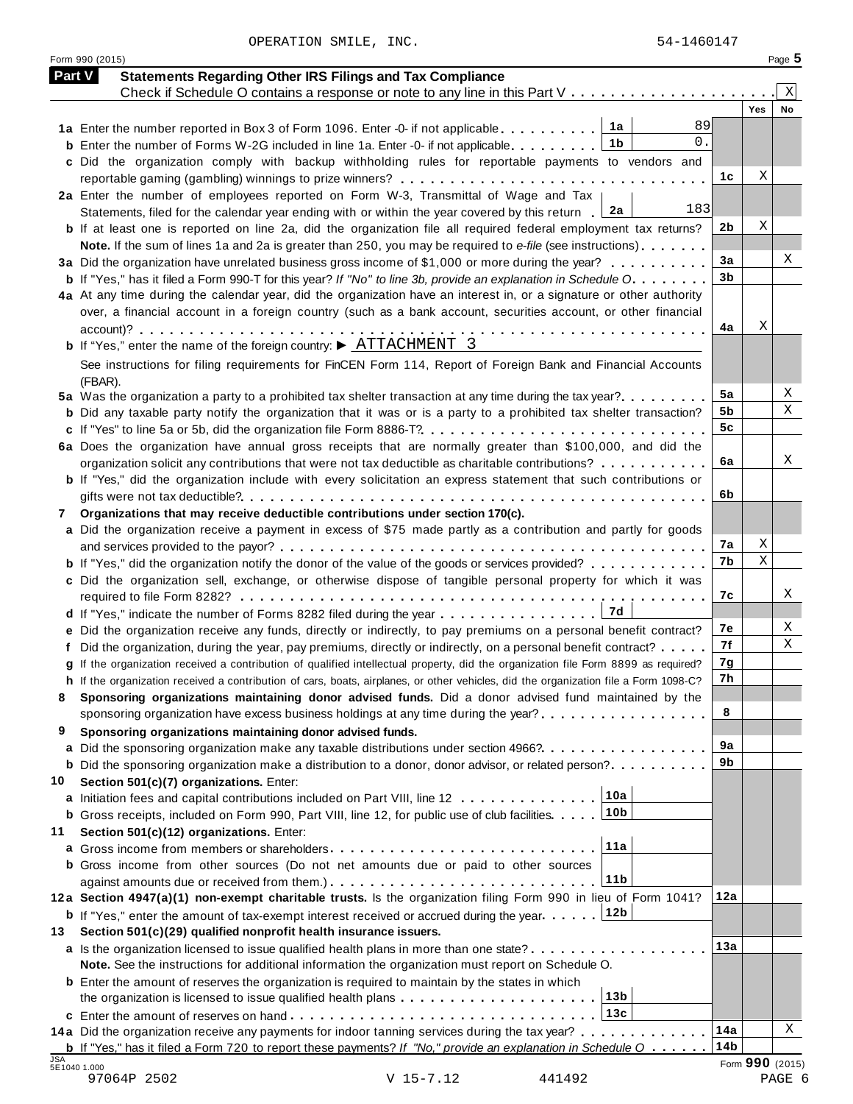OPERATION SMILE, INC. 54-1460147

Form <sup>990</sup> (2015) Page **5**

| <b>Part V</b> | <b>Statements Regarding Other IRS Filings and Tax Compliance</b>                                                                       |                 |             |                 |
|---------------|----------------------------------------------------------------------------------------------------------------------------------------|-----------------|-------------|-----------------|
|               | Check if Schedule O contains a response or note to any line in this Part V                                                             |                 |             | $\mathbf X$     |
|               |                                                                                                                                        |                 | Yes         | No              |
|               | 89<br>  1a<br>1a Enter the number reported in Box 3 of Form 1096. Enter -0- if not applicable                                          |                 |             |                 |
|               | 0.<br>1 <sub>b</sub><br><b>b</b> Enter the number of Forms W-2G included in line 1a. Enter -0- if not applicable                       |                 |             |                 |
|               | c Did the organization comply with backup withholding rules for reportable payments to vendors and                                     |                 |             |                 |
|               |                                                                                                                                        | 1c              | Χ           |                 |
|               | 2a Enter the number of employees reported on Form W-3, Transmittal of Wage and Tax                                                     |                 |             |                 |
|               | 183<br>2a<br>Statements, filed for the calendar year ending with or within the year covered by this return [16]                        |                 |             |                 |
|               | <b>b</b> If at least one is reported on line 2a, did the organization file all required federal employment tax returns?                | 2 <sub>b</sub>  | Χ           |                 |
|               | Note. If the sum of lines 1a and 2a is greater than 250, you may be required to e-file (see instructions)                              |                 |             |                 |
|               | 3a Did the organization have unrelated business gross income of \$1,000 or more during the year?                                       | 3a              |             | Χ               |
|               | <b>b</b> If "Yes," has it filed a Form 990-T for this year? If "No" to line 3b, provide an explanation in Schedule $0, \ldots, \ldots$ | 3 <sub>b</sub>  |             |                 |
|               | 4a At any time during the calendar year, did the organization have an interest in, or a signature or other authority                   |                 |             |                 |
|               | over, a financial account in a foreign country (such as a bank account, securities account, or other financial                         |                 |             |                 |
|               |                                                                                                                                        | 4a              | Χ           |                 |
|               | <b>b</b> If "Yes," enter the name of the foreign country: $\triangleright$ $\angle$ ATTACHMENT 3                                       |                 |             |                 |
|               | See instructions for filing requirements for FinCEN Form 114, Report of Foreign Bank and Financial Accounts                            |                 |             |                 |
|               | (FBAR).                                                                                                                                |                 |             |                 |
|               | 5a Was the organization a party to a prohibited tax shelter transaction at any time during the tax year?                               | 5a              |             | Х               |
|               | <b>b</b> Did any taxable party notify the organization that it was or is a party to a prohibited tax shelter transaction?              | 5b              |             | Χ               |
|               | c If "Yes" to line 5a or 5b, did the organization file Form 8886-T?                                                                    | 5 <sub>c</sub>  |             |                 |
|               | 6a Does the organization have annual gross receipts that are normally greater than \$100,000, and did the                              |                 |             |                 |
|               | organization solicit any contributions that were not tax deductible as charitable contributions? $\ldots \ldots \ldots$                | 6а              |             | X               |
|               | <b>b</b> If "Yes," did the organization include with every solicitation an express statement that such contributions or                |                 |             |                 |
|               | .                                                                                                                                      | 6b              |             |                 |
| 7             | Organizations that may receive deductible contributions under section 170(c).                                                          |                 |             |                 |
|               | a Did the organization receive a payment in excess of \$75 made partly as a contribution and partly for goods                          |                 |             |                 |
|               |                                                                                                                                        | 7a              | Χ           |                 |
|               | <b>b</b> If "Yes," did the organization notify the donor of the value of the goods or services provided?                               | 7b              | $\mathbf x$ |                 |
|               | c Did the organization sell, exchange, or otherwise dispose of tangible personal property for which it was                             |                 |             |                 |
|               |                                                                                                                                        | 7с              |             | Χ               |
|               |                                                                                                                                        |                 |             |                 |
|               | e Did the organization receive any funds, directly or indirectly, to pay premiums on a personal benefit contract?                      | 7e              |             | Χ               |
|               | f Did the organization, during the year, pay premiums, directly or indirectly, on a personal benefit contract?                         | 7f              |             | Χ               |
|               | g If the organization received a contribution of qualified intellectual property, did the organization file Form 8899 as required?     | 7g              |             |                 |
|               | h If the organization received a contribution of cars, boats, airplanes, or other vehicles, did the organization file a Form 1098-C?   | 7h              |             |                 |
| 8             | Sponsoring organizations maintaining donor advised funds. Did a donor advised fund maintained by the                                   |                 |             |                 |
|               | sponsoring organization have excess business holdings at any time during the year?                                                     | 8               |             |                 |
| 9             | Sponsoring organizations maintaining donor advised funds.                                                                              |                 |             |                 |
|               | a Did the sponsoring organization make any taxable distributions under section 4966?                                                   | 9a              |             |                 |
|               | <b>b</b> Did the sponsoring organization make a distribution to a donor, donor advisor, or related person?                             | 9b              |             |                 |
| 10            | Section 501(c)(7) organizations. Enter:                                                                                                |                 |             |                 |
|               | 10a<br>a Initiation fees and capital contributions included on Part VIII, line 12                                                      |                 |             |                 |
|               | 10 <sub>b</sub><br><b>b</b> Gross receipts, included on Form 990, Part VIII, line 12, for public use of club facilities.               |                 |             |                 |
| 11            | Section 501(c)(12) organizations. Enter:                                                                                               |                 |             |                 |
|               | 11a                                                                                                                                    |                 |             |                 |
|               | <b>b</b> Gross income from other sources (Do not net amounts due or paid to other sources                                              |                 |             |                 |
|               | 11 <sub>b</sub>                                                                                                                        |                 |             |                 |
|               | 12a Section 4947(a)(1) non-exempt charitable trusts. Is the organization filing Form 990 in lieu of Form 1041?                         | 12a             |             |                 |
|               | 12b<br><b>b</b> If "Yes," enter the amount of tax-exempt interest received or accrued during the year                                  |                 |             |                 |
| 13            | Section 501(c)(29) qualified nonprofit health insurance issuers.                                                                       |                 |             |                 |
|               | a Is the organization licensed to issue qualified health plans in more than one state?                                                 | 13a             |             |                 |
|               | Note. See the instructions for additional information the organization must report on Schedule O.                                      |                 |             |                 |
|               | <b>b</b> Enter the amount of reserves the organization is required to maintain by the states in which                                  |                 |             |                 |
|               | 13 <sub>b</sub><br>the organization is licensed to issue qualified health plans $\ldots$ ,                                             |                 |             |                 |
|               | 13c                                                                                                                                    |                 |             |                 |
|               | 14a Did the organization receive any payments for indoor tanning services during the tax year?<br>.                                    | 14a             |             | Χ               |
|               | <b>b</b> If "Yes," has it filed a Form 720 to report these payments? If "No," provide an explanation in Schedule O                     | 14 <sub>b</sub> |             |                 |
| <b>JSA</b>    |                                                                                                                                        |                 |             | Form 990 (2015) |
|               | 5E1040 1.000<br>97064P 2502<br>$V$ 15-7.12<br>441492                                                                                   |                 |             | PAGE 6          |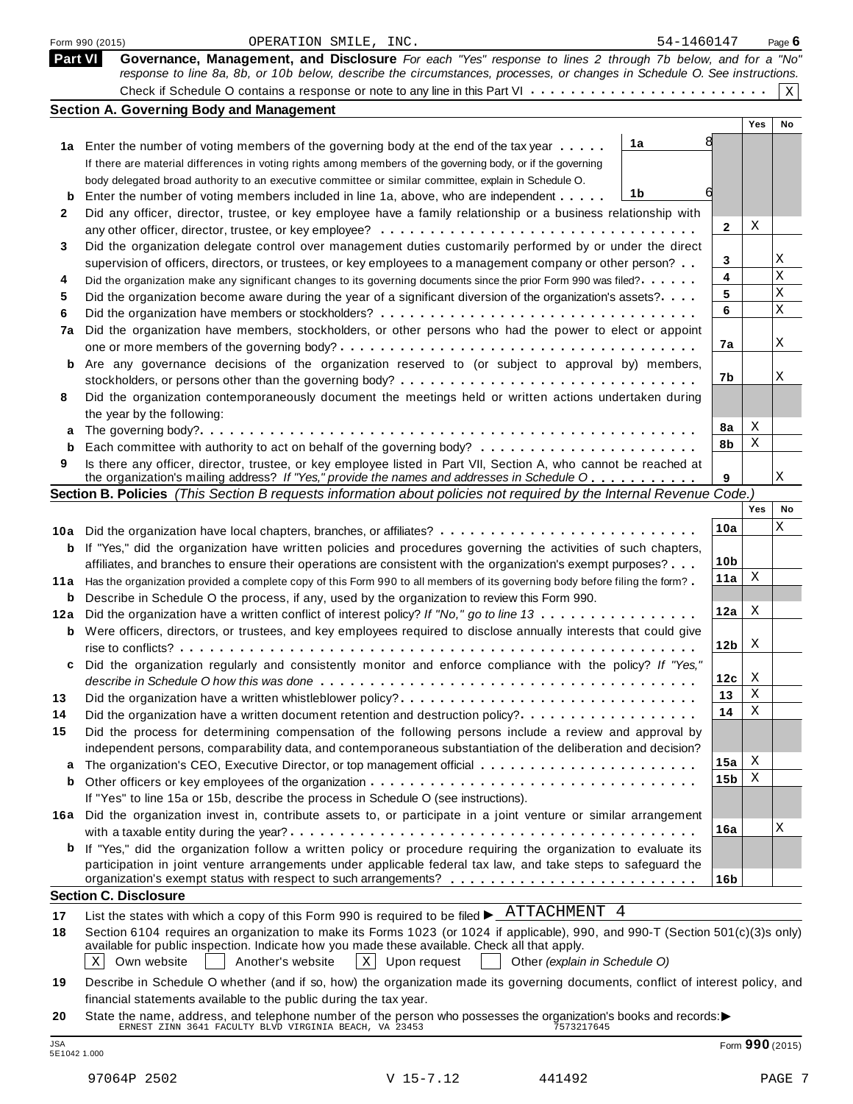|                | OPERATION SMILE, INC.<br>54-1460147<br>Form 990 (2015)                                                                                                                                                                                  |                 |            | Page $6$    |
|----------------|-----------------------------------------------------------------------------------------------------------------------------------------------------------------------------------------------------------------------------------------|-----------------|------------|-------------|
| <b>Part VI</b> | Governance, Management, and Disclosure For each "Yes" response to lines 2 through 7b below, and for a "No"<br>response to line 8a, 8b, or 10b below, describe the circumstances, processes, or changes in Schedule O. See instructions. |                 |            |             |
|                |                                                                                                                                                                                                                                         |                 |            | $\mathbf X$ |
|                | <b>Section A. Governing Body and Management</b>                                                                                                                                                                                         |                 |            |             |
|                |                                                                                                                                                                                                                                         |                 | <b>Yes</b> | No          |
|                | 1a<br>1a Enter the number of voting members of the governing body at the end of the tax year                                                                                                                                            |                 |            |             |
|                | If there are material differences in voting rights among members of the governing body, or if the governing                                                                                                                             |                 |            |             |
|                | body delegated broad authority to an executive committee or similar committee, explain in Schedule O.                                                                                                                                   |                 |            |             |
| b              | 1b<br>Enter the number of voting members included in line 1a, above, who are independent                                                                                                                                                |                 |            |             |
| 2              | Did any officer, director, trustee, or key employee have a family relationship or a business relationship with                                                                                                                          |                 |            |             |
|                |                                                                                                                                                                                                                                         | $\mathbf{2}$    | Χ          |             |
| 3              | Did the organization delegate control over management duties customarily performed by or under the direct                                                                                                                               |                 |            |             |
|                | supervision of officers, directors, or trustees, or key employees to a management company or other person?                                                                                                                              | 3               |            | Χ           |
| 4              | Did the organization make any significant changes to its governing documents since the prior Form 990 was filed?                                                                                                                        | 4               |            | $\mathbf X$ |
| 5              | Did the organization become aware during the year of a significant diversion of the organization's assets?                                                                                                                              | 5               |            | X           |
| 6              |                                                                                                                                                                                                                                         | 6               |            | $\mathbf X$ |
| 7a             | Did the organization have members, stockholders, or other persons who had the power to elect or appoint                                                                                                                                 | 7a              |            | Χ           |
|                | Are any governance decisions of the organization reserved to (or subject to approval by) members,                                                                                                                                       |                 |            |             |
| b              |                                                                                                                                                                                                                                         | 7b              |            | Χ           |
| 8              | Did the organization contemporaneously document the meetings held or written actions undertaken during                                                                                                                                  |                 |            |             |
|                |                                                                                                                                                                                                                                         |                 |            |             |
|                | the year by the following:                                                                                                                                                                                                              | 8a              | X          |             |
| a<br>b         |                                                                                                                                                                                                                                         | 8b              | Χ          |             |
| 9              | Is there any officer, director, trustee, or key employee listed in Part VII, Section A, who cannot be reached at                                                                                                                        |                 |            |             |
|                | the organization's mailing address? If "Yes," provide the names and addresses in Schedule O                                                                                                                                             | 9               |            | X           |
|                | Section B. Policies (This Section B requests information about policies not required by the Internal Revenue Code.)                                                                                                                     |                 |            |             |
|                |                                                                                                                                                                                                                                         |                 | Yes        | No          |
| 10a            |                                                                                                                                                                                                                                         | 10a             |            | X           |
| b              | If "Yes," did the organization have written policies and procedures governing the activities of such chapters,                                                                                                                          |                 |            |             |
|                | affiliates, and branches to ensure their operations are consistent with the organization's exempt purposes?                                                                                                                             | 10 <sub>b</sub> |            |             |
| 11 a           | Has the organization provided a complete copy of this Form 990 to all members of its governing body before filing the form?                                                                                                             | 11a             | X          |             |
| b              | Describe in Schedule O the process, if any, used by the organization to review this Form 990.                                                                                                                                           |                 |            |             |
| 12a            | Did the organization have a written conflict of interest policy? If "No," go to line 13                                                                                                                                                 | 12a             | Χ          |             |
| b              | Were officers, directors, or trustees, and key employees required to disclose annually interests that could give                                                                                                                        |                 |            |             |
|                |                                                                                                                                                                                                                                         | 12b             | X          |             |
| c              | Did the organization regularly and consistently monitor and enforce compliance with the policy? If "Yes,"                                                                                                                               | 12с             | X          |             |
|                |                                                                                                                                                                                                                                         | 13              | Χ          |             |
| 13<br>14       | Did the organization have a written document retention and destruction policy?                                                                                                                                                          | 14              | Χ          |             |
| 15             | Did the process for determining compensation of the following persons include a review and approval by                                                                                                                                  |                 |            |             |
|                | independent persons, comparability data, and contemporaneous substantiation of the deliberation and decision?                                                                                                                           |                 |            |             |
| a              |                                                                                                                                                                                                                                         | 15a             | X          |             |
| b              |                                                                                                                                                                                                                                         | 15 <sub>b</sub> | X          |             |
|                | If "Yes" to line 15a or 15b, describe the process in Schedule O (see instructions).                                                                                                                                                     |                 |            |             |
|                | 16a Did the organization invest in, contribute assets to, or participate in a joint venture or similar arrangement                                                                                                                      |                 |            |             |
|                |                                                                                                                                                                                                                                         | 16a             |            | Χ           |
| b              | If "Yes," did the organization follow a written policy or procedure requiring the organization to evaluate its                                                                                                                          |                 |            |             |
|                | participation in joint venture arrangements under applicable federal tax law, and take steps to safeguard the                                                                                                                           |                 |            |             |
|                |                                                                                                                                                                                                                                         | 16b             |            |             |
|                | <b>Section C. Disclosure</b>                                                                                                                                                                                                            |                 |            |             |
| 17             | List the states with which a copy of this Form 990 is required to be filed $\blacktriangleright$ $\frac{\text{ATTACHMENT}}{\text{ATTACHMENT}}$ 4                                                                                        |                 |            |             |
| 18             | Section 6104 requires an organization to make its Forms 1023 (or 1024 if applicable), 990, and 990-T (Section 501(c)(3)s only)                                                                                                          |                 |            |             |
|                | available for public inspection. Indicate how you made these available. Check all that apply.                                                                                                                                           |                 |            |             |
|                | Χ<br>Own website<br>Another's website<br>$\mathbf{x}$<br>Upon request<br>Other (explain in Schedule O)                                                                                                                                  |                 |            |             |
| 19             | Describe in Schedule O whether (and if so, how) the organization made its governing documents, conflict of interest policy, and                                                                                                         |                 |            |             |
|                | financial statements available to the public during the tax year.                                                                                                                                                                       |                 |            |             |
| 20             | State the name, address, and telephone number of the person who possesses the organization's books and records: $\blacktriangleright$<br>ERNEST ZINN 3641 FACULTY BLVD VIRGINIA BEACH, VA 23453<br>7573217645                           |                 |            |             |

| <b>JSA</b>   | Form 990 (2015) |
|--------------|-----------------|
| 5E1042 1.000 |                 |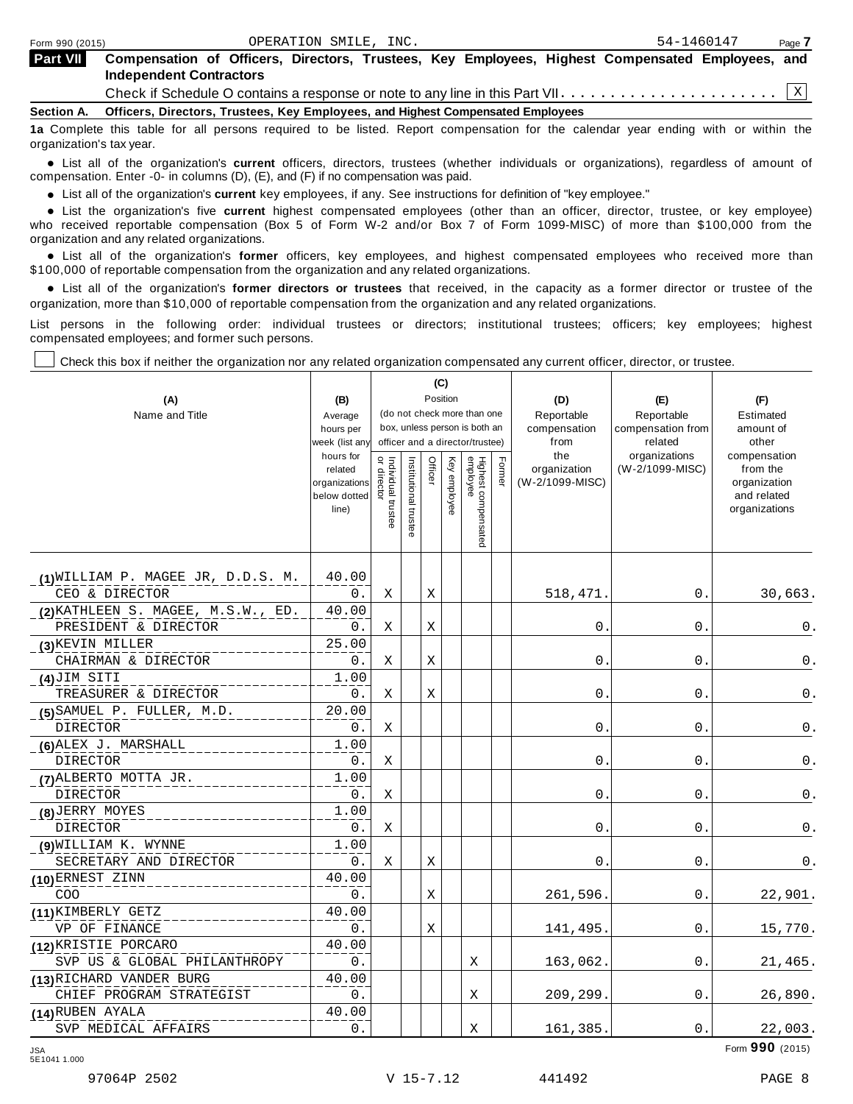| <b>Part VII</b> | Compensation of Officers, Directors, Trustees, Key Employees, Highest Compensated Employees, and<br><b>Independent Contractors</b> |  |  |  |  |
|-----------------|------------------------------------------------------------------------------------------------------------------------------------|--|--|--|--|
|                 |                                                                                                                                    |  |  |  |  |

**Section A. Officers, Directors, Trustees, Key Employees, and Highest Compensated Employees**

**1a** Complete this table for all persons required to be listed. Report compensation for the calendar year ending with or within the organization's tax year.

anization's lax year.<br>● List all of the organization's **current** officers, directors, trustees (whether individuals or organizations), regardless of amount of<br>nnensation Enter -0- in columns (D) (E) and (E) if no compensa compensation. Enter -0- in columns (D), (E), and (F) if no compensation was paid.

• List all of the organization's **current** key employees, if any. See instructions for definition of "key employee."<br>● List the experientials five expect highest expressed explores (other than an efficer director of

**Example in the organization's current** key employees, if any. See instructions for definition of key employee.<br>• List the organization's five **current** highest compensated employees (other than an officer, director, trust who received reportable compensation (Box 5 of Form W-2 and/or Box 7 of Form 1099-MISC) of more than \$100,000 from the

organization and any related organizations.<br>• List all of the organization's **former** officers, key employees, and highest compensated employees who received more than<br>\$1.00.000 of reportable componention from the erganiza \$100,000 of reportable compensation from the organization and any related organizations.

% List all of the organization's **former directors or trustees** that received, in the capacity as a former director or trustee of the organization, more than \$10,000 of reportable compensation from the organization and any related organizations.

List persons in the following order: individual trustees or directors; institutional trustees; officers; key employees; highest compensated employees; and former such persons.

Check this box if neither the organization nor any related organization compensated any current officer, director, or trustee.

|                                    |                                          |                                                                                                                                     |                       |         | (C)          |                                 |        |                                 |                          |                                         |
|------------------------------------|------------------------------------------|-------------------------------------------------------------------------------------------------------------------------------------|-----------------------|---------|--------------|---------------------------------|--------|---------------------------------|--------------------------|-----------------------------------------|
| (A)                                | (B)                                      | Position<br>(do not check more than one<br>Average<br>box, unless person is both an<br>hours per<br>officer and a director/trustee) |                       |         |              |                                 |        | (D)                             | (E)                      | (F)                                     |
| Name and Title                     |                                          |                                                                                                                                     |                       |         |              |                                 |        | Reportable                      | Reportable               | Estimated                               |
|                                    |                                          |                                                                                                                                     |                       |         |              |                                 |        | compensation                    | compensation from        | amount of                               |
|                                    | week (list any<br>hours for              |                                                                                                                                     |                       |         |              |                                 |        | from<br>the                     | related<br>organizations | other<br>compensation                   |
|                                    | related<br>organizations<br>below dotted | $\vec{\mathsf{d}}$<br>Individual trustee<br>directol                                                                                | Institutional trustee | Officer | Key employee |                                 | Former | organization<br>(W-2/1099-MISC) | (W-2/1099-MISC)          | from the<br>organization<br>and related |
|                                    | line)                                    |                                                                                                                                     |                       |         |              | Highest compensated<br>employee |        |                                 |                          | organizations                           |
| (1) WILLIAM P. MAGEE JR, D.D.S. M. | 40.00                                    |                                                                                                                                     |                       |         |              |                                 |        |                                 |                          |                                         |
| CEO & DIRECTOR                     | О.                                       | Χ                                                                                                                                   |                       | Χ       |              |                                 |        | 518,471.                        | 0.                       | 30,663.                                 |
| (2) KATHLEEN S. MAGEE, M.S.W., ED. | 40.00                                    |                                                                                                                                     |                       |         |              |                                 |        |                                 |                          |                                         |
| PRESIDENT & DIRECTOR               | 0.                                       | Χ                                                                                                                                   |                       | Χ       |              |                                 |        | 0.                              | 0.                       | 0.                                      |
| (3) KEVIN MILLER                   | 25.00                                    |                                                                                                                                     |                       |         |              |                                 |        |                                 |                          |                                         |
| CHAIRMAN & DIRECTOR                | О.                                       | Χ                                                                                                                                   |                       | Χ       |              |                                 |        | 0.                              | 0.                       | 0.                                      |
| $(4)$ JIM SITI                     | 1.00                                     |                                                                                                                                     |                       |         |              |                                 |        |                                 |                          |                                         |
| TREASURER & DIRECTOR               | 0.                                       | Χ                                                                                                                                   |                       | Χ       |              |                                 |        | 0.                              | 0.                       | $\mathsf 0$ .                           |
| (5) SAMUEL P. FULLER, M.D.         | 20.00                                    |                                                                                                                                     |                       |         |              |                                 |        |                                 |                          |                                         |
| DIRECTOR                           | О.                                       | Χ                                                                                                                                   |                       |         |              |                                 |        | 0.                              | 0.                       | 0.                                      |
| (6) ALEX J. MARSHALL               | 1.00                                     |                                                                                                                                     |                       |         |              |                                 |        |                                 |                          |                                         |
| <b>DIRECTOR</b>                    | 0.                                       | Χ                                                                                                                                   |                       |         |              |                                 |        | 0.                              | 0.                       | 0.                                      |
| (7) ALBERTO MOTTA JR.              | 1.00                                     |                                                                                                                                     |                       |         |              |                                 |        |                                 |                          |                                         |
| <b>DIRECTOR</b>                    | 0.                                       | Χ                                                                                                                                   |                       |         |              |                                 |        | 0.                              | 0.                       | 0.                                      |
| (8) JERRY MOYES                    | 1.00                                     |                                                                                                                                     |                       |         |              |                                 |        |                                 |                          |                                         |
| <b>DIRECTOR</b>                    | 0.                                       | Χ                                                                                                                                   |                       |         |              |                                 |        | 0.                              | 0.                       | 0.                                      |
| (9) WILLIAM K. WYNNE               | 1.00                                     |                                                                                                                                     |                       |         |              |                                 |        |                                 |                          |                                         |
| SECRETARY AND DIRECTOR             | 0.                                       | Χ                                                                                                                                   |                       | Χ       |              |                                 |        | 0.                              | 0.                       | 0.                                      |
| (10) ERNEST ZINN                   | 40.00                                    |                                                                                                                                     |                       |         |              |                                 |        |                                 |                          |                                         |
| CO <sub>O</sub>                    | 0.                                       |                                                                                                                                     |                       | Χ       |              |                                 |        | 261,596.                        | 0.                       | 22,901.                                 |
| (11) KIMBERLY GETZ                 | 40.00                                    |                                                                                                                                     |                       |         |              |                                 |        |                                 |                          |                                         |
| VP OF FINANCE                      | 0.                                       |                                                                                                                                     |                       | X       |              |                                 |        | 141,495.                        | 0.                       | 15,770.                                 |
| (12) KRISTIE PORCARO               | 40.00                                    |                                                                                                                                     |                       |         |              |                                 |        |                                 |                          |                                         |
| SVP US & GLOBAL PHILANTHROPY       | 0.                                       |                                                                                                                                     |                       |         |              | Χ                               |        | 163,062.                        | 0.                       | 21,465.                                 |
| (13) RICHARD VANDER BURG           | 40.00                                    |                                                                                                                                     |                       |         |              |                                 |        |                                 |                          |                                         |
| CHIEF PROGRAM STRATEGIST           | 0.                                       |                                                                                                                                     |                       |         |              | X                               |        | 209,299.                        | 0.                       | 26,890.                                 |
| (14) RUBEN AYALA                   | 40.00                                    |                                                                                                                                     |                       |         |              |                                 |        |                                 |                          |                                         |
| SVP MEDICAL AFFAIRS                | 0.                                       |                                                                                                                                     |                       |         |              | Χ                               |        | 161,385.                        | 0.                       | 22,003.                                 |

Form **990** (2015) JSA 5E1041 1.000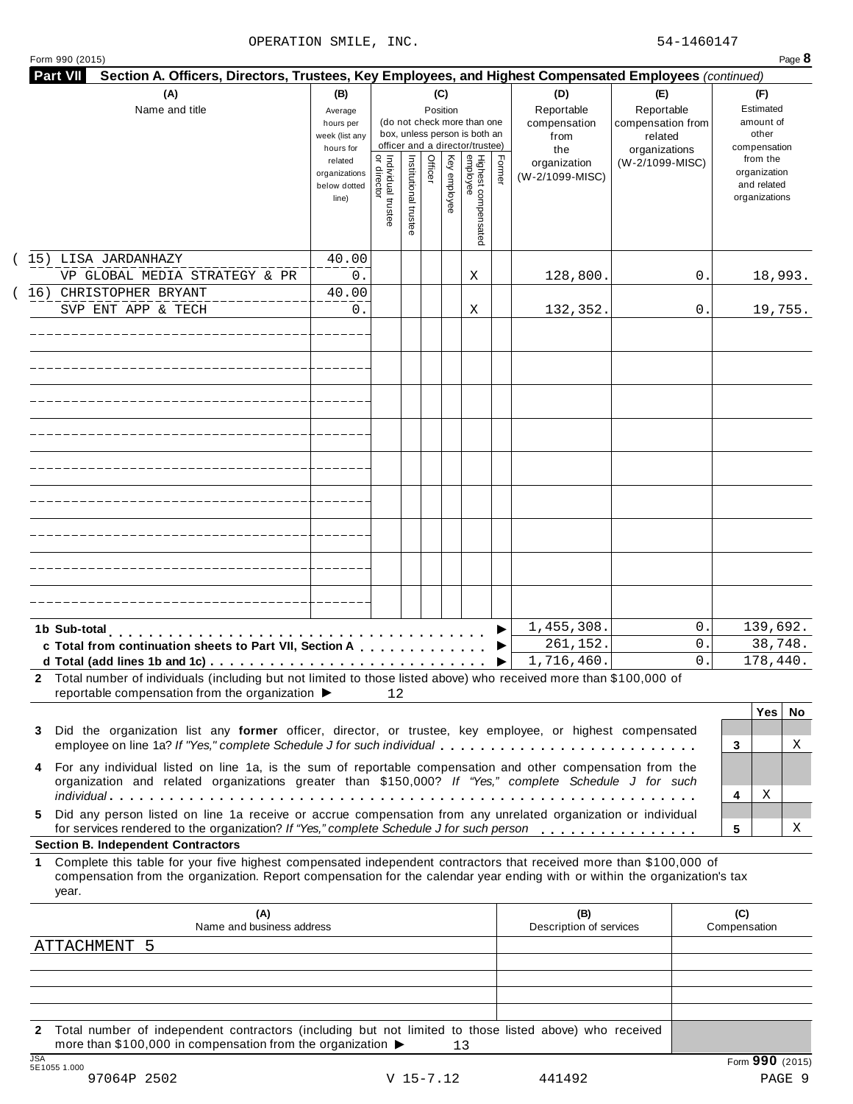#### OPERATION SMILE, INC. 54-1460147

Form <sup>990</sup> (2015) Page **8 Part VII Section A. Officers, Directors, Trustees, Key Employees, and Highest Compensated Employees** *(continued)* **(A) (B) (C) (D) (E) (F)** Reportable Name and title **Average** Position Reportable Estimated (do not check more than one compensation compensation from amount of hours per box, unless person is both an week (list any from related other officer and a director/trustee) compensation hours for the organizations Officer Former  $\overline{\circ}$ Key from the related Individual Institutional employee Highest organization (W-2/1099-MISC) director organization organizations (W-2/1099-MISC) employee and related below dotted compensated line) organizations trustee trustee ( 15) LISA JARDANHAZY 40.00 VP GLOBAL MEDIA STRATEGY & PR  $| 0. | 1 | 128,800. | 0. 18,993.$ 16) CHRISTOPHER BRYANT | 40.00 SVP ENT APP & TECH 0. X 132,352. 0. 19,755. ----------------------------\_\_\_\_\_\_\_\_\_\_\_\_\_\_\_\_\_\_\_\_\_\_\_\_\_\_\_ **1b Sub-total** m m m m m m m m m m m m m m m m m m m m m m m m m m m m m m m m m m m m m m I  $1,455,308.$  0. 139,692. **c** Total from continuation sheets to Part VII, Section A manufacturers and  $\frac{1}{2}$ <br>definition of the multiple of the multiple 261,152. 0. 38,748. **<sup>d</sup> Total (add lines 1b and 1c)** m m m m m m m m m m m m m m m m m m m m m m m m m m m m I 1,716,460. 0. 178,440. **2** Total number of individuals (including but not limited to those listed above) who received more than \$100,000 of reportable compensation from the organization  $\blacktriangleright$ 12 **Yes No 3** Did the organization list any **former** officer, director, or trustee, key employee, or highest compensated employee on line 1a? *If "Yes," complete Schedule <sup>J</sup> for such individual* m m m m m m m m m m m m m m m m m m m m m m m m m m **<sup>3</sup>** X **4** For any individual listed on line 1a, is the sum of reportable compensation and other compensation from the organization and related organizations greater than \$150,000? *If "Yes," complete Schedule J for such individual* m m m m m m m m m m m m m m m m m m m m m m m m m m m m m m m m m m m m m m m m m m m m m m m m m m m m m m m m m m m **<sup>4</sup>** X **5** Did any person listed on line 1a receive or accrue compensation from any unrelated organization or individual for services rendered to the organization? *If"Yes," complete Schedule <sup>J</sup> for such person* mm m m m m m m m m m m m m m m **<sup>5</sup>** X **Section B. Independent Contractors 1** Complete this table for your five highest compensated independent contractors that received more than \$100,000 of compensation from the organization. Report compensation for the calendar year ending with or within the organization's tax year. **(A) (B) (C)** Name and business address Description of services Compensation ATTACHMENT 5 **2** Total number of independent contractors (including but not limited to those listed above) who received more than \$100,000 in compensation from the organization  $\blacktriangleright$ 13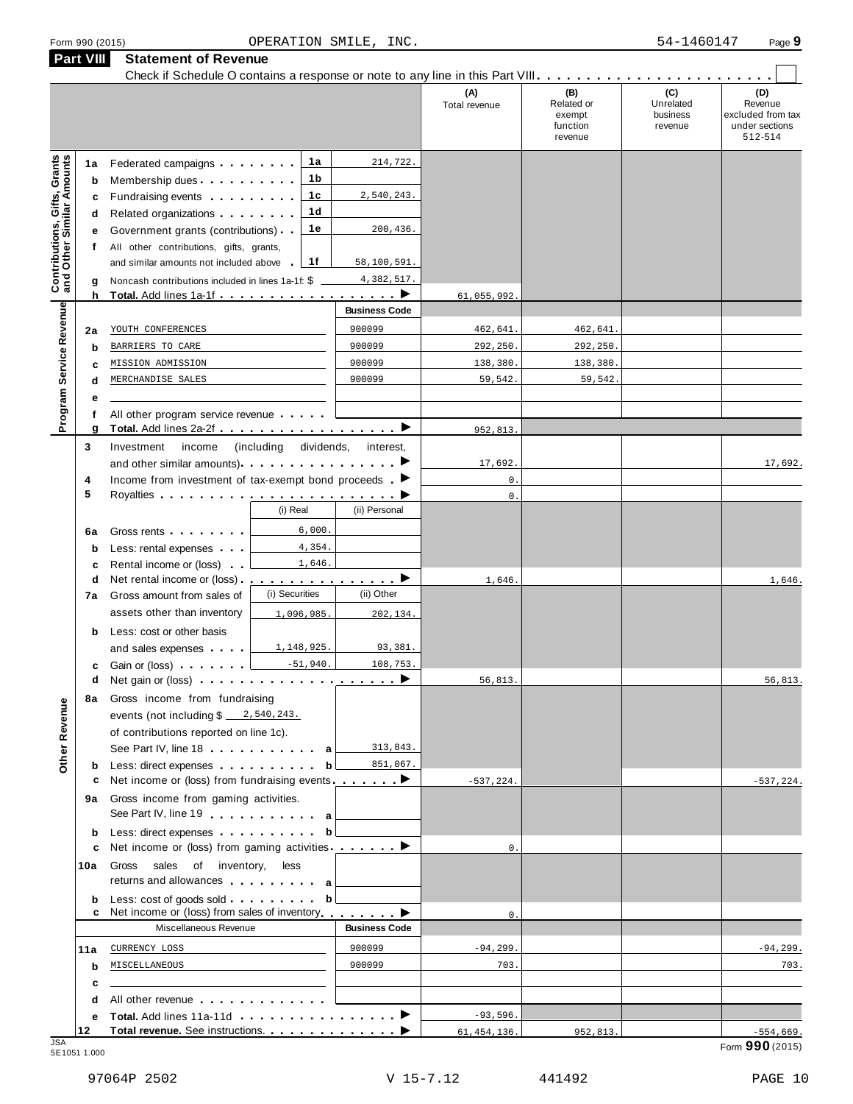|                                                                  | Part VIII                   | <b>Statement of Revenue</b>                                                                                                                                                                                                                                                                                                                                                                                                                               |                                            |                                                              |                                             |                                                    |                                         |                                                                         |
|------------------------------------------------------------------|-----------------------------|-----------------------------------------------------------------------------------------------------------------------------------------------------------------------------------------------------------------------------------------------------------------------------------------------------------------------------------------------------------------------------------------------------------------------------------------------------------|--------------------------------------------|--------------------------------------------------------------|---------------------------------------------|----------------------------------------------------|-----------------------------------------|-------------------------------------------------------------------------|
|                                                                  |                             |                                                                                                                                                                                                                                                                                                                                                                                                                                                           |                                            |                                                              | (A)<br>Total revenue                        | (B)<br>Related or<br>exempt<br>function<br>revenue | (C)<br>Unrelated<br>business<br>revenue | - 8<br>(D)<br>Revenue<br>excluded from tax<br>under sections<br>512-514 |
| <b>Contributions, Gifts, Grants</b><br>and Other Similar Amounts | 1a<br>b<br>с<br>d<br>е<br>f | Federated campaigns<br>Membership dues<br>Fundraising events <b>Fundraising</b><br>Related organizations <b>and the set of the set of the set of the set of the set of the set of the set of the set of the set of the set of the set of the set of the set of the set of the set of the set of the set of the set </b><br>Government grants (contributions)<br>All other contributions, gifts, grants,<br>and similar amounts not included above         | 1а<br>1b<br>1с<br>1d<br>1е<br>1f           | 214,722.<br>2,540,243.<br>200, 436.<br>58,100,591.           |                                             |                                                    |                                         |                                                                         |
|                                                                  | g<br>h.                     | Noncash contributions included in lines 1a-1f: \$<br>Total. Add lines 1a-1f ▶                                                                                                                                                                                                                                                                                                                                                                             |                                            | 4,382,517.                                                   | 61,055,992                                  |                                                    |                                         |                                                                         |
| Program Service Revenue                                          | 2a<br>b<br>c<br>d           | YOUTH CONFERENCES<br>BARRIERS TO CARE<br>MISSION ADMISSION<br>MERCHANDISE SALES                                                                                                                                                                                                                                                                                                                                                                           |                                            | <b>Business Code</b><br>900099<br>900099<br>900099<br>900099 | 462,641.<br>292,250.<br>138,380.<br>59,542. | 462,641.<br>292,250.<br>138,380.<br>59,542.        |                                         |                                                                         |
|                                                                  | е<br>f<br>g                 | All other program service revenue<br>Total. Add lines 2a-2f ▶                                                                                                                                                                                                                                                                                                                                                                                             |                                            |                                                              | 952,813.                                    |                                                    |                                         |                                                                         |
|                                                                  | 3<br>4<br>5                 | Investment<br>income<br>and other similar amounts) $\cdots$ $\cdots$ $\cdots$<br>Income from investment of tax-exempt bond proceeds $\blacksquare$                                                                                                                                                                                                                                                                                                        | (including<br>dividends,<br>(i) Real       | interest,<br>(ii) Personal                                   | 17,692.<br>$\mathsf{0}$ .<br>$\mathsf{0}$ . |                                                    |                                         | 17,692.                                                                 |
|                                                                  | 6a<br>b<br>c<br>d           | Gross rents <b>Container and Container</b><br>Less: rental expenses<br>Rental income or (loss)<br>Net rental income or (loss)                                                                                                                                                                                                                                                                                                                             | 6,000.<br>4,354.<br>1,646.                 | . ▶                                                          | 1,646.                                      |                                                    |                                         | 1,646.                                                                  |
|                                                                  | 7a<br>b                     | Gross amount from sales of<br>assets other than inventory<br>Less: cost or other basis<br>and sales expenses                                                                                                                                                                                                                                                                                                                                              | (i) Securities<br>1,096,985.<br>1,148,925. | (ii) Other<br>202,134.<br>93,381.                            |                                             |                                                    |                                         |                                                                         |
|                                                                  | c<br>d<br>8а                | Gain or (loss)<br>Net gain or (loss) $\qquad \qquad$ $\qquad \qquad$ $\qquad$ $\qquad$ $\qquad$ $\qquad$ $\qquad$ $\qquad$ $\qquad$ $\qquad$ $\qquad$ $\qquad$ $\qquad$ $\qquad$ $\qquad$ $\qquad$ $\qquad$ $\qquad$ $\qquad$ $\qquad$ $\qquad$ $\qquad$ $\qquad$ $\qquad$ $\qquad$ $\qquad$ $\qquad$ $\qquad$ $\qquad$ $\qquad$ $\qquad$ $\qquad$ $\qquad$<br>Gross income from fundraising<br>events (not including $\frac{6}{3}$ $\frac{2,540,243}{2}$ | $-51,940.$                                 | 108,753.                                                     | 56,813.                                     |                                                    |                                         | 56,813.                                                                 |
| Other Revenue                                                    | b<br>с                      | of contributions reported on line 1c).<br>See Part IV, line 18 a<br>Less: direct expenses<br>Net income or (loss) from fundraising events ________                                                                                                                                                                                                                                                                                                        | b                                          | 313,843.<br>851,067.                                         | $-537, 224.$                                |                                                    |                                         | $-537, 224.$                                                            |
|                                                                  | 9а                          | Gross income from gaming activities.<br>See Part IV, line 19 a                                                                                                                                                                                                                                                                                                                                                                                            |                                            |                                                              |                                             |                                                    |                                         |                                                                         |
|                                                                  | b<br>c<br>10a               | Less: direct expenses<br>Net income or (loss) from gaming activities. $\blacksquare$<br>Gross sales of inventory,                                                                                                                                                                                                                                                                                                                                         | b<br>less                                  |                                                              | $\mathbf{0}$ .                              |                                                    |                                         |                                                                         |
|                                                                  | b<br>c                      | Net income or (loss) from sales of inventory                                                                                                                                                                                                                                                                                                                                                                                                              | b                                          |                                                              | $\mathbf{0}$ .                              |                                                    |                                         |                                                                         |
|                                                                  | 11a<br>b<br>c               | Miscellaneous Revenue<br>CURRENCY LOSS<br>MISCELLANEOUS<br><u> 1989 - Jan Barbara Barbara, manazarta da </u>                                                                                                                                                                                                                                                                                                                                              |                                            | <b>Business Code</b><br>900099<br>900099                     | $-94, 299.$<br>703.                         |                                                    |                                         | $-94, 299.$<br>703.                                                     |
|                                                                  | d<br>е<br>12                | All other revenue entitled and a series of the series of the series of the series of the series of the series<br>Total revenue. See instructions.                                                                                                                                                                                                                                                                                                         |                                            |                                                              | $-93,596.$<br>61, 454, 136.                 | 952,813.                                           |                                         | $-554,669.$                                                             |
| <b>ISA</b>                                                       |                             |                                                                                                                                                                                                                                                                                                                                                                                                                                                           |                                            |                                                              |                                             |                                                    |                                         |                                                                         |

Form <sup>990</sup> (2015) Page **9** OPERATION SMILE, INC. 54-1460147

JSA Form **990** (2015) 5E1051 1.000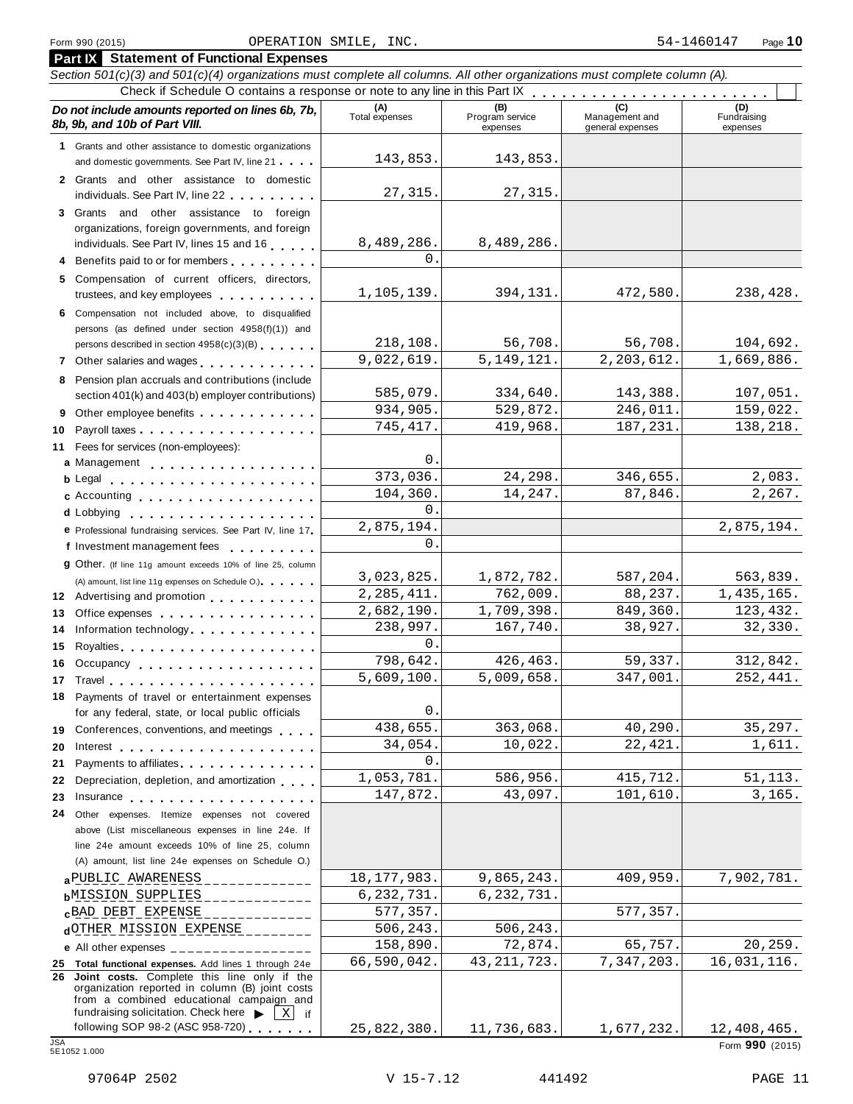#### Form <sup>990</sup> (2015) Page **10** OPERATION SMILE, INC. 54-1460147

|            | <b>Part IX</b> Statement of Functional Expenses                                                                                                                                                                                |                         |                                    |                                           |                                |
|------------|--------------------------------------------------------------------------------------------------------------------------------------------------------------------------------------------------------------------------------|-------------------------|------------------------------------|-------------------------------------------|--------------------------------|
|            | Section 501(c)(3) and 501(c)(4) organizations must complete all columns. All other organizations must complete column (A).                                                                                                     |                         |                                    |                                           |                                |
|            |                                                                                                                                                                                                                                |                         |                                    |                                           |                                |
|            | Do not include amounts reported on lines 6b, 7b,<br>8b, 9b, and 10b of Part VIII.                                                                                                                                              | (A)<br>Total expenses   | (B)<br>Program service<br>expenses | (C)<br>Management and<br>general expenses | (D)<br>Fundraising<br>expenses |
|            | 1 Grants and other assistance to domestic organizations                                                                                                                                                                        |                         |                                    |                                           |                                |
|            | and domestic governments. See Part IV, line 21                                                                                                                                                                                 | 143,853.                | 143,853.                           |                                           |                                |
|            | 2 Grants and other assistance to domestic<br>individuals. See Part IV, line 22                                                                                                                                                 | 27,315.                 | 27,315.                            |                                           |                                |
|            | 3 Grants and other assistance to foreign                                                                                                                                                                                       |                         |                                    |                                           |                                |
|            | organizations, foreign governments, and foreign                                                                                                                                                                                |                         |                                    |                                           |                                |
|            | individuals. See Part IV, lines 15 and 16                                                                                                                                                                                      | 8,489,286.              | 8,489,286.                         |                                           |                                |
|            | 4 Benefits paid to or for members                                                                                                                                                                                              | 0                       |                                    |                                           |                                |
|            | 5 Compensation of current officers, directors,<br>trustees, and key employees                                                                                                                                                  | 1,105,139.              | 394,131.                           | 472,580.                                  | 238,428.                       |
|            | 6 Compensation not included above, to disqualified                                                                                                                                                                             |                         |                                    |                                           |                                |
|            | persons (as defined under section 4958(f)(1)) and                                                                                                                                                                              |                         |                                    |                                           |                                |
|            | persons described in section 4958(c)(3)(B)                                                                                                                                                                                     | 218,108.                | 56,708.                            | 56,708.                                   | 104,692.                       |
|            | 7 Other salaries and wages                                                                                                                                                                                                     | 9,022,619.              | 5, 149, 121.                       | 2,203,612.                                | 1,669,886.                     |
|            | 8 Pension plan accruals and contributions (include                                                                                                                                                                             |                         |                                    |                                           |                                |
|            | section 401(k) and 403(b) employer contributions)                                                                                                                                                                              | 585,079.<br>934,905.    | 334,640.<br>529,872.               | 143,388.<br>246,011.                      | 107,051.<br>159,022.           |
|            | 9 Other employee benefits                                                                                                                                                                                                      | 745,417.                | 419,968.                           | 187,231.                                  | 138,218.                       |
| 10         | Payroll taxes                                                                                                                                                                                                                  |                         |                                    |                                           |                                |
|            | 11 Fees for services (non-employees):                                                                                                                                                                                          | 0                       |                                    |                                           |                                |
|            | a Management                                                                                                                                                                                                                   | 373,036.                | 24,298.                            | 346,655.                                  | 2,083.                         |
|            |                                                                                                                                                                                                                                | 104,360.                | 14,247.                            | 87,846.                                   | 2,267.                         |
|            | c Accounting                                                                                                                                                                                                                   | 0                       |                                    |                                           |                                |
|            | d Lobbying<br>e Professional fundraising services. See Part IV, line 17                                                                                                                                                        | 2,875,194.              |                                    |                                           | 2,875,194.                     |
|            | f Investment management fees                                                                                                                                                                                                   | 0                       |                                    |                                           |                                |
|            | 9 Other. (If line 11g amount exceeds 10% of line 25, column                                                                                                                                                                    |                         |                                    |                                           |                                |
|            | (A) amount, list line 11g expenses on Schedule O.).                                                                                                                                                                            | 3,023,825.              | 1,872,782.                         | 587,204.                                  | 563,839.                       |
|            | 12 Advertising and promotion                                                                                                                                                                                                   | 2,285,411.              | 762,009.                           | 88,237.                                   | 1,435,165.                     |
| 13         | Office expenses                                                                                                                                                                                                                | 2,682,190.              | 1,709,398.                         | 849,360.                                  | 123,432.                       |
| 14         | Information technology experience of the state of the state of the state of the state of the state of the state of the state of the state of the state of the state of the state of the state of the state of the state of the | 238,997.                | 167,740.                           | 38,927.                                   | 32,330.                        |
| 15         |                                                                                                                                                                                                                                | 0.                      |                                    |                                           |                                |
|            | 16 Occupancy                                                                                                                                                                                                                   | 798,642.                | 426,463.                           | 59,337.                                   | 312,842.                       |
|            | 17 Travel <b>17 Travel</b>                                                                                                                                                                                                     | 5,609,100.              | 5,009,658.                         | 347,001.                                  | 252, 441.                      |
|            | 18 Payments of travel or entertainment expenses                                                                                                                                                                                |                         |                                    |                                           |                                |
|            | for any federal, state, or local public officials                                                                                                                                                                              | 0                       |                                    |                                           |                                |
|            | 19 Conferences, conventions, and meetings                                                                                                                                                                                      | 438,655.                | 363,068.                           | 40,290.                                   | 35,297.                        |
| 20         | Interest                                                                                                                                                                                                                       | 34,054.                 | 10,022.                            | 22, 421.                                  | 1,611.                         |
| 21         | Payments to affiliates <b>Exercise Services</b>                                                                                                                                                                                | 0                       |                                    |                                           |                                |
| 22         | Depreciation, depletion, and amortization                                                                                                                                                                                      | 1,053,781.              | 586,956.                           | 415,712.                                  | 51,113.                        |
| 23         | Insurance experience and a series and a series of the series of the series of the series of the series of the s                                                                                                                | 147,872.                | 43,097.                            | 101,610.                                  | 3,165.                         |
| 24         | Other expenses. Itemize expenses not covered                                                                                                                                                                                   |                         |                                    |                                           |                                |
|            | above (List miscellaneous expenses in line 24e. If                                                                                                                                                                             |                         |                                    |                                           |                                |
|            | line 24e amount exceeds 10% of line 25, column                                                                                                                                                                                 |                         |                                    |                                           |                                |
|            | (A) amount, list line 24e expenses on Schedule O.)                                                                                                                                                                             |                         |                                    |                                           |                                |
|            | a PUBLIC AWARENESS<br>كالمستحدث والمستندان                                                                                                                                                                                     | 18, 177, 983.           | 9,865,243.                         | 409,959.                                  | 7,902,781.                     |
|            | <b>bMISSION SUPPLIES</b><br>____________                                                                                                                                                                                       | 6, 232, 731.            | 6,232,731.                         |                                           |                                |
|            | <b>cBAD DEBT EXPENSE</b>                                                                                                                                                                                                       | 577, 357.               |                                    | 577,357.                                  |                                |
|            | $d$ OTHER MISSION EXPENSE                                                                                                                                                                                                      | 506,243.                | 506,243.                           |                                           |                                |
|            | e All other expenses $\frac{1}{1}$                                                                                                                                                                                             | 158,890.<br>66,590,042. | 72,874.<br>43,211,723.             | 65,757.<br>7,347,203.                     | 20, 259.<br>16,031,116.        |
|            | 25 Total functional expenses. Add lines 1 through 24e<br>26 Joint costs. Complete this line only if the<br>organization reported in column (B) joint costs<br>from a combined educational campaign and                         |                         |                                    |                                           |                                |
|            | fundraising solicitation. Check here $\blacktriangleright$   X  if                                                                                                                                                             |                         |                                    |                                           |                                |
| <b>JSA</b> | following SOP 98-2 (ASC 958-720)<br>5E1052 1.000                                                                                                                                                                               | 25,822,380.             | 11,736,683.                        | 1,677,232.                                | 12,408,465.<br>Form 990 (2015) |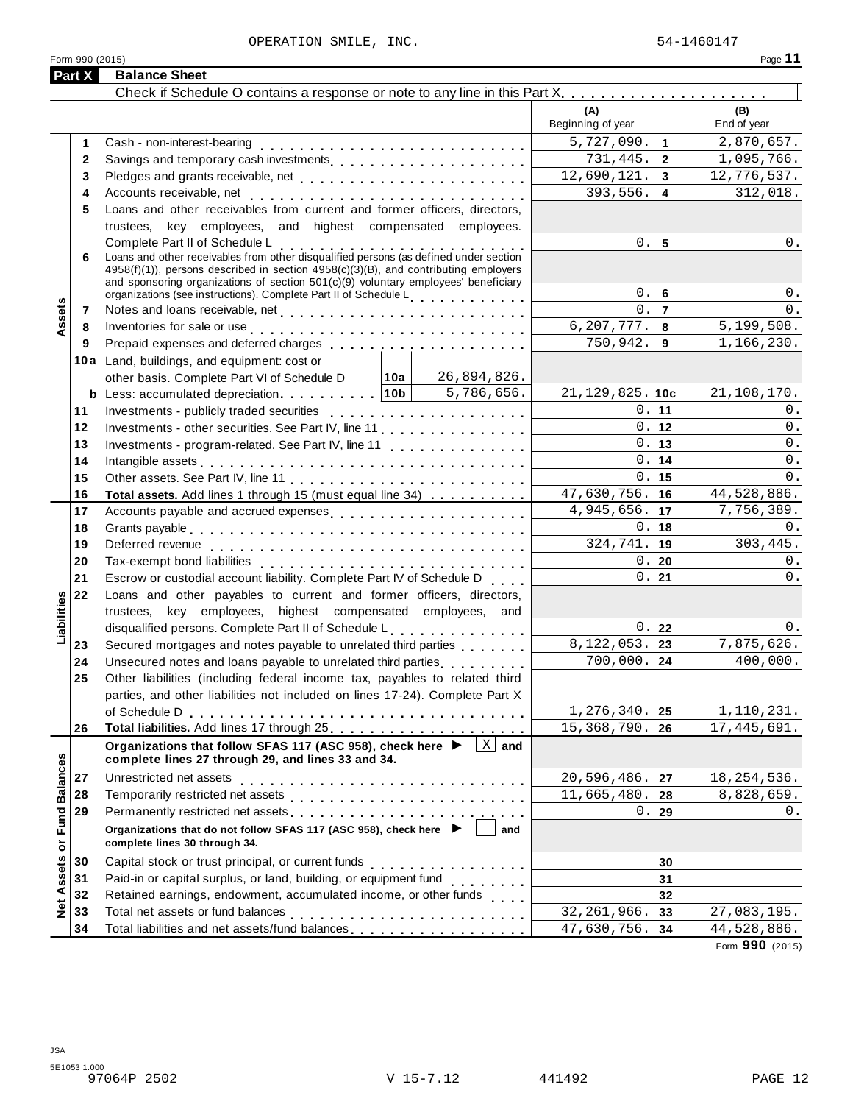### OPERATION SMILE, INC. 54-1460147

| Form 990 (2015) | Page |
|-----------------|------|
|                 |      |

|                             | Part X   | <b>Balance Sheet</b>                                                                                                                                                                                                                                                                                         |                          |                         |                    |
|-----------------------------|----------|--------------------------------------------------------------------------------------------------------------------------------------------------------------------------------------------------------------------------------------------------------------------------------------------------------------|--------------------------|-------------------------|--------------------|
|                             |          |                                                                                                                                                                                                                                                                                                              |                          |                         |                    |
|                             |          |                                                                                                                                                                                                                                                                                                              | (A)<br>Beginning of year |                         | (B)<br>End of year |
|                             | 1        |                                                                                                                                                                                                                                                                                                              | 5,727,090.               | $\mathbf 1$             | 2,870,657.         |
|                             | 2        |                                                                                                                                                                                                                                                                                                              | 731,445.                 | $\overline{2}$          | 1,095,766.         |
|                             | 3        |                                                                                                                                                                                                                                                                                                              | 12,690,121.              | 3                       | 12,776,537.        |
|                             | 4        |                                                                                                                                                                                                                                                                                                              | 393,556.                 | $\overline{\mathbf{4}}$ | 312,018.           |
|                             | 5        | Loans and other receivables from current and former officers, directors,                                                                                                                                                                                                                                     |                          |                         |                    |
|                             |          | trustees, key employees, and highest compensated employees.                                                                                                                                                                                                                                                  |                          |                         |                    |
|                             |          | Complete Part II of Schedule L                                                                                                                                                                                                                                                                               | 0.                       | 5                       | 0.                 |
|                             | 6        | Complete Part if of Scriedule L<br>Loans and other receivables from other disqualified persons (as defined under section<br>$4958(f)(1)$ , persons described in section $4958(c)(3)(B)$ , and contributing employers<br>and sponsoring organizations of section $501(c)(9)$ voluntary employees' beneficiary |                          |                         |                    |
|                             |          | organizations (see instructions). Complete Part II of Schedule L <sub>1111111</sub> , productions                                                                                                                                                                                                            | $\boldsymbol{0}$ .       | 6                       | 0.                 |
| Assets                      | 7        |                                                                                                                                                                                                                                                                                                              | $\Omega$ .               | $\overline{7}$          | 0.                 |
|                             | 8        | Inventories for sale or use enterpreteration of the contract of the sale or use of the contract of the contract of the contract of the contract of the contract of the contract of the contract of the contract of the contrac                                                                               | 6, 207, 777.             | 8                       | 5,199,508.         |
|                             | 9        | Prepaid expenses and deferred charges                                                                                                                                                                                                                                                                        | 750,942.                 | 9                       | 1,166,230.         |
|                             |          | 10a Land, buildings, and equipment: cost or                                                                                                                                                                                                                                                                  |                          |                         |                    |
|                             |          | 26,894,826.<br>other basis. Complete Part VI of Schedule D<br> 10a                                                                                                                                                                                                                                           |                          |                         |                    |
|                             |          | $\frac{5}{1}$ , 786, 656.                                                                                                                                                                                                                                                                                    | $21, 129, 825.$ 10c      |                         | 21,108,170.        |
|                             | 11       |                                                                                                                                                                                                                                                                                                              | 0.<br>$\mathbf{0}$ .     | 11                      | 0.                 |
|                             | 12       | Investments - other securities. See Part IV, line 11                                                                                                                                                                                                                                                         | $\mathbf{0}$ .           | 12<br>13                | 0.<br>0.           |
|                             | 13       | Investments - program-related. See Part IV, line 11                                                                                                                                                                                                                                                          | $\mathbf{0}$ .           | 14                      | 0.                 |
|                             | 14       | Intangible assets experience in the contract of the contract of the contract of the contract of the contract of the contract of the contract of the contract of the contract of the contract of the contract of the contract o                                                                               | $\Omega$ .               | 15                      | 0.                 |
|                             | 15<br>16 |                                                                                                                                                                                                                                                                                                              | 47,630,756.              | 16                      | 44,528,886.        |
|                             | 17       | Total assets. Add lines 1 through 15 (must equal line 34)<br>Accounts payable and accrued expenses                                                                                                                                                                                                           | 4,945,656.               | 17                      | 7,756,389.         |
|                             | 18       |                                                                                                                                                                                                                                                                                                              | 0.                       | 18                      | 0.                 |
|                             | 19       |                                                                                                                                                                                                                                                                                                              | 324,741.                 | 19                      | 303, 445.          |
|                             | 20       |                                                                                                                                                                                                                                                                                                              | 0                        | 20                      | $0$ .              |
|                             | 21       | Escrow or custodial account liability. Complete Part IV of Schedule D                                                                                                                                                                                                                                        | $\Omega$ .               | 21                      | 0.                 |
|                             | 22       | Loans and other payables to current and former officers, directors,                                                                                                                                                                                                                                          |                          |                         |                    |
| Liabilities                 |          | trustees, key employees, highest compensated employees, and                                                                                                                                                                                                                                                  |                          |                         |                    |
|                             |          | disqualified persons. Complete Part II of Schedule L.                                                                                                                                                                                                                                                        | 0.                       | 22                      | 0.                 |
|                             | 23       | Secured mortgages and notes payable to unrelated third parties                                                                                                                                                                                                                                               | 8,122,053.               | 23                      | 7,875,626.         |
|                             | 24       | Unsecured notes and loans payable to unrelated third parties entity and such a set of the United States                                                                                                                                                                                                      | 700,000.                 | 24                      | 400,000.           |
|                             | 25       | Other liabilities (including federal income tax, payables to related third                                                                                                                                                                                                                                   |                          |                         |                    |
|                             |          | parties, and other liabilities not included on lines 17-24). Complete Part X                                                                                                                                                                                                                                 |                          |                         |                    |
|                             |          |                                                                                                                                                                                                                                                                                                              | 1,276,340.               | 25                      | 1,110,231.         |
|                             | 26       |                                                                                                                                                                                                                                                                                                              | 15,368,790.              | 26                      | 17,445,691.        |
|                             |          | $X$ and<br>Organizations that follow SFAS 117 (ASC 958), check here ▶<br>complete lines 27 through 29, and lines 33 and 34.                                                                                                                                                                                  |                          |                         |                    |
|                             | 27       | Unrestricted net assets                                                                                                                                                                                                                                                                                      | 20,596,486.              | 27                      | 18, 254, 536.      |
|                             | 28       |                                                                                                                                                                                                                                                                                                              | 11,665,480.              | 28                      | 8,828,659.         |
|                             | 29       | Permanently restricted net assets entertainment of the set of the set of the set of the set of the set of the set of the set of the set of the set of the set of the set of the set of the set of the set of the set of the se                                                                               | 0.                       | 29                      | 0.                 |
| Net Assets or Fund Balances |          | Organizations that do not follow SFAS 117 (ASC 958), check here ▶<br>and<br>complete lines 30 through 34.                                                                                                                                                                                                    |                          |                         |                    |
|                             | 30       |                                                                                                                                                                                                                                                                                                              |                          | 30                      |                    |
|                             | 31       | Paid-in or capital surplus, or land, building, or equipment fund                                                                                                                                                                                                                                             |                          | 31                      |                    |
|                             | 32       | Retained earnings, endowment, accumulated income, or other funds                                                                                                                                                                                                                                             |                          | 32                      |                    |
|                             | 33       |                                                                                                                                                                                                                                                                                                              | 32, 261, 966.            | 33                      | 27,083,195.        |
|                             | 34       |                                                                                                                                                                                                                                                                                                              | 47,630,756.              | 34                      | 44,528,886.        |

Form **990** (2015)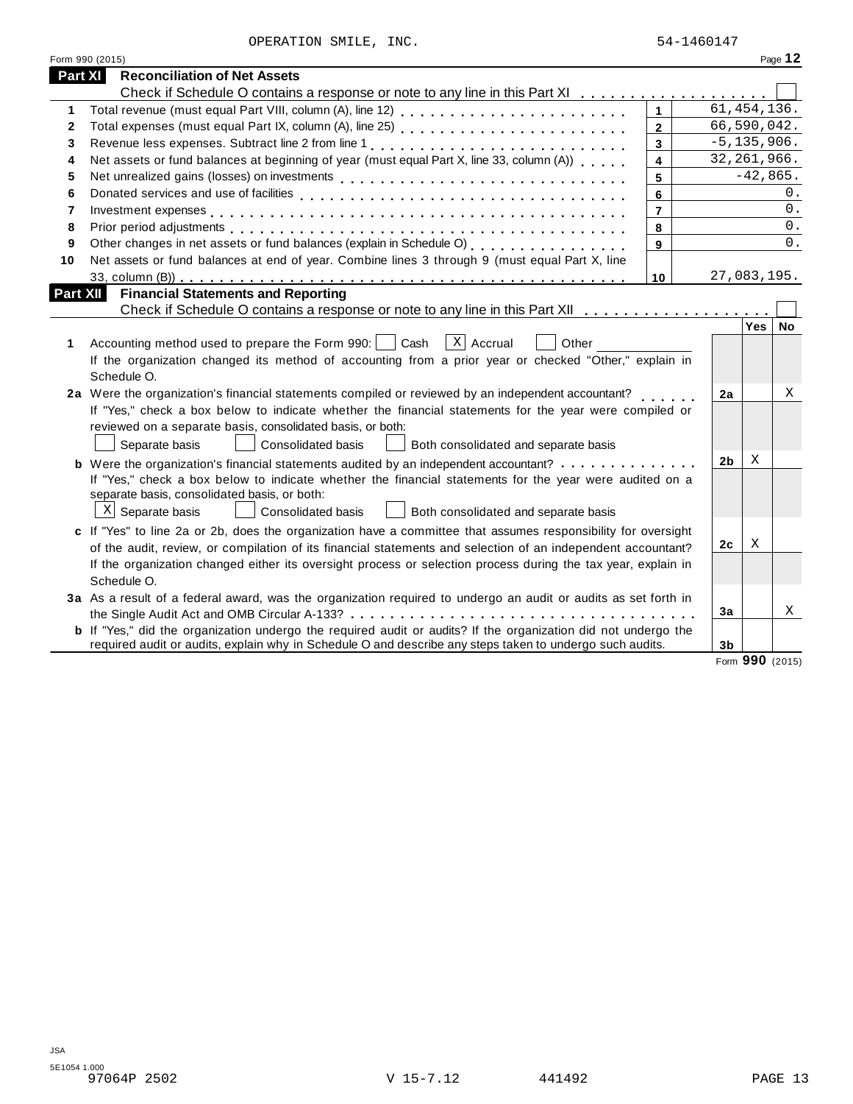| OPERATION SMILE, |  | INC. |
|------------------|--|------|
|------------------|--|------|

|                 | Form 990 (2015)                                                                                                |                         |                |                 | Page 12 |
|-----------------|----------------------------------------------------------------------------------------------------------------|-------------------------|----------------|-----------------|---------|
| Part XI         | <b>Reconciliation of Net Assets</b>                                                                            |                         |                |                 |         |
|                 | Check if Schedule O contains a response or note to any line in this Part XI                                    |                         |                |                 |         |
| 1               |                                                                                                                | $\mathbf{1}$            |                | 61, 454, 136.   |         |
| $\mathbf{2}$    | Total expenses (must equal Part IX, column (A), line 25)                                                       | $\mathbf{2}$            |                | 66,590,042.     |         |
| 3               | Revenue less expenses. Subtract line 2 from line 1                                                             | $\mathbf{3}$            |                | $-5, 135, 906.$ |         |
| 4               | Net assets or fund balances at beginning of year (must equal Part X, line 33, column (A))                      | $\overline{\mathbf{4}}$ |                | 32, 261, 966.   |         |
| 5               |                                                                                                                | 5                       |                | $-42,865.$      |         |
| 6               |                                                                                                                | 6                       |                |                 | 0.      |
| $\overline{7}$  |                                                                                                                | $\overline{7}$          |                |                 | 0.      |
| 8               |                                                                                                                | 8                       |                |                 | 0.      |
| 9               | Other changes in net assets or fund balances (explain in Schedule O)<br>[2005]                                 | 9                       |                |                 | 0.      |
| 10              | Net assets or fund balances at end of year. Combine lines 3 through 9 (must equal Part X, line                 |                         |                |                 |         |
|                 |                                                                                                                | 10                      |                | 27,083,195.     |         |
| <b>Part XII</b> | <b>Financial Statements and Reporting</b>                                                                      |                         |                |                 |         |
|                 |                                                                                                                |                         |                |                 |         |
|                 |                                                                                                                |                         |                | Yes   No        |         |
| 1               | $X$ Accrual<br>Accounting method used to prepare the Form 990:     Cash<br>Other                               |                         |                |                 |         |
|                 | If the organization changed its method of accounting from a prior year or checked "Other," explain in          |                         |                |                 |         |
|                 | Schedule O.                                                                                                    |                         |                |                 |         |
|                 | 2a Were the organization's financial statements compiled or reviewed by an independent accountant?             |                         | 2a             |                 | Χ       |
|                 | If "Yes," check a box below to indicate whether the financial statements for the year were compiled or         |                         |                |                 |         |
|                 | reviewed on a separate basis, consolidated basis, or both:                                                     |                         |                |                 |         |
|                 | <b>Consolidated basis</b><br>Separate basis<br>Both consolidated and separate basis                            |                         |                |                 |         |
|                 | <b>b</b> Were the organization's financial statements audited by an independent accountant?                    |                         | 2 <sub>b</sub> | X               |         |
|                 | If "Yes," check a box below to indicate whether the financial statements for the year were audited on a        |                         |                |                 |         |
|                 | separate basis, consolidated basis, or both:                                                                   |                         |                |                 |         |
|                 | $X$ Separate basis<br>Consolidated basis<br>Both consolidated and separate basis                               |                         |                |                 |         |
|                 | c If "Yes" to line 2a or 2b, does the organization have a committee that assumes responsibility for oversight  |                         |                |                 |         |
|                 | of the audit, review, or compilation of its financial statements and selection of an independent accountant?   |                         | 2c             | х               |         |
|                 | If the organization changed either its oversight process or selection process during the tax year, explain in  |                         |                |                 |         |
|                 | Schedule O.                                                                                                    |                         |                |                 |         |
|                 | 3a As a result of a federal award, was the organization required to undergo an audit or audits as set forth in |                         |                |                 |         |
|                 |                                                                                                                |                         | 3a             |                 | Χ       |
|                 | b If "Yes," did the organization undergo the required audit or audits? If the organization did not undergo the |                         |                |                 |         |
|                 | required audit or audits, explain why in Schedule O and describe any steps taken to undergo such audits.       |                         | 3 <sub>b</sub> |                 |         |

Form **990** (2015)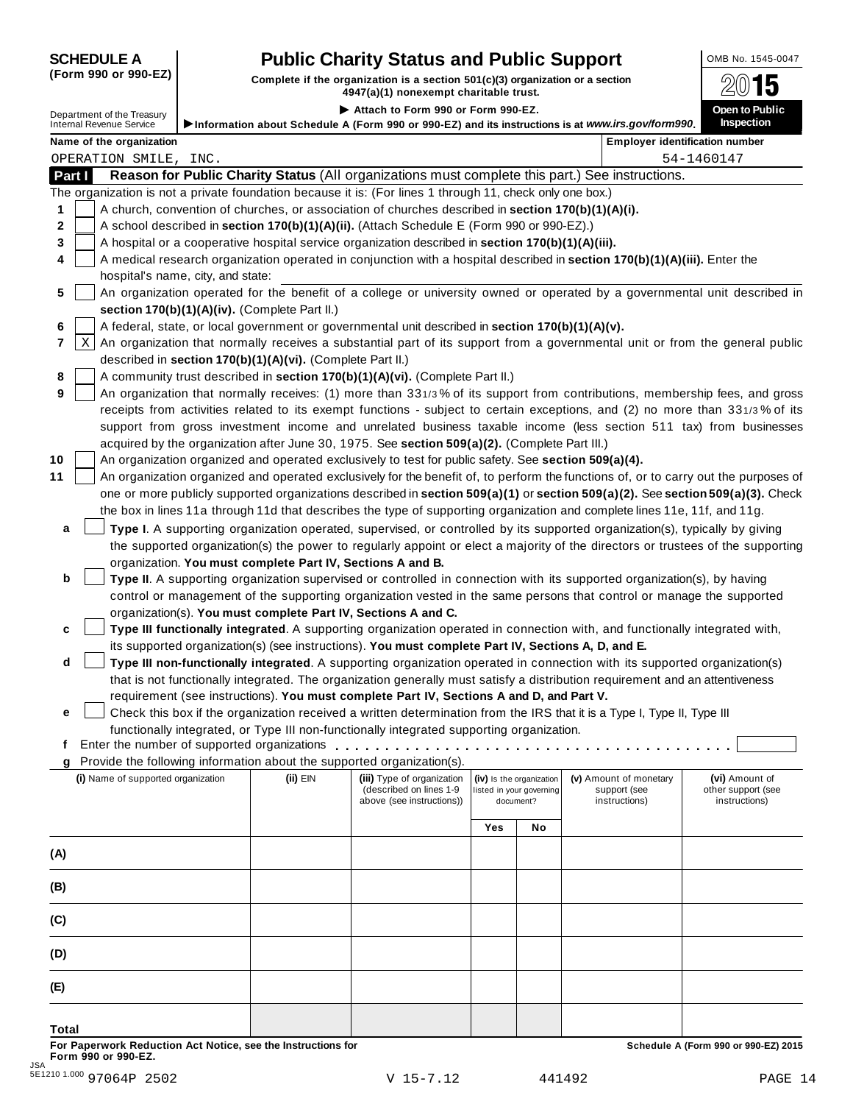# **SCHEDULE A Pub** OMB No. 1545-0047 **lic Charity Status and Public Support**

(Form 990 or 990-EZ) Complete if the organization is a section 501(c)(3) organization or a section  $4947(a)(1)$  nonexempt charitable trust. Internal attach is a section 501(c)(3) organization or a section<br>  $\mathcal{L}(0)$  **I D**<br>
Attach to Form 990 or Form 990-FZ.

|              | Department of the Treasury<br><b>Internal Revenue Service</b> |                                                            | ▶ Attach to Form 990 or Form 990-EZ.                                                                                                     |     |                          | Information about Schedule A (Form 990 or 990-EZ) and its instructions is at www.irs.gov/form990.                            | Open to Public<br>Inspection                                                                                                        |
|--------------|---------------------------------------------------------------|------------------------------------------------------------|------------------------------------------------------------------------------------------------------------------------------------------|-----|--------------------------|------------------------------------------------------------------------------------------------------------------------------|-------------------------------------------------------------------------------------------------------------------------------------|
|              | Name of the organization                                      |                                                            |                                                                                                                                          |     |                          |                                                                                                                              | Employer identification number                                                                                                      |
|              | OPERATION SMILE, INC.                                         |                                                            |                                                                                                                                          |     |                          |                                                                                                                              | 54-1460147                                                                                                                          |
| Part I       |                                                               |                                                            |                                                                                                                                          |     |                          | Reason for Public Charity Status (All organizations must complete this part.) See instructions.                              |                                                                                                                                     |
|              |                                                               |                                                            | The organization is not a private foundation because it is: (For lines 1 through 11, check only one box.)                                |     |                          |                                                                                                                              |                                                                                                                                     |
| 1            |                                                               |                                                            | A church, convention of churches, or association of churches described in section 170(b)(1)(A)(i).                                       |     |                          |                                                                                                                              |                                                                                                                                     |
| 2            |                                                               |                                                            | A school described in section 170(b)(1)(A)(ii). (Attach Schedule E (Form 990 or 990-EZ).)                                                |     |                          |                                                                                                                              |                                                                                                                                     |
| 3            |                                                               |                                                            | A hospital or a cooperative hospital service organization described in section 170(b)(1)(A)(iii).                                        |     |                          |                                                                                                                              |                                                                                                                                     |
| 4            |                                                               |                                                            |                                                                                                                                          |     |                          | A medical research organization operated in conjunction with a hospital described in section 170(b)(1)(A)(iii). Enter the    |                                                                                                                                     |
|              | hospital's name, city, and state:                             |                                                            |                                                                                                                                          |     |                          |                                                                                                                              |                                                                                                                                     |
| 5            |                                                               |                                                            |                                                                                                                                          |     |                          |                                                                                                                              | An organization operated for the benefit of a college or university owned or operated by a governmental unit described in           |
| 6            |                                                               | section 170(b)(1)(A)(iv). (Complete Part II.)              | A federal, state, or local government or governmental unit described in section 170(b)(1)(A)(v).                                         |     |                          |                                                                                                                              |                                                                                                                                     |
| 7            | Χ                                                             |                                                            |                                                                                                                                          |     |                          |                                                                                                                              | An organization that normally receives a substantial part of its support from a governmental unit or from the general public        |
|              |                                                               | described in section 170(b)(1)(A)(vi). (Complete Part II.) |                                                                                                                                          |     |                          |                                                                                                                              |                                                                                                                                     |
| 8            |                                                               |                                                            | A community trust described in section 170(b)(1)(A)(vi). (Complete Part II.)                                                             |     |                          |                                                                                                                              |                                                                                                                                     |
| 9            |                                                               |                                                            |                                                                                                                                          |     |                          |                                                                                                                              | An organization that normally receives: (1) more than 331/3% of its support from contributions, membership fees, and gross          |
|              |                                                               |                                                            |                                                                                                                                          |     |                          |                                                                                                                              | receipts from activities related to its exempt functions - subject to certain exceptions, and (2) no more than 331/3% of its        |
|              |                                                               |                                                            |                                                                                                                                          |     |                          |                                                                                                                              | support from gross investment income and unrelated business taxable income (less section 511 tax) from businesses                   |
|              |                                                               |                                                            | acquired by the organization after June 30, 1975. See section 509(a)(2). (Complete Part III.)                                            |     |                          |                                                                                                                              |                                                                                                                                     |
| 10           |                                                               |                                                            | An organization organized and operated exclusively to test for public safety. See section 509(a)(4).                                     |     |                          |                                                                                                                              |                                                                                                                                     |
| 11           |                                                               |                                                            |                                                                                                                                          |     |                          |                                                                                                                              | An organization organized and operated exclusively for the benefit of, to perform the functions of, or to carry out the purposes of |
|              |                                                               |                                                            |                                                                                                                                          |     |                          |                                                                                                                              | one or more publicly supported organizations described in section 509(a)(1) or section 509(a)(2). See section 509(a)(3). Check      |
|              |                                                               |                                                            |                                                                                                                                          |     |                          | the box in lines 11a through 11d that describes the type of supporting organization and complete lines 11e, 11f, and 11g.    |                                                                                                                                     |
| a            |                                                               |                                                            |                                                                                                                                          |     |                          | Type I. A supporting organization operated, supervised, or controlled by its supported organization(s), typically by giving  |                                                                                                                                     |
|              |                                                               |                                                            |                                                                                                                                          |     |                          |                                                                                                                              | the supported organization(s) the power to regularly appoint or elect a majority of the directors or trustees of the supporting     |
|              |                                                               | organization. You must complete Part IV, Sections A and B. |                                                                                                                                          |     |                          |                                                                                                                              |                                                                                                                                     |
| b            |                                                               |                                                            |                                                                                                                                          |     |                          | Type II. A supporting organization supervised or controlled in connection with its supported organization(s), by having      |                                                                                                                                     |
|              |                                                               |                                                            |                                                                                                                                          |     |                          | control or management of the supporting organization vested in the same persons that control or manage the supported         |                                                                                                                                     |
|              |                                                               |                                                            | organization(s). You must complete Part IV, Sections A and C.                                                                            |     |                          |                                                                                                                              |                                                                                                                                     |
| c            |                                                               |                                                            |                                                                                                                                          |     |                          | Type III functionally integrated. A supporting organization operated in connection with, and functionally integrated with,   |                                                                                                                                     |
|              |                                                               |                                                            | its supported organization(s) (see instructions). You must complete Part IV, Sections A, D, and E.                                       |     |                          |                                                                                                                              |                                                                                                                                     |
| d            |                                                               |                                                            |                                                                                                                                          |     |                          | Type III non-functionally integrated. A supporting organization operated in connection with its supported organization(s)    |                                                                                                                                     |
|              |                                                               |                                                            |                                                                                                                                          |     |                          | that is not functionally integrated. The organization generally must satisfy a distribution requirement and an attentiveness |                                                                                                                                     |
|              |                                                               |                                                            | requirement (see instructions). You must complete Part IV, Sections A and D, and Part V.                                                 |     |                          |                                                                                                                              |                                                                                                                                     |
| е            |                                                               |                                                            |                                                                                                                                          |     |                          | Check this box if the organization received a written determination from the IRS that it is a Type I, Type II, Type III      |                                                                                                                                     |
|              |                                                               |                                                            | functionally integrated, or Type III non-functionally integrated supporting organization.<br>Enter the number of supported organizations |     |                          |                                                                                                                              |                                                                                                                                     |
|              |                                                               |                                                            | Provide the following information about the supported organization(s).                                                                   |     |                          |                                                                                                                              |                                                                                                                                     |
|              | (i) Name of supported organization                            | (ii) EIN                                                   | (iii) Type of organization                                                                                                               |     | (iv) Is the organization | (v) Amount of monetary                                                                                                       | (vi) Amount of                                                                                                                      |
|              |                                                               |                                                            | (described on lines 1-9                                                                                                                  |     | listed in your governing | support (see                                                                                                                 | other support (see                                                                                                                  |
|              |                                                               |                                                            | above (see instructions))                                                                                                                |     | document?                | instructions)                                                                                                                | instructions)                                                                                                                       |
|              |                                                               |                                                            |                                                                                                                                          | Yes | No                       |                                                                                                                              |                                                                                                                                     |
| (A)          |                                                               |                                                            |                                                                                                                                          |     |                          |                                                                                                                              |                                                                                                                                     |
|              |                                                               |                                                            |                                                                                                                                          |     |                          |                                                                                                                              |                                                                                                                                     |
| (B)          |                                                               |                                                            |                                                                                                                                          |     |                          |                                                                                                                              |                                                                                                                                     |
| (C)          |                                                               |                                                            |                                                                                                                                          |     |                          |                                                                                                                              |                                                                                                                                     |
| (D)          |                                                               |                                                            |                                                                                                                                          |     |                          |                                                                                                                              |                                                                                                                                     |
| (E)          |                                                               |                                                            |                                                                                                                                          |     |                          |                                                                                                                              |                                                                                                                                     |
|              |                                                               |                                                            |                                                                                                                                          |     |                          |                                                                                                                              |                                                                                                                                     |
| <b>Total</b> |                                                               |                                                            |                                                                                                                                          |     |                          |                                                                                                                              |                                                                                                                                     |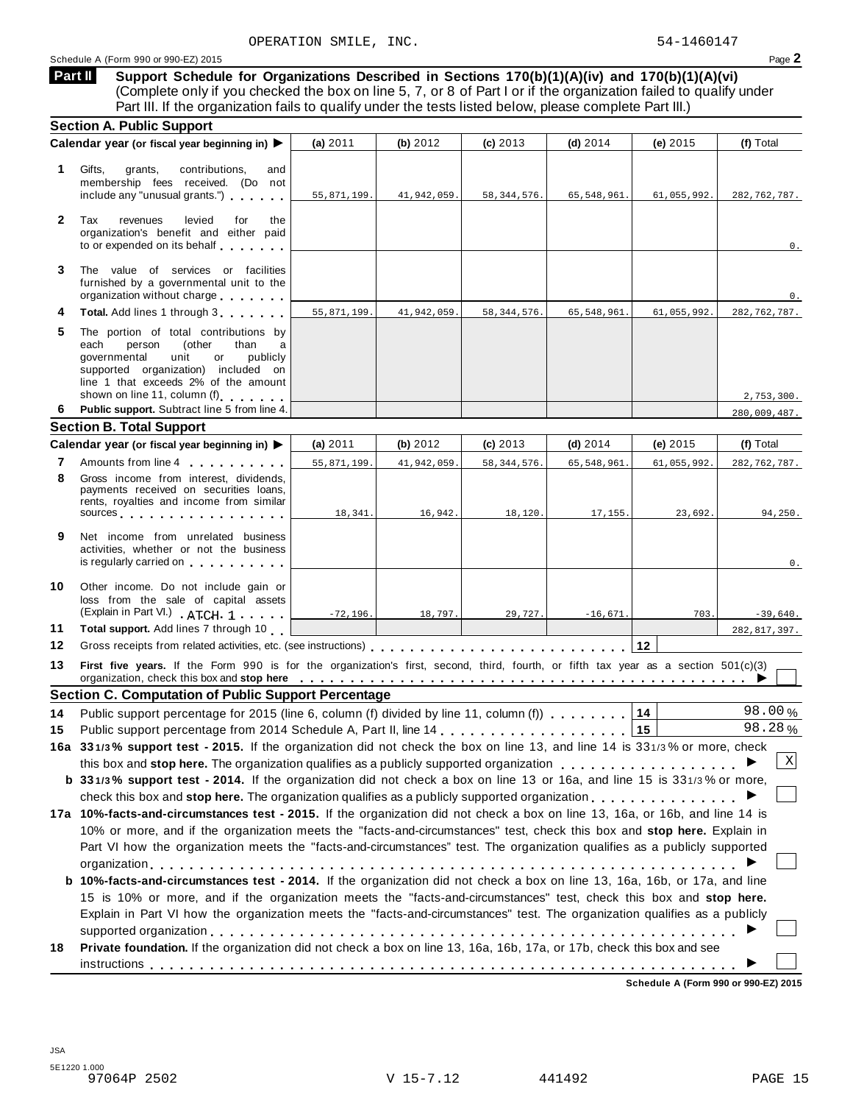**Part II**

**Support Schedule for Organizations Described in Sections 170(b)(1)(A)(iv) and 170(b)(1)(A)(vi)** (Complete only if you checked the box on line 5, 7, or 8 of Part I or if the organization failed to qualify under Part III. If the organization fails to qualify under the tests listed below, please complete Part III.)

|              | <b>Section A. Public Support</b>                                                                                                                                                                                                                                                                                                                                                                                                   |             |                                   |               |               |             |              |
|--------------|------------------------------------------------------------------------------------------------------------------------------------------------------------------------------------------------------------------------------------------------------------------------------------------------------------------------------------------------------------------------------------------------------------------------------------|-------------|-----------------------------------|---------------|---------------|-------------|--------------|
|              | Calendar year (or fiscal year beginning in) ▶                                                                                                                                                                                                                                                                                                                                                                                      | (a) 2011    | (b) $2012$                        | (c) $2013$    | (d) $2014$    | (e) $2015$  | (f) Total    |
| 1            | Gifts,<br>contributions,<br>grants,<br>and<br>membership fees received. (Do not<br>include any "unusual grants.")                                                                                                                                                                                                                                                                                                                  | 55,871,199. | 41,942,059.                       | 58, 344, 576. | 65, 548, 961. | 61,055,992. | 282,762,787. |
| $\mathbf{2}$ | Tax<br>revenues<br>levied<br>for<br>the<br>organization's benefit and either paid<br>to or expended on its behalf                                                                                                                                                                                                                                                                                                                  |             |                                   |               |               |             | 0.           |
| 3            | The value of services or facilities<br>furnished by a governmental unit to the<br>organization without charge                                                                                                                                                                                                                                                                                                                      |             |                                   |               |               |             | 0.           |
| 4            | Total. Add lines 1 through 3                                                                                                                                                                                                                                                                                                                                                                                                       | 55,871,199. | 41,942,059.                       | 58, 344, 576. | 65, 548, 961. | 61,055,992. | 282,762,787. |
| 5            | The portion of total contributions by<br>person<br>(other<br>each<br>than<br>a<br>governmental<br>unit<br>publicly<br>or<br>supported organization) included on<br>line 1 that exceeds 2% of the amount<br>shown on line 11, column (f)                                                                                                                                                                                            |             |                                   |               |               |             | 2,753,300.   |
| 6            | Public support. Subtract line 5 from line 4.                                                                                                                                                                                                                                                                                                                                                                                       |             |                                   |               |               |             | 280,009,487. |
|              | <b>Section B. Total Support</b>                                                                                                                                                                                                                                                                                                                                                                                                    |             |                                   |               |               |             |              |
|              | Calendar year (or fiscal year beginning in) ▶                                                                                                                                                                                                                                                                                                                                                                                      | (a) 2011    | (b) 2012                          | (c) $2013$    | (d) $2014$    | (e) $2015$  | (f) Total    |
| 7            | Amounts from line 4                                                                                                                                                                                                                                                                                                                                                                                                                | 55,871,199. | 41,942,059.                       | 58, 344, 576. | 65,548,961.   | 61,055,992. | 282,762,787. |
| 8            | Gross income from interest, dividends,<br>payments received on securities loans,<br>rents, royalties and income from similar<br>sources sources                                                                                                                                                                                                                                                                                    | 18,341.     | 16,942.                           | 18,120.       | 17,155.       | 23,692.     | 94,250.      |
| 9            | Net income from unrelated business<br>activities, whether or not the business<br>is regularly carried on <b>the contract of the contract of the contract of the contract of the contract of the contract of the contract of the contract of the contract of the contract of the contract of the contract of the c</b>                                                                                                              |             |                                   |               |               |             | 0.           |
| 10           | Other income. Do not include gain or<br>loss from the sale of capital assets<br>(Explain in Part VI.) ATCH 1                                                                                                                                                                                                                                                                                                                       | $-72, 196.$ | 18,797.                           | 29,727.       | $-16,671.$    | 703.        | $-39,640.$   |
| 11           | Total support. Add lines 7 through 10                                                                                                                                                                                                                                                                                                                                                                                              |             | <b>Contract Contract Contract</b> |               |               |             | 282,817,397. |
| 12           |                                                                                                                                                                                                                                                                                                                                                                                                                                    |             |                                   |               |               | 12          |              |
| 13           | First five years. If the Form 990 is for the organization's first, second, third, fourth, or fifth tax year as a section 501(c)(3)<br>organization, check this box and stop here entitled with the state of the state of the state of the state of the state of the state of the state of the state of the state of the state of the state of the state of the state<br><b>Section C. Computation of Public Support Percentage</b> |             |                                   |               |               |             |              |
| 14           | Public support percentage for 2015 (line 6, column (f) divided by line 11, column (f)                                                                                                                                                                                                                                                                                                                                              |             |                                   |               |               | 14          | 98.00%       |
| 15           | Public support percentage from 2014 Schedule A, Part II, line 14                                                                                                                                                                                                                                                                                                                                                                   |             |                                   |               |               | 15          | 98.28%       |
|              | 16a 331/3% support test - 2015. If the organization did not check the box on line 13, and line 14 is 331/3% or more, check                                                                                                                                                                                                                                                                                                         |             |                                   |               |               |             |              |
|              | this box and stop here. The organization qualifies as a publicly supported organization<br>b 331/3% support test - 2014. If the organization did not check a box on line 13 or 16a, and line 15 is 331/3% or more,                                                                                                                                                                                                                 |             |                                   |               |               |             | X            |
|              | check this box and stop here. The organization qualifies as a publicly supported organization $\ldots$ , $\ldots$ , $\ldots$                                                                                                                                                                                                                                                                                                       |             |                                   |               |               |             |              |
|              | 17a 10%-facts-and-circumstances test - 2015. If the organization did not check a box on line 13, 16a, or 16b, and line 14 is                                                                                                                                                                                                                                                                                                       |             |                                   |               |               |             |              |
|              | 10% or more, and if the organization meets the "facts-and-circumstances" test, check this box and stop here. Explain in                                                                                                                                                                                                                                                                                                            |             |                                   |               |               |             |              |
|              | Part VI how the organization meets the "facts-and-circumstances" test. The organization qualifies as a publicly supported                                                                                                                                                                                                                                                                                                          |             |                                   |               |               |             |              |
|              |                                                                                                                                                                                                                                                                                                                                                                                                                                    |             |                                   |               |               |             |              |
|              | b 10%-facts-and-circumstances test - 2014. If the organization did not check a box on line 13, 16a, 16b, or 17a, and line<br>15 is 10% or more, and if the organization meets the "facts-and-circumstances" test, check this box and stop here.                                                                                                                                                                                    |             |                                   |               |               |             |              |
|              | Explain in Part VI how the organization meets the "facts-and-circumstances" test. The organization qualifies as a publicly                                                                                                                                                                                                                                                                                                         |             |                                   |               |               |             |              |
| 18           | Private foundation. If the organization did not check a box on line 13, 16a, 16b, 17a, or 17b, check this box and see                                                                                                                                                                                                                                                                                                              |             |                                   |               |               |             |              |
|              |                                                                                                                                                                                                                                                                                                                                                                                                                                    |             |                                   |               |               |             |              |
|              |                                                                                                                                                                                                                                                                                                                                                                                                                                    |             |                                   |               |               |             |              |

**Schedule A (Form 990 or 990-EZ) 2015**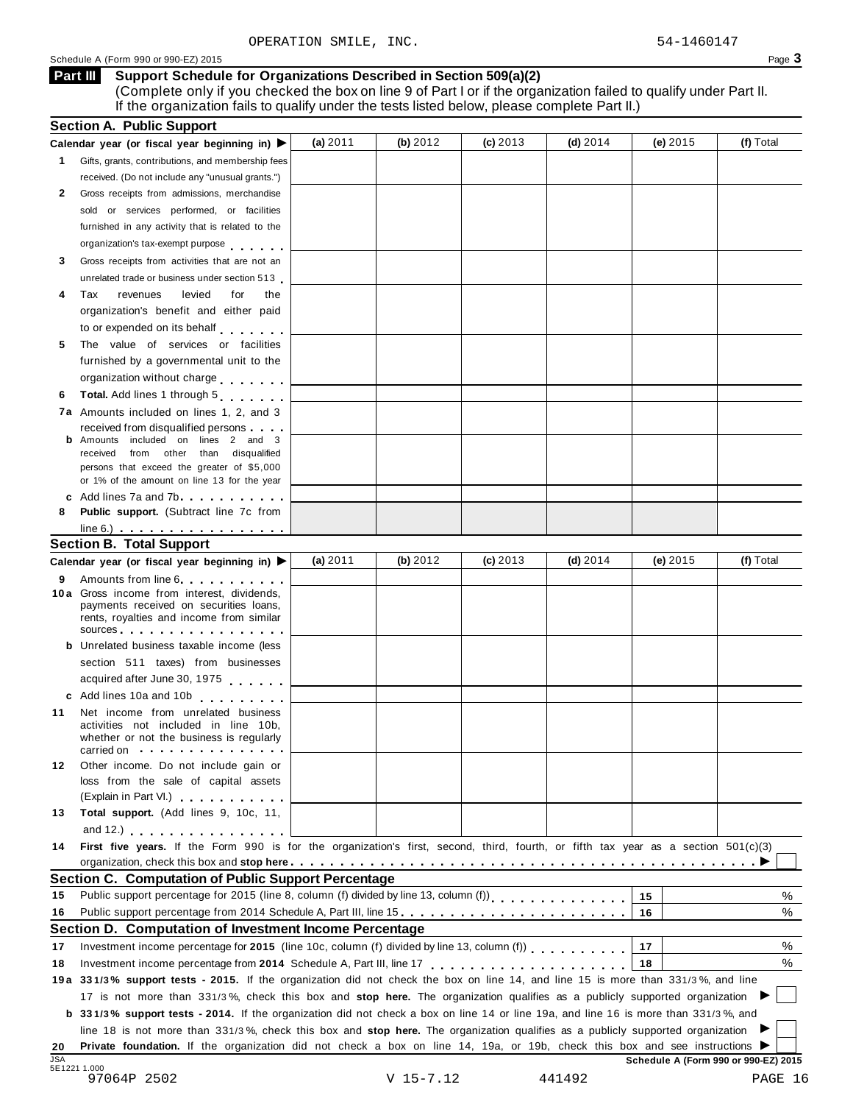#### **Support Schedule for Organizations Described in Section 509(a)(2) Part III**

(Complete only if you checked the box on line 9 of Part I or if the organization failed to qualify under Part II. If the organization fails to qualify under the tests listed below, please complete Part II.)

|            | <b>Section A. Public Support</b>                                                                                                                                                                                                                                                                                                          |            |             |            |            |          |                                      |
|------------|-------------------------------------------------------------------------------------------------------------------------------------------------------------------------------------------------------------------------------------------------------------------------------------------------------------------------------------------|------------|-------------|------------|------------|----------|--------------------------------------|
|            | Calendar year (or fiscal year beginning in) ▶                                                                                                                                                                                                                                                                                             | (a) $2011$ | (b) $2012$  | $(c)$ 2013 | (d) $2014$ | (e) 2015 | (f) Total                            |
| 1.         | Gifts, grants, contributions, and membership fees                                                                                                                                                                                                                                                                                         |            |             |            |            |          |                                      |
|            | received. (Do not include any "unusual grants.")                                                                                                                                                                                                                                                                                          |            |             |            |            |          |                                      |
| 2          | Gross receipts from admissions, merchandise                                                                                                                                                                                                                                                                                               |            |             |            |            |          |                                      |
|            | sold or services performed, or facilities                                                                                                                                                                                                                                                                                                 |            |             |            |            |          |                                      |
|            | furnished in any activity that is related to the                                                                                                                                                                                                                                                                                          |            |             |            |            |          |                                      |
|            | organization's tax-exempt purpose                                                                                                                                                                                                                                                                                                         |            |             |            |            |          |                                      |
| 3          | Gross receipts from activities that are not an                                                                                                                                                                                                                                                                                            |            |             |            |            |          |                                      |
|            | unrelated trade or business under section 513                                                                                                                                                                                                                                                                                             |            |             |            |            |          |                                      |
| 4          | levied<br>Tax<br>revenues<br>for<br>the                                                                                                                                                                                                                                                                                                   |            |             |            |            |          |                                      |
|            | organization's benefit and either paid                                                                                                                                                                                                                                                                                                    |            |             |            |            |          |                                      |
|            | to or expended on its behalf                                                                                                                                                                                                                                                                                                              |            |             |            |            |          |                                      |
| 5          | The value of services or facilities                                                                                                                                                                                                                                                                                                       |            |             |            |            |          |                                      |
|            | furnished by a governmental unit to the                                                                                                                                                                                                                                                                                                   |            |             |            |            |          |                                      |
|            | organization without charge                                                                                                                                                                                                                                                                                                               |            |             |            |            |          |                                      |
| 6          | Total. Add lines 1 through 5                                                                                                                                                                                                                                                                                                              |            |             |            |            |          |                                      |
|            | <b>7a</b> Amounts included on lines 1, 2, and 3                                                                                                                                                                                                                                                                                           |            |             |            |            |          |                                      |
|            | received from disqualified persons                                                                                                                                                                                                                                                                                                        |            |             |            |            |          |                                      |
|            | <b>b</b> Amounts included on lines 2 and 3                                                                                                                                                                                                                                                                                                |            |             |            |            |          |                                      |
|            | from other than disqualified<br>received                                                                                                                                                                                                                                                                                                  |            |             |            |            |          |                                      |
|            | persons that exceed the greater of \$5,000                                                                                                                                                                                                                                                                                                |            |             |            |            |          |                                      |
|            | or 1% of the amount on line 13 for the year                                                                                                                                                                                                                                                                                               |            |             |            |            |          |                                      |
| 8          | c Add lines 7a and 7b.<br>Public support. (Subtract line 7c from                                                                                                                                                                                                                                                                          |            |             |            |            |          |                                      |
|            |                                                                                                                                                                                                                                                                                                                                           |            |             |            |            |          |                                      |
|            | $line 6.)$<br><b>Section B. Total Support</b>                                                                                                                                                                                                                                                                                             |            |             |            |            |          |                                      |
|            |                                                                                                                                                                                                                                                                                                                                           | (a) $2011$ | (b) $2012$  | $(c)$ 2013 | (d) $2014$ | (e) 2015 | (f) Total                            |
|            | Calendar year (or fiscal year beginning in) ▶                                                                                                                                                                                                                                                                                             |            |             |            |            |          |                                      |
| 9          | Amounts from line 6<br>10 a Gross income from interest, dividends,                                                                                                                                                                                                                                                                        |            |             |            |            |          |                                      |
|            | payments received on securities loans,                                                                                                                                                                                                                                                                                                    |            |             |            |            |          |                                      |
|            | rents, royalties and income from similar                                                                                                                                                                                                                                                                                                  |            |             |            |            |          |                                      |
|            | sources                                                                                                                                                                                                                                                                                                                                   |            |             |            |            |          |                                      |
|            | <b>b</b> Unrelated business taxable income (less                                                                                                                                                                                                                                                                                          |            |             |            |            |          |                                      |
|            | section 511 taxes) from businesses                                                                                                                                                                                                                                                                                                        |            |             |            |            |          |                                      |
|            | acquired after June 30, 1975                                                                                                                                                                                                                                                                                                              |            |             |            |            |          |                                      |
|            | c Add lines 10a and 10b                                                                                                                                                                                                                                                                                                                   |            |             |            |            |          |                                      |
| 11         | Net income from unrelated business                                                                                                                                                                                                                                                                                                        |            |             |            |            |          |                                      |
|            | activities not included in line 10b,<br>whether or not the business is regularly                                                                                                                                                                                                                                                          |            |             |            |            |          |                                      |
|            | carried on the carried on the contract of the contract of the contract of the contract of the contract of the contract of the contract of the contract of the contract of the contract of the contract of the contract of the                                                                                                             |            |             |            |            |          |                                      |
| 12         | Other income. Do not include gain or                                                                                                                                                                                                                                                                                                      |            |             |            |            |          |                                      |
|            | loss from the sale of capital assets                                                                                                                                                                                                                                                                                                      |            |             |            |            |          |                                      |
|            | (Explain in Part VI.) <b>CONTEXER</b>                                                                                                                                                                                                                                                                                                     |            |             |            |            |          |                                      |
| 13         | Total support. (Add lines 9, 10c, 11,                                                                                                                                                                                                                                                                                                     |            |             |            |            |          |                                      |
|            | and $12$ .) $\qquad \qquad$ $\qquad$ $\qquad$ $\qquad$ $\qquad$ $\qquad$ $\qquad$ $\qquad$ $\qquad$ $\qquad$ $\qquad$ $\qquad$ $\qquad$ $\qquad$ $\qquad$ $\qquad$ $\qquad$ $\qquad$ $\qquad$ $\qquad$ $\qquad$ $\qquad$ $\qquad$ $\qquad$ $\qquad$ $\qquad$ $\qquad$ $\qquad$ $\qquad$ $\qquad$ $\qquad$ $\qquad$ $\qquad$ $\qquad$ $\q$ |            |             |            |            |          |                                      |
| 14         | First five years. If the Form 990 is for the organization's first, second, third, fourth, or fifth tax year as a section 501(c)(3)                                                                                                                                                                                                        |            |             |            |            |          |                                      |
|            |                                                                                                                                                                                                                                                                                                                                           |            |             |            |            |          |                                      |
|            | Section C. Computation of Public Support Percentage                                                                                                                                                                                                                                                                                       |            |             |            |            |          |                                      |
| 15         | Public support percentage for 2015 (line 8, column (f) divided by line 13, column (f))<br>[11]                                                                                                                                                                                                                                            |            |             |            |            | 15       | ℅                                    |
| 16         | Public support percentage from 2014 Schedule A, Part III, line 15.                                                                                                                                                                                                                                                                        |            |             |            |            | 16       | %                                    |
|            | Section D. Computation of Investment Income Percentage                                                                                                                                                                                                                                                                                    |            |             |            |            |          |                                      |
| 17         |                                                                                                                                                                                                                                                                                                                                           |            |             |            |            | 17       | %                                    |
| 18         |                                                                                                                                                                                                                                                                                                                                           |            |             |            |            | 18       | %                                    |
|            | 19a 331/3% support tests - 2015. If the organization did not check the box on line 14, and line 15 is more than 331/3%, and line                                                                                                                                                                                                          |            |             |            |            |          |                                      |
|            | 17 is not more than 331/3%, check this box and stop here. The organization qualifies as a publicly supported organization                                                                                                                                                                                                                 |            |             |            |            |          |                                      |
|            | <b>b</b> 331/3% support tests - 2014. If the organization did not check a box on line 14 or line 19a, and line 16 is more than 331/3%, and                                                                                                                                                                                                |            |             |            |            |          |                                      |
|            | line 18 is not more than 331/3%, check this box and stop here. The organization qualifies as a publicly supported organization                                                                                                                                                                                                            |            |             |            |            |          |                                      |
| 20         | Private foundation. If the organization did not check a box on line 14, 19a, or 19b, check this box and see instructions ▶                                                                                                                                                                                                                |            |             |            |            |          |                                      |
| <b>JSA</b> |                                                                                                                                                                                                                                                                                                                                           |            |             |            |            |          | Schedule A (Form 990 or 990-EZ) 2015 |
|            | 5E1221 1.000<br>97064P 2502                                                                                                                                                                                                                                                                                                               |            | $V$ 15-7.12 |            | 441492     |          | PAGE 16                              |
|            |                                                                                                                                                                                                                                                                                                                                           |            |             |            |            |          |                                      |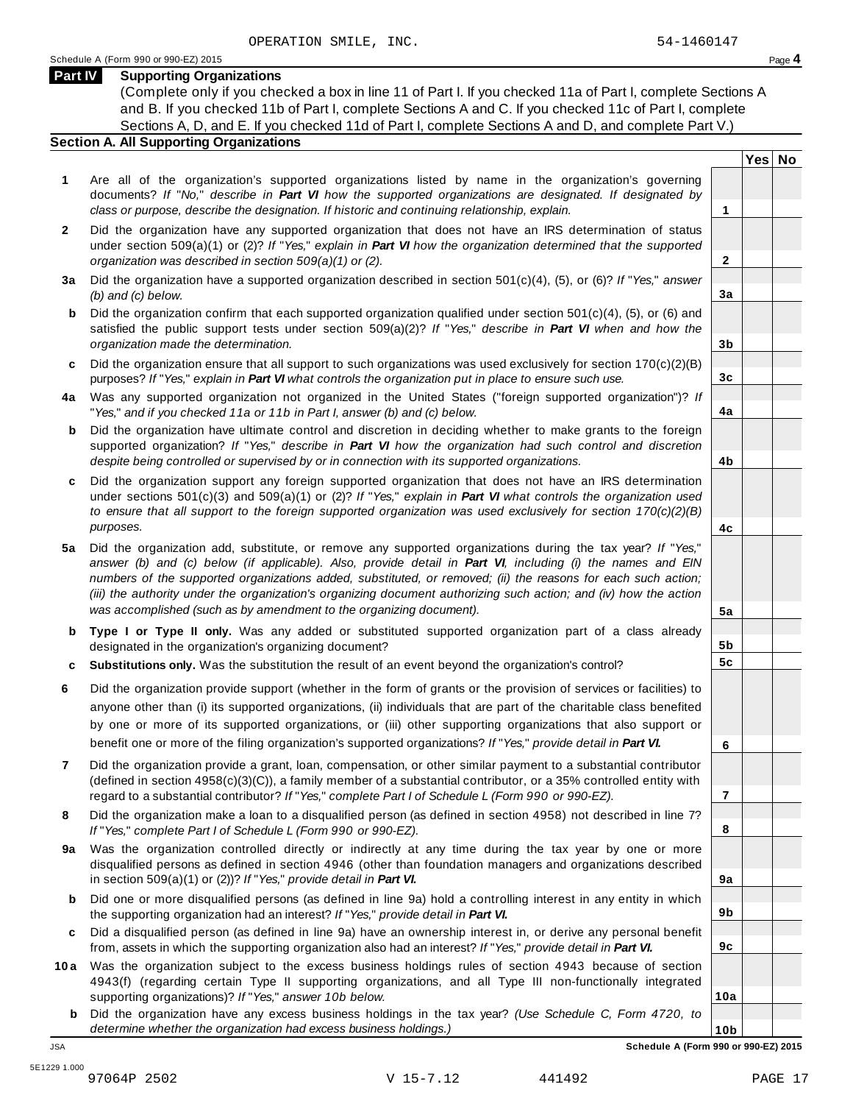**Yes No**

**2**

**3a**

**3b**

**3c**

**4a**

**4b**

**4c**

**5a**

**5b 5c**

**6**

**7**

**8**

**9a**

**9b**

**9c**

**10a**

#### **Part IV Supporting Organizations**

(Complete only if you checked a box in line 11 of Part I. If you checked 11a of Part I, complete Sections A and B. If you checked 11b of Part I, complete Sections A and C. If you checked 11c of Part I, complete Sections A, D, and E. If you checked 11d of Part I, complete Sections A and D, and complete Part V.)

#### **Section A. All Supporting Organizations**

- **1** Are all of the organization's supported organizations listed by name in the organization's governing documents? *If* "*No,*" *describe in Part VI how the supported organizations are designated. If designated by class or purpose, describe the designation. If historic and continuing relationship, explain.* **1**
- **2** Did the organization have any supported organization that does not have an IRS determination of status under section 509(a)(1) or (2)? *If*"*Yes,*" *explain in Part VI how the organization determined that the supported organization was described in section 509(a)(1) or (2).*
- **3 a** Did the organization have a supported organization described in section 501(c)(4), (5), or (6)? *If* "*Yes,*" *answer (b) and (c) below.*
- **b** Did the organization confirm that each supported organization qualified under section 501(c)(4), (5), or (6) and | satisfied the public support tests under section 509(a)(2)? *If* "*Yes,*" *describe in Part VI when and how the organization made the determination.*
- **c** Did the organization ensure that all support to such organizations was used exclusively for section 170(c)(2)(B) purposes? *If*"*Yes,*" *explain in Part VI what controls the organization put in place to ensure such use.*
- **4 a** Was any supported organization not organized in the United States ("foreign supported organization")? *If* "*Yes,*" *and if you checked 11a or 11b in Part I, answer (b) and (c) below.*
- **b** Did the organization have ultimate control and discretion in deciding whether to make grants to the foreign | supported organization? *If* "*Yes,*" *describe in Part VI how the organization had such control and discretion despite being controlled or supervised by or in connection with its supported organizations.*
- **c** Did the organization support any foreign supported organization that does not have an IRS determination | under sections 501(c)(3) and 509(a)(1) or (2)? *If* "*Yes,*" *explain in Part VI what controls the organization used to ensure that all support to the foreign supported organization was used exclusively for section 170(c)(2)(B) purposes.*
- **5 a** Did the organization add, substitute, or remove any supported organizations during the tax year? *If* "*Yes,*" answer (b) and (c) below (if applicable). Also, provide detail in Part VI, including (i) the names and EIN *numbers of the supported organizations added, substituted, or removed; (ii) the reasons for each such action;* (iii) the authority under the organization's organizing document authorizing such action; and (iv) how the action *was accomplished (such as by amendment to the organizing document).*
- **b** Type I or Type II only. Was any added or substituted supported organization part of a class already | designated in the organization's organizing document?
- **c Substitutions only.** Was the substitution the result of an event beyond the organization's control?
- **6** Did the organization provide support (whether in the form of grants or the provision of services or facilities) to anyone other than (i) its supported organizations, (ii) individuals that are part of the charitable class benefited by one or more of its supported organizations, or (iii) other supporting organizations that also support or benefit one or more of the filing organization's supported organizations? *If*"*Yes,*" *provide detail in Part VI.*
- **7** Did the organization provide a grant, loan, compensation, or other similar payment to a substantial contributor (defined in section 4958(c)(3)(C)), a family member of a substantial contributor, or a 35% controlled entity with regard to a substantial contributor? *If*"*Yes,*" *complete Part I of Schedule L (Form 990 or 990-EZ).*
- **8** Did the organization make a loan to a disqualified person (as defined in section 4958) not described in line 7? *If* "*Yes,*" *complete Part I of Schedule L (Form 990 or 990-EZ).*
- **a** Was the organization controlled directly or indirectly at any time during the tax year by one or more | **9** disqualified persons as defined in section 4946 (other than foundation managers and organizations described in section 509(a)(1) or (2))? *If*"*Yes,*" *provide detail in Part VI.*
- **b** Did one or more disqualified persons (as defined in line 9a) hold a controlling interest in any entity in which | the supporting organization had an interest? *If*"*Yes,*" *provide detail in Part VI.*
- **c** Did a disqualified person (as defined in line 9a) have an ownership interest in, or derive any personal benefit from, assets in which the supporting organization also had an interest? *If*"*Yes,*" *provide detail in Part VI.*
- **10a** Was the organization subject to the excess business holdings rules of section 4943 because of section | 4943(f) (regarding certain Type II supporting organizations, and all Type III non-functionally integrated supporting organizations)? *If*"*Yes,*" *answer 10b below.*
	- **b** Did the organization have any excess business holdings in the tax year? *(Use Schedule C, Form 4720, to determine whether the organization had excess business holdings.)*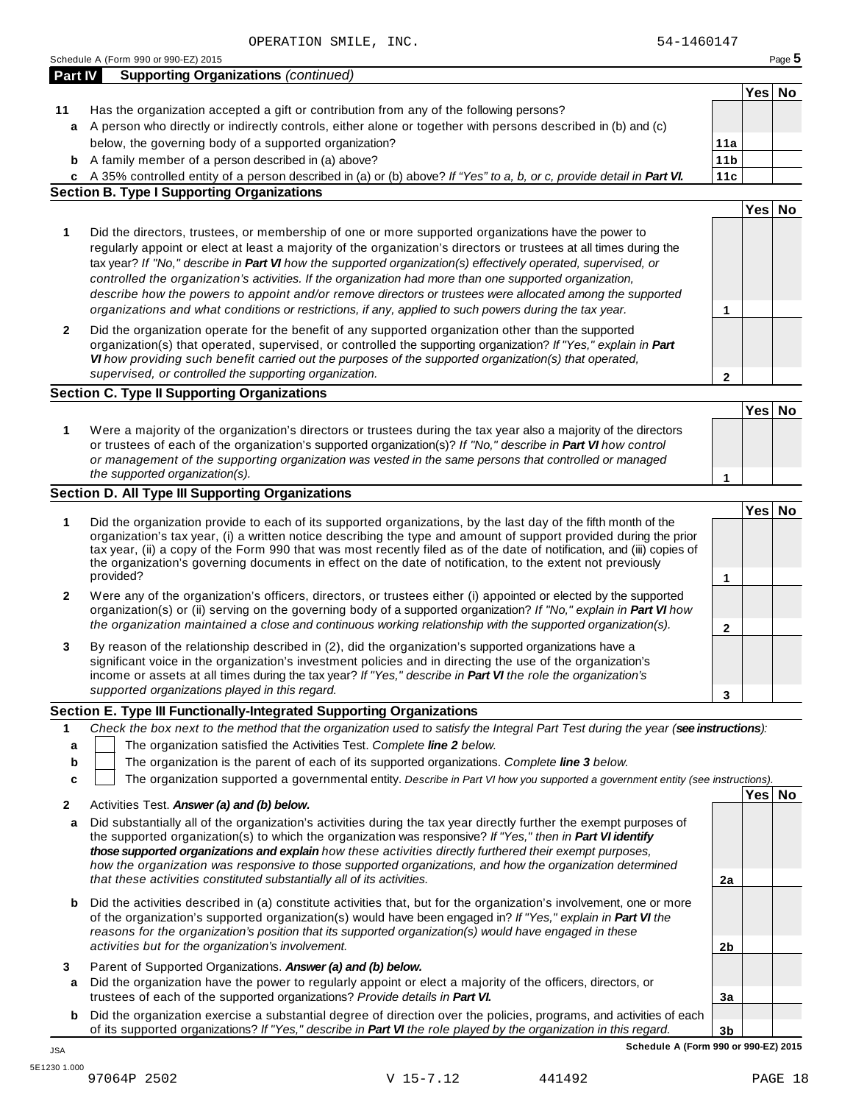|              | Schedule A (Form 990 or 990-EZ) 2015                                                                                                                                                                                                                                                                                                                                                                                                                                                                                                                                                                                                                                         |                 |        | Page 5 |
|--------------|------------------------------------------------------------------------------------------------------------------------------------------------------------------------------------------------------------------------------------------------------------------------------------------------------------------------------------------------------------------------------------------------------------------------------------------------------------------------------------------------------------------------------------------------------------------------------------------------------------------------------------------------------------------------------|-----------------|--------|--------|
| Part IV      | <b>Supporting Organizations (continued)</b>                                                                                                                                                                                                                                                                                                                                                                                                                                                                                                                                                                                                                                  |                 |        |        |
|              |                                                                                                                                                                                                                                                                                                                                                                                                                                                                                                                                                                                                                                                                              |                 | Yes No |        |
| 11           | Has the organization accepted a gift or contribution from any of the following persons?                                                                                                                                                                                                                                                                                                                                                                                                                                                                                                                                                                                      |                 |        |        |
|              | a A person who directly or indirectly controls, either alone or together with persons described in (b) and (c)                                                                                                                                                                                                                                                                                                                                                                                                                                                                                                                                                               |                 |        |        |
|              | below, the governing body of a supported organization?                                                                                                                                                                                                                                                                                                                                                                                                                                                                                                                                                                                                                       | 11a             |        |        |
|              | <b>b</b> A family member of a person described in (a) above?                                                                                                                                                                                                                                                                                                                                                                                                                                                                                                                                                                                                                 | 11 <sub>b</sub> |        |        |
|              | c A 35% controlled entity of a person described in (a) or (b) above? If "Yes" to a, b, or c, provide detail in Part VI.                                                                                                                                                                                                                                                                                                                                                                                                                                                                                                                                                      | 11c             |        |        |
|              | <b>Section B. Type I Supporting Organizations</b>                                                                                                                                                                                                                                                                                                                                                                                                                                                                                                                                                                                                                            |                 |        |        |
|              |                                                                                                                                                                                                                                                                                                                                                                                                                                                                                                                                                                                                                                                                              |                 | Yes No |        |
| 1            | Did the directors, trustees, or membership of one or more supported organizations have the power to<br>regularly appoint or elect at least a majority of the organization's directors or trustees at all times during the<br>tax year? If "No," describe in Part VI how the supported organization(s) effectively operated, supervised, or<br>controlled the organization's activities. If the organization had more than one supported organization,<br>describe how the powers to appoint and/or remove directors or trustees were allocated among the supported<br>organizations and what conditions or restrictions, if any, applied to such powers during the tax year. |                 |        |        |
|              |                                                                                                                                                                                                                                                                                                                                                                                                                                                                                                                                                                                                                                                                              | 1               |        |        |
| $\mathbf{2}$ | Did the organization operate for the benefit of any supported organization other than the supported<br>organization(s) that operated, supervised, or controlled the supporting organization? If "Yes," explain in Part<br>VI how providing such benefit carried out the purposes of the supported organization(s) that operated,                                                                                                                                                                                                                                                                                                                                             |                 |        |        |
|              | supervised, or controlled the supporting organization.                                                                                                                                                                                                                                                                                                                                                                                                                                                                                                                                                                                                                       | 2               |        |        |
|              | <b>Section C. Type II Supporting Organizations</b>                                                                                                                                                                                                                                                                                                                                                                                                                                                                                                                                                                                                                           |                 |        |        |
|              |                                                                                                                                                                                                                                                                                                                                                                                                                                                                                                                                                                                                                                                                              |                 | Yes No |        |
| 1            | Were a majority of the organization's directors or trustees during the tax year also a majority of the directors<br>or trustees of each of the organization's supported organization(s)? If "No," describe in Part VI how control<br>or management of the supporting organization was vested in the same persons that controlled or managed                                                                                                                                                                                                                                                                                                                                  |                 |        |        |
|              | the supported organization(s).                                                                                                                                                                                                                                                                                                                                                                                                                                                                                                                                                                                                                                               | 1               |        |        |
|              | <b>Section D. All Type III Supporting Organizations</b>                                                                                                                                                                                                                                                                                                                                                                                                                                                                                                                                                                                                                      |                 |        |        |
|              |                                                                                                                                                                                                                                                                                                                                                                                                                                                                                                                                                                                                                                                                              |                 | Yes No |        |
| 1            | Did the organization provide to each of its supported organizations, by the last day of the fifth month of the<br>organization's tax year, (i) a written notice describing the type and amount of support provided during the prior<br>tax year, (ii) a copy of the Form 990 that was most recently filed as of the date of notification, and (iii) copies of<br>the organization's governing documents in effect on the date of notification, to the extent not previously<br>provided?                                                                                                                                                                                     | 1               |        |        |
| 2            | Were any of the organization's officers, directors, or trustees either (i) appointed or elected by the supported                                                                                                                                                                                                                                                                                                                                                                                                                                                                                                                                                             |                 |        |        |
|              | organization(s) or (ii) serving on the governing body of a supported organization? If "No," explain in Part VI how<br>the organization maintained a close and continuous working relationship with the supported organization(s).                                                                                                                                                                                                                                                                                                                                                                                                                                            | $\mathbf{2}$    |        |        |
|              |                                                                                                                                                                                                                                                                                                                                                                                                                                                                                                                                                                                                                                                                              |                 |        |        |
| 3            | By reason of the relationship described in (2), did the organization's supported organizations have a<br>significant voice in the organization's investment policies and in directing the use of the organization's<br>income or assets at all times during the tax year? If "Yes," describe in Part VI the role the organization's                                                                                                                                                                                                                                                                                                                                          |                 |        |        |
|              | supported organizations played in this regard.                                                                                                                                                                                                                                                                                                                                                                                                                                                                                                                                                                                                                               | 3               |        |        |
|              | Section E. Type III Functionally-Integrated Supporting Organizations                                                                                                                                                                                                                                                                                                                                                                                                                                                                                                                                                                                                         |                 |        |        |
| 1            | Check the box next to the method that the organization used to satisfy the Integral Part Test during the year (see instructions):                                                                                                                                                                                                                                                                                                                                                                                                                                                                                                                                            |                 |        |        |
| a            | The organization satisfied the Activities Test. Complete line 2 below.                                                                                                                                                                                                                                                                                                                                                                                                                                                                                                                                                                                                       |                 |        |        |
| b            | The organization is the parent of each of its supported organizations. Complete line 3 below.                                                                                                                                                                                                                                                                                                                                                                                                                                                                                                                                                                                |                 |        |        |
| c            | The organization supported a governmental entity. Describe in Part VI how you supported a government entity (see instructions).                                                                                                                                                                                                                                                                                                                                                                                                                                                                                                                                              |                 |        |        |
|              |                                                                                                                                                                                                                                                                                                                                                                                                                                                                                                                                                                                                                                                                              |                 | Yes No |        |
| $\mathbf{2}$ | Activities Test. Answer (a) and (b) below.                                                                                                                                                                                                                                                                                                                                                                                                                                                                                                                                                                                                                                   |                 |        |        |
| a            | Did substantially all of the organization's activities during the tax year directly further the exempt purposes of<br>the supported organization(s) to which the organization was responsive? If "Yes," then in Part VI identify<br>those supported organizations and explain how these activities directly furthered their exempt purposes,                                                                                                                                                                                                                                                                                                                                 |                 |        |        |
|              | how the organization was responsive to those supported organizations, and how the organization determined<br>that these activities constituted substantially all of its activities.                                                                                                                                                                                                                                                                                                                                                                                                                                                                                          | 2a              |        |        |
| b            | Did the activities described in (a) constitute activities that, but for the organization's involvement, one or more<br>of the organization's supported organization(s) would have been engaged in? If "Yes," explain in Part VI the                                                                                                                                                                                                                                                                                                                                                                                                                                          |                 |        |        |
|              | reasons for the organization's position that its supported organization(s) would have engaged in these                                                                                                                                                                                                                                                                                                                                                                                                                                                                                                                                                                       |                 |        |        |
|              | activities but for the organization's involvement.                                                                                                                                                                                                                                                                                                                                                                                                                                                                                                                                                                                                                           | 2b              |        |        |

- **3** Parent of Supported Organizations. *Answer (a) and (b) below.*
- **a** Did the organization have the power to regularly appoint or elect a majority of the officers, directors, or trustees of each of the supported organizations? *Provide details in Part VI.*
- **b** Did the organization exercise a substantial degree of direction over the policies, programs, and activities of each of its supported organizations? *If"Yes," describe in Part VI the role played by the organization in this regard.*

**3b Schedule A (Form 990 or 990-EZ) 2015**

**3a**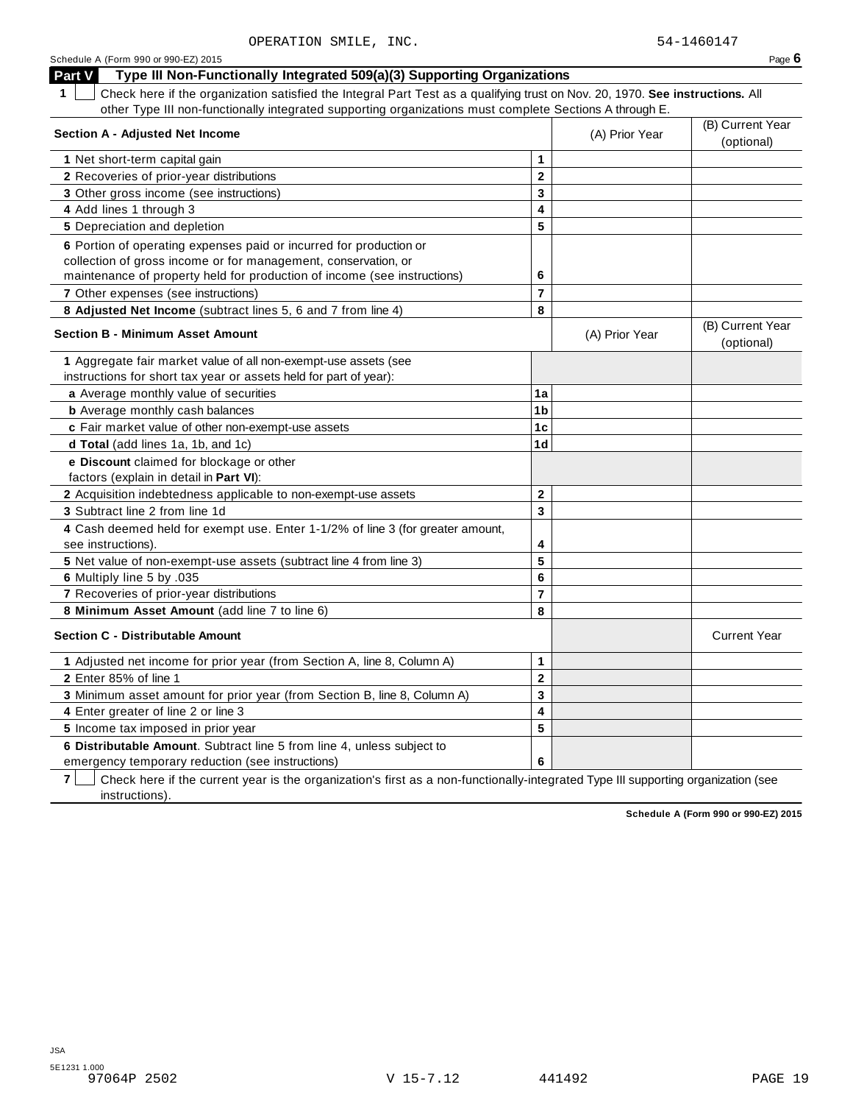| Schedule A (Form 990 or 990-EZ) 2015                                                                                               |                |                | Page $6$                       |
|------------------------------------------------------------------------------------------------------------------------------------|----------------|----------------|--------------------------------|
| Type III Non-Functionally Integrated 509(a)(3) Supporting Organizations<br><b>Part V</b>                                           |                |                |                                |
| Check here if the organization satisfied the Integral Part Test as a qualifying trust on Nov. 20, 1970. See instructions. All<br>1 |                |                |                                |
| other Type III non-functionally integrated supporting organizations must complete Sections A through E.                            |                |                |                                |
| <b>Section A - Adjusted Net Income</b>                                                                                             |                | (A) Prior Year | (B) Current Year<br>(optional) |
| 1 Net short-term capital gain                                                                                                      | 1              |                |                                |
| 2 Recoveries of prior-year distributions                                                                                           | $\overline{2}$ |                |                                |
| 3 Other gross income (see instructions)                                                                                            | 3              |                |                                |
| 4 Add lines 1 through 3                                                                                                            | 4              |                |                                |
| 5 Depreciation and depletion                                                                                                       | 5              |                |                                |
| 6 Portion of operating expenses paid or incurred for production or                                                                 |                |                |                                |
| collection of gross income or for management, conservation, or                                                                     |                |                |                                |
| maintenance of property held for production of income (see instructions)                                                           | 6              |                |                                |
| 7 Other expenses (see instructions)                                                                                                | 7              |                |                                |
| 8 Adjusted Net Income (subtract lines 5, 6 and 7 from line 4)                                                                      | 8              |                |                                |
| <b>Section B - Minimum Asset Amount</b>                                                                                            |                | (A) Prior Year | (B) Current Year<br>(optional) |
| 1 Aggregate fair market value of all non-exempt-use assets (see                                                                    |                |                |                                |
| instructions for short tax year or assets held for part of year):                                                                  |                |                |                                |
| a Average monthly value of securities                                                                                              | 1a             |                |                                |
| <b>b</b> Average monthly cash balances                                                                                             | 1b             |                |                                |
| c Fair market value of other non-exempt-use assets                                                                                 | 1c             |                |                                |
| d Total (add lines 1a, 1b, and 1c)                                                                                                 | 1 <sub>d</sub> |                |                                |
| e Discount claimed for blockage or other<br>factors (explain in detail in Part VI):                                                |                |                |                                |
| <b>2</b> Acquisition indebtedness applicable to non-exempt-use assets                                                              | $\mathbf{2}$   |                |                                |
| 3 Subtract line 2 from line 1d                                                                                                     | 3              |                |                                |
| 4 Cash deemed held for exempt use. Enter 1-1/2% of line 3 (for greater amount,<br>see instructions).                               | 4              |                |                                |
| 5 Net value of non-exempt-use assets (subtract line 4 from line 3)                                                                 | 5              |                |                                |
| 6 Multiply line 5 by .035                                                                                                          | 6              |                |                                |
| 7 Recoveries of prior-year distributions                                                                                           | $\overline{7}$ |                |                                |
| 8 Minimum Asset Amount (add line 7 to line 6)                                                                                      | 8              |                |                                |
| <b>Section C - Distributable Amount</b>                                                                                            |                |                | <b>Current Year</b>            |
| 1 Adjusted net income for prior year (from Section A, line 8, Column A)                                                            | 1              |                |                                |
| 2 Enter 85% of line 1                                                                                                              | $\mathbf 2$    |                |                                |
| 3 Minimum asset amount for prior year (from Section B, line 8, Column A)                                                           | 3              |                |                                |
| 4 Enter greater of line 2 or line 3                                                                                                | 4              |                |                                |
| 5 Income tax imposed in prior year                                                                                                 | 5              |                |                                |
| 6 Distributable Amount. Subtract line 5 from line 4, unless subject to                                                             |                |                |                                |
| emergency temporary reduction (see instructions)                                                                                   | 6              |                |                                |

**7** | Check here if the current year is the organization's first as a non-functionally-integrated Type III supporting organization (see instructions).

**Schedule A (Form 990 or 990-EZ) 2015**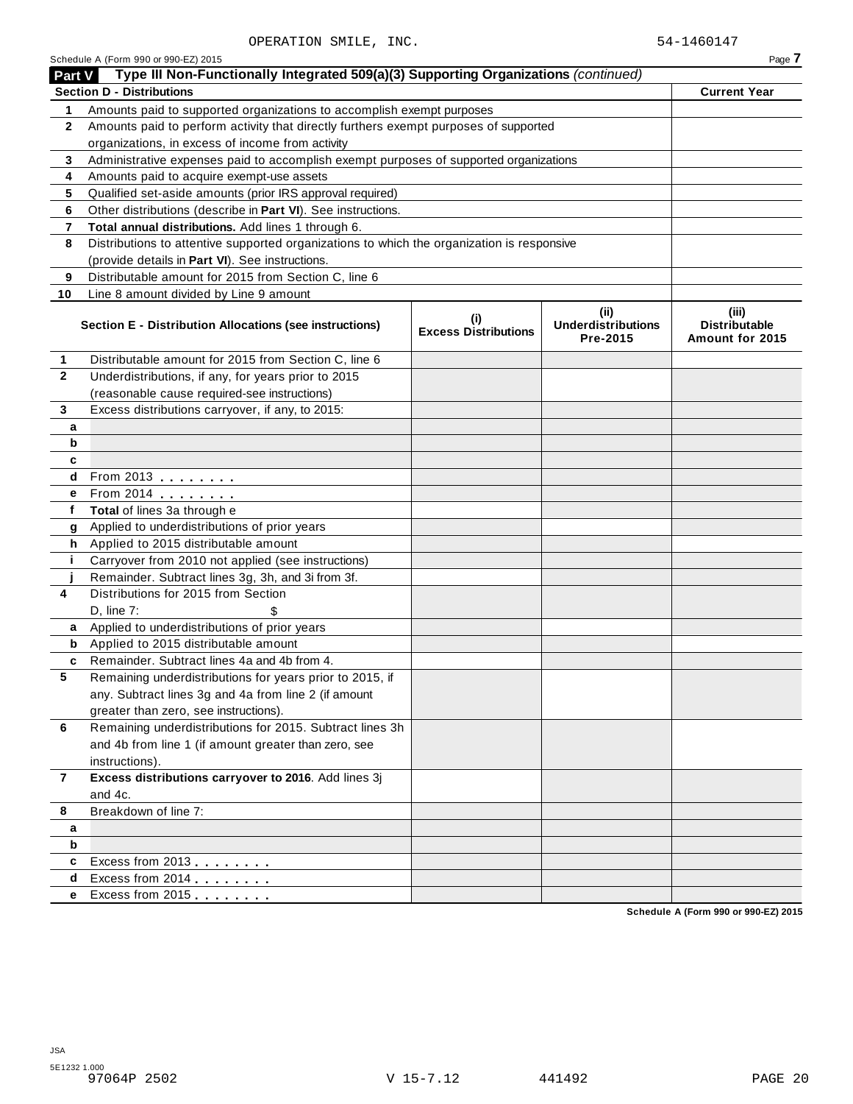|               | Schedule A (Form 990 or 990-EZ) 2015                                                       |                                    |                                               | Page 7                                           |
|---------------|--------------------------------------------------------------------------------------------|------------------------------------|-----------------------------------------------|--------------------------------------------------|
| <b>Part V</b> | Type III Non-Functionally Integrated 509(a)(3) Supporting Organizations (continued)        |                                    |                                               |                                                  |
|               | <b>Section D - Distributions</b>                                                           |                                    |                                               | <b>Current Year</b>                              |
| 1             | Amounts paid to supported organizations to accomplish exempt purposes                      |                                    |                                               |                                                  |
| $\mathbf{2}$  | Amounts paid to perform activity that directly furthers exempt purposes of supported       |                                    |                                               |                                                  |
|               | organizations, in excess of income from activity                                           |                                    |                                               |                                                  |
| 3             | Administrative expenses paid to accomplish exempt purposes of supported organizations      |                                    |                                               |                                                  |
| 4             | Amounts paid to acquire exempt-use assets                                                  |                                    |                                               |                                                  |
| 5             | Qualified set-aside amounts (prior IRS approval required)                                  |                                    |                                               |                                                  |
| 6             | Other distributions (describe in Part VI). See instructions.                               |                                    |                                               |                                                  |
| 7             | Total annual distributions. Add lines 1 through 6.                                         |                                    |                                               |                                                  |
| 8             | Distributions to attentive supported organizations to which the organization is responsive |                                    |                                               |                                                  |
|               | (provide details in Part VI). See instructions.                                            |                                    |                                               |                                                  |
| 9             | Distributable amount for 2015 from Section C, line 6                                       |                                    |                                               |                                                  |
| 10            | Line 8 amount divided by Line 9 amount                                                     |                                    |                                               |                                                  |
|               | Section E - Distribution Allocations (see instructions)                                    | (i)<br><b>Excess Distributions</b> | (ii)<br><b>Underdistributions</b><br>Pre-2015 | (iii)<br><b>Distributable</b><br>Amount for 2015 |
| 1             | Distributable amount for 2015 from Section C, line 6                                       |                                    |                                               |                                                  |
| $\mathbf{2}$  | Underdistributions, if any, for years prior to 2015                                        |                                    |                                               |                                                  |
|               | (reasonable cause required-see instructions)                                               |                                    |                                               |                                                  |
| 3             | Excess distributions carryover, if any, to 2015:                                           |                                    |                                               |                                                  |
| a             |                                                                                            |                                    |                                               |                                                  |
| b             |                                                                                            |                                    |                                               |                                                  |
| c             |                                                                                            |                                    |                                               |                                                  |
| d             | From 2013                                                                                  |                                    |                                               |                                                  |
| e             | From 2014 <b></b>                                                                          |                                    |                                               |                                                  |
| f             | Total of lines 3a through e                                                                |                                    |                                               |                                                  |
| g             | Applied to underdistributions of prior years                                               |                                    |                                               |                                                  |
| h.            | Applied to 2015 distributable amount                                                       |                                    |                                               |                                                  |
| j.            | Carryover from 2010 not applied (see instructions)                                         |                                    |                                               |                                                  |
|               | Remainder. Subtract lines 3g, 3h, and 3i from 3f.                                          |                                    |                                               |                                                  |
| 4             | Distributions for 2015 from Section                                                        |                                    |                                               |                                                  |
|               | $D$ , line $7$ :                                                                           |                                    |                                               |                                                  |
| a             | Applied to underdistributions of prior years                                               |                                    |                                               |                                                  |
| b             | Applied to 2015 distributable amount                                                       |                                    |                                               |                                                  |
| c             | Remainder. Subtract lines 4a and 4b from 4.                                                |                                    |                                               |                                                  |
| 5             | Remaining underdistributions for years prior to 2015, if                                   |                                    |                                               |                                                  |
|               | any. Subtract lines 3g and 4a from line 2 (if amount                                       |                                    |                                               |                                                  |
|               | greater than zero, see instructions).                                                      |                                    |                                               |                                                  |
| 6             | Remaining underdistributions for 2015. Subtract lines 3h                                   |                                    |                                               |                                                  |
|               | and 4b from line 1 (if amount greater than zero, see                                       |                                    |                                               |                                                  |
|               | instructions).                                                                             |                                    |                                               |                                                  |
| 7             | Excess distributions carryover to 2016. Add lines 3j                                       |                                    |                                               |                                                  |
|               | and 4c.                                                                                    |                                    |                                               |                                                  |
| 8             | Breakdown of line 7:                                                                       |                                    |                                               |                                                  |
| a             |                                                                                            |                                    |                                               |                                                  |
| b             |                                                                                            |                                    |                                               |                                                  |
| c             | Excess from 2013                                                                           |                                    |                                               |                                                  |
| d             | Excess from 2014                                                                           |                                    |                                               |                                                  |
| e             | Excess from 2015                                                                           |                                    |                                               |                                                  |
|               |                                                                                            |                                    |                                               | $A$ (Faxes 000 as 000 F7) 2041                   |

**Schedule A (Form 990 or 990-EZ) 2015**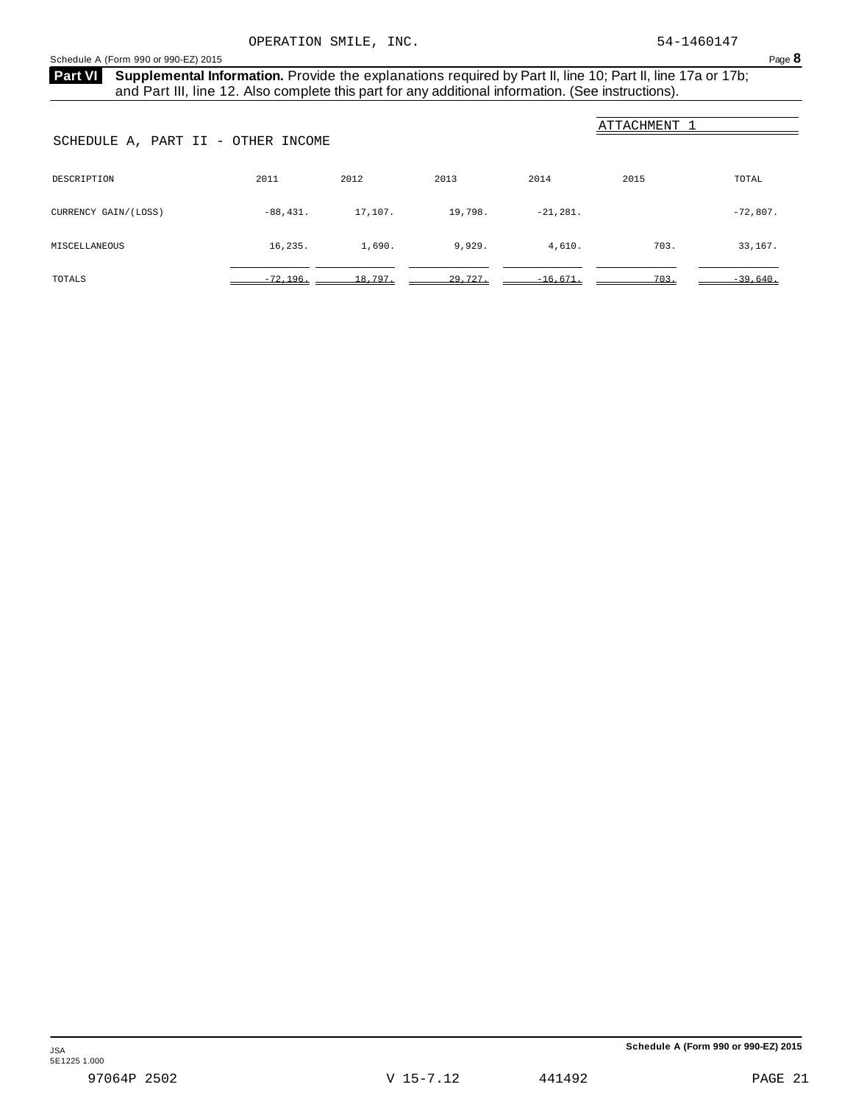**Part VI** Supplemental Information. Provide the explanations required by Part II, line 10; Part II, line 17a or 17b; and Part III, line 12. Also complete this part for any additional information. (See instructions).

| SCHEDULE A, PART II - OTHER INCOME |            |         |         |             | ATTACHMENT 1 |            |
|------------------------------------|------------|---------|---------|-------------|--------------|------------|
| DESCRIPTION                        | 2011       | 2012    | 2013    | 2014        | 2015         | TOTAL      |
| CURRENCY GAIN/(LOSS)               | $-88,431.$ | 17,107. | 19,798. | $-21, 281.$ |              | $-72,807.$ |
| MISCELLANEOUS                      | 16,235.    | 1,690.  | 9,929.  | 4,610.      | 703.         | 33,167.    |
| TOTALS                             | $-72.196.$ | 18,797  | 29.727. | $-16.671$   | 703.         | $-39.640.$ |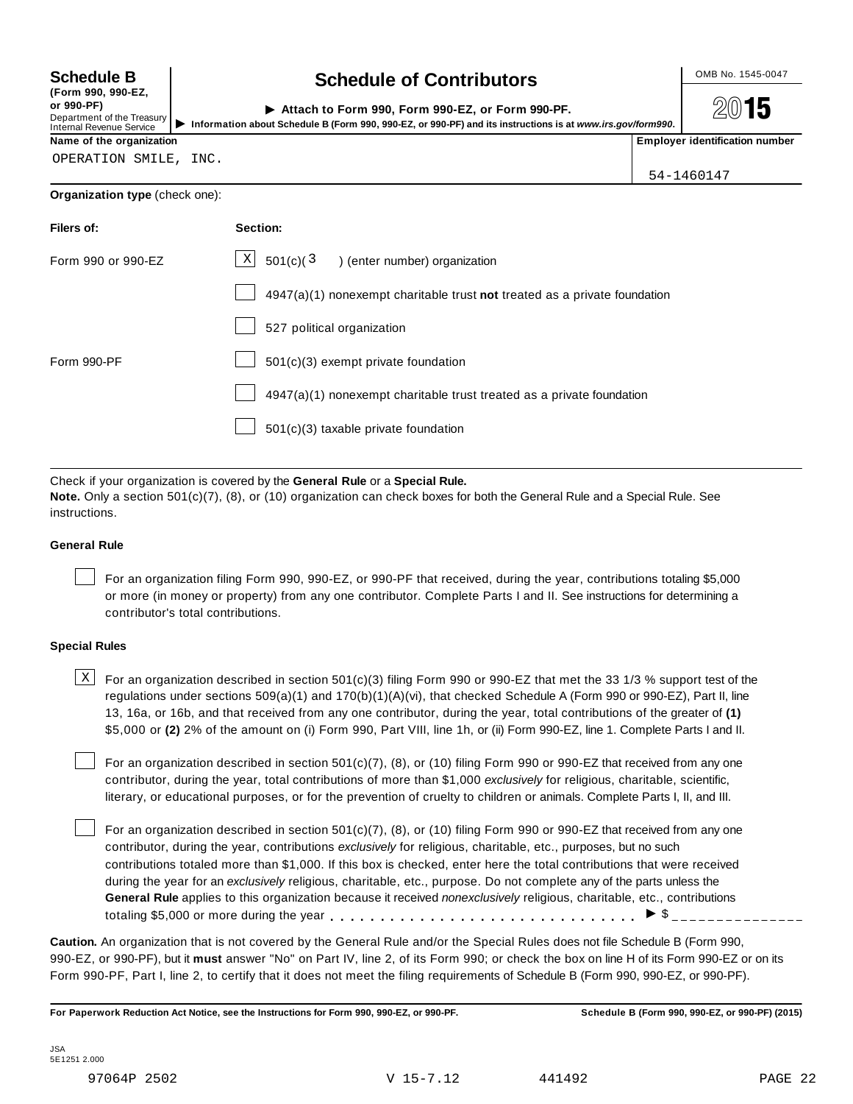| <b>Schedule B</b> |  |
|-------------------|--|
|-------------------|--|

**(Form 990, 990-EZ, or 990-PF)** Department of the Treasury<br>Internal Revenue Service **D** Informati

### **Schedule B chedule of Contributors**

| ( FUI III  990, 990 EL,<br>or 990-PF).<br>Department of the Treasury  <br>Internal Revenue Service | Attach to Form 990, Form 990-EZ, or Form 990-PF.<br>Information about Schedule B (Form 990, 990-EZ, or 990-PF) and its instructions is at www.irs.gov/form990. | 2015                             |
|----------------------------------------------------------------------------------------------------|----------------------------------------------------------------------------------------------------------------------------------------------------------------|----------------------------------|
| Name of the organization                                                                           |                                                                                                                                                                | l Emplover identification number |

OPERATION SMILE, INC.

54-1460147

#### **Organization type** (check one):

| Filers of:         | Section:                                                                    |
|--------------------|-----------------------------------------------------------------------------|
| Form 990 or 990-EZ | $\lfloor x \rfloor$ 501(c)(3) (enter number) organization                   |
|                    | $4947(a)(1)$ nonexempt charitable trust not treated as a private foundation |
|                    | 527 political organization                                                  |
| Form 990-PF        | $501(c)(3)$ exempt private foundation                                       |
|                    | 4947(a)(1) nonexempt charitable trust treated as a private foundation       |
|                    | 501(c)(3) taxable private foundation                                        |

Check if your organization is covered by the **General Rule** or a **Special Rule.**

**Note.** Only a section 501(c)(7), (8), or (10) organization can check boxes for both the General Rule and a Special Rule. See instructions.

#### **General Rule**

For an organization filing Form 990, 990-EZ, or 990-PF that received, during the year, contributions totaling \$5,000 or more (in money or property) from any one contributor. Complete Parts I and II. See instructions for determining a contributor's total contributions.

#### **Special Rules**

 $\text{X}$  For an organization described in section 501(c)(3) filing Form 990 or 990-EZ that met the 33 1/3 % support test of the regulations under sections 509(a)(1) and 170(b)(1)(A)(vi), that checked Schedule A (Form 990 or 990-EZ), Part II, line 13, 16a, or 16b, and that received from any one contributor, during the year, total contributions of the greater of **(1)** \$5,000 or **(2)** 2% of the amount on (i) Form 990, Part VIII, line 1h, or (ii) Form 990-EZ, line 1. Complete Parts I and II.

For an organization described in section 501(c)(7), (8), or (10) filing Form 990 or 990-EZ that received from any one contributor, during the year, total contributions of more than \$1,000 *exclusively* for religious, charitable, scientific, literary, or educational purposes, or for the prevention of cruelty to children or animals. Complete Parts I, II, and III.

For an organization described in section 501(c)(7), (8), or (10) filing Form 990 or 990-EZ that received from any one contributor, during the year, contributions *exclusively* for religious, charitable, etc., purposes, but no such contributions totaled more than \$1,000. If this box is checked, enter here the total contributions that were received during the year for an *exclusively* religious, charitable, etc., purpose. Do not complete any of the parts unless the **General Rule** applies to this organization because it received *nonexclusively* religious, charitable, etc., contributions totaling \$5,000 or more during the year m, m, m, m, m, m, m, m, m, m, m, m, m m  $\frac{1}{2}$   $\frac{1}{2}$ 

**Caution.** An organization that is not covered by the General Rule and/or the Special Rules does not file Schedule B (Form 990, 990-EZ, or 990-PF), but it **must** answer "No" on Part IV, line 2, of its Form 990; or check the box on line H of its Form 990-EZ or on its Form 990-PF, Part I, line 2, to certify that it does not meet the filing requirements of Schedule B (Form 990, 990-EZ, or 990-PF).

For Paperwork Reduction Act Notice, see the Instructions for Form 990, 990-EZ, or 990-PF. Schedule B (Form 990, 990-EZ, or 990-PF) (2015)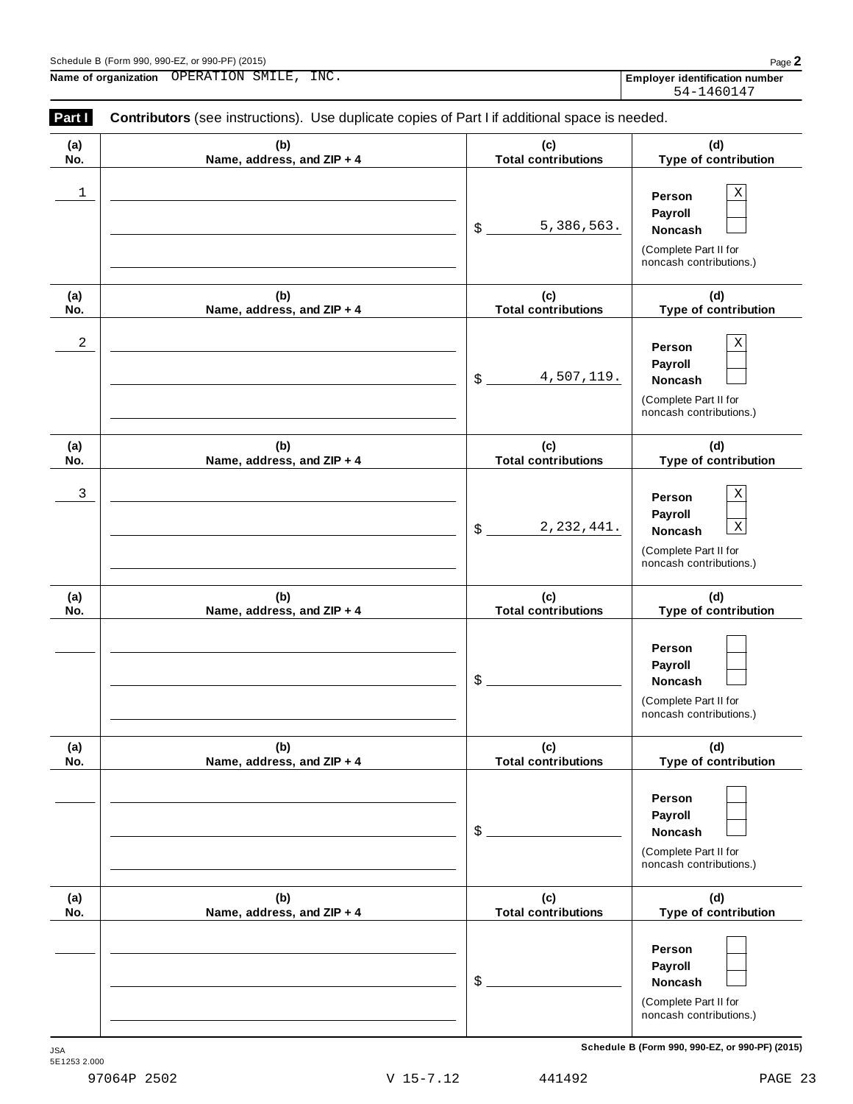| Schedule B (Form 990, 990-EZ, or 990-PF) (2015) |                  |      | $P$ aqe $\blacktriangle$              |
|-------------------------------------------------|------------------|------|---------------------------------------|
| Name of organization                            | OPERATION SMILE. | INC. | <b>Emplover identification number</b> |

| Part I     | <b>Contributors</b> (see instructions). Use duplicate copies of Part I if additional space is needed. |                                   |                                                                                                                |
|------------|-------------------------------------------------------------------------------------------------------|-----------------------------------|----------------------------------------------------------------------------------------------------------------|
| (a)<br>No. | (b)<br>Name, address, and ZIP + 4                                                                     | (c)<br><b>Total contributions</b> | (d)<br>Type of contribution                                                                                    |
| 1          |                                                                                                       | 5,386,563.<br>$\frac{1}{2}$       | Χ<br>Person<br>Payroll<br>Noncash<br>(Complete Part II for<br>noncash contributions.)                          |
| (a)<br>No. | (b)<br>Name, address, and ZIP + 4                                                                     | (c)<br><b>Total contributions</b> | (d)<br>Type of contribution                                                                                    |
| 2          |                                                                                                       | 4,507,119.<br>$\frac{1}{2}$       | Χ<br>Person<br>Payroll<br>Noncash<br>(Complete Part II for<br>noncash contributions.)                          |
| (a)<br>No. | (b)<br>Name, address, and ZIP + 4                                                                     | (c)<br><b>Total contributions</b> | (d)<br>Type of contribution                                                                                    |
| 3          |                                                                                                       | 2, 232, 441.<br>$\frac{1}{2}$     | $\mathbf X$<br>Person<br>Payroll<br>$\mathbf X$<br>Noncash<br>(Complete Part II for<br>noncash contributions.) |
| (a)<br>No. | (b)<br>Name, address, and ZIP + 4                                                                     | (c)<br><b>Total contributions</b> | (d)<br>Type of contribution                                                                                    |
|            |                                                                                                       | \$                                | Person<br>Payroll<br>Noncash<br>(Complete Part II for<br>noncash contributions.)                               |
| (a)<br>No. | (b)<br>Name, address, and ZIP + 4                                                                     | (c)<br><b>Total contributions</b> | (d)<br>Type of contribution                                                                                    |
|            |                                                                                                       | $\boldsymbol{\$}$                 | Person<br>Payroll<br><b>Noncash</b><br>(Complete Part II for<br>noncash contributions.)                        |
| (a)<br>No. | (b)<br>Name, address, and ZIP + 4                                                                     | (c)<br><b>Total contributions</b> | (d)<br>Type of contribution                                                                                    |
|            |                                                                                                       | $\boldsymbol{\$}$                 | Person<br>Payroll<br><b>Noncash</b><br>(Complete Part II for<br>noncash contributions.)                        |

 $S$ chedule B (Form 990, 990-EZ, or 990-PF) (2015)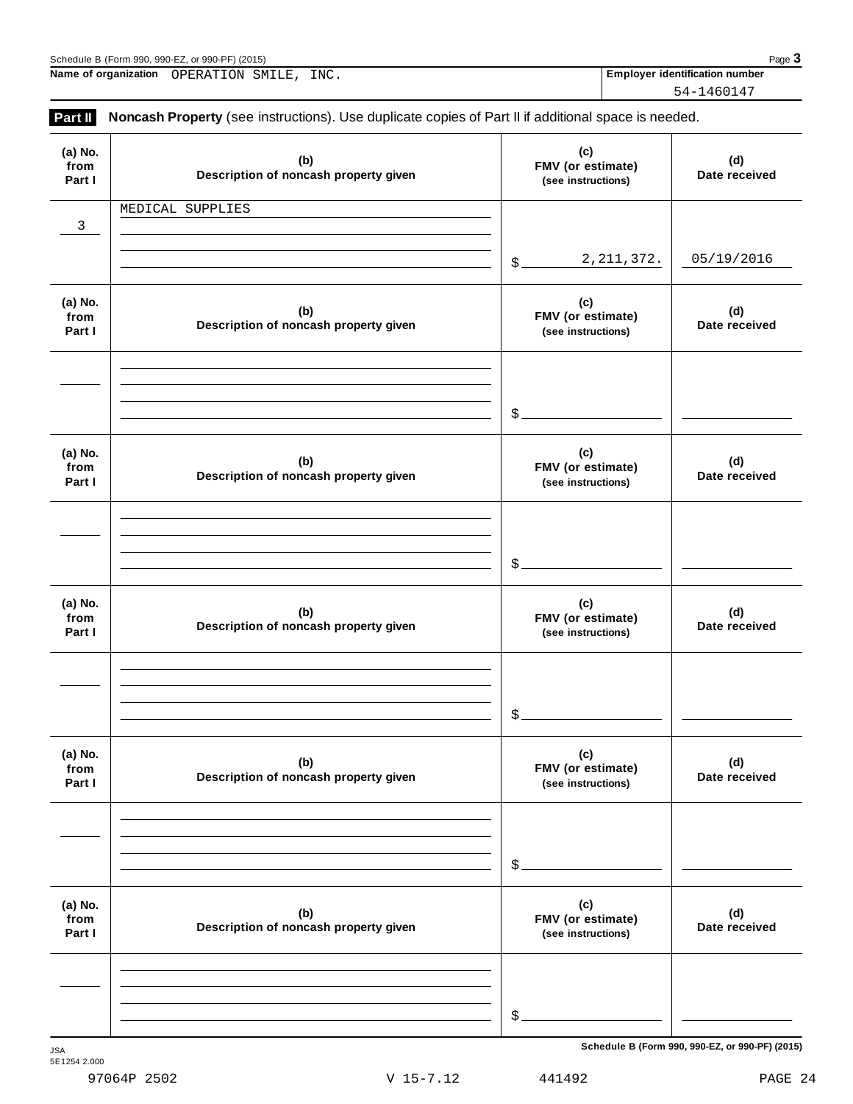| Schedule<br>$-$ or 990-P <sub>F</sub><br>(2015)<br>$- -$<br>990.<br>. 990-E<br>'Form | Pac |
|--------------------------------------------------------------------------------------|-----|
|                                                                                      |     |

**Name of organization Employer identification number** OPERATION SMILE, INC.

54-1460147

| (a) No.<br>from<br>Part I | (b)<br>Description of noncash property given | (c)<br>FMV (or estimate)<br>(see instructions) | (d)<br>Date received |
|---------------------------|----------------------------------------------|------------------------------------------------|----------------------|
| $\mathsf{3}$              | MEDICAL SUPPLIES                             |                                                |                      |
|                           |                                              | 2, 211, 372.<br>$$$ .                          | 05/19/2016           |
| (a) No.<br>from<br>Part I | (b)<br>Description of noncash property given | (c)<br>FMV (or estimate)<br>(see instructions) | (d)<br>Date received |
|                           |                                              | \$.                                            |                      |
| (a) No.<br>from<br>Part I | (b)<br>Description of noncash property given | (c)<br>FMV (or estimate)<br>(see instructions) | (d)<br>Date received |
|                           |                                              | \$.                                            |                      |
| (a) No.<br>from<br>Part I | (b)<br>Description of noncash property given | (c)<br>FMV (or estimate)<br>(see instructions) | (d)<br>Date received |
|                           |                                              | \$                                             |                      |
| (a) No.<br>from<br>Part I | (b)<br>Description of noncash property given | (c)<br>FMV (or estimate)<br>(see instructions) | (d)<br>Date received |
|                           |                                              | \$                                             |                      |
| (a) No.<br>from<br>Part I | (b)<br>Description of noncash property given | (c)<br>FMV (or estimate)<br>(see instructions) | (d)<br>Date received |
|                           |                                              |                                                |                      |

5E1254 2.000 97064P 2502 V 15-7.12 441492 PAGE 24

**Schedule B (Form 990, 990-EZ, or 990-PF) (2015)**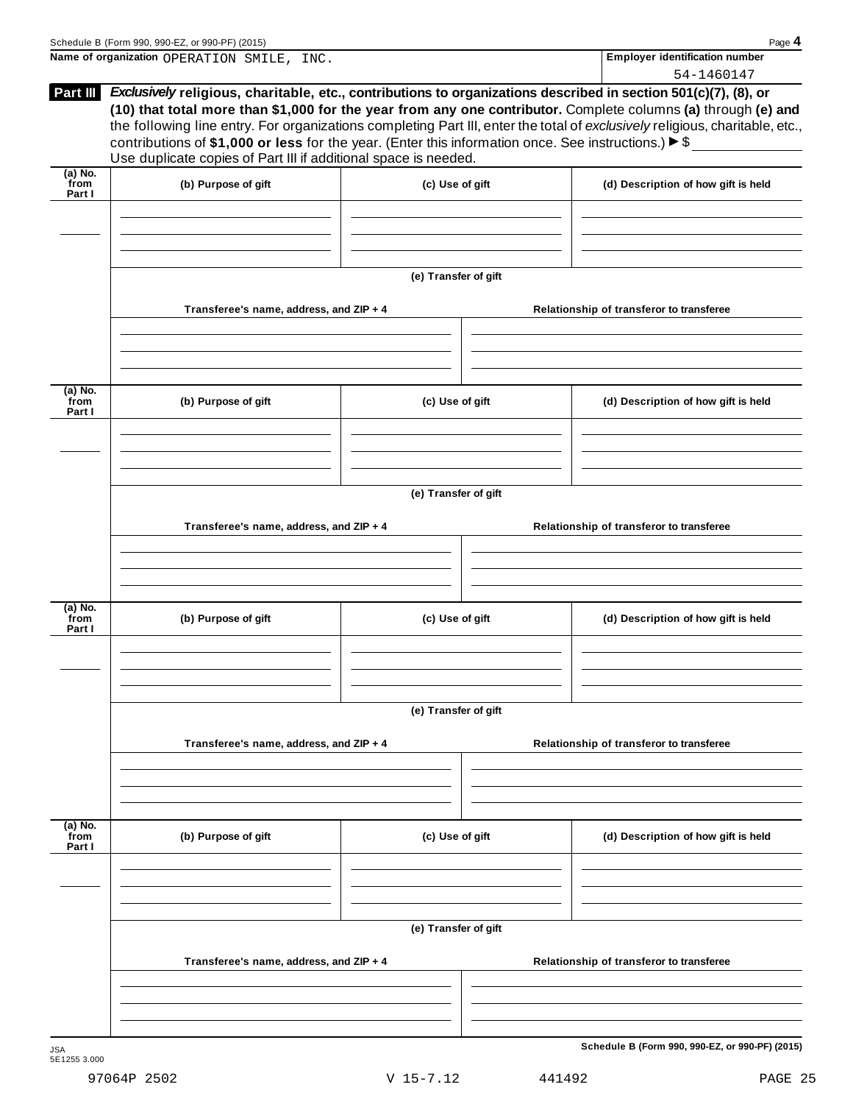|                             | Schedule B (Form 990, 990-EZ, or 990-PF) (2015)<br>Name of organization OPERATION SMILE, INC.                            |                      |  | Page 4<br><b>Employer identification number</b>                                                                              |  |
|-----------------------------|--------------------------------------------------------------------------------------------------------------------------|----------------------|--|------------------------------------------------------------------------------------------------------------------------------|--|
|                             |                                                                                                                          |                      |  | 54-1460147                                                                                                                   |  |
| Part III                    | Exclusively religious, charitable, etc., contributions to organizations described in section 501(c)(7), (8), or          |                      |  |                                                                                                                              |  |
|                             |                                                                                                                          |                      |  | (10) that total more than \$1,000 for the year from any one contributor. Complete columns (a) through (e) and                |  |
|                             |                                                                                                                          |                      |  | the following line entry. For organizations completing Part III, enter the total of exclusively religious, charitable, etc., |  |
|                             | contributions of \$1,000 or less for the year. (Enter this information once. See instructions.) $\blacktriangleright$ \$ |                      |  |                                                                                                                              |  |
| (a) No.                     | Use duplicate copies of Part III if additional space is needed.                                                          |                      |  |                                                                                                                              |  |
| from                        | (b) Purpose of gift                                                                                                      | (c) Use of gift      |  | (d) Description of how gift is held                                                                                          |  |
| Part I                      |                                                                                                                          |                      |  |                                                                                                                              |  |
|                             |                                                                                                                          |                      |  |                                                                                                                              |  |
|                             |                                                                                                                          |                      |  |                                                                                                                              |  |
|                             |                                                                                                                          |                      |  |                                                                                                                              |  |
|                             |                                                                                                                          | (e) Transfer of gift |  |                                                                                                                              |  |
|                             |                                                                                                                          |                      |  |                                                                                                                              |  |
|                             | Transferee's name, address, and ZIP + 4                                                                                  |                      |  | Relationship of transferor to transferee                                                                                     |  |
|                             |                                                                                                                          |                      |  |                                                                                                                              |  |
|                             |                                                                                                                          |                      |  |                                                                                                                              |  |
|                             |                                                                                                                          |                      |  |                                                                                                                              |  |
|                             |                                                                                                                          |                      |  |                                                                                                                              |  |
|                             |                                                                                                                          |                      |  |                                                                                                                              |  |
|                             | (b) Purpose of gift                                                                                                      | (c) Use of gift      |  | (d) Description of how gift is held                                                                                          |  |
|                             |                                                                                                                          |                      |  |                                                                                                                              |  |
|                             |                                                                                                                          |                      |  |                                                                                                                              |  |
| (a) No.<br>from<br>Part I   |                                                                                                                          |                      |  |                                                                                                                              |  |
|                             |                                                                                                                          |                      |  |                                                                                                                              |  |
|                             |                                                                                                                          | (e) Transfer of gift |  |                                                                                                                              |  |
|                             |                                                                                                                          |                      |  |                                                                                                                              |  |
|                             | Transferee's name, address, and ZIP + 4                                                                                  |                      |  | Relationship of transferor to transferee                                                                                     |  |
|                             |                                                                                                                          |                      |  |                                                                                                                              |  |
|                             |                                                                                                                          |                      |  |                                                                                                                              |  |
|                             |                                                                                                                          |                      |  |                                                                                                                              |  |
|                             |                                                                                                                          |                      |  |                                                                                                                              |  |
|                             | (b) Purpose of gift                                                                                                      | (c) Use of gift      |  | (d) Description of how gift is held                                                                                          |  |
|                             |                                                                                                                          |                      |  |                                                                                                                              |  |
|                             |                                                                                                                          |                      |  |                                                                                                                              |  |
| $(a)$ No.<br>from<br>Part I |                                                                                                                          |                      |  |                                                                                                                              |  |
|                             |                                                                                                                          |                      |  |                                                                                                                              |  |
|                             |                                                                                                                          | (e) Transfer of gift |  |                                                                                                                              |  |

**(a) No. from Part I**

**(e) Transfer of gift**

**Transferee's name, address, and ZIP + 4 Relationship of transferor to transferee**  $S$ chedule B (Form 990, 990-EZ, or 990-PF) (2015)

**(b) Purpose of gift (c) Use of gift (d) Description of how gift is held**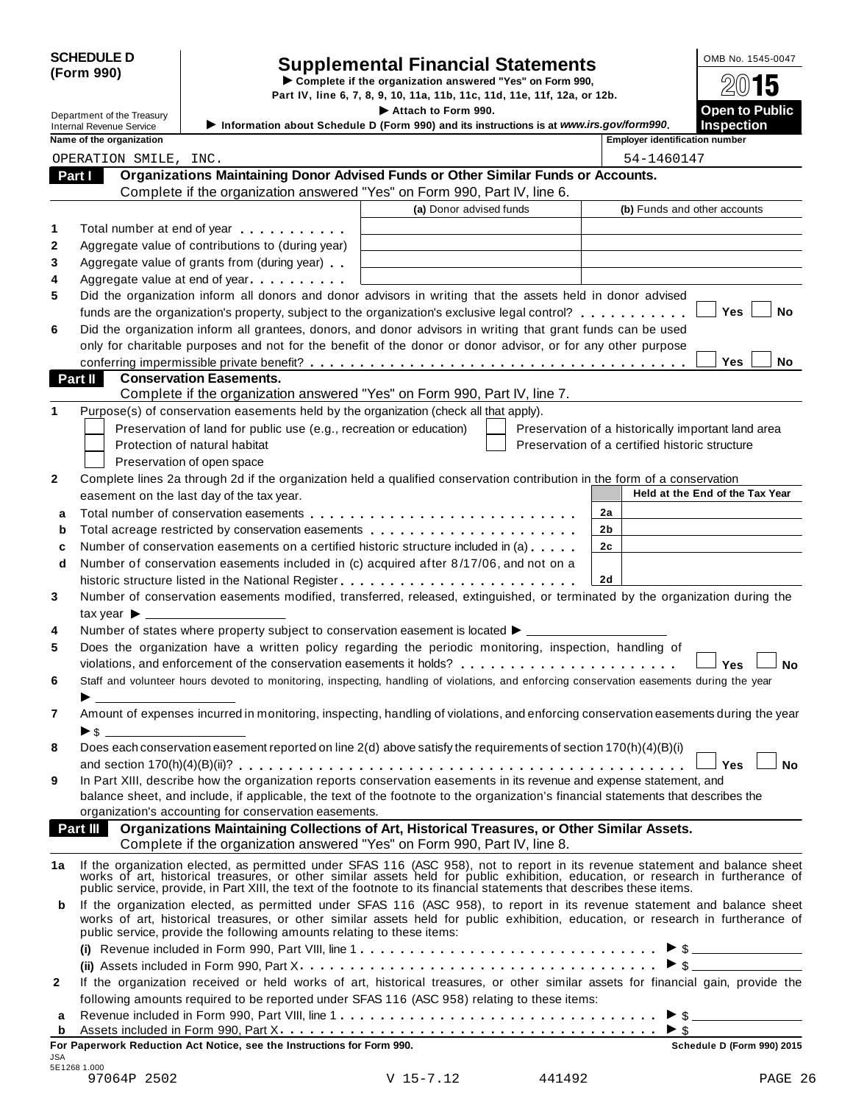| <b>SCHEDULE D</b> |  |
|-------------------|--|
| (Form 990)        |  |

# Supplemental Financial Statements<br>  $\triangleright$  Complete if the organization answered "Yes" on Form 990,<br>
Part IV, line 6, 7, 8, 9, 10, 11a, 11b, 11c, 11d, 11e, 11f, 12a, or 12b.

Department of the Treasury **I act is a compart of the Treasury** I **Attach Example 2011 C Public Public Example 2012 Consumer to Public Consumer to Public Consumer to Public Consumer to Public Consumer t** Internal Revenue Service I**Information about Schedule <sup>D</sup> (Form 990) and its instructions is at** *www.irs.gov/form990***. Inspection Name of the organization intervalse the control of the control of the control of the control of the organization number Organizations Maintaining Donor Advised Funds or Other Similar Funds or Accounts. Part I Property:** Organizations Maintaining Donor Advised Funds or Other Similar Funds<br>Complete if the organization answered "Yes" on Form 990, Part IV, line 6. **(a)** Donor advised funds **(b)** Funds and other accounts **1 2 3 4 5 6** Total number at end of year  $\dots\dots\dots\dots$ Aggregate value of contributions to (during year) Aggregate value of contributions to (during year)<br>Aggregate value of grants from (during year) Aggregate value of grants from (during year)<br>Aggregate value at end of year Did the organization inform all donors and donor advisors in writing that the assets held in donor advised funds are the organization's property, subject to the organization's exclusive legal control? **matures**  $\Box$  Yes  $\Box$  Yes Did the organization inform all grantees, donors, and donor advisors in writing that grant funds can be used only for charitable purposes and not for the benefit of the donor or donor advisor, or for any other purpose **conferring impermissible private benefit?** metals are metals and more matured more metals of  $\blacksquare$  The  $\blacksquare$  Noor **Conservation Easements. Part II** Conservation Easements.<br>Complete if the organization answered "Yes" on Form 990, Part IV, line 7. **1** Purpose(s) of conservation easements held by the organization (check all that apply). Preservation of land for public use (e.g., recreation or education) Protection of natural habitat Preservation of open space Preservation of a historically important land area Preservation of a certified historic structure **2** Complete lines 2a through 2d if the organization held a qualified conservation contribution in the form of a conservation easement on the last day of the tax year. **Held at the End** of the Tax Year **2a 2b 2c 2d a** Total number of conservation easements m m m m m m m m m m m m m m m m m m m m m m m m m m m **a** Total number of conservation easements ............................<br>**b** Total acreage restricted by conservation easements ..................... **b** Total acreage restricted by conservation easements<br>**c** Number of conservation easements on a certified historic structure included in (a) . . . . . . **d** Number of conservation easements included in (c) acquired after 8/17/06, and not on a  $\mid$ historic structure listed in the National Register m m m m m m m m m m m m m m m m m m m m m m m m **3 4 5 6 7 8 9** Number of conservation easements modified, transferred, released, extinguished, or terminated by the organization during the tax vear  $\blacktriangleright$ Number of states where property subject to conservation easement is located  $\blacktriangleright$ . Does the organization have a written policy regarding the periodic monitoring, inspection, handling of violations, and enforcement of the conservation easements it holds? musical manager mann m m m m **y** es  $\Box$  No Staff and volunteer hours devoted to monitoring, inspecting, handling of violations, and enforcing conservation easements during the year <br>
> Amount of expenses incurred in monitoring, inspecting, handling of violations, and enforcing conservation easements during the year  $\blacktriangleright$  \$ Does each conservation easement reported on line 2(d) above satisfy the requirements of section 170(h)(4)(B)(i) and section 170(h)(4)(B)(ii)? m m m m m m m m m m m m m m m m m m m m m m m m m m m m m m m m m m m m m m m m m m m m m **Yes No** In Part XIII, describe how the organization reports conservation easements in its revenue and expense statement, and balance sheet, and include, if applicable, the text of the footnote to the organization's financial statements that describes the organization's accounting for conservation easements. **Organizations Maintaining Collections of Art, Historical Treasures, or Other Similar Assets. Part III Organizations Maintaining Collections of Art, Historical Treasures, or Organization answered "Yes" on Form 990, Part IV, line 8.** 1a If the organization elected, as permitted under SFAS 116 (ASC 958), not to report in its revenue statement and balance sheet<br>works of art, historical treasures, or other similar assets held for public exhibition, educat public service, provide, in Part XIII, the text of the footnote to its financial statements that describes these items. **b** If the organization elected, as permitted under SFAS 116 (ASC 958), to report in its revenue statement and balance sheet works of art, historical treasures, or other similar assets held for public exhibition, education, or research in furtherance of public service, provide the following amounts relating to these items: **(i)** I Revenue included in Form 990, Part VIII, line 1 m m m m m m m m m m m m m m m m m m m m m m m m m m m m m m \$ **(ii)** Assets included in Form 990, Part X m m m m m m m m m m m m m m m m m m m m m m m m m m m m m m m m m m m m I \$ **2** If the organization received or held works of art, historical treasures, or other similar assets for financial gain, provide the following amounts required to be reported under SFAS 116 (ASC 958) relating to these items: following amounts required to be reported under SFAS 116 (ASC 958) relating to these items:<br>**a** Revenue included in Form 990, Part VIII, line 1 **a** a more contained in Form 200, Dart Y. Assets included in Form 990, Part X **<sup>b</sup>** m m m m m m m m m m m m m m m m m m m m m m m m m m m m m m m m m m m m m m I \$ **For Paperwork Reduction Act Notice, see the Instructions for Form 990. Schedule D (Form 990) 2015** OPERATION SMILE, INC. 54-1460147

JSA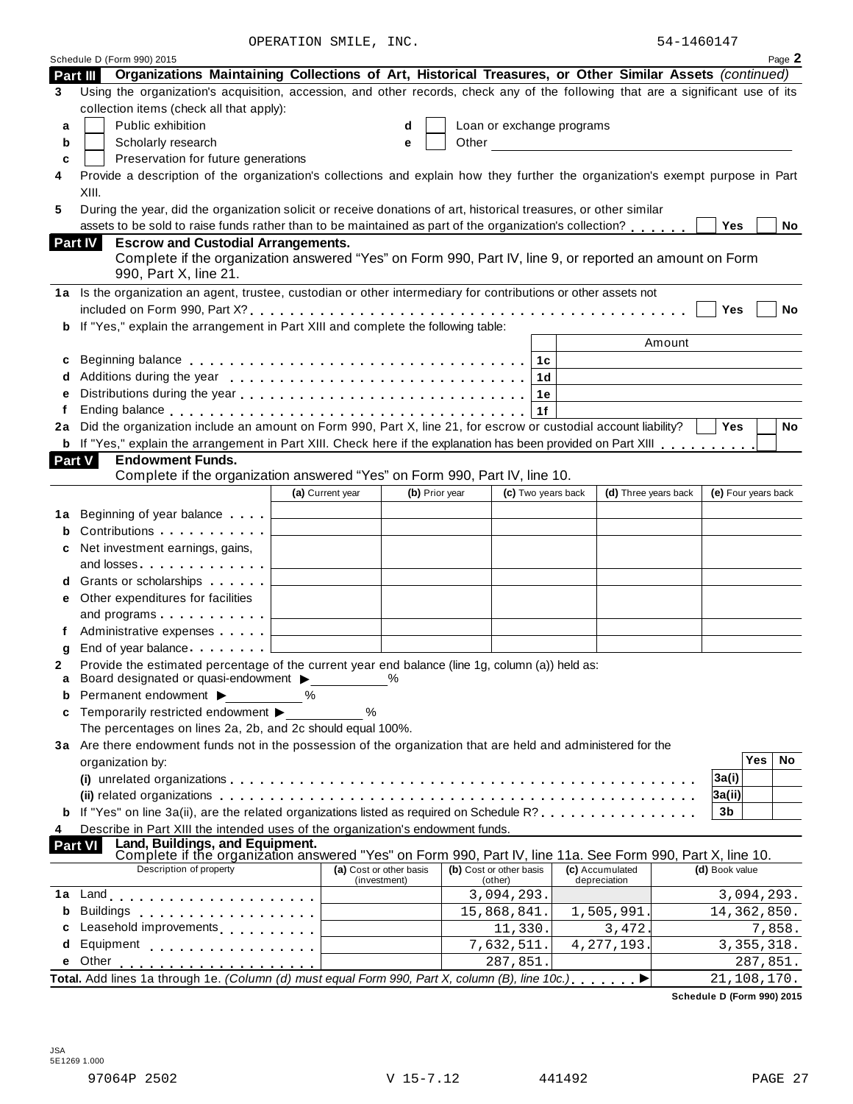OPERATION SMILE, INC.

|  | 54-1460147 |  |  |
|--|------------|--|--|
|  |            |  |  |

| Organizations Maintaining Collections of Art, Historical Treasures, or Other Similar Assets (continued)<br>Part III<br>Using the organization's acquisition, accession, and other records, check any of the following that are a significant use of its<br>3<br>collection items (check all that apply):<br>Public exhibition<br>Loan or exchange programs<br>a<br>d<br>Scholarly research<br>b<br>e<br>Preservation for future generations<br>c<br>Provide a description of the organization's collections and explain how they further the organization's exempt purpose in Part<br>4<br>XIII.<br>During the year, did the organization solicit or receive donations of art, historical treasures, or other similar<br>5<br>assets to be sold to raise funds rather than to be maintained as part of the organization's collection?<br><b>Yes</b><br>No<br><b>Escrow and Custodial Arrangements.</b><br><b>Part IV</b><br>Complete if the organization answered "Yes" on Form 990, Part IV, line 9, or reported an amount on Form<br>990, Part X, line 21.<br>1a Is the organization an agent, trustee, custodian or other intermediary for contributions or other assets not<br>Yes<br>No<br>If "Yes," explain the arrangement in Part XIII and complete the following table:<br>b<br>Amount<br>c<br>1с<br>1 <sub>d</sub><br>d<br>e<br>1е<br>f<br>1f<br>2a Did the organization include an amount on Form 990, Part X, line 21, for escrow or custodial account liability?<br><b>Yes</b><br>No<br><b>b</b> If "Yes," explain the arrangement in Part XIII. Check here if the explanation has been provided on Part XIII<br><b>Endowment Funds.</b><br><b>Part V</b><br>Complete if the organization answered "Yes" on Form 990, Part IV, line 10.<br>(a) Current year<br>(c) Two years back<br>(d) Three years back<br>(e) Four years back<br>(b) Prior year<br>Beginning of year balance [15]<br>1a<br>Contributions<br>b<br>Net investment earnings, gains,<br>С<br>and losses |  |  |  |  |  | Page 2 |
|-------------------------------------------------------------------------------------------------------------------------------------------------------------------------------------------------------------------------------------------------------------------------------------------------------------------------------------------------------------------------------------------------------------------------------------------------------------------------------------------------------------------------------------------------------------------------------------------------------------------------------------------------------------------------------------------------------------------------------------------------------------------------------------------------------------------------------------------------------------------------------------------------------------------------------------------------------------------------------------------------------------------------------------------------------------------------------------------------------------------------------------------------------------------------------------------------------------------------------------------------------------------------------------------------------------------------------------------------------------------------------------------------------------------------------------------------------------------------------------------------------------------------------------------------------------------------------------------------------------------------------------------------------------------------------------------------------------------------------------------------------------------------------------------------------------------------------------------------------------------------------------------------------------------------------------------------------------------------------------|--|--|--|--|--|--------|
|                                                                                                                                                                                                                                                                                                                                                                                                                                                                                                                                                                                                                                                                                                                                                                                                                                                                                                                                                                                                                                                                                                                                                                                                                                                                                                                                                                                                                                                                                                                                                                                                                                                                                                                                                                                                                                                                                                                                                                                     |  |  |  |  |  |        |
|                                                                                                                                                                                                                                                                                                                                                                                                                                                                                                                                                                                                                                                                                                                                                                                                                                                                                                                                                                                                                                                                                                                                                                                                                                                                                                                                                                                                                                                                                                                                                                                                                                                                                                                                                                                                                                                                                                                                                                                     |  |  |  |  |  |        |
|                                                                                                                                                                                                                                                                                                                                                                                                                                                                                                                                                                                                                                                                                                                                                                                                                                                                                                                                                                                                                                                                                                                                                                                                                                                                                                                                                                                                                                                                                                                                                                                                                                                                                                                                                                                                                                                                                                                                                                                     |  |  |  |  |  |        |
|                                                                                                                                                                                                                                                                                                                                                                                                                                                                                                                                                                                                                                                                                                                                                                                                                                                                                                                                                                                                                                                                                                                                                                                                                                                                                                                                                                                                                                                                                                                                                                                                                                                                                                                                                                                                                                                                                                                                                                                     |  |  |  |  |  |        |
|                                                                                                                                                                                                                                                                                                                                                                                                                                                                                                                                                                                                                                                                                                                                                                                                                                                                                                                                                                                                                                                                                                                                                                                                                                                                                                                                                                                                                                                                                                                                                                                                                                                                                                                                                                                                                                                                                                                                                                                     |  |  |  |  |  |        |
|                                                                                                                                                                                                                                                                                                                                                                                                                                                                                                                                                                                                                                                                                                                                                                                                                                                                                                                                                                                                                                                                                                                                                                                                                                                                                                                                                                                                                                                                                                                                                                                                                                                                                                                                                                                                                                                                                                                                                                                     |  |  |  |  |  |        |
|                                                                                                                                                                                                                                                                                                                                                                                                                                                                                                                                                                                                                                                                                                                                                                                                                                                                                                                                                                                                                                                                                                                                                                                                                                                                                                                                                                                                                                                                                                                                                                                                                                                                                                                                                                                                                                                                                                                                                                                     |  |  |  |  |  |        |
|                                                                                                                                                                                                                                                                                                                                                                                                                                                                                                                                                                                                                                                                                                                                                                                                                                                                                                                                                                                                                                                                                                                                                                                                                                                                                                                                                                                                                                                                                                                                                                                                                                                                                                                                                                                                                                                                                                                                                                                     |  |  |  |  |  |        |
|                                                                                                                                                                                                                                                                                                                                                                                                                                                                                                                                                                                                                                                                                                                                                                                                                                                                                                                                                                                                                                                                                                                                                                                                                                                                                                                                                                                                                                                                                                                                                                                                                                                                                                                                                                                                                                                                                                                                                                                     |  |  |  |  |  |        |
|                                                                                                                                                                                                                                                                                                                                                                                                                                                                                                                                                                                                                                                                                                                                                                                                                                                                                                                                                                                                                                                                                                                                                                                                                                                                                                                                                                                                                                                                                                                                                                                                                                                                                                                                                                                                                                                                                                                                                                                     |  |  |  |  |  |        |
|                                                                                                                                                                                                                                                                                                                                                                                                                                                                                                                                                                                                                                                                                                                                                                                                                                                                                                                                                                                                                                                                                                                                                                                                                                                                                                                                                                                                                                                                                                                                                                                                                                                                                                                                                                                                                                                                                                                                                                                     |  |  |  |  |  |        |
|                                                                                                                                                                                                                                                                                                                                                                                                                                                                                                                                                                                                                                                                                                                                                                                                                                                                                                                                                                                                                                                                                                                                                                                                                                                                                                                                                                                                                                                                                                                                                                                                                                                                                                                                                                                                                                                                                                                                                                                     |  |  |  |  |  |        |
|                                                                                                                                                                                                                                                                                                                                                                                                                                                                                                                                                                                                                                                                                                                                                                                                                                                                                                                                                                                                                                                                                                                                                                                                                                                                                                                                                                                                                                                                                                                                                                                                                                                                                                                                                                                                                                                                                                                                                                                     |  |  |  |  |  |        |
|                                                                                                                                                                                                                                                                                                                                                                                                                                                                                                                                                                                                                                                                                                                                                                                                                                                                                                                                                                                                                                                                                                                                                                                                                                                                                                                                                                                                                                                                                                                                                                                                                                                                                                                                                                                                                                                                                                                                                                                     |  |  |  |  |  |        |
|                                                                                                                                                                                                                                                                                                                                                                                                                                                                                                                                                                                                                                                                                                                                                                                                                                                                                                                                                                                                                                                                                                                                                                                                                                                                                                                                                                                                                                                                                                                                                                                                                                                                                                                                                                                                                                                                                                                                                                                     |  |  |  |  |  |        |
|                                                                                                                                                                                                                                                                                                                                                                                                                                                                                                                                                                                                                                                                                                                                                                                                                                                                                                                                                                                                                                                                                                                                                                                                                                                                                                                                                                                                                                                                                                                                                                                                                                                                                                                                                                                                                                                                                                                                                                                     |  |  |  |  |  |        |
|                                                                                                                                                                                                                                                                                                                                                                                                                                                                                                                                                                                                                                                                                                                                                                                                                                                                                                                                                                                                                                                                                                                                                                                                                                                                                                                                                                                                                                                                                                                                                                                                                                                                                                                                                                                                                                                                                                                                                                                     |  |  |  |  |  |        |
|                                                                                                                                                                                                                                                                                                                                                                                                                                                                                                                                                                                                                                                                                                                                                                                                                                                                                                                                                                                                                                                                                                                                                                                                                                                                                                                                                                                                                                                                                                                                                                                                                                                                                                                                                                                                                                                                                                                                                                                     |  |  |  |  |  |        |
|                                                                                                                                                                                                                                                                                                                                                                                                                                                                                                                                                                                                                                                                                                                                                                                                                                                                                                                                                                                                                                                                                                                                                                                                                                                                                                                                                                                                                                                                                                                                                                                                                                                                                                                                                                                                                                                                                                                                                                                     |  |  |  |  |  |        |
|                                                                                                                                                                                                                                                                                                                                                                                                                                                                                                                                                                                                                                                                                                                                                                                                                                                                                                                                                                                                                                                                                                                                                                                                                                                                                                                                                                                                                                                                                                                                                                                                                                                                                                                                                                                                                                                                                                                                                                                     |  |  |  |  |  |        |
|                                                                                                                                                                                                                                                                                                                                                                                                                                                                                                                                                                                                                                                                                                                                                                                                                                                                                                                                                                                                                                                                                                                                                                                                                                                                                                                                                                                                                                                                                                                                                                                                                                                                                                                                                                                                                                                                                                                                                                                     |  |  |  |  |  |        |
|                                                                                                                                                                                                                                                                                                                                                                                                                                                                                                                                                                                                                                                                                                                                                                                                                                                                                                                                                                                                                                                                                                                                                                                                                                                                                                                                                                                                                                                                                                                                                                                                                                                                                                                                                                                                                                                                                                                                                                                     |  |  |  |  |  |        |
|                                                                                                                                                                                                                                                                                                                                                                                                                                                                                                                                                                                                                                                                                                                                                                                                                                                                                                                                                                                                                                                                                                                                                                                                                                                                                                                                                                                                                                                                                                                                                                                                                                                                                                                                                                                                                                                                                                                                                                                     |  |  |  |  |  |        |
|                                                                                                                                                                                                                                                                                                                                                                                                                                                                                                                                                                                                                                                                                                                                                                                                                                                                                                                                                                                                                                                                                                                                                                                                                                                                                                                                                                                                                                                                                                                                                                                                                                                                                                                                                                                                                                                                                                                                                                                     |  |  |  |  |  |        |
|                                                                                                                                                                                                                                                                                                                                                                                                                                                                                                                                                                                                                                                                                                                                                                                                                                                                                                                                                                                                                                                                                                                                                                                                                                                                                                                                                                                                                                                                                                                                                                                                                                                                                                                                                                                                                                                                                                                                                                                     |  |  |  |  |  |        |
|                                                                                                                                                                                                                                                                                                                                                                                                                                                                                                                                                                                                                                                                                                                                                                                                                                                                                                                                                                                                                                                                                                                                                                                                                                                                                                                                                                                                                                                                                                                                                                                                                                                                                                                                                                                                                                                                                                                                                                                     |  |  |  |  |  |        |
|                                                                                                                                                                                                                                                                                                                                                                                                                                                                                                                                                                                                                                                                                                                                                                                                                                                                                                                                                                                                                                                                                                                                                                                                                                                                                                                                                                                                                                                                                                                                                                                                                                                                                                                                                                                                                                                                                                                                                                                     |  |  |  |  |  |        |
|                                                                                                                                                                                                                                                                                                                                                                                                                                                                                                                                                                                                                                                                                                                                                                                                                                                                                                                                                                                                                                                                                                                                                                                                                                                                                                                                                                                                                                                                                                                                                                                                                                                                                                                                                                                                                                                                                                                                                                                     |  |  |  |  |  |        |
|                                                                                                                                                                                                                                                                                                                                                                                                                                                                                                                                                                                                                                                                                                                                                                                                                                                                                                                                                                                                                                                                                                                                                                                                                                                                                                                                                                                                                                                                                                                                                                                                                                                                                                                                                                                                                                                                                                                                                                                     |  |  |  |  |  |        |
|                                                                                                                                                                                                                                                                                                                                                                                                                                                                                                                                                                                                                                                                                                                                                                                                                                                                                                                                                                                                                                                                                                                                                                                                                                                                                                                                                                                                                                                                                                                                                                                                                                                                                                                                                                                                                                                                                                                                                                                     |  |  |  |  |  |        |
| Grants or scholarships<br>d                                                                                                                                                                                                                                                                                                                                                                                                                                                                                                                                                                                                                                                                                                                                                                                                                                                                                                                                                                                                                                                                                                                                                                                                                                                                                                                                                                                                                                                                                                                                                                                                                                                                                                                                                                                                                                                                                                                                                         |  |  |  |  |  |        |
| e Other expenditures for facilities                                                                                                                                                                                                                                                                                                                                                                                                                                                                                                                                                                                                                                                                                                                                                                                                                                                                                                                                                                                                                                                                                                                                                                                                                                                                                                                                                                                                                                                                                                                                                                                                                                                                                                                                                                                                                                                                                                                                                 |  |  |  |  |  |        |
| and programs $\ldots$ , $\ldots$ , $\ldots$                                                                                                                                                                                                                                                                                                                                                                                                                                                                                                                                                                                                                                                                                                                                                                                                                                                                                                                                                                                                                                                                                                                                                                                                                                                                                                                                                                                                                                                                                                                                                                                                                                                                                                                                                                                                                                                                                                                                         |  |  |  |  |  |        |
| Administrative expenses<br>f                                                                                                                                                                                                                                                                                                                                                                                                                                                                                                                                                                                                                                                                                                                                                                                                                                                                                                                                                                                                                                                                                                                                                                                                                                                                                                                                                                                                                                                                                                                                                                                                                                                                                                                                                                                                                                                                                                                                                        |  |  |  |  |  |        |
| End of year balance $\qquad \qquad \Box$<br>g                                                                                                                                                                                                                                                                                                                                                                                                                                                                                                                                                                                                                                                                                                                                                                                                                                                                                                                                                                                                                                                                                                                                                                                                                                                                                                                                                                                                                                                                                                                                                                                                                                                                                                                                                                                                                                                                                                                                       |  |  |  |  |  |        |
| Provide the estimated percentage of the current year end balance (line 1g, column (a)) held as:<br>2                                                                                                                                                                                                                                                                                                                                                                                                                                                                                                                                                                                                                                                                                                                                                                                                                                                                                                                                                                                                                                                                                                                                                                                                                                                                                                                                                                                                                                                                                                                                                                                                                                                                                                                                                                                                                                                                                |  |  |  |  |  |        |
| $\%$<br>Board designated or quasi-endowment ><br>а                                                                                                                                                                                                                                                                                                                                                                                                                                                                                                                                                                                                                                                                                                                                                                                                                                                                                                                                                                                                                                                                                                                                                                                                                                                                                                                                                                                                                                                                                                                                                                                                                                                                                                                                                                                                                                                                                                                                  |  |  |  |  |  |        |
| Permanent endowment ▶<br>$\%$<br>b                                                                                                                                                                                                                                                                                                                                                                                                                                                                                                                                                                                                                                                                                                                                                                                                                                                                                                                                                                                                                                                                                                                                                                                                                                                                                                                                                                                                                                                                                                                                                                                                                                                                                                                                                                                                                                                                                                                                                  |  |  |  |  |  |        |
| Temporarily restricted endowment ▶<br>%<br>c                                                                                                                                                                                                                                                                                                                                                                                                                                                                                                                                                                                                                                                                                                                                                                                                                                                                                                                                                                                                                                                                                                                                                                                                                                                                                                                                                                                                                                                                                                                                                                                                                                                                                                                                                                                                                                                                                                                                        |  |  |  |  |  |        |
| The percentages on lines 2a, 2b, and 2c should equal 100%.                                                                                                                                                                                                                                                                                                                                                                                                                                                                                                                                                                                                                                                                                                                                                                                                                                                                                                                                                                                                                                                                                                                                                                                                                                                                                                                                                                                                                                                                                                                                                                                                                                                                                                                                                                                                                                                                                                                          |  |  |  |  |  |        |
| 3a Are there endowment funds not in the possession of the organization that are held and administered for the                                                                                                                                                                                                                                                                                                                                                                                                                                                                                                                                                                                                                                                                                                                                                                                                                                                                                                                                                                                                                                                                                                                                                                                                                                                                                                                                                                                                                                                                                                                                                                                                                                                                                                                                                                                                                                                                       |  |  |  |  |  |        |
| <b>Yes</b><br>No.<br>organization by:                                                                                                                                                                                                                                                                                                                                                                                                                                                                                                                                                                                                                                                                                                                                                                                                                                                                                                                                                                                                                                                                                                                                                                                                                                                                                                                                                                                                                                                                                                                                                                                                                                                                                                                                                                                                                                                                                                                                               |  |  |  |  |  |        |
| 3a(i)                                                                                                                                                                                                                                                                                                                                                                                                                                                                                                                                                                                                                                                                                                                                                                                                                                                                                                                                                                                                                                                                                                                                                                                                                                                                                                                                                                                                                                                                                                                                                                                                                                                                                                                                                                                                                                                                                                                                                                               |  |  |  |  |  |        |
| 3a(ii) <br>(ii) related organizations enterpresent respectively in the contract of the contract of the contract or control or $\mathbf{c}_1$                                                                                                                                                                                                                                                                                                                                                                                                                                                                                                                                                                                                                                                                                                                                                                                                                                                                                                                                                                                                                                                                                                                                                                                                                                                                                                                                                                                                                                                                                                                                                                                                                                                                                                                                                                                                                                        |  |  |  |  |  |        |
| If "Yes" on line 3a(ii), are the related organizations listed as required on Schedule R?<br>3b<br>b                                                                                                                                                                                                                                                                                                                                                                                                                                                                                                                                                                                                                                                                                                                                                                                                                                                                                                                                                                                                                                                                                                                                                                                                                                                                                                                                                                                                                                                                                                                                                                                                                                                                                                                                                                                                                                                                                 |  |  |  |  |  |        |
| Describe in Part XIII the intended uses of the organization's endowment funds.<br>4                                                                                                                                                                                                                                                                                                                                                                                                                                                                                                                                                                                                                                                                                                                                                                                                                                                                                                                                                                                                                                                                                                                                                                                                                                                                                                                                                                                                                                                                                                                                                                                                                                                                                                                                                                                                                                                                                                 |  |  |  |  |  |        |
| Land, Buildings, and Equipment.<br>Complete if the organization answered "Yes" on Form 990, Part IV, line 11a. See Form 990, Part X, line 10.<br>Part VI                                                                                                                                                                                                                                                                                                                                                                                                                                                                                                                                                                                                                                                                                                                                                                                                                                                                                                                                                                                                                                                                                                                                                                                                                                                                                                                                                                                                                                                                                                                                                                                                                                                                                                                                                                                                                            |  |  |  |  |  |        |
| Description of property<br>(a) Cost or other basis<br>(b) Cost or other basis<br>(c) Accumulated<br>(d) Book value                                                                                                                                                                                                                                                                                                                                                                                                                                                                                                                                                                                                                                                                                                                                                                                                                                                                                                                                                                                                                                                                                                                                                                                                                                                                                                                                                                                                                                                                                                                                                                                                                                                                                                                                                                                                                                                                  |  |  |  |  |  |        |
| (investment)<br>(other)<br>depreciation                                                                                                                                                                                                                                                                                                                                                                                                                                                                                                                                                                                                                                                                                                                                                                                                                                                                                                                                                                                                                                                                                                                                                                                                                                                                                                                                                                                                                                                                                                                                                                                                                                                                                                                                                                                                                                                                                                                                             |  |  |  |  |  |        |
| 1a<br>3,094,293.<br>3,094,293.                                                                                                                                                                                                                                                                                                                                                                                                                                                                                                                                                                                                                                                                                                                                                                                                                                                                                                                                                                                                                                                                                                                                                                                                                                                                                                                                                                                                                                                                                                                                                                                                                                                                                                                                                                                                                                                                                                                                                      |  |  |  |  |  |        |
| <b>Buildings</b><br>15,868,841.<br>14,362,850.<br>b<br>1,505,991.<br>.                                                                                                                                                                                                                                                                                                                                                                                                                                                                                                                                                                                                                                                                                                                                                                                                                                                                                                                                                                                                                                                                                                                                                                                                                                                                                                                                                                                                                                                                                                                                                                                                                                                                                                                                                                                                                                                                                                              |  |  |  |  |  |        |
| Leasehold improvements<br>7,858.<br>11,330.<br>3,472.<br>c                                                                                                                                                                                                                                                                                                                                                                                                                                                                                                                                                                                                                                                                                                                                                                                                                                                                                                                                                                                                                                                                                                                                                                                                                                                                                                                                                                                                                                                                                                                                                                                                                                                                                                                                                                                                                                                                                                                          |  |  |  |  |  |        |
| Equipment experience and a series and a series of the series of the series of the series of the series of the<br>7,632,511.<br>3,355,318.<br>d<br>4, 277, 193.                                                                                                                                                                                                                                                                                                                                                                                                                                                                                                                                                                                                                                                                                                                                                                                                                                                                                                                                                                                                                                                                                                                                                                                                                                                                                                                                                                                                                                                                                                                                                                                                                                                                                                                                                                                                                      |  |  |  |  |  |        |
| 287,851.<br>Other<br>287,851.<br>е                                                                                                                                                                                                                                                                                                                                                                                                                                                                                                                                                                                                                                                                                                                                                                                                                                                                                                                                                                                                                                                                                                                                                                                                                                                                                                                                                                                                                                                                                                                                                                                                                                                                                                                                                                                                                                                                                                                                                  |  |  |  |  |  |        |
| Total. Add lines 1a through 1e. (Column (d) must equal Form 990, Part X, column (B), line 10c.)<br>21,108,170.                                                                                                                                                                                                                                                                                                                                                                                                                                                                                                                                                                                                                                                                                                                                                                                                                                                                                                                                                                                                                                                                                                                                                                                                                                                                                                                                                                                                                                                                                                                                                                                                                                                                                                                                                                                                                                                                      |  |  |  |  |  |        |

**Schedule D (Form 990) 2015**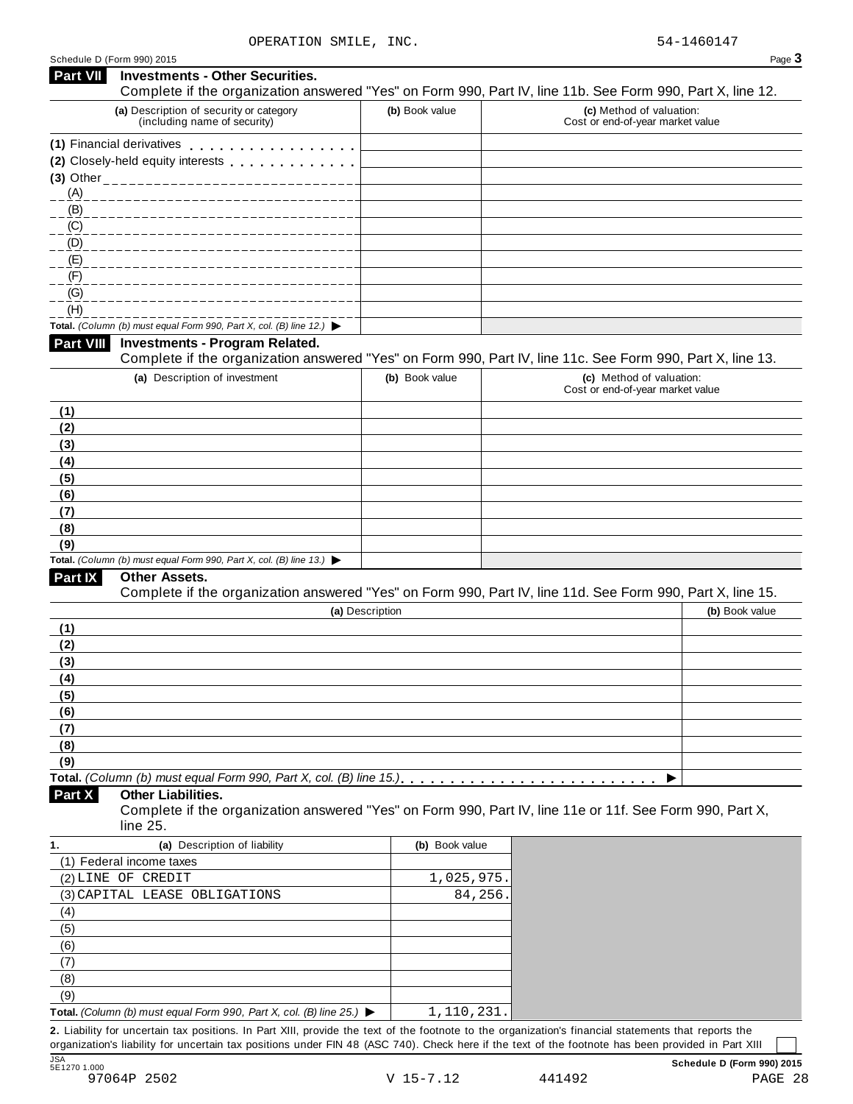|                  | Schedule D (Form 990) 2015                                                               |                 | Page 3                                                                                                     |
|------------------|------------------------------------------------------------------------------------------|-----------------|------------------------------------------------------------------------------------------------------------|
| Part VII         | <b>Investments - Other Securities.</b>                                                   |                 |                                                                                                            |
|                  |                                                                                          |                 | Complete if the organization answered "Yes" on Form 990, Part IV, line 11b. See Form 990, Part X, line 12. |
|                  | (a) Description of security or category<br>(including name of security)                  | (b) Book value  | (c) Method of valuation:<br>Cost or end-of-year market value                                               |
|                  | (1) Financial derivatives                                                                |                 |                                                                                                            |
|                  | (2) Closely-held equity interests                                                        |                 |                                                                                                            |
|                  |                                                                                          |                 |                                                                                                            |
| (A)              |                                                                                          |                 |                                                                                                            |
| (B)              |                                                                                          |                 |                                                                                                            |
| (C)              |                                                                                          |                 |                                                                                                            |
| (D)              |                                                                                          |                 |                                                                                                            |
| (E)              |                                                                                          |                 |                                                                                                            |
| (F)              |                                                                                          |                 |                                                                                                            |
| (G)              |                                                                                          |                 |                                                                                                            |
| (H)              |                                                                                          |                 |                                                                                                            |
|                  | Total. (Column (b) must equal Form 990, Part X, col. (B) line 12.) $\blacktriangleright$ |                 |                                                                                                            |
| <b>Part VIII</b> | <b>Investments - Program Related.</b>                                                    |                 | Complete if the organization answered "Yes" on Form 990, Part IV, line 11c. See Form 990, Part X, line 13. |
|                  | (a) Description of investment                                                            | (b) Book value  | (c) Method of valuation:<br>Cost or end-of-year market value                                               |
| (1)              |                                                                                          |                 |                                                                                                            |
| (2)              |                                                                                          |                 |                                                                                                            |
| (3)              |                                                                                          |                 |                                                                                                            |
| (4)              |                                                                                          |                 |                                                                                                            |
| (5)              |                                                                                          |                 |                                                                                                            |
| (6)              |                                                                                          |                 |                                                                                                            |
| (7)              |                                                                                          |                 |                                                                                                            |
| (8)              |                                                                                          |                 |                                                                                                            |
| (9)              |                                                                                          |                 |                                                                                                            |
| Part IX          | Total. (Column (b) must equal Form 990, Part X, col. (B) line 13.) $\blacktriangleright$ |                 |                                                                                                            |
|                  | <b>Other Assets.</b>                                                                     |                 | Complete if the organization answered "Yes" on Form 990, Part IV, line 11d. See Form 990, Part X, line 15. |
|                  |                                                                                          | (a) Description | (b) Book value                                                                                             |
| (1)              |                                                                                          |                 |                                                                                                            |
| (2)              |                                                                                          |                 |                                                                                                            |
| (3)              |                                                                                          |                 |                                                                                                            |
| (4)              |                                                                                          |                 |                                                                                                            |
| (5)              |                                                                                          |                 |                                                                                                            |
| (6)              |                                                                                          |                 |                                                                                                            |
| (7)              |                                                                                          |                 |                                                                                                            |
| (8)              |                                                                                          |                 |                                                                                                            |
| (9)              |                                                                                          |                 |                                                                                                            |
|                  |                                                                                          |                 |                                                                                                            |
| Part X           | <b>Other Liabilities.</b>                                                                |                 |                                                                                                            |
|                  | line 25.                                                                                 |                 | Complete if the organization answered "Yes" on Form 990, Part IV, line 11e or 11f. See Form 990, Part X,   |
|                  | (a) Description of liability                                                             | (b) Book value  |                                                                                                            |
|                  | (1) Federal income taxes                                                                 |                 |                                                                                                            |
|                  | (2) LINE OF CREDIT                                                                       | 1,025,975.      |                                                                                                            |
|                  | (3) CAPITAL LEASE OBLIGATIONS                                                            | 84,256.         |                                                                                                            |
| (4)              |                                                                                          |                 |                                                                                                            |
| (5)              |                                                                                          |                 |                                                                                                            |
| (6)              |                                                                                          |                 |                                                                                                            |
| (7)              |                                                                                          |                 |                                                                                                            |
| (8)              |                                                                                          |                 |                                                                                                            |
| (9)              |                                                                                          |                 |                                                                                                            |

(9) **Total.** *(Column (b) must equal Form 990, Part X, col. (B) line 25.)* I 1,110,231.

**2.** Liability for uncertain tax positions. In Part XIII, provide the text of the footnote to the organization's financial statements that reports the organization's liability for uncertain tax positions under FIN 48 (ASC 740). Check here ifthe text of the footnote has been provided in Part XIII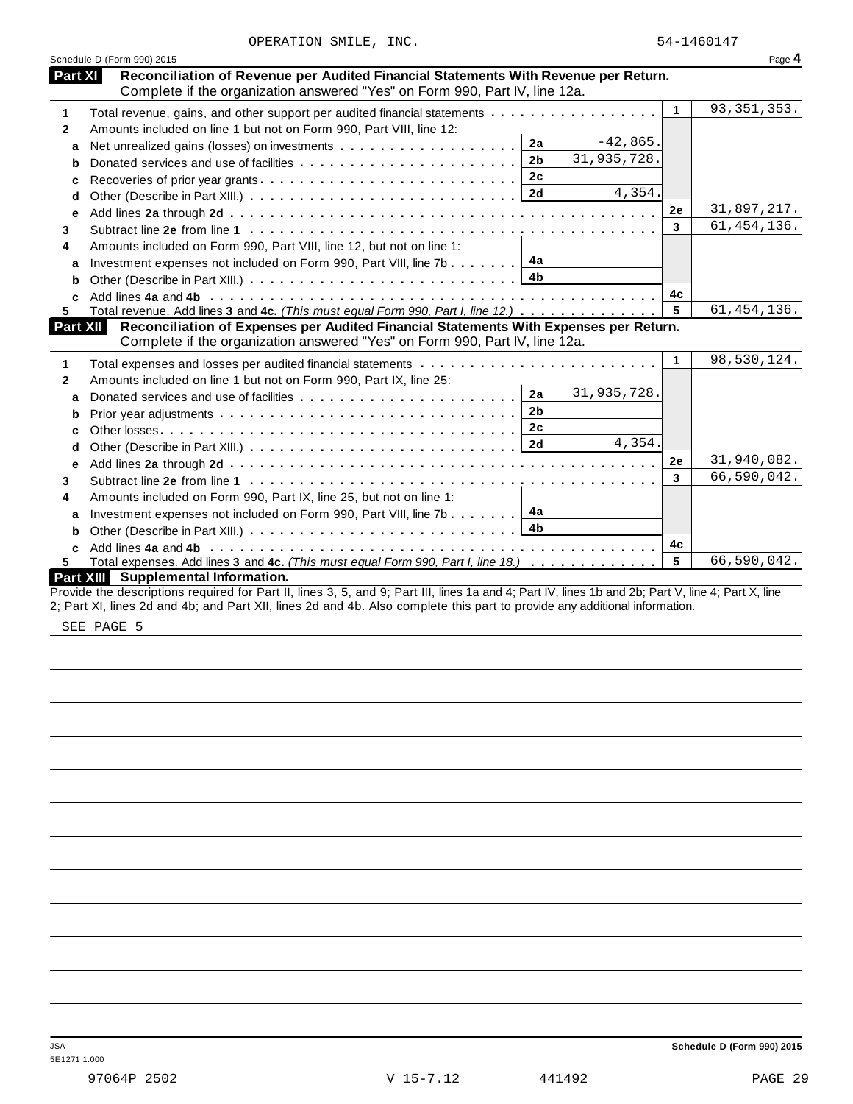| OPERATION SMILE, INC. |  | 54-1460147 |
|-----------------------|--|------------|
|                       |  |            |

|                | Schedule D (Form 990) 2015                                                                                                                                                                                                                                                       |    | Page 4        |
|----------------|----------------------------------------------------------------------------------------------------------------------------------------------------------------------------------------------------------------------------------------------------------------------------------|----|---------------|
| <b>Part XI</b> | Reconciliation of Revenue per Audited Financial Statements With Revenue per Return.<br>Complete if the organization answered "Yes" on Form 990, Part IV, line 12a.                                                                                                               |    |               |
| 1              | Total revenue, gains, and other support per audited financial statements                                                                                                                                                                                                         | 1  | 93, 351, 353. |
| $\mathbf{2}$   | Amounts included on line 1 but not on Form 990, Part VIII, line 12:                                                                                                                                                                                                              |    |               |
| a              | $-42,865.$<br>2a                                                                                                                                                                                                                                                                 |    |               |
| b              | 31, 935, 728.<br>2 <sub>b</sub>                                                                                                                                                                                                                                                  |    |               |
| c              | 2c<br>Recoveries of prior year grants                                                                                                                                                                                                                                            |    |               |
| d              | 4,354.                                                                                                                                                                                                                                                                           |    |               |
| е              |                                                                                                                                                                                                                                                                                  | 2e | 31,897,217.   |
| 3              |                                                                                                                                                                                                                                                                                  | 3  | 61, 454, 136. |
| 4              | Amounts included on Form 990, Part VIII, line 12, but not on line 1:                                                                                                                                                                                                             |    |               |
| a              | 4a<br>Investment expenses not included on Form 990, Part VIII, line 7b                                                                                                                                                                                                           |    |               |
| b              | 4b                                                                                                                                                                                                                                                                               |    |               |
| c              |                                                                                                                                                                                                                                                                                  | 4c |               |
| 5              | Total revenue. Add lines 3 and 4c. (This must equal Form 990, Part I, line 12.) $\ldots \ldots \ldots \ldots$                                                                                                                                                                    | 5  | 61, 454, 136. |
|                | Reconciliation of Expenses per Audited Financial Statements With Expenses per Return.<br>Part XII                                                                                                                                                                                |    |               |
|                | Complete if the organization answered "Yes" on Form 990, Part IV, line 12a.                                                                                                                                                                                                      |    |               |
| 1              |                                                                                                                                                                                                                                                                                  | 1  | 98,530,124.   |
| $\mathbf{2}$   | Amounts included on line 1 but not on Form 990, Part IX, line 25:                                                                                                                                                                                                                |    |               |
| a              | 31,935,728.<br>2a<br>Donated services and use of facilities                                                                                                                                                                                                                      |    |               |
| b              | 2 <sub>b</sub>                                                                                                                                                                                                                                                                   |    |               |
| c              | 2c                                                                                                                                                                                                                                                                               |    |               |
| d              | 4,354.                                                                                                                                                                                                                                                                           |    |               |
| е              |                                                                                                                                                                                                                                                                                  | 2e | 31,940,082.   |
| 3              |                                                                                                                                                                                                                                                                                  | 3  | 66,590,042.   |
| 4              | Amounts included on Form 990, Part IX, line 25, but not on line 1:                                                                                                                                                                                                               |    |               |
| a              | 4а<br>Investment expenses not included on Form 990, Part VIII, line 7b                                                                                                                                                                                                           |    |               |
| b              | 4b                                                                                                                                                                                                                                                                               |    |               |
| C.             |                                                                                                                                                                                                                                                                                  | 4c |               |
| 5.             | Total expenses. Add lines 3 and 4c. (This must equal Form 990, Part I, line 18.)                                                                                                                                                                                                 | 5  | 66,590,042.   |
|                | Part XIII Supplemental Information.                                                                                                                                                                                                                                              |    |               |
|                | Provide the descriptions required for Part II, lines 3, 5, and 9; Part III, lines 1a and 4; Part IV, lines 1b and 2b; Part V, line 4; Part X, line<br>2; Part XI, lines 2d and 4b; and Part XII, lines 2d and 4b. Also complete this part to provide any additional information. |    |               |

SEE PAGE 5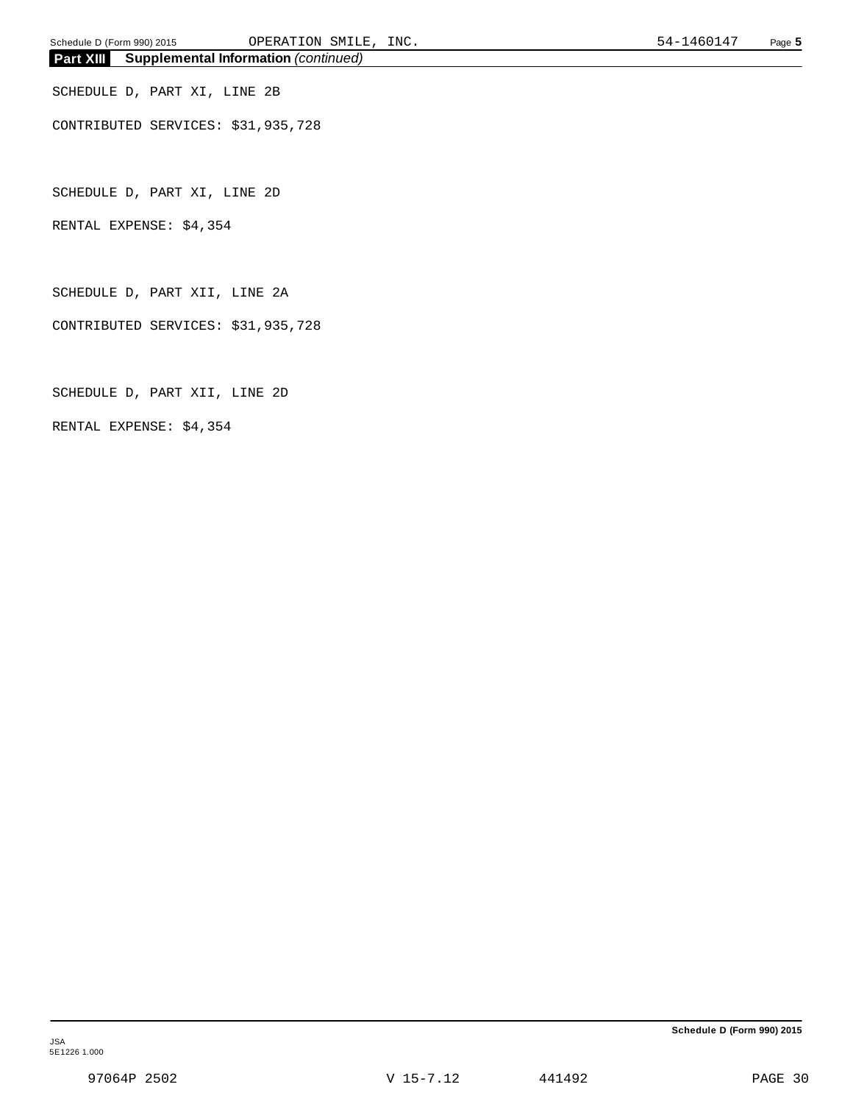SCHEDULE D, PART XI, LINE 2B

CONTRIBUTED SERVICES: \$31,935,728

SCHEDULE D, PART XI, LINE 2D

RENTAL EXPENSE: \$4,354

SCHEDULE D, PART XII, LINE 2A

CONTRIBUTED SERVICES: \$31,935,728

SCHEDULE D, PART XII, LINE 2D

RENTAL EXPENSE: \$4,354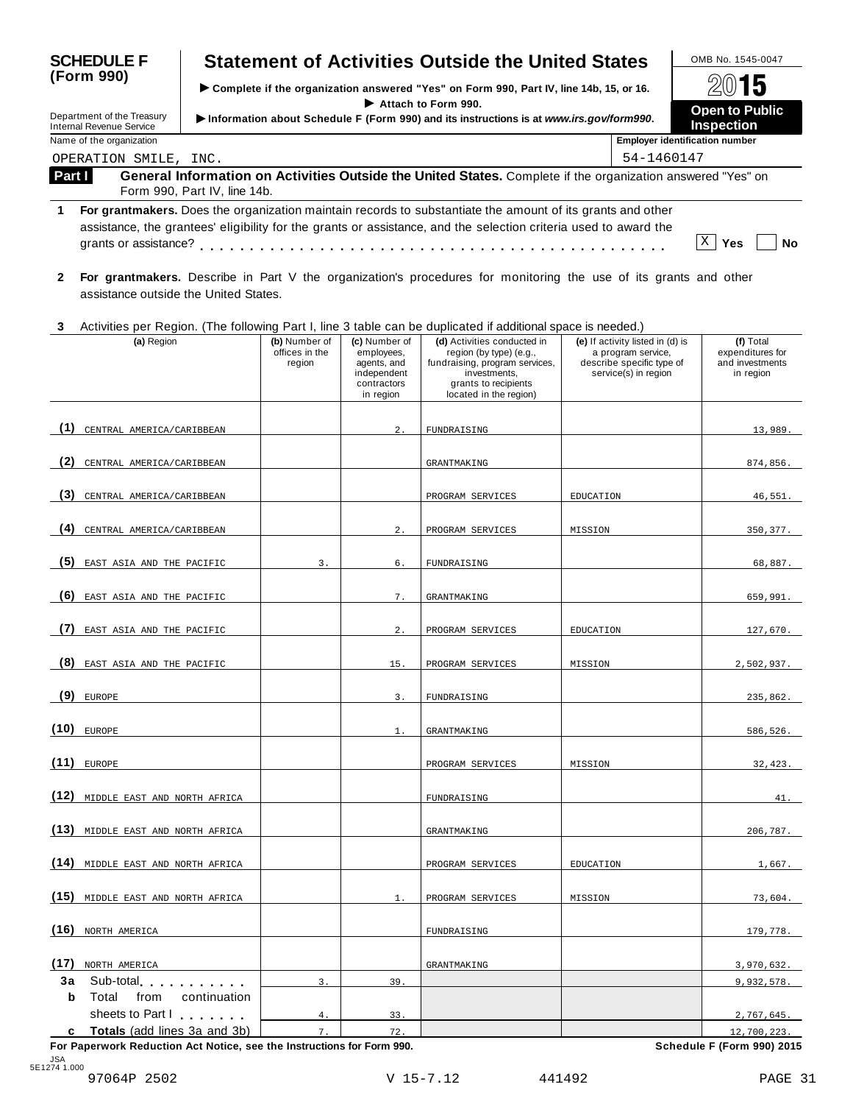|              | <b>SCHEDULE F</b>                                             |                              |                                           |                                                                                       | <b>Statement of Activities Outside the United States</b>                                                                                                                                                                       |                                                                                                             | OMB No. 1545-0047                                             |  |  |
|--------------|---------------------------------------------------------------|------------------------------|-------------------------------------------|---------------------------------------------------------------------------------------|--------------------------------------------------------------------------------------------------------------------------------------------------------------------------------------------------------------------------------|-------------------------------------------------------------------------------------------------------------|---------------------------------------------------------------|--|--|
|              | (Form 990)                                                    |                              |                                           |                                                                                       | Complete if the organization answered "Yes" on Form 990, Part IV, line 14b, 15, or 16.                                                                                                                                         |                                                                                                             | $20$ 15                                                       |  |  |
|              | Department of the Treasury<br><b>Internal Revenue Service</b> |                              |                                           |                                                                                       | Attach to Form 990.<br>Information about Schedule F (Form 990) and its instructions is at www.irs.gov/form990.                                                                                                                 |                                                                                                             | <b>Open to Public</b><br><b>Inspection</b>                    |  |  |
|              | Name of the organization                                      |                              |                                           |                                                                                       |                                                                                                                                                                                                                                |                                                                                                             | <b>Employer identification number</b>                         |  |  |
|              | OPERATION SMILE, INC.                                         |                              |                                           |                                                                                       |                                                                                                                                                                                                                                | 54-1460147                                                                                                  |                                                               |  |  |
| Part I       |                                                               | Form 990, Part IV, line 14b. |                                           |                                                                                       | General Information on Activities Outside the United States. Complete if the organization answered "Yes" on                                                                                                                    |                                                                                                             |                                                               |  |  |
| 1            |                                                               |                              |                                           |                                                                                       | For grantmakers. Does the organization maintain records to substantiate the amount of its grants and other<br>assistance, the grantees' eligibility for the grants or assistance, and the selection criteria used to award the |                                                                                                             | $ X $ Yes<br><b>No</b>                                        |  |  |
| $\mathbf{2}$ | assistance outside the United States.                         |                              |                                           |                                                                                       | For grantmakers. Describe in Part V the organization's procedures for monitoring the use of its grants and other                                                                                                               |                                                                                                             |                                                               |  |  |
| 3            |                                                               |                              |                                           |                                                                                       | Activities per Region. (The following Part I, line 3 table can be duplicated if additional space is needed.)                                                                                                                   |                                                                                                             |                                                               |  |  |
|              | (a) Region                                                    |                              | (b) Number of<br>offices in the<br>region | (c) Number of<br>employees,<br>agents, and<br>independent<br>contractors<br>in region | (d) Activities conducted in<br>region (by type) (e.g.,<br>fundraising, program services,<br>investments,<br>grants to recipients<br>located in the region)                                                                     | (e) If activity listed in (d) is<br>a program service,<br>describe specific type of<br>service(s) in region | (f) Total<br>expenditures for<br>and investments<br>in region |  |  |
|              |                                                               |                              |                                           |                                                                                       |                                                                                                                                                                                                                                |                                                                                                             |                                                               |  |  |
| (1)          | CENTRAL AMERICA/CARIBBEAN                                     |                              |                                           | 2.                                                                                    | FUNDRAISING                                                                                                                                                                                                                    |                                                                                                             | 13,989.                                                       |  |  |
| (2)          | CENTRAL AMERICA/CARIBBEAN                                     |                              |                                           |                                                                                       | <b>GRANTMAKING</b>                                                                                                                                                                                                             |                                                                                                             | 874,856.                                                      |  |  |
| (3)          | CENTRAL AMERICA/CARIBBEAN                                     |                              |                                           |                                                                                       | PROGRAM SERVICES                                                                                                                                                                                                               | EDUCATION                                                                                                   | 46,551.                                                       |  |  |
| (4)          | CENTRAL AMERICA/CARIBBEAN                                     |                              |                                           | $2$ .                                                                                 | PROGRAM SERVICES                                                                                                                                                                                                               | MISSION                                                                                                     | 350,377.                                                      |  |  |
| (5)          | EAST ASIA AND THE PACIFIC                                     |                              | 3.                                        | б.                                                                                    | FUNDRAISING                                                                                                                                                                                                                    |                                                                                                             | 68,887.                                                       |  |  |
| (6)          | EAST ASIA AND THE PACIFIC                                     |                              |                                           | 7.                                                                                    | GRANTMAKING                                                                                                                                                                                                                    |                                                                                                             | 659,991.                                                      |  |  |
|              | EAST ASIA AND THE PACIFIC                                     |                              |                                           | 2.                                                                                    | PROGRAM SERVICES                                                                                                                                                                                                               | EDUCATION                                                                                                   | 127,670.                                                      |  |  |
| (8)          | EAST ASIA AND THE PACIFIC                                     |                              |                                           | 15.                                                                                   | PROGRAM SERVICES                                                                                                                                                                                                               | MISSION                                                                                                     | 2,502,937.                                                    |  |  |
| (9)          | <b>EUROPE</b>                                                 |                              |                                           | 3.                                                                                    | FUNDRAISING                                                                                                                                                                                                                    |                                                                                                             | 235,862.                                                      |  |  |
|              | $(10)$ EUROPE                                                 |                              |                                           | 1.                                                                                    | <b>GRANTMAKING</b>                                                                                                                                                                                                             |                                                                                                             | 586,526.                                                      |  |  |
|              | $(11)$ EUROPE                                                 |                              |                                           |                                                                                       | PROGRAM SERVICES                                                                                                                                                                                                               | MISSION                                                                                                     | 32,423.                                                       |  |  |
|              | (12) MIDDLE EAST AND NORTH AFRICA                             |                              |                                           |                                                                                       | FUNDRAISING                                                                                                                                                                                                                    |                                                                                                             | 41.                                                           |  |  |
|              | (13) MIDDLE EAST AND NORTH AFRICA                             |                              |                                           |                                                                                       | <b>GRANTMAKING</b>                                                                                                                                                                                                             |                                                                                                             | 206,787.                                                      |  |  |
|              | (14) MIDDLE EAST AND NORTH AFRICA                             |                              |                                           |                                                                                       | PROGRAM SERVICES                                                                                                                                                                                                               | EDUCATION                                                                                                   | 1,667.                                                        |  |  |
|              | (15) MIDDLE EAST AND NORTH AFRICA                             |                              |                                           | 1.                                                                                    | PROGRAM SERVICES                                                                                                                                                                                                               | MISSION                                                                                                     | 73,604.                                                       |  |  |
|              | (16) NORTH AMERICA                                            |                              |                                           |                                                                                       | FUNDRAISING                                                                                                                                                                                                                    |                                                                                                             | 179,778.                                                      |  |  |
|              | (17) NORTH AMERICA                                            |                              |                                           |                                                                                       | <b>GRANTMAKING</b>                                                                                                                                                                                                             |                                                                                                             | 3,970,632.                                                    |  |  |
| Зa           | Sub-total services and sub-                                   |                              | 3.                                        | 39.                                                                                   |                                                                                                                                                                                                                                |                                                                                                             | 9,932,578.                                                    |  |  |
| b            | Total from                                                    | continuation                 |                                           |                                                                                       |                                                                                                                                                                                                                                |                                                                                                             |                                                               |  |  |
|              | sheets to Part I                                              |                              | 4.                                        | 33.                                                                                   |                                                                                                                                                                                                                                |                                                                                                             | 2,767,645.                                                    |  |  |
|              | c Totals (add lines 3a and 3b)                                |                              | 7.                                        | 72.                                                                                   |                                                                                                                                                                                                                                |                                                                                                             | 12,700,223.                                                   |  |  |

**For Paperwork Reduction Act Notice, see the Instructions for Form 990. Schedule F (Form 990) 2015** JSA 5E1274 1.000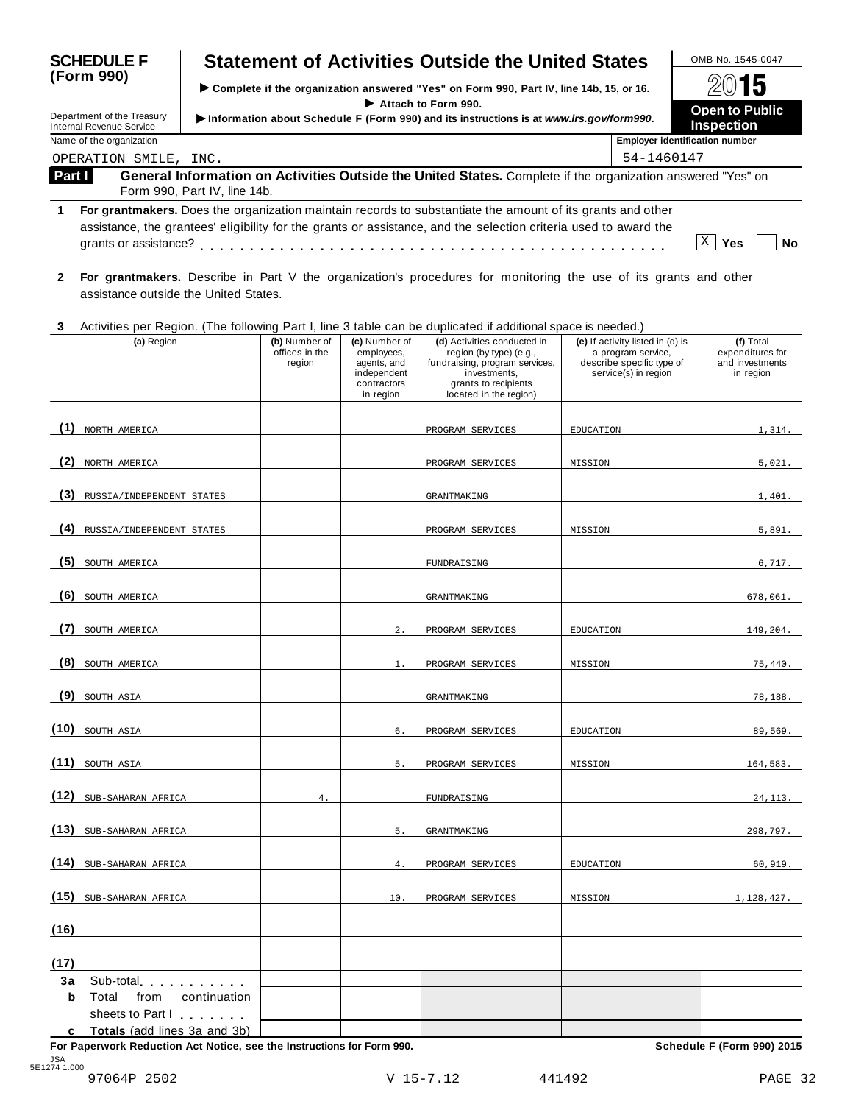|               |                                                                                                                                                                                                                                                                                                                 |                                                                                                                                                                                                                                                                                                    |                                                                                       |                                                                                                                                                            |                                         | OMB No. 1545-0047                                                                                                                                                                                                                                                                                                                                                                                                                                                                                                                                                                                                                                                                                                                                                                                                                                                                                                                                                                                                                                            |
|---------------|-----------------------------------------------------------------------------------------------------------------------------------------------------------------------------------------------------------------------------------------------------------------------------------------------------------------|----------------------------------------------------------------------------------------------------------------------------------------------------------------------------------------------------------------------------------------------------------------------------------------------------|---------------------------------------------------------------------------------------|------------------------------------------------------------------------------------------------------------------------------------------------------------|-----------------------------------------|--------------------------------------------------------------------------------------------------------------------------------------------------------------------------------------------------------------------------------------------------------------------------------------------------------------------------------------------------------------------------------------------------------------------------------------------------------------------------------------------------------------------------------------------------------------------------------------------------------------------------------------------------------------------------------------------------------------------------------------------------------------------------------------------------------------------------------------------------------------------------------------------------------------------------------------------------------------------------------------------------------------------------------------------------------------|
|               |                                                                                                                                                                                                                                                                                                                 |                                                                                                                                                                                                                                                                                                    |                                                                                       |                                                                                                                                                            |                                         | $20$ 15                                                                                                                                                                                                                                                                                                                                                                                                                                                                                                                                                                                                                                                                                                                                                                                                                                                                                                                                                                                                                                                      |
|               |                                                                                                                                                                                                                                                                                                                 |                                                                                                                                                                                                                                                                                                    |                                                                                       |                                                                                                                                                            |                                         | <b>Open to Public</b><br><b>Inspection</b>                                                                                                                                                                                                                                                                                                                                                                                                                                                                                                                                                                                                                                                                                                                                                                                                                                                                                                                                                                                                                   |
|               |                                                                                                                                                                                                                                                                                                                 |                                                                                                                                                                                                                                                                                                    |                                                                                       |                                                                                                                                                            |                                         |                                                                                                                                                                                                                                                                                                                                                                                                                                                                                                                                                                                                                                                                                                                                                                                                                                                                                                                                                                                                                                                              |
|               |                                                                                                                                                                                                                                                                                                                 |                                                                                                                                                                                                                                                                                                    |                                                                                       |                                                                                                                                                            |                                         |                                                                                                                                                                                                                                                                                                                                                                                                                                                                                                                                                                                                                                                                                                                                                                                                                                                                                                                                                                                                                                                              |
|               |                                                                                                                                                                                                                                                                                                                 |                                                                                                                                                                                                                                                                                                    |                                                                                       |                                                                                                                                                            |                                         |                                                                                                                                                                                                                                                                                                                                                                                                                                                                                                                                                                                                                                                                                                                                                                                                                                                                                                                                                                                                                                                              |
|               |                                                                                                                                                                                                                                                                                                                 |                                                                                                                                                                                                                                                                                                    |                                                                                       |                                                                                                                                                            |                                         | $ X $ Yes<br><b>No</b>                                                                                                                                                                                                                                                                                                                                                                                                                                                                                                                                                                                                                                                                                                                                                                                                                                                                                                                                                                                                                                       |
|               |                                                                                                                                                                                                                                                                                                                 |                                                                                                                                                                                                                                                                                                    |                                                                                       |                                                                                                                                                            |                                         |                                                                                                                                                                                                                                                                                                                                                                                                                                                                                                                                                                                                                                                                                                                                                                                                                                                                                                                                                                                                                                                              |
|               |                                                                                                                                                                                                                                                                                                                 |                                                                                                                                                                                                                                                                                                    |                                                                                       |                                                                                                                                                            |                                         |                                                                                                                                                                                                                                                                                                                                                                                                                                                                                                                                                                                                                                                                                                                                                                                                                                                                                                                                                                                                                                                              |
| (a) Region    |                                                                                                                                                                                                                                                                                                                 | (b) Number of<br>offices in the<br>region                                                                                                                                                                                                                                                          | (c) Number of<br>employees,<br>agents, and<br>independent<br>contractors<br>in region | (d) Activities conducted in<br>region (by type) (e.g.,<br>fundraising, program services,<br>investments,<br>grants to recipients<br>located in the region) |                                         | (f) Total<br>expenditures for<br>and investments<br>in region                                                                                                                                                                                                                                                                                                                                                                                                                                                                                                                                                                                                                                                                                                                                                                                                                                                                                                                                                                                                |
|               |                                                                                                                                                                                                                                                                                                                 |                                                                                                                                                                                                                                                                                                    |                                                                                       |                                                                                                                                                            |                                         | 1,314.                                                                                                                                                                                                                                                                                                                                                                                                                                                                                                                                                                                                                                                                                                                                                                                                                                                                                                                                                                                                                                                       |
|               |                                                                                                                                                                                                                                                                                                                 |                                                                                                                                                                                                                                                                                                    |                                                                                       |                                                                                                                                                            |                                         |                                                                                                                                                                                                                                                                                                                                                                                                                                                                                                                                                                                                                                                                                                                                                                                                                                                                                                                                                                                                                                                              |
| NORTH AMERICA |                                                                                                                                                                                                                                                                                                                 |                                                                                                                                                                                                                                                                                                    |                                                                                       | PROGRAM SERVICES                                                                                                                                           | MISSION                                 | 5,021.                                                                                                                                                                                                                                                                                                                                                                                                                                                                                                                                                                                                                                                                                                                                                                                                                                                                                                                                                                                                                                                       |
|               |                                                                                                                                                                                                                                                                                                                 |                                                                                                                                                                                                                                                                                                    |                                                                                       | <b>GRANTMAKING</b>                                                                                                                                         |                                         | 1,401.                                                                                                                                                                                                                                                                                                                                                                                                                                                                                                                                                                                                                                                                                                                                                                                                                                                                                                                                                                                                                                                       |
|               |                                                                                                                                                                                                                                                                                                                 |                                                                                                                                                                                                                                                                                                    |                                                                                       | PROGRAM SERVICES                                                                                                                                           | MISSION                                 | 5,891.                                                                                                                                                                                                                                                                                                                                                                                                                                                                                                                                                                                                                                                                                                                                                                                                                                                                                                                                                                                                                                                       |
| SOUTH AMERICA |                                                                                                                                                                                                                                                                                                                 |                                                                                                                                                                                                                                                                                                    |                                                                                       | FUNDRAISING                                                                                                                                                |                                         | 6,717.                                                                                                                                                                                                                                                                                                                                                                                                                                                                                                                                                                                                                                                                                                                                                                                                                                                                                                                                                                                                                                                       |
| SOUTH AMERICA |                                                                                                                                                                                                                                                                                                                 |                                                                                                                                                                                                                                                                                                    |                                                                                       | GRANTMAKING                                                                                                                                                |                                         | 678,061.                                                                                                                                                                                                                                                                                                                                                                                                                                                                                                                                                                                                                                                                                                                                                                                                                                                                                                                                                                                                                                                     |
| SOUTH AMERICA |                                                                                                                                                                                                                                                                                                                 |                                                                                                                                                                                                                                                                                                    | 2.                                                                                    | PROGRAM SERVICES                                                                                                                                           |                                         | 149,204.                                                                                                                                                                                                                                                                                                                                                                                                                                                                                                                                                                                                                                                                                                                                                                                                                                                                                                                                                                                                                                                     |
|               |                                                                                                                                                                                                                                                                                                                 |                                                                                                                                                                                                                                                                                                    | $1$ .                                                                                 | PROGRAM SERVICES                                                                                                                                           | MISSION                                 | 75,440.                                                                                                                                                                                                                                                                                                                                                                                                                                                                                                                                                                                                                                                                                                                                                                                                                                                                                                                                                                                                                                                      |
|               |                                                                                                                                                                                                                                                                                                                 |                                                                                                                                                                                                                                                                                                    |                                                                                       | <b>GRANTMAKING</b>                                                                                                                                         |                                         | 78,188.                                                                                                                                                                                                                                                                                                                                                                                                                                                                                                                                                                                                                                                                                                                                                                                                                                                                                                                                                                                                                                                      |
|               |                                                                                                                                                                                                                                                                                                                 |                                                                                                                                                                                                                                                                                                    | б.                                                                                    | PROGRAM SERVICES                                                                                                                                           |                                         | 89,569.                                                                                                                                                                                                                                                                                                                                                                                                                                                                                                                                                                                                                                                                                                                                                                                                                                                                                                                                                                                                                                                      |
|               |                                                                                                                                                                                                                                                                                                                 |                                                                                                                                                                                                                                                                                                    | 5.                                                                                    | PROGRAM SERVICES                                                                                                                                           | MISSION                                 | 164,583.                                                                                                                                                                                                                                                                                                                                                                                                                                                                                                                                                                                                                                                                                                                                                                                                                                                                                                                                                                                                                                                     |
|               |                                                                                                                                                                                                                                                                                                                 | $4$ .                                                                                                                                                                                                                                                                                              |                                                                                       | FUNDRAISING                                                                                                                                                |                                         | 24,113.                                                                                                                                                                                                                                                                                                                                                                                                                                                                                                                                                                                                                                                                                                                                                                                                                                                                                                                                                                                                                                                      |
|               |                                                                                                                                                                                                                                                                                                                 |                                                                                                                                                                                                                                                                                                    | 5.                                                                                    | <b>GRANTMAKING</b>                                                                                                                                         |                                         | 298,797.                                                                                                                                                                                                                                                                                                                                                                                                                                                                                                                                                                                                                                                                                                                                                                                                                                                                                                                                                                                                                                                     |
|               |                                                                                                                                                                                                                                                                                                                 |                                                                                                                                                                                                                                                                                                    | 4.                                                                                    | PROGRAM SERVICES                                                                                                                                           |                                         | 60,919.                                                                                                                                                                                                                                                                                                                                                                                                                                                                                                                                                                                                                                                                                                                                                                                                                                                                                                                                                                                                                                                      |
|               |                                                                                                                                                                                                                                                                                                                 |                                                                                                                                                                                                                                                                                                    | 10.                                                                                   | PROGRAM SERVICES                                                                                                                                           | MISSION                                 | 1,128,427.                                                                                                                                                                                                                                                                                                                                                                                                                                                                                                                                                                                                                                                                                                                                                                                                                                                                                                                                                                                                                                                   |
|               |                                                                                                                                                                                                                                                                                                                 |                                                                                                                                                                                                                                                                                                    |                                                                                       |                                                                                                                                                            |                                         |                                                                                                                                                                                                                                                                                                                                                                                                                                                                                                                                                                                                                                                                                                                                                                                                                                                                                                                                                                                                                                                              |
|               |                                                                                                                                                                                                                                                                                                                 |                                                                                                                                                                                                                                                                                                    |                                                                                       |                                                                                                                                                            |                                         |                                                                                                                                                                                                                                                                                                                                                                                                                                                                                                                                                                                                                                                                                                                                                                                                                                                                                                                                                                                                                                                              |
| Total from    |                                                                                                                                                                                                                                                                                                                 |                                                                                                                                                                                                                                                                                                    |                                                                                       |                                                                                                                                                            |                                         |                                                                                                                                                                                                                                                                                                                                                                                                                                                                                                                                                                                                                                                                                                                                                                                                                                                                                                                                                                                                                                                              |
|               | <b>SCHEDULE F</b><br>(Form 990)<br>Department of the Treasury<br><b>Internal Revenue Service</b><br>Name of the organization<br>Part I<br>(1)<br>NORTH AMERICA<br>(2)<br>(3)<br>(4)<br>(5)<br>(6)<br>(8) SOUTH AMERICA<br>$(9)$ south asia<br>$(10)$ SOUTH ASIA<br>$(11)$ SOUTH ASIA<br>(16)<br>(17)<br>За<br>b | OPERATION SMILE, INC.<br>RUSSIA/INDEPENDENT STATES<br>RUSSIA/INDEPENDENT STATES<br>(12) SUB-SAHARAN AFRICA<br>(13) SUB-SAHARAN AFRICA<br>(14) SUB-SAHARAN AFRICA<br>(15) SUB-SAHARAN AFRICA<br>Sub-total experience and sub-<br>continuation<br>sheets to Part I<br>c Totals (add lines 3a and 3b) | Form 990, Part IV, line 14b.<br>assistance outside the United States.                 |                                                                                                                                                            | Attach to Form 990.<br>PROGRAM SERVICES | <b>Statement of Activities Outside the United States</b><br>Complete if the organization answered "Yes" on Form 990, Part IV, line 14b, 15, or 16.<br>Information about Schedule F (Form 990) and its instructions is at www.irs.gov/form990.<br><b>Employer identification number</b><br>54-1460147<br>General Information on Activities Outside the United States. Complete if the organization answered "Yes" on<br>For grantmakers. Does the organization maintain records to substantiate the amount of its grants and other<br>assistance, the grantees' eligibility for the grants or assistance, and the selection criteria used to award the<br>For grantmakers. Describe in Part V the organization's procedures for monitoring the use of its grants and other<br>Activities per Region. (The following Part I, line 3 table can be duplicated if additional space is needed.)<br>(e) If activity listed in (d) is<br>a program service,<br>describe specific type of<br>service(s) in region<br>EDUCATION<br>EDUCATION<br>EDUCATION<br>EDUCATION |

**For Paperwork Reduction Act Notice, see the Instructions for Form 990. Schedule F (Form 990) 2015**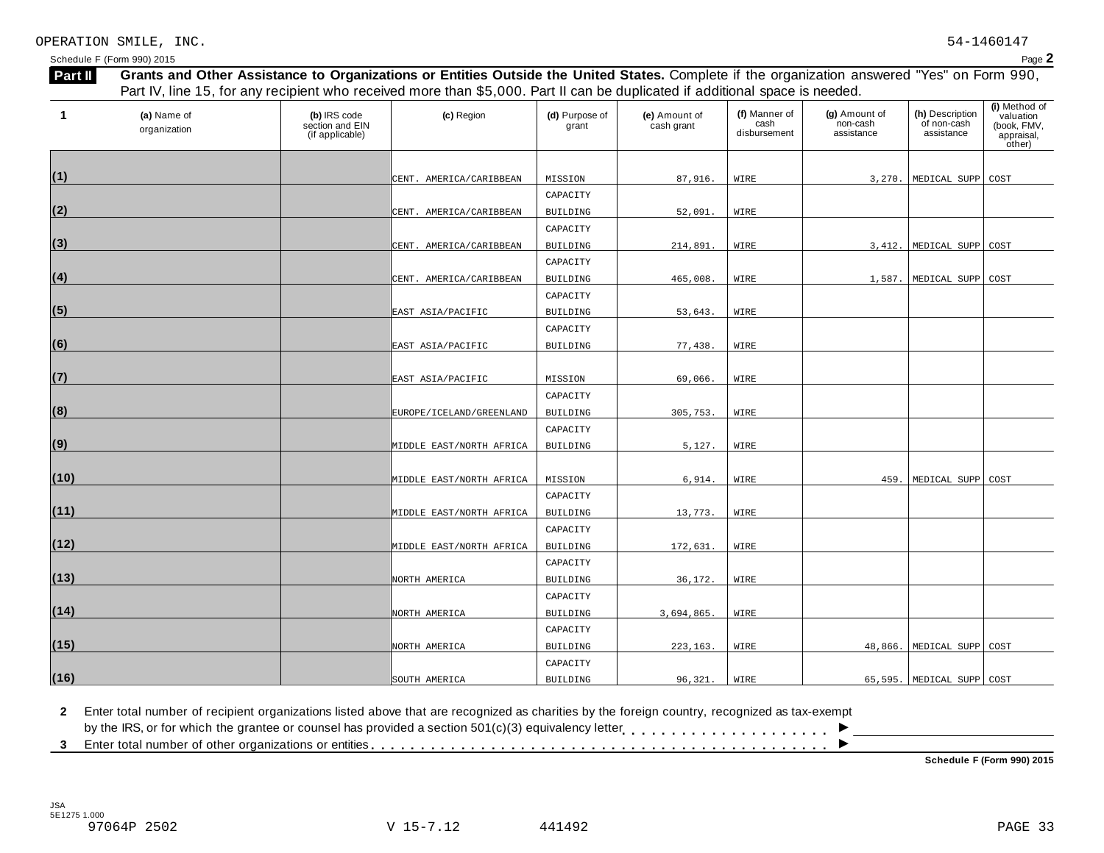**(a)** Name of organization

|      |                          |                 |            |      |                               | other) |
|------|--------------------------|-----------------|------------|------|-------------------------------|--------|
|      |                          |                 |            |      |                               |        |
| (1)  | CENT. AMERICA/CARIBBEAN  | MISSION         | 87,916.    | WIRE | 3,270. MEDICAL SUPP COST      |        |
|      |                          | CAPACITY        |            |      |                               |        |
| (2)  | CENT. AMERICA/CARIBBEAN  | BUILDING        | 52,091.    | WIRE |                               |        |
|      |                          | CAPACITY        |            |      |                               |        |
| (3)  | CENT. AMERICA/CARIBBEAN  | BUILDING        | 214,891.   | WIRE | 3,412.   MEDICAL SUPP   COST  |        |
|      |                          | CAPACITY        |            |      |                               |        |
| (4)  | CENT. AMERICA/CARIBBEAN  | <b>BUILDING</b> | 465,008.   | WIRE | 1,587.   MEDICAL SUPP   COST  |        |
|      |                          | CAPACITY        |            |      |                               |        |
| (5)  | EAST ASIA/PACIFIC        | <b>BUILDING</b> | 53,643.    | WIRE |                               |        |
|      |                          | CAPACITY        |            |      |                               |        |
| (6)  | EAST ASIA/PACIFIC        | BUILDING        | 77,438.    | WIRE |                               |        |
|      |                          |                 |            |      |                               |        |
| (7)  | EAST ASIA/PACIFIC        | MISSION         | 69,066.    | WIRE |                               |        |
|      |                          | CAPACITY        |            |      |                               |        |
| (8)  | EUROPE/ICELAND/GREENLAND | <b>BUILDING</b> | 305,753.   | WIRE |                               |        |
|      |                          | CAPACITY        |            |      |                               |        |
| (9)  | MIDDLE EAST/NORTH AFRICA | <b>BUILDING</b> | 5,127.     | WIRE |                               |        |
|      |                          |                 |            |      |                               |        |
| (10) | MIDDLE EAST/NORTH AFRICA | MISSION         | 6,914.     | WIRE | 459.   MEDICAL SUPP COST      |        |
|      |                          | CAPACITY        |            |      |                               |        |
| (11) | MIDDLE EAST/NORTH AFRICA | <b>BUILDING</b> | 13,773.    | WIRE |                               |        |
|      |                          | CAPACITY        |            |      |                               |        |
| (12) | MIDDLE EAST/NORTH AFRICA | BUILDING        | 172,631.   | WIRE |                               |        |
|      |                          | CAPACITY        |            |      |                               |        |
| (13) | NORTH AMERICA            | BUILDING        | 36,172.    | WIRE |                               |        |
|      |                          | CAPACITY        |            |      |                               |        |
| (14) | NORTH AMERICA            | <b>BUILDING</b> | 3,694,865. | WIRE |                               |        |
|      |                          | CAPACITY        |            |      |                               |        |
| (15) | NORTH AMERICA            | BUILDING        | 223, 163.  | WIRE | 48,866.   MEDICAL SUPP   COST |        |
|      |                          | CAPACITY        |            |      |                               |        |
| (16) | SOUTH AMERICA            | BUILDING        | 96,321.    | WIRE | 65,595. MEDICAL SUPP COST     |        |

OPERATION SMILE, INC. 54-1460147

**1**

Schedule <sup>F</sup> (Form 990) <sup>2015</sup> Page **2 Grants and Other Assistance to Organizations or Entities Outside the United States.** Complete ifthe organization answered "Yes" on Form 990, **Part II** Grants and Other Assistance to Organizations or Entities Outside the United States. Complete if the organization are Part IV, line 15, for any recipient who received more than \$5,000. Part II can be duplicated if

grant

**(c)** Region **(d)** Purpose of

**(f)** Manner of cash disbursement

**(e)** Amount of cash grant

**(g)** Amount of non-cash assistance

**2** Enter total number of recipient organizations listed above that are recognized as charities by the foreign country, recognized as tax-exempt

**(b)** IRS code section and EIN (if applicable)

2 Enter total number of recipient organizations listed above that are recognized as charities by the foreign country, recognized as tax-exempt<br>by the IRS, or for which the grantee or counsel has provided a section 501(c)(

**Schedule F (Form 990) 2015**

**(h)** Description of non-cash assistance

**(i)** Method of valuation (book, FMV, appraisal,

 $\overline{\phantom{a}}$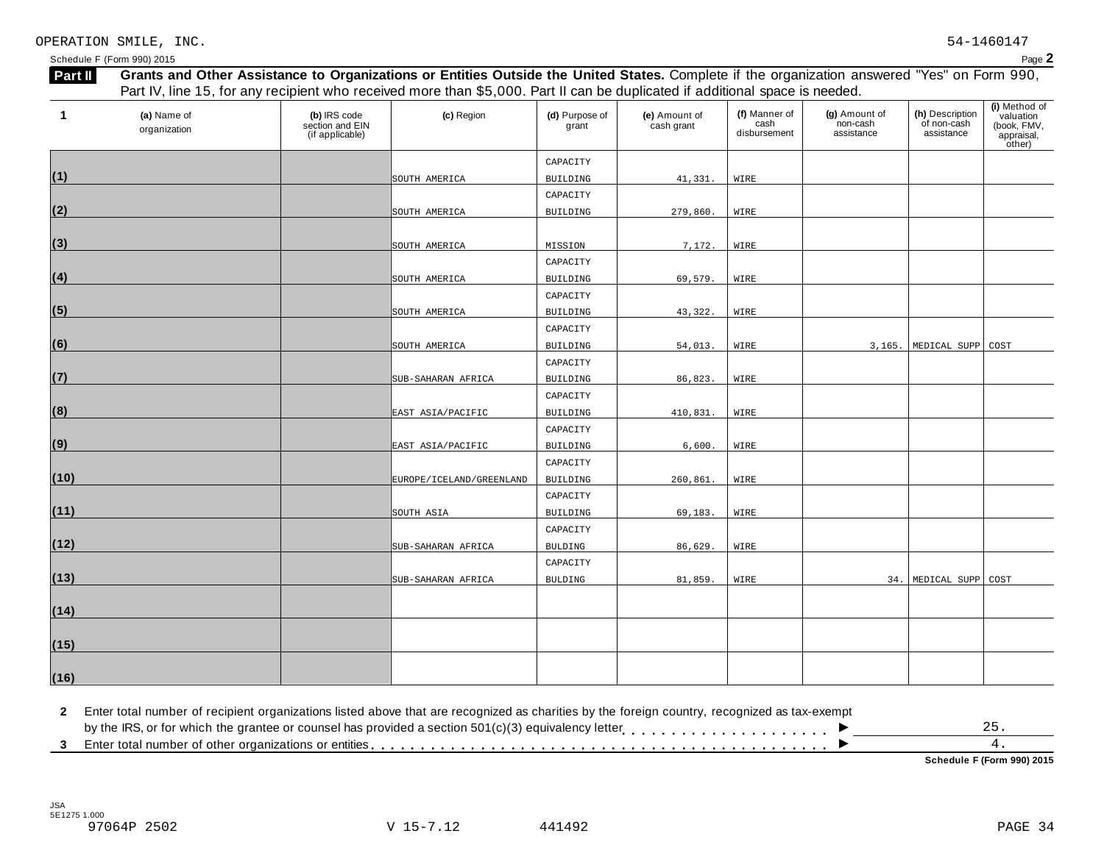| OPERATION SMILE, INC. | 54-1460147 |
|-----------------------|------------|
|-----------------------|------------|

Schedule <sup>F</sup> (Form 990) <sup>2015</sup> Page **2**

| Part II | Grants and Other Assistance to Organizations or Entities Outside the United States. Complete if the organization answered "Yes" on Form 990,<br>Part IV, line 15, for any recipient who received more than \$5,000. Part II can be duplicated if additional space is needed. |                                                    |                          |                         |                             |                                       |                                         |                                              |                                                                   |  |
|---------|------------------------------------------------------------------------------------------------------------------------------------------------------------------------------------------------------------------------------------------------------------------------------|----------------------------------------------------|--------------------------|-------------------------|-----------------------------|---------------------------------------|-----------------------------------------|----------------------------------------------|-------------------------------------------------------------------|--|
| 1       | (a) Name of<br>organization                                                                                                                                                                                                                                                  | (b) IRS code<br>section and EIN<br>(if applicable) | (c) Region               | (d) Purpose of<br>grant | (e) Amount of<br>cash grant | (f) Manner of<br>cash<br>disbursement | (g) Amount of<br>non-cash<br>assistance | (h) Description<br>of non-cash<br>assistance | (i) Method of<br>valuation<br>(book, FMV,<br>appraisal,<br>other) |  |
|         |                                                                                                                                                                                                                                                                              |                                                    |                          | CAPACITY                |                             |                                       |                                         |                                              |                                                                   |  |
| (1)     |                                                                                                                                                                                                                                                                              |                                                    | SOUTH AMERICA            | <b>BUILDING</b>         | 41,331.                     | WIRE                                  |                                         |                                              |                                                                   |  |
|         |                                                                                                                                                                                                                                                                              |                                                    |                          | CAPACITY                |                             |                                       |                                         |                                              |                                                                   |  |
| (2)     |                                                                                                                                                                                                                                                                              |                                                    | SOUTH AMERICA            | BUILDING                | 279,860.                    | WIRE                                  |                                         |                                              |                                                                   |  |
| (3)     |                                                                                                                                                                                                                                                                              |                                                    | SOUTH AMERICA            | MISSION                 | 7,172.                      | WIRE                                  |                                         |                                              |                                                                   |  |
|         |                                                                                                                                                                                                                                                                              |                                                    |                          | CAPACITY                |                             |                                       |                                         |                                              |                                                                   |  |
| (4)     |                                                                                                                                                                                                                                                                              |                                                    | SOUTH AMERICA            | BUILDING                | 69,579.                     | WIRE                                  |                                         |                                              |                                                                   |  |
|         |                                                                                                                                                                                                                                                                              |                                                    |                          | CAPACITY                |                             |                                       |                                         |                                              |                                                                   |  |
| (5)     |                                                                                                                                                                                                                                                                              |                                                    | SOUTH AMERICA            | BUILDING                | 43,322.                     | WIRE                                  |                                         |                                              |                                                                   |  |
|         |                                                                                                                                                                                                                                                                              |                                                    |                          | CAPACITY                |                             |                                       |                                         |                                              |                                                                   |  |
| (6)     |                                                                                                                                                                                                                                                                              |                                                    | SOUTH AMERICA            | <b>BUILDING</b>         | 54,013.                     | WIRE                                  |                                         | 3,165.   MEDICAL SUPP COST                   |                                                                   |  |
|         |                                                                                                                                                                                                                                                                              |                                                    |                          | CAPACITY                |                             |                                       |                                         |                                              |                                                                   |  |
| (7)     |                                                                                                                                                                                                                                                                              |                                                    | SUB-SAHARAN AFRICA       | <b>BUILDING</b>         | 86,823.                     | WIRE                                  |                                         |                                              |                                                                   |  |
|         |                                                                                                                                                                                                                                                                              |                                                    |                          | CAPACITY                |                             |                                       |                                         |                                              |                                                                   |  |
| (8)     |                                                                                                                                                                                                                                                                              |                                                    | EAST ASIA/PACIFIC        | BUILDING                | 410,831.                    | WIRE                                  |                                         |                                              |                                                                   |  |
|         |                                                                                                                                                                                                                                                                              |                                                    |                          | CAPACITY                |                             |                                       |                                         |                                              |                                                                   |  |
| (9)     |                                                                                                                                                                                                                                                                              |                                                    | EAST ASIA/PACIFIC        | <b>BUILDING</b>         | 6,600.                      | WIRE                                  |                                         |                                              |                                                                   |  |
|         |                                                                                                                                                                                                                                                                              |                                                    |                          | CAPACITY                |                             |                                       |                                         |                                              |                                                                   |  |
| (10)    |                                                                                                                                                                                                                                                                              |                                                    | EUROPE/ICELAND/GREENLAND | <b>BUILDING</b>         | 260,861.                    | WIRE                                  |                                         |                                              |                                                                   |  |
|         |                                                                                                                                                                                                                                                                              |                                                    |                          | CAPACITY                |                             |                                       |                                         |                                              |                                                                   |  |
| (11)    |                                                                                                                                                                                                                                                                              |                                                    | SOUTH ASIA               | BUILDING                | 69,183.                     | WIRE                                  |                                         |                                              |                                                                   |  |
|         |                                                                                                                                                                                                                                                                              |                                                    |                          | CAPACITY                |                             |                                       |                                         |                                              |                                                                   |  |
| (12)    |                                                                                                                                                                                                                                                                              |                                                    | SUB-SAHARAN AFRICA       | BULDING                 | 86,629.                     | WIRE                                  |                                         |                                              |                                                                   |  |
|         |                                                                                                                                                                                                                                                                              |                                                    |                          | CAPACITY                |                             |                                       |                                         |                                              |                                                                   |  |
| (13)    |                                                                                                                                                                                                                                                                              |                                                    | SUB-SAHARAN AFRICA       | <b>BULDING</b>          | 81,859.                     | WIRE                                  |                                         | 34. MEDICAL SUPP COST                        |                                                                   |  |
| (14)    |                                                                                                                                                                                                                                                                              |                                                    |                          |                         |                             |                                       |                                         |                                              |                                                                   |  |
| (15)    |                                                                                                                                                                                                                                                                              |                                                    |                          |                         |                             |                                       |                                         |                                              |                                                                   |  |
| (16)    |                                                                                                                                                                                                                                                                              |                                                    |                          |                         |                             |                                       |                                         |                                              |                                                                   |  |

**2** Enter total number of recipient organizations listed above that are recognized as charities by the foreign country, recognized as tax-exempt 2 Enter total number of recipient organizations listed above that are recognized as charities by the foreign country, recognized as tax-exempt<br>by the IRS, or for which the grantee or counsel has provided a section 501(c)(  $\overline{\phantom{a}}$ 25. 4.

**Schedule F (Form 990) 2015**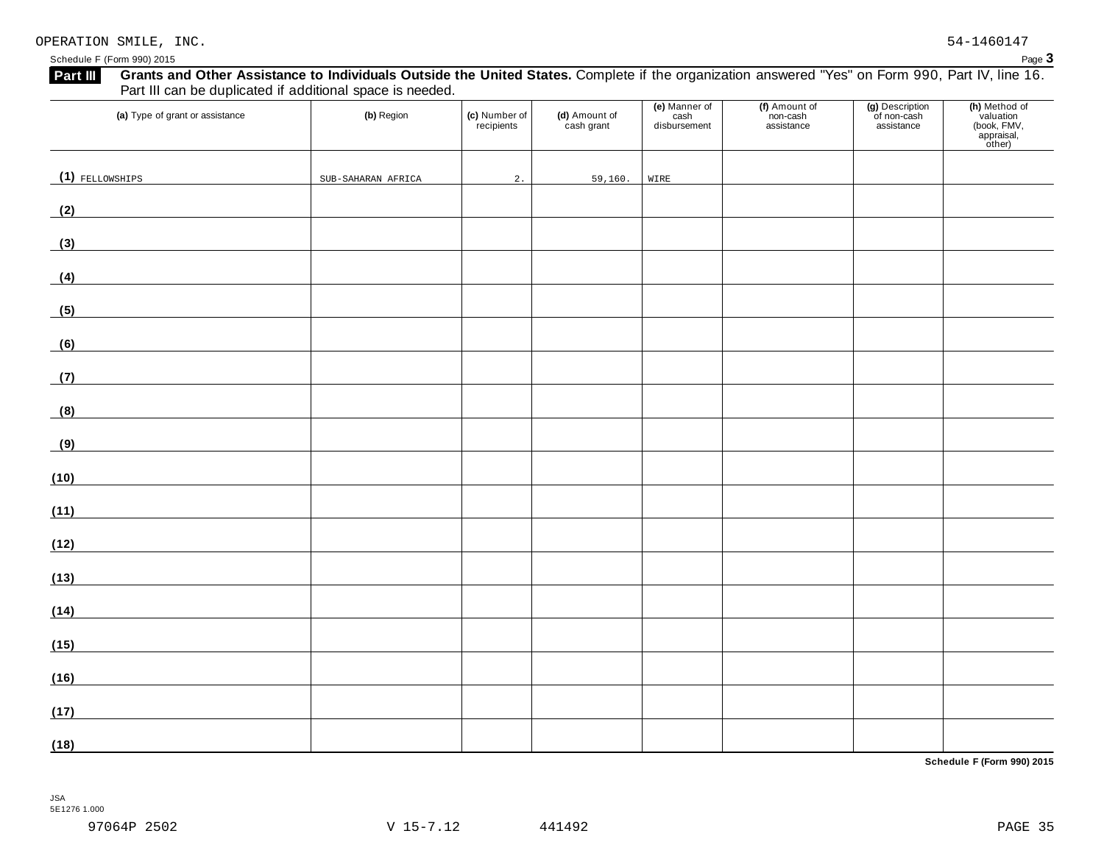| (a) Type of grant or assistance | (b) Region         | (c) Number of<br>recipients | (d) Amount of<br>cash grant | (e) Manner of<br>cash<br>disbursement | (f) Amount of<br>non-cash<br>assistance | (g) Description<br>of non-cash<br>assistance | (h) Method of<br>valuation<br>(book, FMV,<br>appraisal,<br>other) |
|---------------------------------|--------------------|-----------------------------|-----------------------------|---------------------------------------|-----------------------------------------|----------------------------------------------|-------------------------------------------------------------------|
| (1) FELLOWSHIPS                 | SUB-SAHARAN AFRICA | $\,2$ .                     | 59,160.                     | WIRE                                  |                                         |                                              |                                                                   |
| (2)                             |                    |                             |                             |                                       |                                         |                                              |                                                                   |
| (3)                             |                    |                             |                             |                                       |                                         |                                              |                                                                   |
| (4)                             |                    |                             |                             |                                       |                                         |                                              |                                                                   |
| (5)                             |                    |                             |                             |                                       |                                         |                                              |                                                                   |
| (6)                             |                    |                             |                             |                                       |                                         |                                              |                                                                   |
| (7)                             |                    |                             |                             |                                       |                                         |                                              |                                                                   |
| (8)                             |                    |                             |                             |                                       |                                         |                                              |                                                                   |
| (9)                             |                    |                             |                             |                                       |                                         |                                              |                                                                   |
| (10)                            |                    |                             |                             |                                       |                                         |                                              |                                                                   |
| (11)                            |                    |                             |                             |                                       |                                         |                                              |                                                                   |
| (12)                            |                    |                             |                             |                                       |                                         |                                              |                                                                   |
| (13)                            |                    |                             |                             |                                       |                                         |                                              |                                                                   |
| (14)                            |                    |                             |                             |                                       |                                         |                                              |                                                                   |
| (15)                            |                    |                             |                             |                                       |                                         |                                              |                                                                   |
| (16)                            |                    |                             |                             |                                       |                                         |                                              |                                                                   |
| (17)                            |                    |                             |                             |                                       |                                         |                                              |                                                                   |
| (18)                            |                    |                             |                             |                                       |                                         |                                              |                                                                   |

**Schedule F (Form 990) 2015**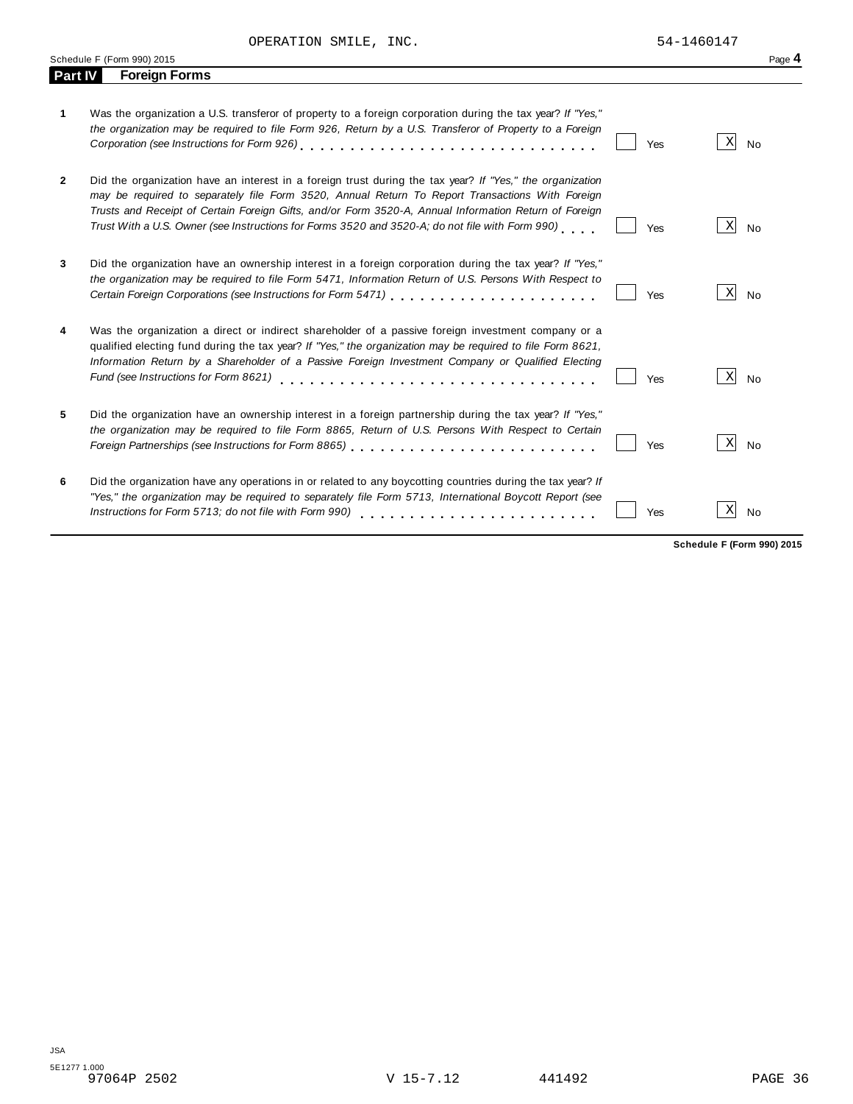OPERATION SMILE, INC. 54-1460147

|                | Schedule F (Form 990) 2015                                                                                                                                                                                                                                                                                                                                                                                              |     |   | Page 4    |
|----------------|-------------------------------------------------------------------------------------------------------------------------------------------------------------------------------------------------------------------------------------------------------------------------------------------------------------------------------------------------------------------------------------------------------------------------|-----|---|-----------|
| <b>Part IV</b> | <b>Foreign Forms</b>                                                                                                                                                                                                                                                                                                                                                                                                    |     |   |           |
| 1.             | Was the organization a U.S. transferor of property to a foreign corporation during the tax year? If "Yes,"<br>the organization may be required to file Form 926, Return by a U.S. Transferor of Property to a Foreign                                                                                                                                                                                                   | Yes | X | No        |
| $\mathbf{2}$   | Did the organization have an interest in a foreign trust during the tax year? If "Yes," the organization<br>may be required to separately file Form 3520, Annual Return To Report Transactions With Foreign<br>Trusts and Receipt of Certain Foreign Gifts, and/or Form 3520-A, Annual Information Return of Foreign<br>Trust With a U.S. Owner (see Instructions for Forms 3520 and 3520-A; do not file with Form 990) | Yes | X | <b>No</b> |
| 3              | Did the organization have an ownership interest in a foreign corporation during the tax year? If "Yes,"<br>the organization may be required to file Form 5471, Information Return of U.S. Persons With Respect to                                                                                                                                                                                                       | Yes | X | <b>No</b> |
| 4              | Was the organization a direct or indirect shareholder of a passive foreign investment company or a<br>qualified electing fund during the tax year? If "Yes," the organization may be required to file Form 8621,<br>Information Return by a Shareholder of a Passive Foreign Investment Company or Qualified Electing<br>Fund (see Instructions for Form 8621)                                                          | Yes | X | <b>No</b> |
| 5              | Did the organization have an ownership interest in a foreign partnership during the tax year? If "Yes,"<br>the organization may be required to file Form 8865, Return of U.S. Persons With Respect to Certain<br>Foreign Partnerships (see Instructions for Form 8865)                                                                                                                                                  | Yes | X | No        |
| 6              | Did the organization have any operations in or related to any boycotting countries during the tax year? If<br>"Yes," the organization may be required to separately file Form 5713, International Boycott Report (see<br>Instructions for Form 5713; do not file with Form 990)                                                                                                                                         | Yes | Χ | No        |

**Schedule F (Form 990) 2015**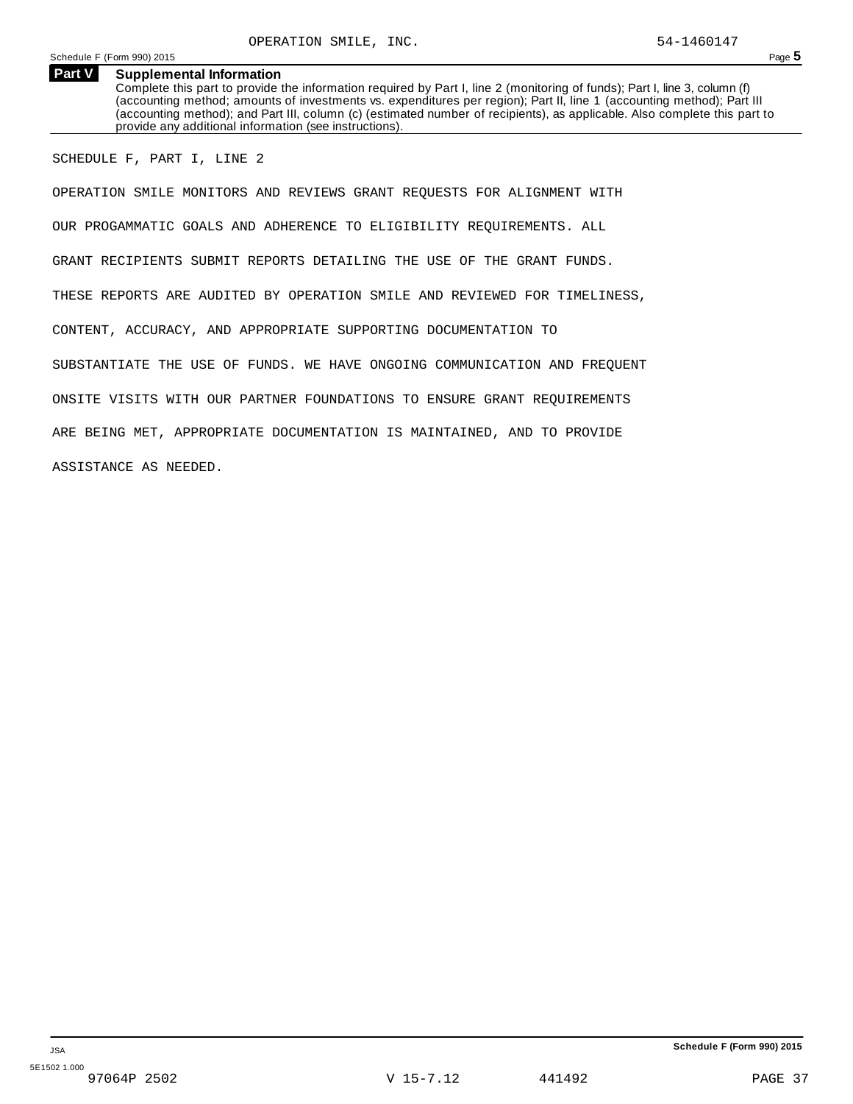#### **Part V**

**Supplemental Information** Complete this part to provide the information required by Part I, line 2 (monitoring of funds); Part I, line 3, column (f) (accounting method; amounts of investments vs. expenditures per region); Part II, line 1 (accounting method); Part III (accounting method); and Part III, column (c) (estimated number of recipients), as applicable. Also complete this part to provide any additional information (see instructions).

SCHEDULE F, PART I, LINE 2

OPERATION SMILE MONITORS AND REVIEWS GRANT REQUESTS FOR ALIGNMENT WITH OUR PROGAMMATIC GOALS AND ADHERENCE TO ELIGIBILITY REQUIREMENTS. ALL GRANT RECIPIENTS SUBMIT REPORTS DETAILING THE USE OF THE GRANT FUNDS. THESE REPORTS ARE AUDITED BY OPERATION SMILE AND REVIEWED FOR TIMELINESS, CONTENT, ACCURACY, AND APPROPRIATE SUPPORTING DOCUMENTATION TO SUBSTANTIATE THE USE OF FUNDS. WE HAVE ONGOING COMMUNICATION AND FREQUENT ONSITE VISITS WITH OUR PARTNER FOUNDATIONS TO ENSURE GRANT REQUIREMENTS ARE BEING MET, APPROPRIATE DOCUMENTATION IS MAINTAINED, AND TO PROVIDE ASSISTANCE AS NEEDED.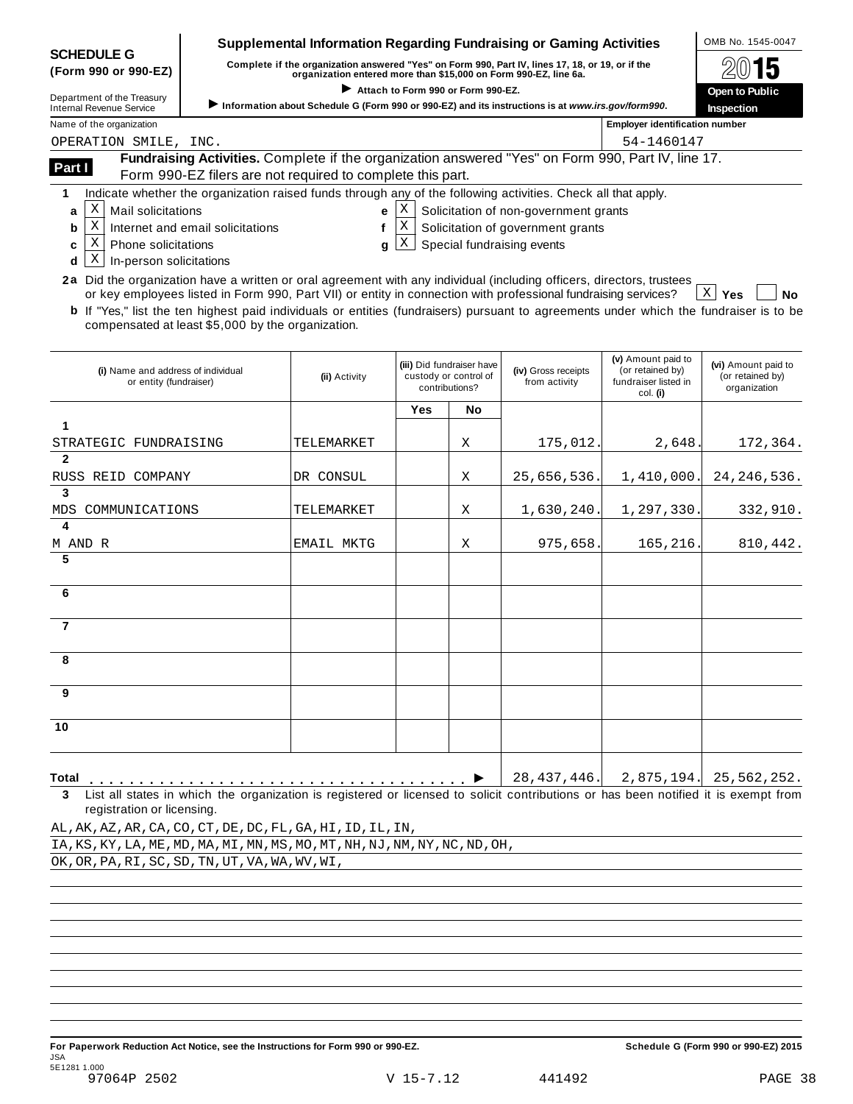| <b>Supplemental Information Regarding Fundraising or Gaming Activities</b><br><b>SCHEDULE G</b><br>Complete if the organization answered "Yes" on Form 990, Part IV, lines 17, 18, or 19, or if the<br>(Form 990 or 990-EZ) |                                                                                                |                                                                                                                                                                                                                                                                                                                                                                              |                                       |                |  |  |
|-----------------------------------------------------------------------------------------------------------------------------------------------------------------------------------------------------------------------------|------------------------------------------------------------------------------------------------|------------------------------------------------------------------------------------------------------------------------------------------------------------------------------------------------------------------------------------------------------------------------------------------------------------------------------------------------------------------------------|---------------------------------------|----------------|--|--|
|                                                                                                                                                                                                                             |                                                                                                | organization entered more than \$15,000 on Form 990-EZ, line 6a.<br>Attach to Form 990 or Form 990-EZ.                                                                                                                                                                                                                                                                       |                                       | Open to Public |  |  |
| Department of the Treasury<br>Internal Revenue Service                                                                                                                                                                      |                                                                                                | Information about Schedule G (Form 990 or 990-EZ) and its instructions is at www.irs.gov/form990.                                                                                                                                                                                                                                                                            |                                       | Inspection     |  |  |
| Name of the organization                                                                                                                                                                                                    |                                                                                                |                                                                                                                                                                                                                                                                                                                                                                              | <b>Employer identification number</b> |                |  |  |
| OPERATION SMILE, INC.                                                                                                                                                                                                       |                                                                                                |                                                                                                                                                                                                                                                                                                                                                                              | 54-1460147                            |                |  |  |
| 1<br>Х<br>Mail solicitations<br>a<br>b<br>Χ<br>Phone solicitations<br>c<br>In-person solicitations<br>d                                                                                                                     | Form 990-EZ filers are not required to complete this part.<br>Internet and email solicitations | Indicate whether the organization raised funds through any of the following activities. Check all that apply.<br>Solicitation of non-government grants<br>е<br>Solicitation of government grants<br>Special fundraising events<br>α                                                                                                                                          |                                       |                |  |  |
| 2a                                                                                                                                                                                                                          | compensated at least \$5,000 by the organization.                                              | Did the organization have a written or oral agreement with any individual (including officers, directors, trustees<br>or key employees listed in Form 990, Part VII) or entity in connection with professional fundraising services?<br>If "Yes," list the ten highest paid individuals or entities (fundraisers) pursuant to agreements under which the fundraiser is to be |                                       | Χ<br>Nο<br>Yes |  |  |

| (i) Name and address of individual<br>or entity (fundraiser)                                                                                             | (ii) Activity | (iii) Did fundraiser have<br>custody or control of<br>contributions? |           | (iv) Gross receipts<br>from activity | (v) Amount paid to<br>(or retained by)<br>fundraiser listed in<br>col. (i) | (vi) Amount paid to<br>(or retained by)<br>organization |
|----------------------------------------------------------------------------------------------------------------------------------------------------------|---------------|----------------------------------------------------------------------|-----------|--------------------------------------|----------------------------------------------------------------------------|---------------------------------------------------------|
|                                                                                                                                                          |               | <b>Yes</b>                                                           | <b>No</b> |                                      |                                                                            |                                                         |
| 1                                                                                                                                                        |               |                                                                      |           |                                      |                                                                            |                                                         |
| STRATEGIC FUNDRAISING                                                                                                                                    | TELEMARKET    |                                                                      | Χ         | 175,012.                             | 2,648.                                                                     | 172,364.                                                |
| $\overline{2}$                                                                                                                                           |               |                                                                      |           |                                      |                                                                            |                                                         |
| RUSS REID COMPANY                                                                                                                                        | DR CONSUL     |                                                                      | X         | 25,656,536.                          | 1,410,000.                                                                 | 24, 246, 536.                                           |
| $\overline{\mathbf{3}}$                                                                                                                                  |               |                                                                      |           |                                      |                                                                            |                                                         |
| COMMUNICATIONS<br>MDS                                                                                                                                    | TELEMARKET    |                                                                      | Χ         | 1,630,240.                           | 1, 297, 330.                                                               | 332,910.                                                |
| $\overline{4}$                                                                                                                                           |               |                                                                      |           |                                      |                                                                            |                                                         |
| M AND R                                                                                                                                                  | EMAIL MKTG    |                                                                      | Χ         | 975,658.                             | 165,216.                                                                   | 810,442.                                                |
| 5                                                                                                                                                        |               |                                                                      |           |                                      |                                                                            |                                                         |
| 6                                                                                                                                                        |               |                                                                      |           |                                      |                                                                            |                                                         |
| $\overline{7}$                                                                                                                                           |               |                                                                      |           |                                      |                                                                            |                                                         |
| $\overline{\mathbf{8}}$                                                                                                                                  |               |                                                                      |           |                                      |                                                                            |                                                         |
| 9                                                                                                                                                        |               |                                                                      |           |                                      |                                                                            |                                                         |
| 10                                                                                                                                                       |               |                                                                      |           |                                      |                                                                            |                                                         |
| <b>Total</b><br>List all states in which the organization is registered or licensed to solicit contributions or has been notified it is exempt from<br>3 |               |                                                                      | ▶         | 28, 437, 446.                        |                                                                            | $2,875,194.$ 25,562,252.                                |

registration or licensing.

AL,AK,AZ,AR,CA,CO,CT,DE,DC,FL,GA,HI,ID,IL,IN,

IA,KS,KY,LA,ME,MD,MA,MI,MN,MS,MO,MT,NH,NJ,NM,NY,NC,ND,OH,

OK, OR, PA, RI, SC, SD, TN, UT, VA, WA, WV, WI,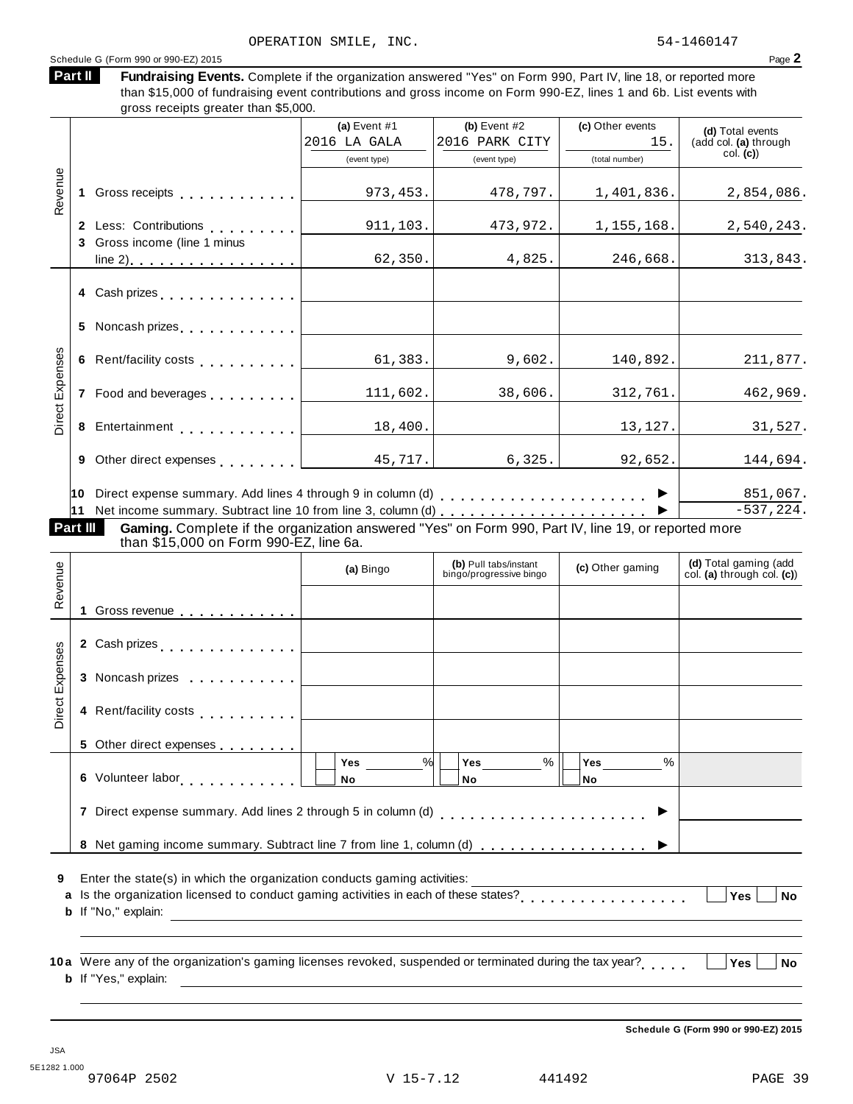#### Schedule <sup>G</sup> (Form <sup>990</sup> or 990-EZ) <sup>2015</sup> Page **2**

Fundraising Events. Complete if the organization answered "Yes" on Form 990, Part IV, line 18, or reported more than \$15,000 of fundraising event contributions and gross income on Form 990-EZ, lines 1 and 6b. List events with gross receipts greater than \$5,000. **Part II**

|                 |          | gross receipts greater than \$9,000.                                                                                                          |                                                   |                                                  |                          |                                                     |
|-----------------|----------|-----------------------------------------------------------------------------------------------------------------------------------------------|---------------------------------------------------|--------------------------------------------------|--------------------------|-----------------------------------------------------|
|                 |          |                                                                                                                                               | (a) Event $#1$                                    | (b) Event $#2$                                   | (c) Other events         | (d) Total events                                    |
|                 |          |                                                                                                                                               | 2016 LA GALA                                      | 2016 PARK CITY                                   | 15.                      | (add col. (a) through                               |
|                 |          |                                                                                                                                               | (event type)                                      | (event type)                                     | (total number)           | col. (c)                                            |
| Revenue         |          | 1 Gross receipts [1]                                                                                                                          | 973,453.                                          | 478,797.                                         | 1,401,836.               | 2,854,086.                                          |
|                 |          | 2 Less: Contributions [1994]<br>3 Gross income (line 1 minus                                                                                  | 911, 103.                                         | 473,972.                                         | 1, 155, 168.             | 2,540,243.                                          |
|                 |          |                                                                                                                                               |                                                   | 4,825.                                           | 246,668.                 | 313,843.                                            |
|                 |          |                                                                                                                                               |                                                   |                                                  |                          |                                                     |
|                 | 5        | Noncash prizes [1994]                                                                                                                         | <u> 1980 - Johann Barbara, martxa alemaniar a</u> |                                                  |                          |                                                     |
| Expenses        |          | 6 Rent/facility costs [1]                                                                                                                     | 61, 383.<br><u>and a state</u>                    | 9,602.                                           | 140,892.                 | 211,877.                                            |
|                 |          | 7 Food and beverages [                                                                                                                        | 111,602.                                          | 38,606.                                          | 312,761.                 | 462,969.                                            |
| Direct I        |          | 8 Entertainment                                                                                                                               | 18,400.                                           |                                                  | 13, 127.                 | 31,527.                                             |
|                 |          | 9 Other direct expenses     45,717.                                                                                                           |                                                   | 6,325.                                           | 92,652.                  | 144,694.                                            |
|                 |          |                                                                                                                                               |                                                   |                                                  |                          | 851,067.<br>$-537, 224.$                            |
|                 | Part III | Gaming. Complete if the organization answered "Yes" on Form 990, Part IV, line 19, or reported more<br>than \$15,000 on Form 990-EZ, line 6a. |                                                   |                                                  |                          |                                                     |
| Revenue         |          |                                                                                                                                               | (a) Bingo                                         | (b) Pull tabs/instant<br>bingo/progressive bingo | (c) Other gaming         | (d) Total gaming (add<br>col. (a) through col. (c)) |
|                 |          | 1 Gross revenue                                                                                                                               |                                                   |                                                  |                          |                                                     |
|                 |          |                                                                                                                                               |                                                   |                                                  |                          |                                                     |
|                 |          | 3 Noncash prizes                                                                                                                              |                                                   |                                                  |                          |                                                     |
| Direct Expenses |          | 4 Rent/facility costs [1] Rent/facility costs                                                                                                 |                                                   |                                                  |                          |                                                     |
|                 |          |                                                                                                                                               |                                                   |                                                  |                          |                                                     |
|                 |          |                                                                                                                                               | %<br>$Yes \_$<br>No                               | $\%$<br>Yes<br><b>No</b>                         | $\%$<br>Yes<br><b>No</b> |                                                     |
|                 |          |                                                                                                                                               |                                                   |                                                  |                          |                                                     |

**7** Direct expense summary. Add lines 2 through 5 in column (d) m m m m m m m m m m m m m m m m m m m m m I **8** Net gaming income summary. Subtract line 7 from line 1, column (d)  $\ldots$  . . . . . . . . . . . . . . .  $\blacktriangleright$ 

**9** Enter the state(s) in which the organization conducts gaming activities:

Is the organization licensed to conduct gaming activities in each of these states? **a** m m m m m m m m m m m m m m m m m **Yes No b** If "No," explain:

**10** Were any of the organization's gaming licenses revoked, suspended or terminated during the tax year? **a** m m m m m **Yes No b** If "Yes," explain:

**Schedule G (Form 990 or 990-EZ) 2015**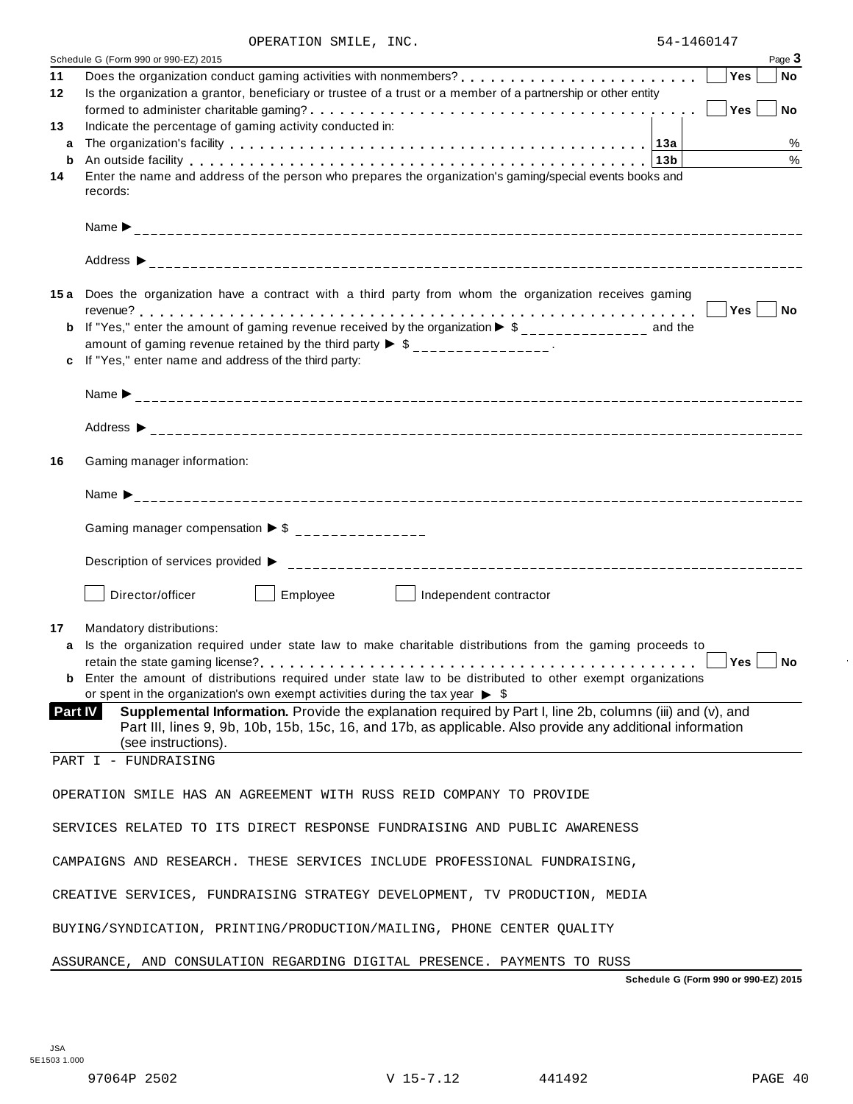| OPERATION SMILE, |  | INC. |
|------------------|--|------|
|------------------|--|------|

|                | OPERATION SMILE, INC.                                                                                                                                                                                                          | 54-1460147 |        |
|----------------|--------------------------------------------------------------------------------------------------------------------------------------------------------------------------------------------------------------------------------|------------|--------|
|                | Schedule G (Form 990 or 990-EZ) 2015                                                                                                                                                                                           |            | Page 3 |
| 11             |                                                                                                                                                                                                                                | <b>Yes</b> | No     |
| 12             | Is the organization a grantor, beneficiary or trustee of a trust or a member of a partnership or other entity                                                                                                                  |            |        |
|                |                                                                                                                                                                                                                                | Yes        | No     |
| 13             | Indicate the percentage of gaming activity conducted in:                                                                                                                                                                       |            |        |
| a              |                                                                                                                                                                                                                                |            | $\%$   |
| b              | An outside facility enterpreteration of the control of the control of the control of the control of the control of the control of the control of the control of the control of the control of the control of the control of th |            | $\%$   |
| 14             | Enter the name and address of the person who prepares the organization's gaming/special events books and<br>records:                                                                                                           |            |        |
|                |                                                                                                                                                                                                                                |            |        |
|                |                                                                                                                                                                                                                                |            |        |
|                |                                                                                                                                                                                                                                |            |        |
|                | 15a Does the organization have a contract with a third party from whom the organization receives gaming                                                                                                                        |            |        |
|                |                                                                                                                                                                                                                                | $Yes \mid$ | No     |
|                | <b>b</b> If "Yes," enter the amount of gaming revenue received by the organization $\triangleright$ \$______________ and the                                                                                                   |            |        |
|                | amount of gaming revenue retained by the third party $\triangleright$ \$ _______________.                                                                                                                                      |            |        |
| c              | If "Yes," enter name and address of the third party:                                                                                                                                                                           |            |        |
|                |                                                                                                                                                                                                                                |            |        |
|                |                                                                                                                                                                                                                                |            |        |
|                |                                                                                                                                                                                                                                |            |        |
| 16             | Gaming manager information:                                                                                                                                                                                                    |            |        |
|                | Name $\sum_{-1}^{1}$                                                                                                                                                                                                           |            |        |
|                | Gaming manager compensation $\triangleright$ \$ _______________                                                                                                                                                                |            |        |
|                |                                                                                                                                                                                                                                |            |        |
|                | Director/officer<br>Employee<br>Independent contractor                                                                                                                                                                         |            |        |
| 17             | Mandatory distributions:                                                                                                                                                                                                       |            |        |
| a              | Is the organization required under state law to make charitable distributions from the gaming proceeds to                                                                                                                      |            |        |
|                |                                                                                                                                                                                                                                |            |        |
|                | <b>b</b> Enter the amount of distributions required under state law to be distributed to other exempt organizations                                                                                                            |            |        |
|                | or spent in the organization's own exempt activities during the tax year $\triangleright$ \$                                                                                                                                   |            |        |
| <b>Part IV</b> | Supplemental Information. Provide the explanation required by Part I, line 2b, columns (iii) and (v), and                                                                                                                      |            |        |
|                | Part III, lines 9, 9b, 10b, 15b, 15c, 16, and 17b, as applicable. Also provide any additional information                                                                                                                      |            |        |
|                | (see instructions).                                                                                                                                                                                                            |            |        |
|                | PART I - FUNDRAISING                                                                                                                                                                                                           |            |        |
|                |                                                                                                                                                                                                                                |            |        |
|                | OPERATION SMILE HAS AN AGREEMENT WITH RUSS REID COMPANY TO PROVIDE                                                                                                                                                             |            |        |
|                | SERVICES RELATED TO ITS DIRECT RESPONSE FUNDRAISING AND PUBLIC AWARENESS                                                                                                                                                       |            |        |
|                |                                                                                                                                                                                                                                |            |        |
|                | CAMPAIGNS AND RESEARCH. THESE SERVICES INCLUDE PROFESSIONAL FUNDRAISING,                                                                                                                                                       |            |        |
|                |                                                                                                                                                                                                                                |            |        |
|                | CREATIVE SERVICES, FUNDRAISING STRATEGY DEVELOPMENT, TV PRODUCTION, MEDIA                                                                                                                                                      |            |        |
|                |                                                                                                                                                                                                                                |            |        |
|                | BUYING/SYNDICATION, PRINTING/PRODUCTION/MAILING, PHONE CENTER QUALITY                                                                                                                                                          |            |        |
|                | ASSURANCE, AND CONSULATION REGARDING DIGITAL PRESENCE. PAYMENTS TO RUSS                                                                                                                                                        |            |        |
|                |                                                                                                                                                                                                                                |            |        |

**Schedule G (Form 990 or 990-EZ) 2015**

 $\ddot{\phantom{a}}$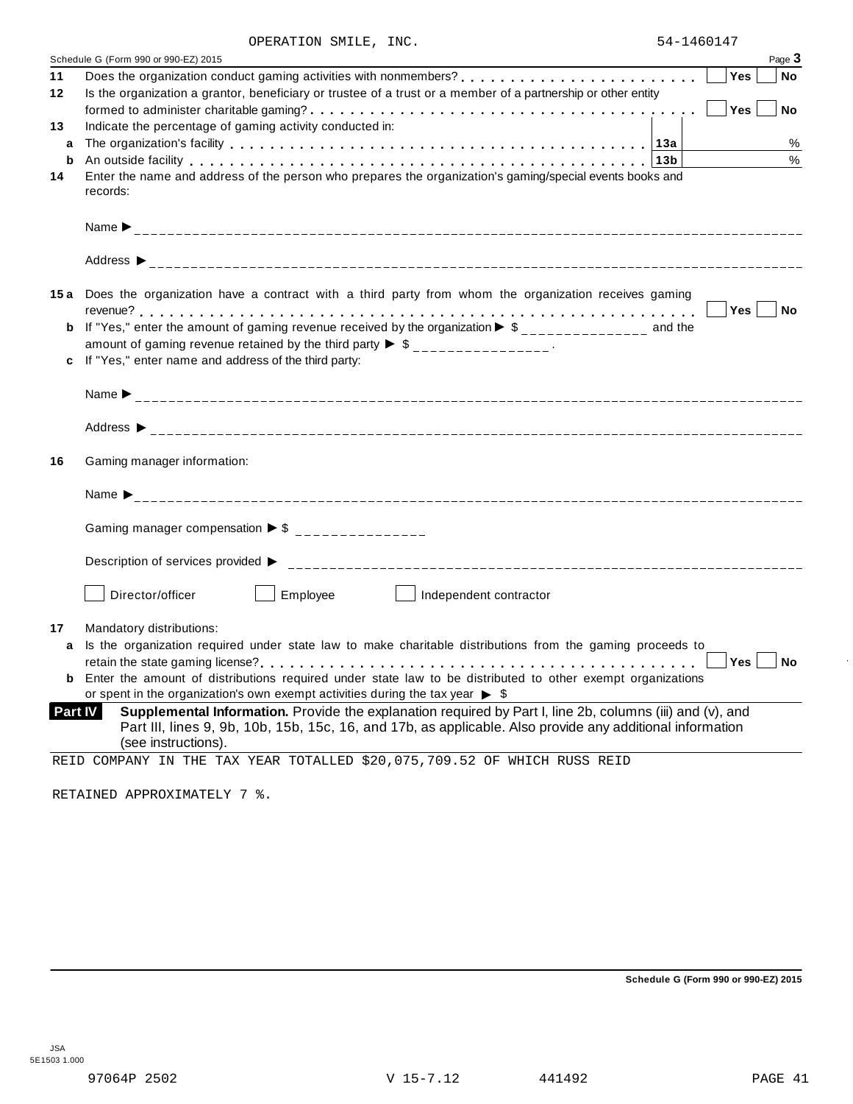| OPERATION SMILE, INC. |  | 54-1460147 |
|-----------------------|--|------------|

|    | Schedule G (Form 990 or 990-EZ) 2015                                                                                                                                                                                                                            | Page 3           |
|----|-----------------------------------------------------------------------------------------------------------------------------------------------------------------------------------------------------------------------------------------------------------------|------------------|
| 11 |                                                                                                                                                                                                                                                                 | Yes<br><b>No</b> |
| 12 | Is the organization a grantor, beneficiary or trustee of a trust or a member of a partnership or other entity                                                                                                                                                   |                  |
|    |                                                                                                                                                                                                                                                                 | Yes<br><b>No</b> |
| 13 | Indicate the percentage of gaming activity conducted in:                                                                                                                                                                                                        |                  |
| a  |                                                                                                                                                                                                                                                                 | %                |
| b  | An outside facility enterpreened and the set of the control of the control of the control of the control of the control of the control of the control of the control of the control of the control of the control of the contr                                  | $\frac{0}{0}$    |
| 14 | Enter the name and address of the person who prepares the organization's gaming/special events books and<br>records:                                                                                                                                            |                  |
|    |                                                                                                                                                                                                                                                                 |                  |
|    |                                                                                                                                                                                                                                                                 |                  |
|    | 15a Does the organization have a contract with a third party from whom the organization receives gaming                                                                                                                                                         |                  |
|    |                                                                                                                                                                                                                                                                 | Yes No           |
| b  | If "Yes," enter the amount of gaming revenue received by the organization $\triangleright$ \$______________ and the                                                                                                                                             |                  |
|    | amount of gaming revenue retained by the third party $\triangleright$ \$ ________________.                                                                                                                                                                      |                  |
|    | If "Yes," enter name and address of the third party:                                                                                                                                                                                                            |                  |
|    |                                                                                                                                                                                                                                                                 |                  |
|    |                                                                                                                                                                                                                                                                 |                  |
| 16 | Gaming manager information:                                                                                                                                                                                                                                     |                  |
|    |                                                                                                                                                                                                                                                                 |                  |
|    | Gaming manager compensation $\triangleright$ \$ _______________                                                                                                                                                                                                 |                  |
|    |                                                                                                                                                                                                                                                                 |                  |
|    | Employee<br>Director/officer<br>Independent contractor                                                                                                                                                                                                          |                  |
| 17 | Mandatory distributions:                                                                                                                                                                                                                                        |                  |
| a  | Is the organization required under state law to make charitable distributions from the gaming proceeds to                                                                                                                                                       |                  |
|    |                                                                                                                                                                                                                                                                 | Yes<br><b>No</b> |
|    | <b>b</b> Enter the amount of distributions required under state law to be distributed to other exempt organizations                                                                                                                                             |                  |
|    | or spent in the organization's own exempt activities during the tax year $\triangleright$ \$                                                                                                                                                                    |                  |
|    | Supplemental Information. Provide the explanation required by Part I, line 2b, columns (iii) and (v), and<br><b>Part IV</b><br>Part III, lines 9, 9b, 10b, 15b, 15c, 16, and 17b, as applicable. Also provide any additional information<br>(see instructions). |                  |
|    |                                                                                                                                                                                                                                                                 |                  |

RETAINED APPROXIMATELY 7 %.

**Schedule G (Form 990 or 990-EZ) 2015**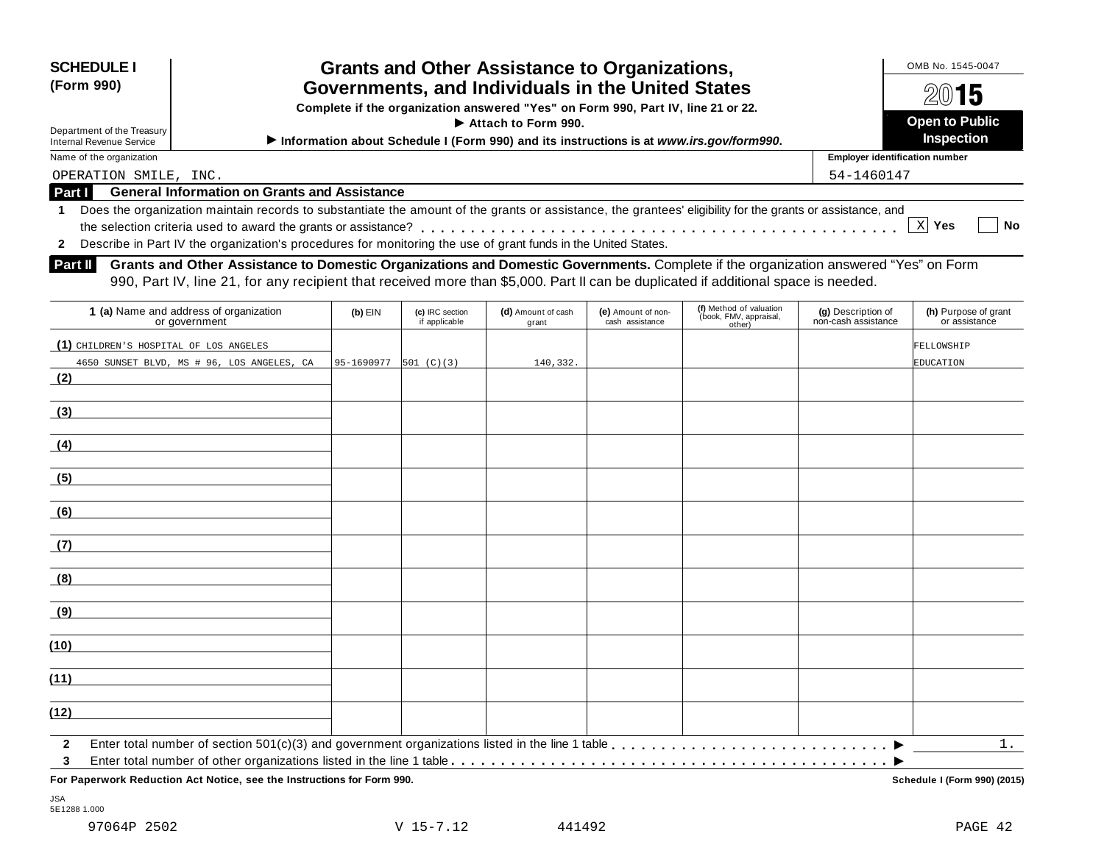| <b>SCHEDULE I</b><br>(Form 990)<br>Department of the Treasury<br><b>Internal Revenue Service</b> |                                                                                                                                                                                                                                                                                                                                                                                                                                                                                                                                                            |                       |                                  | <b>Grants and Other Assistance to Organizations,</b><br>Governments, and Individuals in the United States<br>Complete if the organization answered "Yes" on Form 990, Part IV, line 21 or 22.<br>Attach to Form 990.<br>Information about Schedule I (Form 990) and its instructions is at www.irs.gov/form990. |                                       |                                                             |                                           | OMB No. 1545-0047<br>2015<br><b>Open to Public</b><br>Inspection |
|--------------------------------------------------------------------------------------------------|------------------------------------------------------------------------------------------------------------------------------------------------------------------------------------------------------------------------------------------------------------------------------------------------------------------------------------------------------------------------------------------------------------------------------------------------------------------------------------------------------------------------------------------------------------|-----------------------|----------------------------------|-----------------------------------------------------------------------------------------------------------------------------------------------------------------------------------------------------------------------------------------------------------------------------------------------------------------|---------------------------------------|-------------------------------------------------------------|-------------------------------------------|------------------------------------------------------------------|
| Name of the organization                                                                         |                                                                                                                                                                                                                                                                                                                                                                                                                                                                                                                                                            |                       |                                  |                                                                                                                                                                                                                                                                                                                 |                                       |                                                             | <b>Employer identification number</b>     |                                                                  |
| OPERATION SMILE, INC.                                                                            |                                                                                                                                                                                                                                                                                                                                                                                                                                                                                                                                                            |                       |                                  |                                                                                                                                                                                                                                                                                                                 |                                       |                                                             | 54-1460147                                |                                                                  |
| Part I                                                                                           | <b>General Information on Grants and Assistance</b>                                                                                                                                                                                                                                                                                                                                                                                                                                                                                                        |                       |                                  |                                                                                                                                                                                                                                                                                                                 |                                       |                                                             |                                           |                                                                  |
| $\mathbf 1$<br>Part II                                                                           | Does the organization maintain records to substantiate the amount of the grants or assistance, the grantees' eligibility for the grants or assistance, and<br>2 Describe in Part IV the organization's procedures for monitoring the use of grant funds in the United States.<br>Grants and Other Assistance to Domestic Organizations and Domestic Governments. Complete if the organization answered "Yes" on Form<br>990, Part IV, line 21, for any recipient that received more than \$5,000. Part II can be duplicated if additional space is needed. |                       |                                  |                                                                                                                                                                                                                                                                                                                 |                                       |                                                             |                                           | X Yes<br><b>No</b>                                               |
|                                                                                                  | 1 (a) Name and address of organization<br>or government                                                                                                                                                                                                                                                                                                                                                                                                                                                                                                    | $(b)$ EIN             | (c) IRC section<br>if applicable | (d) Amount of cash<br>grant                                                                                                                                                                                                                                                                                     | (e) Amount of non-<br>cash assistance | (f) Method of valuation<br>(book, FMV, appraisal,<br>other) | (g) Description of<br>non-cash assistance | (h) Purpose of grant<br>or assistance                            |
| (1) CHILDREN'S HOSPITAL OF LOS ANGELES<br>(2)                                                    | 4650 SUNSET BLVD, MS # 96, LOS ANGELES, CA                                                                                                                                                                                                                                                                                                                                                                                                                                                                                                                 | 95-1690977 501 (C)(3) |                                  | 140,332.                                                                                                                                                                                                                                                                                                        |                                       |                                                             |                                           | FELLOWSHIP<br>EDUCATION                                          |
| (3)                                                                                              |                                                                                                                                                                                                                                                                                                                                                                                                                                                                                                                                                            |                       |                                  |                                                                                                                                                                                                                                                                                                                 |                                       |                                                             |                                           |                                                                  |
| (4)                                                                                              |                                                                                                                                                                                                                                                                                                                                                                                                                                                                                                                                                            |                       |                                  |                                                                                                                                                                                                                                                                                                                 |                                       |                                                             |                                           |                                                                  |
| (5)                                                                                              |                                                                                                                                                                                                                                                                                                                                                                                                                                                                                                                                                            |                       |                                  |                                                                                                                                                                                                                                                                                                                 |                                       |                                                             |                                           |                                                                  |
| (6)                                                                                              |                                                                                                                                                                                                                                                                                                                                                                                                                                                                                                                                                            |                       |                                  |                                                                                                                                                                                                                                                                                                                 |                                       |                                                             |                                           |                                                                  |
| (7)                                                                                              |                                                                                                                                                                                                                                                                                                                                                                                                                                                                                                                                                            |                       |                                  |                                                                                                                                                                                                                                                                                                                 |                                       |                                                             |                                           |                                                                  |
| (8)                                                                                              |                                                                                                                                                                                                                                                                                                                                                                                                                                                                                                                                                            |                       |                                  |                                                                                                                                                                                                                                                                                                                 |                                       |                                                             |                                           |                                                                  |
| (9)                                                                                              |                                                                                                                                                                                                                                                                                                                                                                                                                                                                                                                                                            |                       |                                  |                                                                                                                                                                                                                                                                                                                 |                                       |                                                             |                                           |                                                                  |
| (10)                                                                                             |                                                                                                                                                                                                                                                                                                                                                                                                                                                                                                                                                            |                       |                                  |                                                                                                                                                                                                                                                                                                                 |                                       |                                                             |                                           |                                                                  |
| <u>(11)</u>                                                                                      |                                                                                                                                                                                                                                                                                                                                                                                                                                                                                                                                                            |                       |                                  |                                                                                                                                                                                                                                                                                                                 |                                       |                                                             |                                           |                                                                  |
| (12)                                                                                             |                                                                                                                                                                                                                                                                                                                                                                                                                                                                                                                                                            |                       |                                  |                                                                                                                                                                                                                                                                                                                 |                                       |                                                             |                                           |                                                                  |
| $\mathbf{2}$<br>3                                                                                |                                                                                                                                                                                                                                                                                                                                                                                                                                                                                                                                                            |                       |                                  |                                                                                                                                                                                                                                                                                                                 |                                       |                                                             |                                           | 1.                                                               |
| JSA<br>5E1288 1.000                                                                              | For Paperwork Reduction Act Notice, see the Instructions for Form 990.                                                                                                                                                                                                                                                                                                                                                                                                                                                                                     |                       |                                  |                                                                                                                                                                                                                                                                                                                 |                                       |                                                             |                                           | Schedule I (Form 990) (2015)                                     |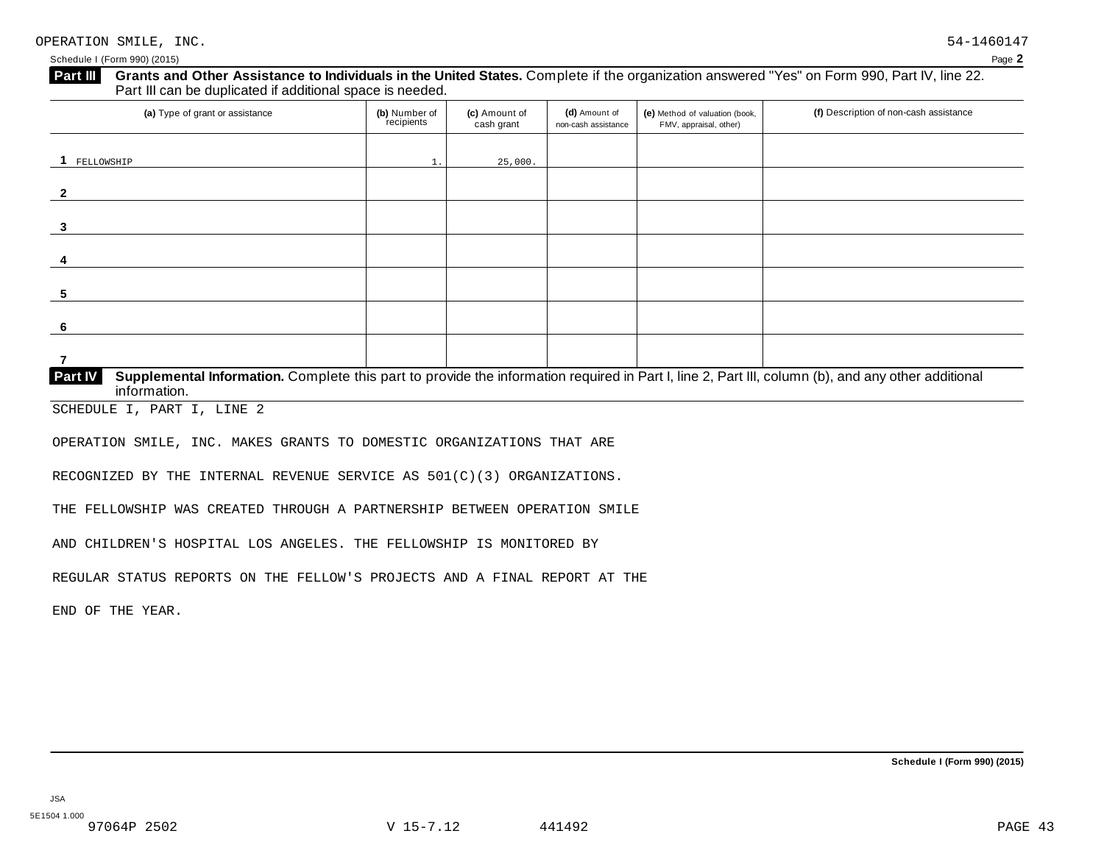Schedule I (Form 990) (2015) Page **2**

#### **Grants and Other Assistance to Individuals in the United States.** Complete ifthe organization answered "Yes" on Form 990, Part IV, line 22. **Part III** Grants and Other Assistance to Individuals in the Ural Part III can be duplicated if additional space is needed.

| (a) Type of grant or assistance                                                                                                                               | (b) Number of<br>recipients | (c) Amount of<br>cash grant | (d) Amount of<br>non-cash assistance | (e) Method of valuation (book,<br>FMV, appraisal, other) | (f) Description of non-cash assistance |
|---------------------------------------------------------------------------------------------------------------------------------------------------------------|-----------------------------|-----------------------------|--------------------------------------|----------------------------------------------------------|----------------------------------------|
| FELLOWSHIP                                                                                                                                                    |                             | 25,000.                     |                                      |                                                          |                                        |
| $\overline{2}$                                                                                                                                                |                             |                             |                                      |                                                          |                                        |
| 3                                                                                                                                                             |                             |                             |                                      |                                                          |                                        |
| 4                                                                                                                                                             |                             |                             |                                      |                                                          |                                        |
|                                                                                                                                                               |                             |                             |                                      |                                                          |                                        |
| 5                                                                                                                                                             |                             |                             |                                      |                                                          |                                        |
| 6                                                                                                                                                             |                             |                             |                                      |                                                          |                                        |
| Part IV<br>Supplemental Information. Complete this part to provide the information required in Part I, line 2, Part III, column (b), and any other additional |                             |                             |                                      |                                                          |                                        |

 $information$ .

SCHEDULE I, PART I, LINE 2

OPERATION SMILE, INC. MAKES GRANTS TO DOMESTIC ORGANIZATIONS THAT ARE

RECOGNIZED BY THE INTERNAL REVENUE SERVICE AS 501(C)(3) ORGANIZATIONS.

THE FELLOWSHIP WAS CREATED THROUGH A PARTNERSHIP BETWEEN OPERATION SMILE

AND CHILDREN'S HOSPITAL LOS ANGELES. THE FELLOWSHIP IS MONITORED BY

REGULAR STATUS REPORTS ON THE FELLOW'S PROJECTS AND A FINAL REPORT AT THE

END OF THE YEAR.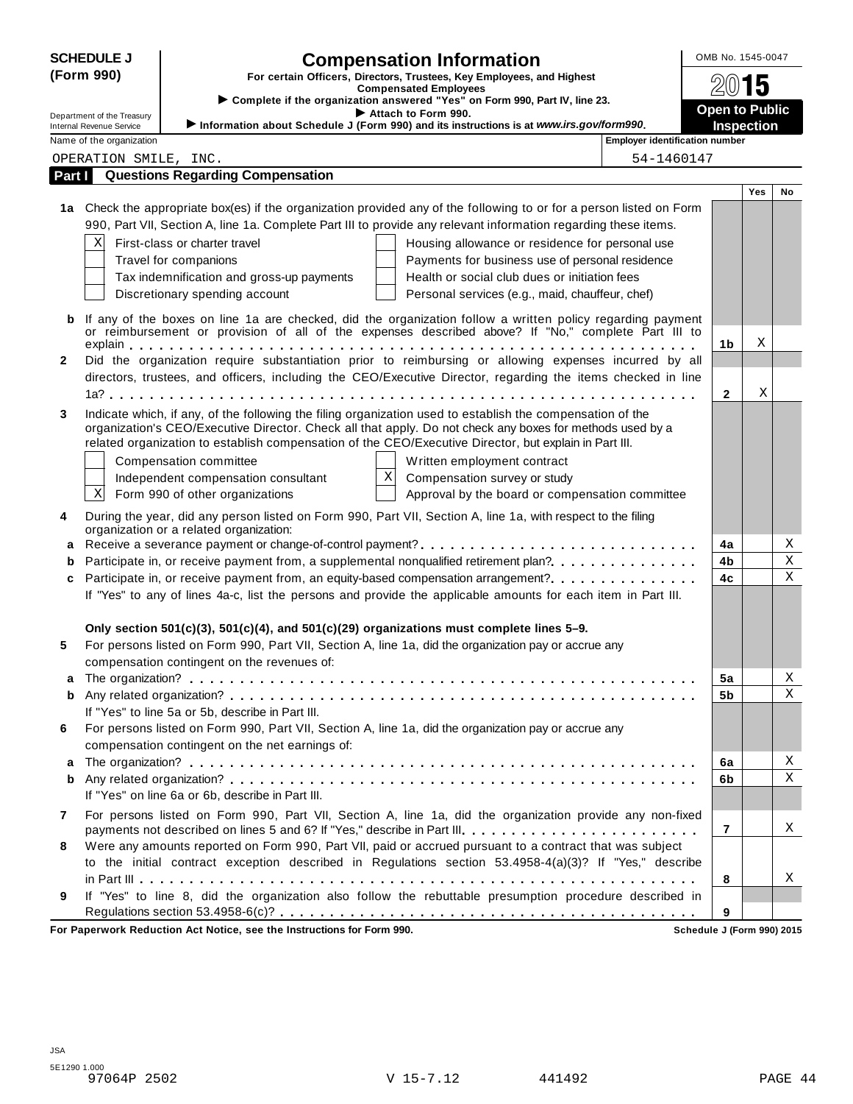|        | <b>SCHEDULE J</b>                                    | <b>Compensation Information</b>                                                                                                                                                                                         | OMB No. 1545-0047     |     |    |
|--------|------------------------------------------------------|-------------------------------------------------------------------------------------------------------------------------------------------------------------------------------------------------------------------------|-----------------------|-----|----|
|        | (Form 990)                                           | For certain Officers, Directors, Trustees, Key Employees, and Highest                                                                                                                                                   |                       | 15  |    |
|        |                                                      | <b>Compensated Employees</b><br>Complete if the organization answered "Yes" on Form 990, Part IV, line 23.                                                                                                              |                       |     |    |
|        | Department of the Treasury                           | Attach to Form 990.                                                                                                                                                                                                     | <b>Open to Public</b> |     |    |
|        | Internal Revenue Service<br>Name of the organization | Information about Schedule J (Form 990) and its instructions is at www.irs.gov/form990.<br><b>Employer identification number</b>                                                                                        | <b>Inspection</b>     |     |    |
|        | OPERATION SMILE, INC.                                | 54-1460147                                                                                                                                                                                                              |                       |     |    |
| Part I |                                                      | <b>Questions Regarding Compensation</b>                                                                                                                                                                                 |                       |     |    |
|        |                                                      |                                                                                                                                                                                                                         |                       | Yes | No |
|        |                                                      | 1a Check the appropriate box(es) if the organization provided any of the following to or for a person listed on Form                                                                                                    |                       |     |    |
|        |                                                      | 990, Part VII, Section A, line 1a. Complete Part III to provide any relevant information regarding these items.                                                                                                         |                       |     |    |
|        | Χ                                                    | First-class or charter travel<br>Housing allowance or residence for personal use                                                                                                                                        |                       |     |    |
|        |                                                      | Payments for business use of personal residence<br>Travel for companions                                                                                                                                                |                       |     |    |
|        |                                                      | Health or social club dues or initiation fees<br>Tax indemnification and gross-up payments                                                                                                                              |                       |     |    |
|        |                                                      | Discretionary spending account<br>Personal services (e.g., maid, chauffeur, chef)                                                                                                                                       |                       |     |    |
| b      |                                                      | If any of the boxes on line 1a are checked, did the organization follow a written policy regarding payment                                                                                                              |                       |     |    |
|        |                                                      | or reimbursement or provision of all of the expenses described above? If "No," complete Part III to                                                                                                                     |                       |     |    |
|        |                                                      |                                                                                                                                                                                                                         | 1b                    | Χ   |    |
| 2      |                                                      | Did the organization require substantiation prior to reimbursing or allowing expenses incurred by all                                                                                                                   |                       |     |    |
|        |                                                      | directors, trustees, and officers, including the CEO/Executive Director, regarding the items checked in line                                                                                                            |                       | Χ   |    |
|        |                                                      |                                                                                                                                                                                                                         | $\mathbf{2}$          |     |    |
| 3      |                                                      | Indicate which, if any, of the following the filing organization used to establish the compensation of the<br>organization's CEO/Executive Director. Check all that apply. Do not check any boxes for methods used by a |                       |     |    |
|        |                                                      | related organization to establish compensation of the CEO/Executive Director, but explain in Part III.                                                                                                                  |                       |     |    |
|        |                                                      | Compensation committee<br>Written employment contract                                                                                                                                                                   |                       |     |    |
|        |                                                      | Χ<br>Independent compensation consultant<br>Compensation survey or study                                                                                                                                                |                       |     |    |
|        | Χ                                                    | Form 990 of other organizations<br>Approval by the board or compensation committee                                                                                                                                      |                       |     |    |
| 4      |                                                      | During the year, did any person listed on Form 990, Part VII, Section A, line 1a, with respect to the filing                                                                                                            |                       |     |    |
|        |                                                      | organization or a related organization:                                                                                                                                                                                 |                       |     |    |
| a      |                                                      |                                                                                                                                                                                                                         | 4a                    |     | Χ  |
| b      |                                                      | Participate in, or receive payment from, a supplemental nonqualified retirement plan?                                                                                                                                   | 4b                    |     | X  |
| c      |                                                      | Participate in, or receive payment from, an equity-based compensation arrangement?                                                                                                                                      | 4c                    |     | X  |
|        |                                                      | If "Yes" to any of lines 4a-c, list the persons and provide the applicable amounts for each item in Part III.                                                                                                           |                       |     |    |
|        |                                                      |                                                                                                                                                                                                                         |                       |     |    |
| 5      |                                                      | Only section $501(c)(3)$ , $501(c)(4)$ , and $501(c)(29)$ organizations must complete lines 5–9.<br>For persons listed on Form 990, Part VII, Section A, line 1a, did the organization pay or accrue any                |                       |     |    |
|        |                                                      | compensation contingent on the revenues of:                                                                                                                                                                             |                       |     |    |
| а      |                                                      |                                                                                                                                                                                                                         | 5a                    |     | Χ  |
| b      |                                                      |                                                                                                                                                                                                                         | 5b                    |     | X  |
|        |                                                      | If "Yes" to line 5a or 5b, describe in Part III.                                                                                                                                                                        |                       |     |    |
| 6      |                                                      | For persons listed on Form 990, Part VII, Section A, line 1a, did the organization pay or accrue any                                                                                                                    |                       |     |    |
|        |                                                      | compensation contingent on the net earnings of:                                                                                                                                                                         |                       |     |    |
| a      |                                                      |                                                                                                                                                                                                                         | 6a                    |     | X  |
| b      |                                                      |                                                                                                                                                                                                                         | 6b                    |     | Χ  |
|        |                                                      | If "Yes" on line 6a or 6b, describe in Part III.                                                                                                                                                                        |                       |     |    |
| 7      |                                                      | For persons listed on Form 990, Part VII, Section A, line 1a, did the organization provide any non-fixed                                                                                                                |                       |     |    |
|        |                                                      | payments not described on lines 5 and 6? If "Yes," describe in Part III.                                                                                                                                                | $\overline{7}$        |     | Χ  |
| 8      |                                                      | Were any amounts reported on Form 990, Part VII, paid or accrued pursuant to a contract that was subject                                                                                                                |                       |     |    |
|        |                                                      | to the initial contract exception described in Regulations section 53.4958-4(a)(3)? If "Yes," describe                                                                                                                  |                       |     |    |
| 9      |                                                      | If "Yes" to line 8, did the organization also follow the rebuttable presumption procedure described in                                                                                                                  | 8                     |     | X  |
|        |                                                      |                                                                                                                                                                                                                         | 9                     |     |    |
|        |                                                      |                                                                                                                                                                                                                         |                       |     |    |

**For Paperwork Reduction Act Notice, see the Instructions for Form 990. Schedule J (Form 990) 2015**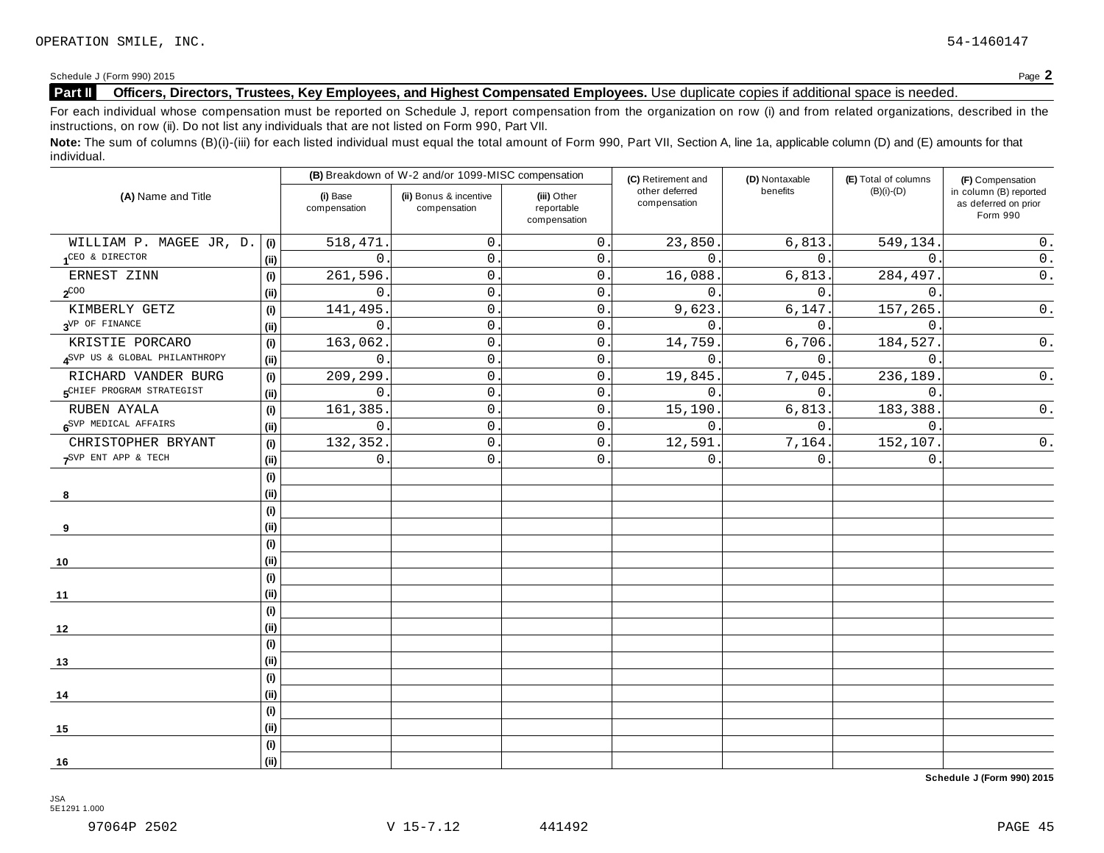#### Schedule J (Form 990) 2015<br>**Part II** Officers, Directors, Trustees, Key Employees, and Highest Compensated Employees. Use duplicate copies if additional space is needed. **Part II Officers, Directors, Trustees, Key Employees, and Highest Compensated Employees.** Use duplicate copies ifadditional space is needed.

For each individual whose compensation must be reported on Schedule J, report compensation from the organization on row (i) and from related organizations, described in the instructions, on row (ii). Do not list any individuals that are not listed on Form 990, Part VII.

Note: The sum of columns (B)(i)-(iii) for each listed individual must equal the total amount of Form 990, Part VII, Section A, line 1a, applicable column (D) and (E) amounts for that individual.

|                                  |      |                          | (B) Breakdown of W-2 and/or 1099-MISC compensation |                                           | (C) Retirement and             | (D) Nontaxable   | (E) Total of columns | (F) Compensation                                           |
|----------------------------------|------|--------------------------|----------------------------------------------------|-------------------------------------------|--------------------------------|------------------|----------------------|------------------------------------------------------------|
| (A) Name and Title               |      | (i) Base<br>compensation | (ii) Bonus & incentive<br>compensation             | (iii) Other<br>reportable<br>compensation | other deferred<br>compensation | benefits         | $(B)(i)-(D)$         | in column (B) reported<br>as deferred on prior<br>Form 990 |
| WILLIAM P. MAGEE JR, D.          | (i)  | 518,471                  | $\mathbf 0$                                        | $0$ .                                     | 23,850.                        | 6,813.           | 549,134.             | $0$ .                                                      |
| 1CEO & DIRECTOR                  | (ii) | $\Omega$                 | $\mathbf 0$ .                                      | $\mathbf 0$ .                             | $\Omega$ .                     | $\overline{0}$ . | $\Omega$ .           | $0$ .                                                      |
| ERNEST ZINN                      | (i)  | 261,596                  | $\mathsf{O}$ .                                     | $\mathsf{O}$ .                            | 16,088                         | 6,813.           | 284,497.             | $0$ .                                                      |
| $2^{\text{COO}}$                 | (i)  | $\mathbf 0$              | $\mathsf{O}$ .                                     | $\mathsf{O}\xspace$                       | 0                              | $\mathsf{0}$ .   | $\mathsf{O}$ .       |                                                            |
| KIMBERLY GETZ                    | (i)  | 141,495                  | 0                                                  | $\mathbf{0}$ .                            | 9,623.                         | 6,147.           | 157,265              | $0$ .                                                      |
| 3 <sup>VP OF</sup> FINANCE       | (i)  | $\mathbf 0$              | $\mathsf{O}$                                       | $\mathbf{0}$ .                            | $\mathbf 0$                    | $\Omega$ .       | $\mathbf{0}$ .       |                                                            |
| KRISTIE PORCARO                  | (i)  | 163,062.                 | $\mathsf{O}$ .                                     | $\mathbf{0}$ .                            | 14,759.                        | 6,706.           | 184,527.             | $\,0$ .                                                    |
| ASVP US & GLOBAL PHILANTHROPY    | (i)  | 0                        | $\mathsf{O}\xspace$                                | $\mathsf{O}$ .                            | $\mathbf{0}$ .                 | 0.               | $\mathsf{O}$ .       |                                                            |
| RICHARD VANDER BURG              | (i)  | 209,299                  | $\mathsf{O}\xspace$                                | $\mathsf{O}$                              | 19,845                         | 7,045.           | 236,189.             | $\,0$ .                                                    |
| SCHIEF PROGRAM STRATEGIST        | (i)  | 0                        | $\mathsf{O}$ .                                     | 0                                         | $\mathbf 0$                    | 0.               | $\overline{0}$ .     |                                                            |
| RUBEN AYALA                      | (i)  | 161,385                  | $\mathbf{0}$ .                                     | $\mathbf 0$                               | 15,190.                        | 6,813.           | 183,388.             | $0$ .                                                      |
| 6 <sup>SVP</sup> MEDICAL AFFAIRS | (i)  | $\mathbf 0$              | $\mathsf{O}$ .                                     | $0$ .                                     | $\mathbf 0$                    | 0.               | $\mathbf{0}$ .       |                                                            |
| CHRISTOPHER BRYANT               | (i)  | 132,352.                 | $\mathsf{O}$ .                                     | 0.                                        | 12,591                         | 7,164.           | 152,107.             | $0$ .                                                      |
| FOUR ENT APP & TECH              | (i)  | $\mathbf 0$              | $\mathbf{0}$ .                                     | $\mathbf 0$ .                             | $\mathbf{0}$ .                 | 0.               | $\mathbf{0}$ .       |                                                            |
|                                  | (i)  |                          |                                                    |                                           |                                |                  |                      |                                                            |
| 8                                | (i)  |                          |                                                    |                                           |                                |                  |                      |                                                            |
|                                  | (i)  |                          |                                                    |                                           |                                |                  |                      |                                                            |
| 9                                | (i)  |                          |                                                    |                                           |                                |                  |                      |                                                            |
|                                  | (i)  |                          |                                                    |                                           |                                |                  |                      |                                                            |
| 10                               | (i)  |                          |                                                    |                                           |                                |                  |                      |                                                            |
|                                  | (i)  |                          |                                                    |                                           |                                |                  |                      |                                                            |
| 11                               | (i)  |                          |                                                    |                                           |                                |                  |                      |                                                            |
|                                  | (i)  |                          |                                                    |                                           |                                |                  |                      |                                                            |
| 12                               | (i)  |                          |                                                    |                                           |                                |                  |                      |                                                            |
|                                  | (i)  |                          |                                                    |                                           |                                |                  |                      |                                                            |
| 13                               | (i)  |                          |                                                    |                                           |                                |                  |                      |                                                            |
|                                  | (i)  |                          |                                                    |                                           |                                |                  |                      |                                                            |
| 14                               | (i)  |                          |                                                    |                                           |                                |                  |                      |                                                            |
|                                  | (i)  |                          |                                                    |                                           |                                |                  |                      |                                                            |
| 15                               | (i)  |                          |                                                    |                                           |                                |                  |                      |                                                            |
|                                  | (i)  |                          |                                                    |                                           |                                |                  |                      |                                                            |
| 16                               | (i)  |                          |                                                    |                                           |                                |                  |                      |                                                            |

**Schedule J (Form 990) 2015**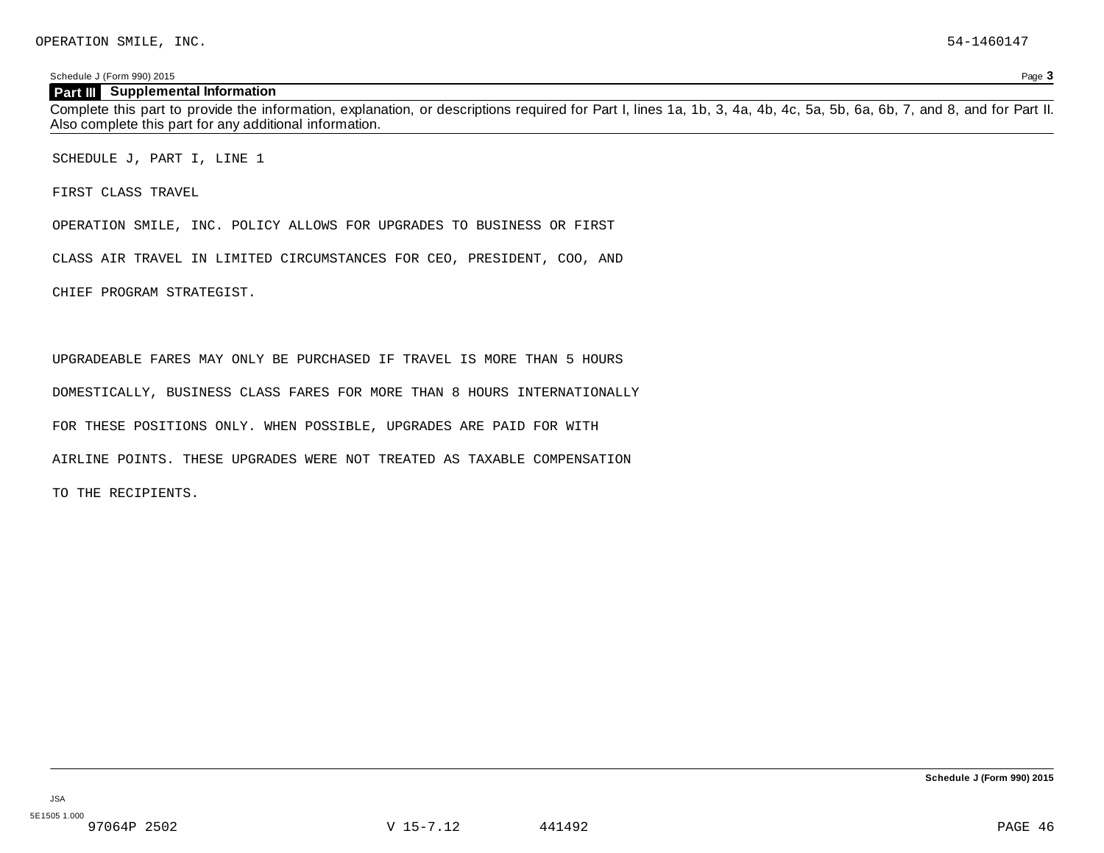#### Schedule J (Form 990) 2015 Page **3**

#### **Part III Supplemental Information**

Complete this part to provide the information, explanation, or descriptions required for Part I, lines 1a, 1b, 3, 4a, 4b, 4c, 5a, 5b, 6a, 6b, 7, and 8, and for Part II. Also complete this part for any additional information.

SCHEDULE J, PART I, LINE 1

FIRST CLASS TRAVEL

OPERATION SMILE, INC. POLICY ALLOWS FOR UPGRADES TO BUSINESS OR FIRST

CLASS AIR TRAVEL IN LIMITED CIRCUMSTANCES FOR CEO, PRESIDENT, COO, AND

CHIEF PROGRAM STRATEGIST.

UPGRADEABLE FARES MAY ONLY BE PURCHASED IF TRAVEL IS MORE THAN 5 HOURS DOMESTICALLY, BUSINESS CLASS FARES FOR MORE THAN 8 HOURS INTERNATIONALLY FOR THESE POSITIONS ONLY. WHEN POSSIBLE, UPGRADES ARE PAID FOR WITH AIRLINE POINTS. THESE UPGRADES WERE NOT TREATED AS TAXABLE COMPENSATION TO THE RECIPIENTS.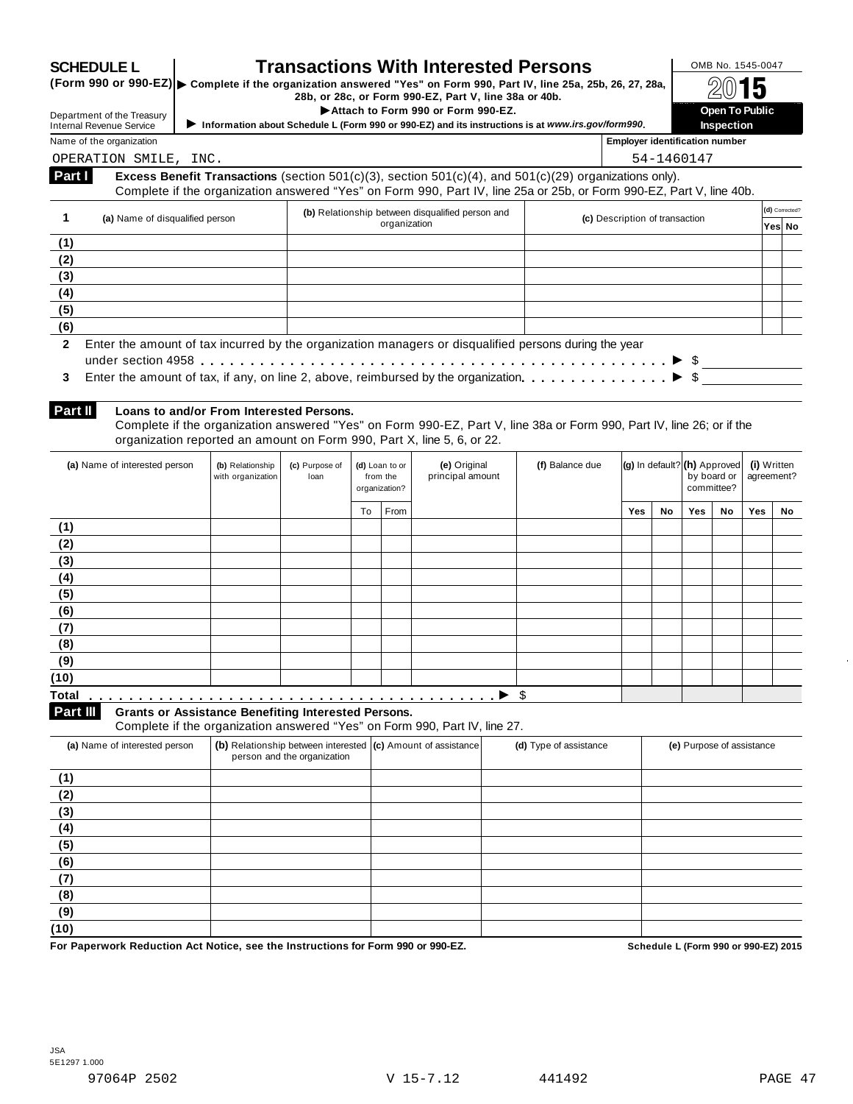| <b>SCHEDULE L</b>   | Department of the Treasury<br><b>Internal Revenue Service</b> |                                       |                             |    |                                             | 28b, or 28c, or Form 990-EZ, Part V, line 38a or 40b.<br>Attach to Form 990 or Form 990-EZ. | (Form 990 or 990-EZ) > Complete if the organization answered "Yes" on Form 990, Part IV, line 25a, 25b, 26, 27, 28a,<br>Information about Schedule L (Form 990 or 990-EZ) and its instructions is at www.irs.gov/form990.         |                                       |    |                                            | <b>Inspection</b> | <b>Open To Public</b>     |                          |
|---------------------|---------------------------------------------------------------|---------------------------------------|-----------------------------|----|---------------------------------------------|---------------------------------------------------------------------------------------------|-----------------------------------------------------------------------------------------------------------------------------------------------------------------------------------------------------------------------------------|---------------------------------------|----|--------------------------------------------|-------------------|---------------------------|--------------------------|
|                     | Name of the organization                                      |                                       |                             |    |                                             |                                                                                             |                                                                                                                                                                                                                                   | <b>Employer identification number</b> |    |                                            |                   |                           |                          |
|                     | OPERATION SMILE, INC.                                         |                                       |                             |    |                                             |                                                                                             |                                                                                                                                                                                                                                   |                                       |    | 54-1460147                                 |                   |                           |                          |
| Part I              |                                                               |                                       |                             |    |                                             |                                                                                             | Excess Benefit Transactions (section 501(c)(3), section 501(c)(4), and 501(c)(29) organizations only).                                                                                                                            |                                       |    |                                            |                   |                           |                          |
|                     |                                                               |                                       |                             |    |                                             |                                                                                             | Complete if the organization answered "Yes" on Form 990, Part IV, line 25a or 25b, or Form 990-EZ, Part V, line 40b.                                                                                                              |                                       |    |                                            |                   |                           |                          |
| $\mathbf{1}$        | (a) Name of disqualified person                               |                                       |                             |    | organization                                | (b) Relationship between disqualified person and                                            |                                                                                                                                                                                                                                   | (c) Description of transaction        |    |                                            |                   |                           | (d) Corrected?<br>Yes No |
| (1)                 |                                                               |                                       |                             |    |                                             |                                                                                             |                                                                                                                                                                                                                                   |                                       |    |                                            |                   |                           |                          |
| (2)                 |                                                               |                                       |                             |    |                                             |                                                                                             |                                                                                                                                                                                                                                   |                                       |    |                                            |                   |                           |                          |
| (3)                 |                                                               |                                       |                             |    |                                             |                                                                                             |                                                                                                                                                                                                                                   |                                       |    |                                            |                   |                           |                          |
| (4)                 |                                                               |                                       |                             |    |                                             |                                                                                             |                                                                                                                                                                                                                                   |                                       |    |                                            |                   |                           |                          |
| (5)                 |                                                               |                                       |                             |    |                                             |                                                                                             |                                                                                                                                                                                                                                   |                                       |    |                                            |                   |                           |                          |
| (6)<br>$\mathbf{2}$ |                                                               |                                       |                             |    |                                             |                                                                                             | Enter the amount of tax incurred by the organization managers or disqualified persons during the year                                                                                                                             |                                       |    |                                            |                   |                           |                          |
| 3<br>Part II        | Loans to and/or From Interested Persons.                      |                                       |                             |    |                                             | organization reported an amount on Form 990, Part X, line 5, 6, or 22.                      | Enter the amount of tax, if any, on line 2, above, reimbursed by the organization $\ldots \ldots \ldots$<br>Complete if the organization answered "Yes" on Form 990-EZ, Part V, line 38a or Form 990, Part IV, line 26; or if the |                                       |    |                                            |                   |                           |                          |
|                     | (a) Name of interested person                                 | (b) Relationship<br>with organization | (c) Purpose of<br>loan      |    | (d) Loan to or<br>from the<br>organization? | (e) Original<br>principal amount                                                            | (f) Balance due                                                                                                                                                                                                                   |                                       |    | (g) In default? (h) Approved<br>committee? | by board or       | (i) Written<br>agreement? |                          |
|                     |                                                               |                                       |                             | To | From                                        |                                                                                             |                                                                                                                                                                                                                                   | Yes                                   | No | <b>Yes</b>                                 | No                | Yes                       | No                       |
| (1)                 |                                                               |                                       |                             |    |                                             |                                                                                             |                                                                                                                                                                                                                                   |                                       |    |                                            |                   |                           |                          |
| (2)                 |                                                               |                                       |                             |    |                                             |                                                                                             |                                                                                                                                                                                                                                   |                                       |    |                                            |                   |                           |                          |
| (3)                 |                                                               |                                       |                             |    |                                             |                                                                                             |                                                                                                                                                                                                                                   |                                       |    |                                            |                   |                           |                          |
| (4)                 |                                                               |                                       |                             |    |                                             |                                                                                             |                                                                                                                                                                                                                                   |                                       |    |                                            |                   |                           |                          |
| (5)                 |                                                               |                                       |                             |    |                                             |                                                                                             |                                                                                                                                                                                                                                   |                                       |    |                                            |                   |                           |                          |
| (6)                 |                                                               |                                       |                             |    |                                             |                                                                                             |                                                                                                                                                                                                                                   |                                       |    |                                            |                   |                           |                          |
| (7)                 |                                                               |                                       |                             |    |                                             |                                                                                             |                                                                                                                                                                                                                                   |                                       |    |                                            |                   |                           |                          |
| (8)                 |                                                               |                                       |                             |    |                                             |                                                                                             |                                                                                                                                                                                                                                   |                                       |    |                                            |                   |                           |                          |
| (9)                 |                                                               |                                       |                             |    |                                             |                                                                                             |                                                                                                                                                                                                                                   |                                       |    |                                            |                   |                           |                          |
| (10)                |                                                               |                                       |                             |    |                                             |                                                                                             |                                                                                                                                                                                                                                   |                                       |    |                                            |                   |                           |                          |
| Total<br>Part III   | <b>Grants or Assistance Benefiting Interested Persons.</b>    |                                       |                             |    |                                             | Complete if the organization answered "Yes" on Form 990, Part IV, line 27.                  | - \$                                                                                                                                                                                                                              |                                       |    |                                            |                   |                           |                          |
|                     | (a) Name of interested person                                 |                                       | person and the organization |    |                                             | (b) Relationship between interested (c) Amount of assistance                                | (d) Type of assistance                                                                                                                                                                                                            |                                       |    | (e) Purpose of assistance                  |                   |                           |                          |
| (1)                 |                                                               |                                       |                             |    |                                             |                                                                                             |                                                                                                                                                                                                                                   |                                       |    |                                            |                   |                           |                          |
| (2)<br>(3)          |                                                               |                                       |                             |    |                                             |                                                                                             |                                                                                                                                                                                                                                   |                                       |    |                                            |                   |                           |                          |
| (4)                 |                                                               |                                       |                             |    |                                             |                                                                                             |                                                                                                                                                                                                                                   |                                       |    |                                            |                   |                           |                          |
| (5)                 |                                                               |                                       |                             |    |                                             |                                                                                             |                                                                                                                                                                                                                                   |                                       |    |                                            |                   |                           |                          |
| (6)                 |                                                               |                                       |                             |    |                                             |                                                                                             |                                                                                                                                                                                                                                   |                                       |    |                                            |                   |                           |                          |
| (7)                 |                                                               |                                       |                             |    |                                             |                                                                                             |                                                                                                                                                                                                                                   |                                       |    |                                            |                   |                           |                          |
| (8)                 |                                                               |                                       |                             |    |                                             |                                                                                             |                                                                                                                                                                                                                                   |                                       |    |                                            |                   |                           |                          |
| (9)                 |                                                               |                                       |                             |    |                                             |                                                                                             |                                                                                                                                                                                                                                   |                                       |    |                                            |                   |                           |                          |
| (10)                |                                                               |                                       |                             |    |                                             |                                                                                             |                                                                                                                                                                                                                                   |                                       |    |                                            |                   |                           |                          |
|                     |                                                               |                                       |                             |    |                                             |                                                                                             |                                                                                                                                                                                                                                   |                                       |    |                                            |                   |                           |                          |

 $\ddot{\phantom{a}}$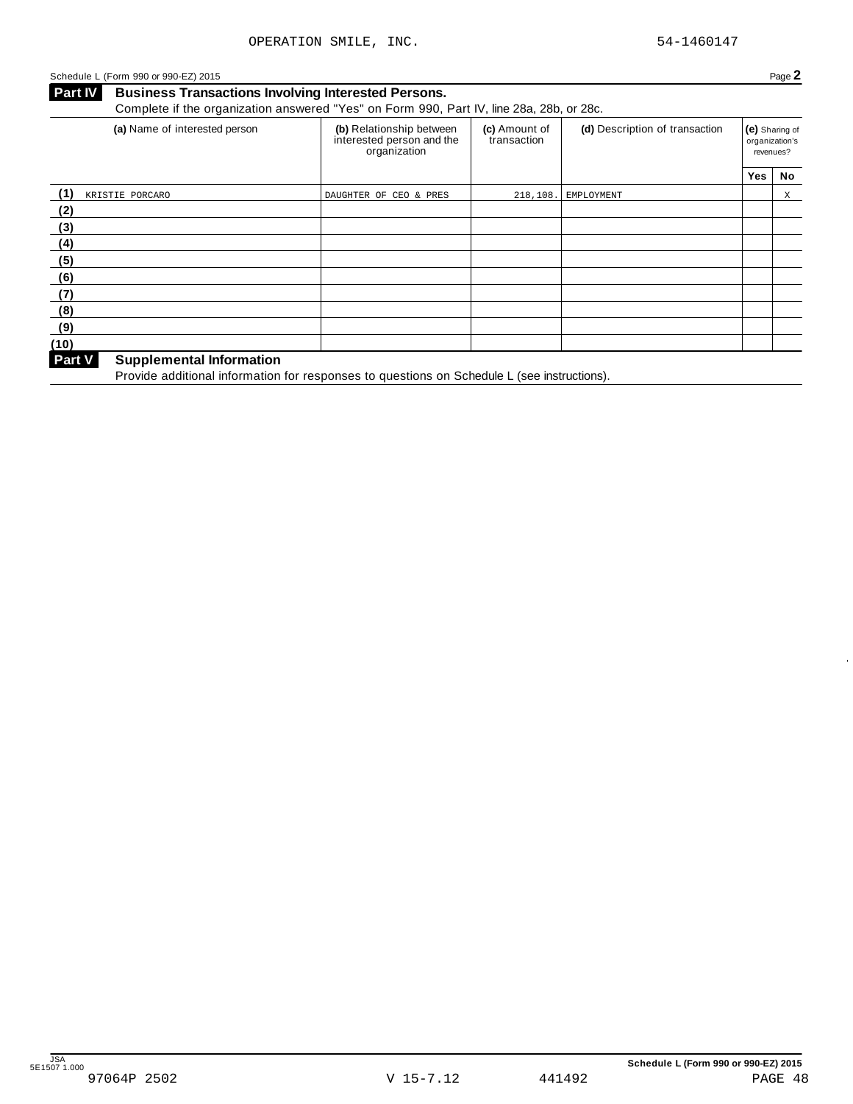Schedule <sup>L</sup> (Form <sup>990</sup> or 990-EZ) <sup>2015</sup> Page **2**

**Business Transactions Involving Interested Persons. Part IV** Business Transactions Involving Interested Persons.<br>Complete if the organization answered "Yes" on Form 990, Part IV, line 28a, 28b, or 28c.

| (a) Name of interested person             | (b) Relationship between<br>interested person and the<br>organization | (c) Amount of<br>transaction | (d) Description of transaction | organization's<br>revenues? | (e) Sharing of |
|-------------------------------------------|-----------------------------------------------------------------------|------------------------------|--------------------------------|-----------------------------|----------------|
|                                           |                                                                       |                              |                                | Yes                         | No             |
| (1)<br>KRISTIE PORCARO                    | DAUGHTER OF CEO & PRES                                                | 218,108.                     | EMPLOYMENT                     |                             | X              |
| (2)                                       |                                                                       |                              |                                |                             |                |
| (3)                                       |                                                                       |                              |                                |                             |                |
| (4)                                       |                                                                       |                              |                                |                             |                |
| (5)                                       |                                                                       |                              |                                |                             |                |
| (6)                                       |                                                                       |                              |                                |                             |                |
| (7)                                       |                                                                       |                              |                                |                             |                |
| (8)                                       |                                                                       |                              |                                |                             |                |
| (9)                                       |                                                                       |                              |                                |                             |                |
| (10)                                      |                                                                       |                              |                                |                             |                |
| Part V<br><b>Supplemental Information</b> |                                                                       |                              |                                |                             |                |

**Part V** Supplemental information<br>Provide additional information for responses to questions on Schedule L (see instructions).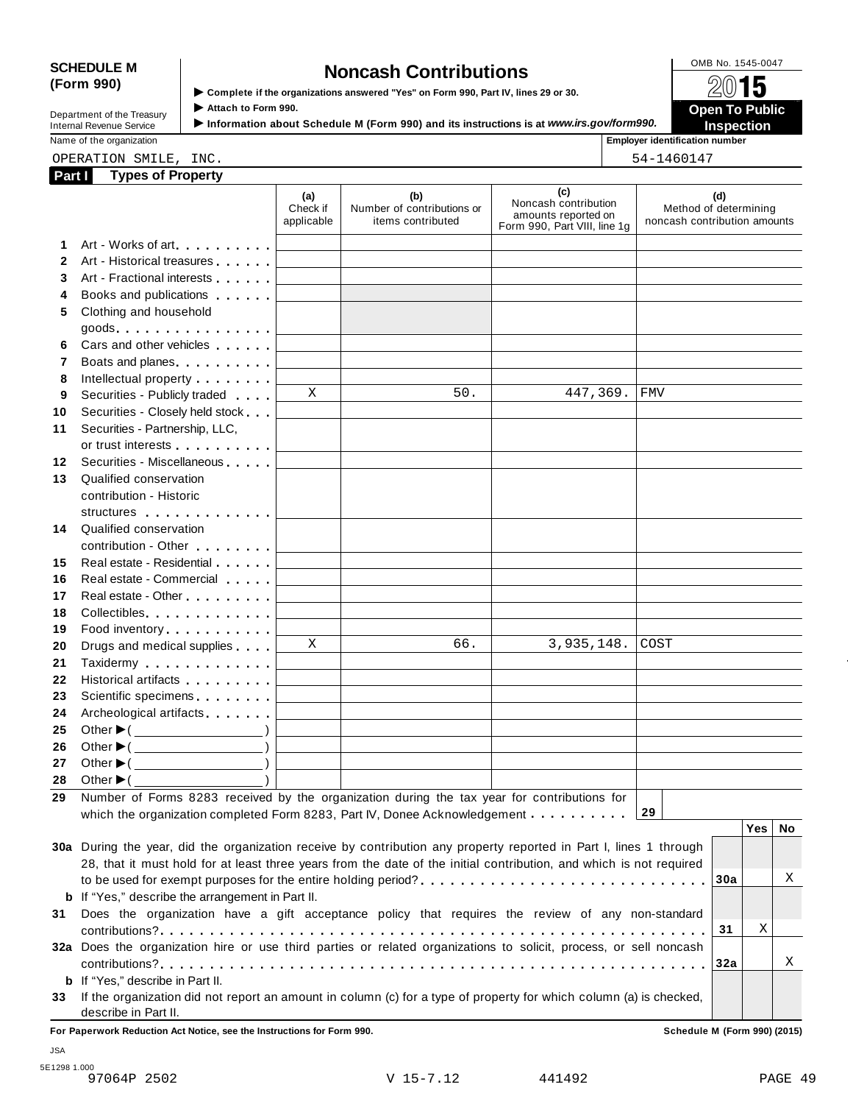# SCHEDULE M
<br> **SCHEDULE** M
<br> **SCOMB No. 1545-0047**<br> **SCOMB No. 1545-0047**<br> **SCOMB No. 1545-0047**<br> **SCOMB No. 1545-0047**<br> **SCOMB No. 1545-0047**<br> **SCOMB No. 1545-0047**<br> **SCOMB No. 1545-0047**

**(Form 990)** I **Complete if the organizations answered "Yes" on Form 990, Part IV, lines <sup>29</sup> or 30.** À¾µ¹

|                            | ► Complete if the organizations answered "Yes" on Form 990. Part IV. lines 29 or 30.                          | 6V IV                                 |
|----------------------------|---------------------------------------------------------------------------------------------------------------|---------------------------------------|
| Department of the Treasury | $\blacktriangleright$ Attach to Form 990.                                                                     | <b>Open To Public</b>                 |
| Internal Revenue Service   | $\blacktriangleright$ Information about Schedule M (Form 990) and its instructions is at www.irs.gov/form990. | $\equiv$ Inspection                   |
| Name of the organization   |                                                                                                               | <b>Employer identification number</b> |

| reality of the organization |        |
|-----------------------------|--------|
| ----------                  | ------ |

| )N SMILE, INC. |  |
|----------------|--|

|              | OPERATION SMILE, INC.                                                                                                                                                                                                          |                               |                                                                                           |                                                                                    | 54-1460147                                                   |          |   |
|--------------|--------------------------------------------------------------------------------------------------------------------------------------------------------------------------------------------------------------------------------|-------------------------------|-------------------------------------------------------------------------------------------|------------------------------------------------------------------------------------|--------------------------------------------------------------|----------|---|
| Part I       | <b>Types of Property</b>                                                                                                                                                                                                       |                               |                                                                                           |                                                                                    |                                                              |          |   |
|              |                                                                                                                                                                                                                                | (a)<br>Check if<br>applicable | (b)<br>Number of contributions or<br>items contributed                                    | (c)<br>Noncash contribution<br>amounts reported on<br>Form 990, Part VIII, line 1g | (d)<br>Method of determining<br>noncash contribution amounts |          |   |
| 1.           | Art - Works of art entertainment                                                                                                                                                                                               |                               |                                                                                           |                                                                                    |                                                              |          |   |
| $\mathbf{2}$ | Art - Historical treasures                                                                                                                                                                                                     |                               |                                                                                           |                                                                                    |                                                              |          |   |
| 3            | Art - Fractional interests                                                                                                                                                                                                     |                               |                                                                                           |                                                                                    |                                                              |          |   |
| 4            | Books and publications <b>Solutions</b>                                                                                                                                                                                        |                               |                                                                                           |                                                                                    |                                                              |          |   |
| 5.           | Clothing and household                                                                                                                                                                                                         |                               |                                                                                           |                                                                                    |                                                              |          |   |
|              | $goods.$                                                                                                                                                                                                                       |                               |                                                                                           |                                                                                    |                                                              |          |   |
| 6            | Cars and other vehicles                                                                                                                                                                                                        |                               | the control of the control of the control of the control of the control of the control of |                                                                                    |                                                              |          |   |
| 7            | Boats and planes <b>Exercise 2.1 Fig. 1.1</b>                                                                                                                                                                                  |                               |                                                                                           |                                                                                    |                                                              |          |   |
| 8            | Intellectual property entering the state of                                                                                                                                                                                    |                               |                                                                                           |                                                                                    |                                                              |          |   |
| 9            | Securities - Publicly traded                                                                                                                                                                                                   | X                             | 50.                                                                                       | 447,369.                                                                           | <b>FMV</b>                                                   |          |   |
| 10           | Securities - Closely held stock                                                                                                                                                                                                |                               |                                                                                           |                                                                                    |                                                              |          |   |
| 11           | Securities - Partnership, LLC,                                                                                                                                                                                                 |                               |                                                                                           |                                                                                    |                                                              |          |   |
|              | or trust interests experience that the set of the set of the set of the set of the set of the set of the set of the set of the set of the set of the set of the set of the set of the set of the set of the set of the set of  |                               |                                                                                           |                                                                                    |                                                              |          |   |
| 12           | Securities - Miscellaneous                                                                                                                                                                                                     |                               |                                                                                           |                                                                                    |                                                              |          |   |
| 13           | Qualified conservation                                                                                                                                                                                                         |                               |                                                                                           |                                                                                    |                                                              |          |   |
|              | contribution - Historic                                                                                                                                                                                                        |                               |                                                                                           |                                                                                    |                                                              |          |   |
|              | structures experience and the state of the state of the state of the state of the state of the state of the state of the state of the state of the state of the state of the state of the state of the state of the state of t |                               |                                                                                           |                                                                                    |                                                              |          |   |
| 14           | Qualified conservation                                                                                                                                                                                                         |                               |                                                                                           |                                                                                    |                                                              |          |   |
|              | contribution - Other <b>Canada and Taylor</b>                                                                                                                                                                                  |                               |                                                                                           |                                                                                    |                                                              |          |   |
| 15           | Real estate - Residential                                                                                                                                                                                                      |                               |                                                                                           |                                                                                    |                                                              |          |   |
| 16           | Real estate - Commercial                                                                                                                                                                                                       |                               |                                                                                           |                                                                                    |                                                              |          |   |
| 17           | Real estate - Other <b>Called a Strategie and Taylor</b>                                                                                                                                                                       |                               | the control of the control of the control of the control of the control of the control of |                                                                                    |                                                              |          |   |
| 18           | Collectibles                                                                                                                                                                                                                   |                               |                                                                                           |                                                                                    |                                                              |          |   |
| 19           | Food inventory experience in the set of the set of the set of the set of the set of the set of the set of the set of the set of the set of the set of the set of the set of the set of the set of the set of the set of the se | X                             | 66.                                                                                       | 3,935,148.                                                                         | COST                                                         |          |   |
| 20           | Drugs and medical supplies                                                                                                                                                                                                     |                               |                                                                                           |                                                                                    |                                                              |          |   |
| 21           | Taxidermy                                                                                                                                                                                                                      |                               |                                                                                           |                                                                                    |                                                              |          |   |
| 22           | Historical artifacts <b>All Accords</b>                                                                                                                                                                                        |                               |                                                                                           |                                                                                    |                                                              |          |   |
| 23           | Scientific specimens                                                                                                                                                                                                           |                               |                                                                                           |                                                                                    |                                                              |          |   |
| 24<br>25     | Archeological artifacts                                                                                                                                                                                                        |                               |                                                                                           |                                                                                    |                                                              |          |   |
| 26           |                                                                                                                                                                                                                                |                               |                                                                                           |                                                                                    |                                                              |          |   |
| 27           | Other $\blacktriangleright$ ( $\_\_\_\_\_\_\_\_$ )<br>Other $\blacktriangleright$ ( $\_\_\_\_\_\_\_\_$ )                                                                                                                       |                               |                                                                                           |                                                                                    |                                                              |          |   |
|              |                                                                                                                                                                                                                                |                               |                                                                                           |                                                                                    |                                                              |          |   |
| 29           | Number of Forms 8283 received by the organization during the tax year for contributions for                                                                                                                                    |                               |                                                                                           |                                                                                    |                                                              |          |   |
|              | which the organization completed Form 8283, Part IV, Donee Acknowledgement                                                                                                                                                     |                               |                                                                                           |                                                                                    | $ 29\rangle$                                                 |          |   |
|              |                                                                                                                                                                                                                                |                               |                                                                                           |                                                                                    |                                                              | Yes   No |   |
|              | 30a During the year, did the organization receive by contribution any property reported in Part I, lines 1 through                                                                                                             |                               |                                                                                           |                                                                                    |                                                              |          |   |
|              | 28, that it must hold for at least three years from the date of the initial contribution, and which is not required                                                                                                            |                               |                                                                                           |                                                                                    |                                                              |          |   |
|              |                                                                                                                                                                                                                                |                               |                                                                                           |                                                                                    | 30a                                                          |          | Χ |
|              | <b>b</b> If "Yes," describe the arrangement in Part II.                                                                                                                                                                        |                               |                                                                                           |                                                                                    |                                                              |          |   |
| 31           | Does the organization have a gift acceptance policy that requires the review of any non-standard                                                                                                                               |                               |                                                                                           |                                                                                    |                                                              |          |   |
|              |                                                                                                                                                                                                                                |                               |                                                                                           |                                                                                    | 31                                                           | Χ        |   |
|              | 32a Does the organization hire or use third parties or related organizations to solicit, process, or sell noncash                                                                                                              |                               |                                                                                           |                                                                                    |                                                              |          |   |
|              |                                                                                                                                                                                                                                |                               |                                                                                           |                                                                                    | 32a                                                          |          | Χ |
|              | <b>b</b> If "Yes," describe in Part II.                                                                                                                                                                                        |                               |                                                                                           |                                                                                    |                                                              |          |   |
| 33           | If the organization did not report an amount in column (c) for a type of property for which column (a) is checked,                                                                                                             |                               |                                                                                           |                                                                                    |                                                              |          |   |
|              | describe in Part II.                                                                                                                                                                                                           |                               |                                                                                           |                                                                                    |                                                              |          |   |
|              |                                                                                                                                                                                                                                |                               |                                                                                           |                                                                                    |                                                              |          |   |

**For Paperwork Reduction Act Notice, see the Instructions for Form 990. Schedule M (Form 990) (2015)**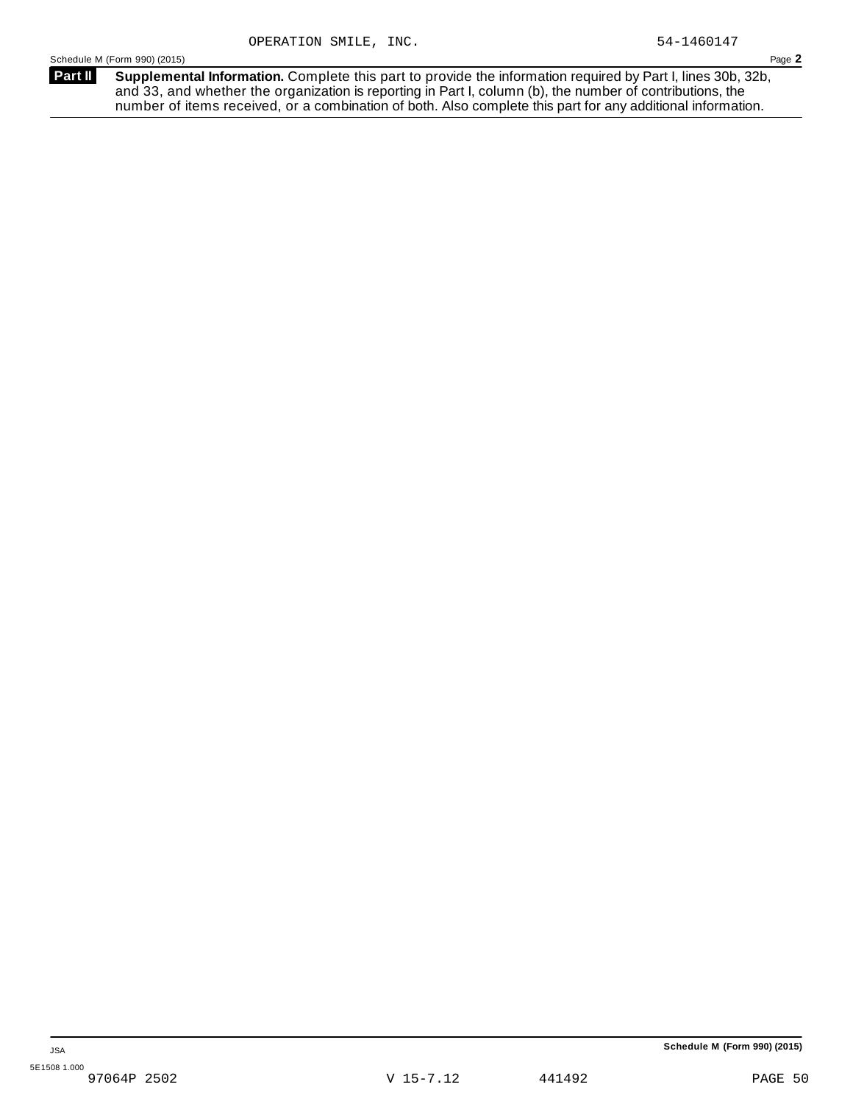**Supplemental Information.** Complete this part to provide the information required by Part I, lines 30b, 32b, and 33, and whether the organization is reporting in Part I, column (b), the number of contributions, the number of items received, or a combination of both. Also complete this part for any additional information. **Part II**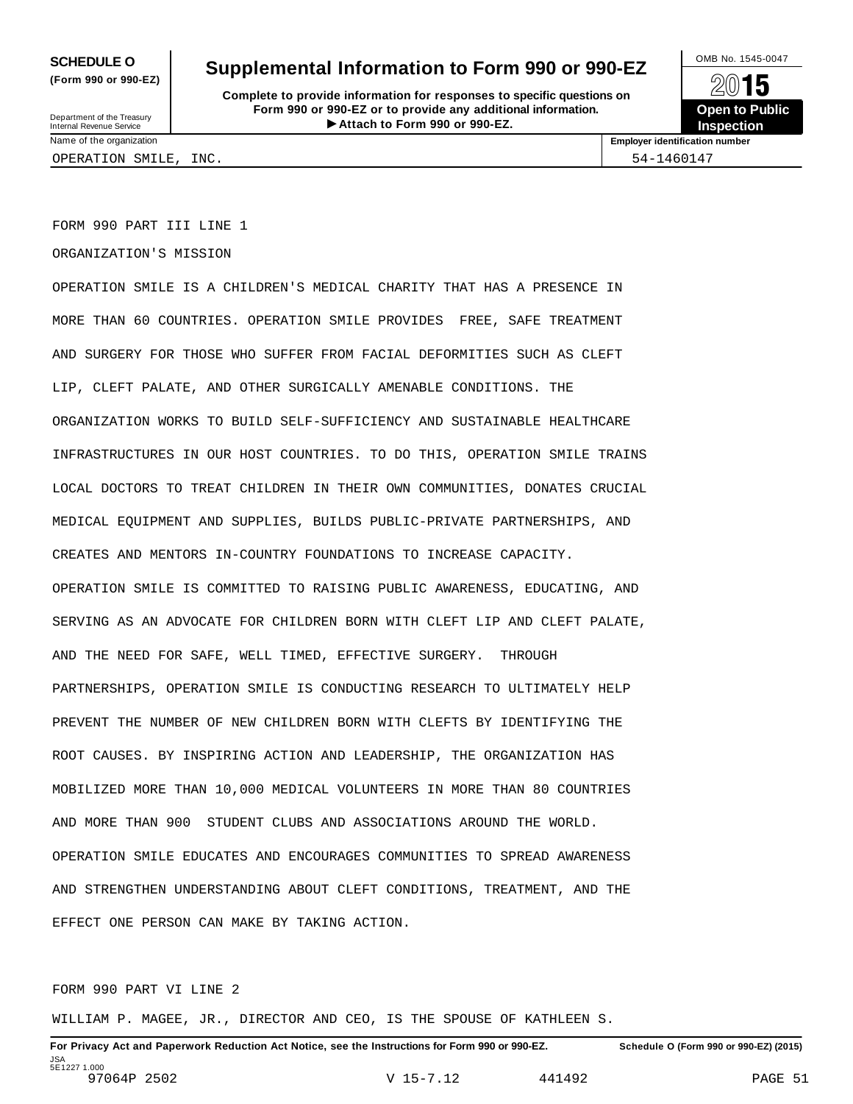**(Form 990 or 990-EZ)**

### **SCHEDULE O** Supplemental Information to Form 990 or 990-EZ  $\frac{100\text{dB No. }1545-0047}{\text{O}}$

**Complete to provide information for responses to specific questions on Form 990 or 990-EZ or to provide any additional information.** Fristen **Attach to Form 1990** or 990-EZ.<br>
Attach to Form 990 or 990-EZ.<br>
Attach to Form 990 or 990-EZ.<br> **Attach to Form 990 or 990-EZ.** Department of the Treasury Internal Revenue Service I

**Open to Public Inspection**

FORM 990 PART III LINE 1

ORGANIZATION'S MISSION

OPERATION SMILE IS A CHILDREN'S MEDICAL CHARITY THAT HAS A PRESENCE IN MORE THAN 60 COUNTRIES. OPERATION SMILE PROVIDES FREE, SAFE TREATMENT AND SURGERY FOR THOSE WHO SUFFER FROM FACIAL DEFORMITIES SUCH AS CLEFT LIP, CLEFT PALATE, AND OTHER SURGICALLY AMENABLE CONDITIONS. THE ORGANIZATION WORKS TO BUILD SELF-SUFFICIENCY AND SUSTAINABLE HEALTHCARE INFRASTRUCTURES IN OUR HOST COUNTRIES. TO DO THIS, OPERATION SMILE TRAINS LOCAL DOCTORS TO TREAT CHILDREN IN THEIR OWN COMMUNITIES, DONATES CRUCIAL MEDICAL EQUIPMENT AND SUPPLIES, BUILDS PUBLIC-PRIVATE PARTNERSHIPS, AND CREATES AND MENTORS IN-COUNTRY FOUNDATIONS TO INCREASE CAPACITY. OPERATION SMILE IS COMMITTED TO RAISING PUBLIC AWARENESS, EDUCATING, AND SERVING AS AN ADVOCATE FOR CHILDREN BORN WITH CLEFT LIP AND CLEFT PALATE, AND THE NEED FOR SAFE, WELL TIMED, EFFECTIVE SURGERY. THROUGH PARTNERSHIPS, OPERATION SMILE IS CONDUCTING RESEARCH TO ULTIMATELY HELP PREVENT THE NUMBER OF NEW CHILDREN BORN WITH CLEFTS BY IDENTIFYING THE ROOT CAUSES. BY INSPIRING ACTION AND LEADERSHIP, THE ORGANIZATION HAS MOBILIZED MORE THAN 10,000 MEDICAL VOLUNTEERS IN MORE THAN 80 COUNTRIES AND MORE THAN 900 STUDENT CLUBS AND ASSOCIATIONS AROUND THE WORLD. OPERATION SMILE EDUCATES AND ENCOURAGES COMMUNITIES TO SPREAD AWARENESS AND STRENGTHEN UNDERSTANDING ABOUT CLEFT CONDITIONS, TREATMENT, AND THE EFFECT ONE PERSON CAN MAKE BY TAKING ACTION.

FORM 990 PART VI LINE 2

WILLIAM P. MAGEE, JR., DIRECTOR AND CEO, IS THE SPOUSE OF KATHLEEN S.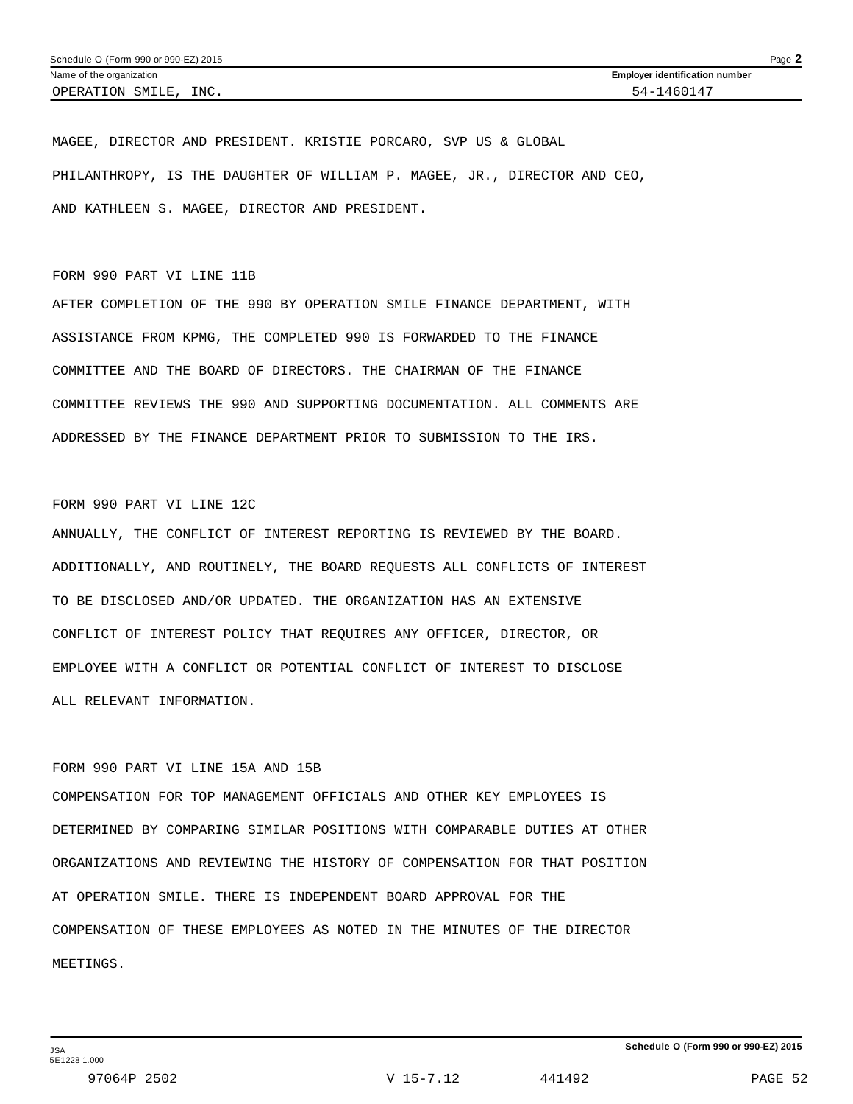| Schedule O (Form 990 or 990-EZ) 2015 | Page $\blacktriangle$                 |  |
|--------------------------------------|---------------------------------------|--|
| Name of the organization             | <b>Employer identification number</b> |  |
| INC.<br>OPERATION SMILE              | 54-1460147                            |  |

MAGEE, DIRECTOR AND PRESIDENT. KRISTIE PORCARO, SVP US & GLOBAL PHILANTHROPY, IS THE DAUGHTER OF WILLIAM P. MAGEE, JR., DIRECTOR AND CEO, AND KATHLEEN S. MAGEE, DIRECTOR AND PRESIDENT.

#### FORM 990 PART VI LINE 11B

AFTER COMPLETION OF THE 990 BY OPERATION SMILE FINANCE DEPARTMENT, WITH ASSISTANCE FROM KPMG, THE COMPLETED 990 IS FORWARDED TO THE FINANCE COMMITTEE AND THE BOARD OF DIRECTORS. THE CHAIRMAN OF THE FINANCE COMMITTEE REVIEWS THE 990 AND SUPPORTING DOCUMENTATION. ALL COMMENTS ARE ADDRESSED BY THE FINANCE DEPARTMENT PRIOR TO SUBMISSION TO THE IRS.

#### FORM 990 PART VI LINE 12C

ANNUALLY, THE CONFLICT OF INTEREST REPORTING IS REVIEWED BY THE BOARD. ADDITIONALLY, AND ROUTINELY, THE BOARD REQUESTS ALL CONFLICTS OF INTEREST TO BE DISCLOSED AND/OR UPDATED. THE ORGANIZATION HAS AN EXTENSIVE CONFLICT OF INTEREST POLICY THAT REQUIRES ANY OFFICER, DIRECTOR, OR EMPLOYEE WITH A CONFLICT OR POTENTIAL CONFLICT OF INTEREST TO DISCLOSE ALL RELEVANT INFORMATION.

#### FORM 990 PART VI LINE 15A AND 15B

COMPENSATION FOR TOP MANAGEMENT OFFICIALS AND OTHER KEY EMPLOYEES IS DETERMINED BY COMPARING SIMILAR POSITIONS WITH COMPARABLE DUTIES AT OTHER ORGANIZATIONS AND REVIEWING THE HISTORY OF COMPENSATION FOR THAT POSITION AT OPERATION SMILE. THERE IS INDEPENDENT BOARD APPROVAL FOR THE COMPENSATION OF THESE EMPLOYEES AS NOTED IN THE MINUTES OF THE DIRECTOR MEETINGS.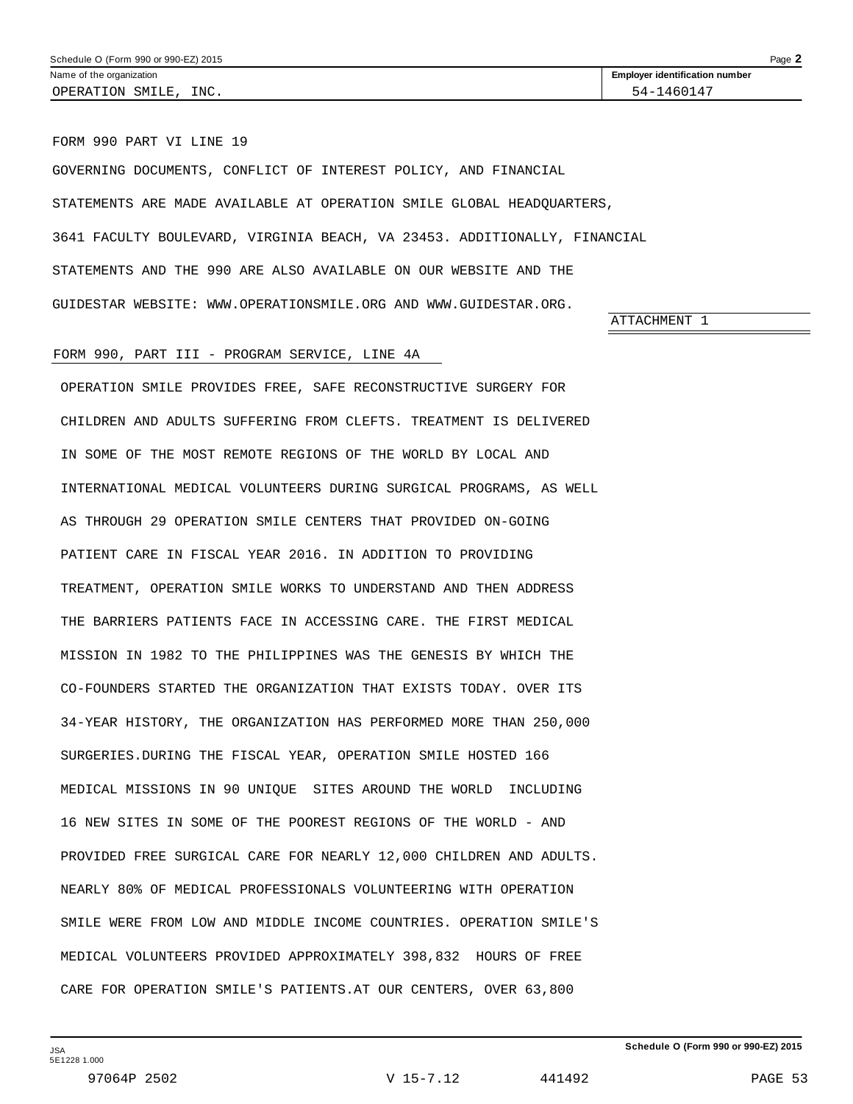FORM 990 PART VI LINE 19

GOVERNING DOCUMENTS, CONFLICT OF INTEREST POLICY, AND FINANCIAL STATEMENTS ARE MADE AVAILABLE AT OPERATION SMILE GLOBAL HEADQUARTERS, 3641 FACULTY BOULEVARD, VIRGINIA BEACH, VA 23453. ADDITIONALLY, FINANCIAL STATEMENTS AND THE 990 ARE ALSO AVAILABLE ON OUR WEBSITE AND THE GUIDESTAR WEBSITE: WWW.OPERATIONSMILE.ORG AND WWW.GUIDESTAR.ORG.

ATTACHMENT 1

#### FORM 990, PART III - PROGRAM SERVICE, LINE 4A

OPERATION SMILE PROVIDES FREE, SAFE RECONSTRUCTIVE SURGERY FOR CHILDREN AND ADULTS SUFFERING FROM CLEFTS. TREATMENT IS DELIVERED IN SOME OF THE MOST REMOTE REGIONS OF THE WORLD BY LOCAL AND INTERNATIONAL MEDICAL VOLUNTEERS DURING SURGICAL PROGRAMS, AS WELL AS THROUGH 29 OPERATION SMILE CENTERS THAT PROVIDED ON-GOING PATIENT CARE IN FISCAL YEAR 2016. IN ADDITION TO PROVIDING TREATMENT, OPERATION SMILE WORKS TO UNDERSTAND AND THEN ADDRESS THE BARRIERS PATIENTS FACE IN ACCESSING CARE. THE FIRST MEDICAL MISSION IN 1982 TO THE PHILIPPINES WAS THE GENESIS BY WHICH THE CO-FOUNDERS STARTED THE ORGANIZATION THAT EXISTS TODAY. OVER ITS 34-YEAR HISTORY, THE ORGANIZATION HAS PERFORMED MORE THAN 250,000 SURGERIES.DURING THE FISCAL YEAR, OPERATION SMILE HOSTED 166 MEDICAL MISSIONS IN 90 UNIQUE SITES AROUND THE WORLD INCLUDING 16 NEW SITES IN SOME OF THE POOREST REGIONS OF THE WORLD - AND PROVIDED FREE SURGICAL CARE FOR NEARLY 12,000 CHILDREN AND ADULTS. NEARLY 80% OF MEDICAL PROFESSIONALS VOLUNTEERING WITH OPERATION SMILE WERE FROM LOW AND MIDDLE INCOME COUNTRIES. OPERATION SMILE'S MEDICAL VOLUNTEERS PROVIDED APPROXIMATELY 398,832 HOURS OF FREE CARE FOR OPERATION SMILE'S PATIENTS.AT OUR CENTERS, OVER 63,800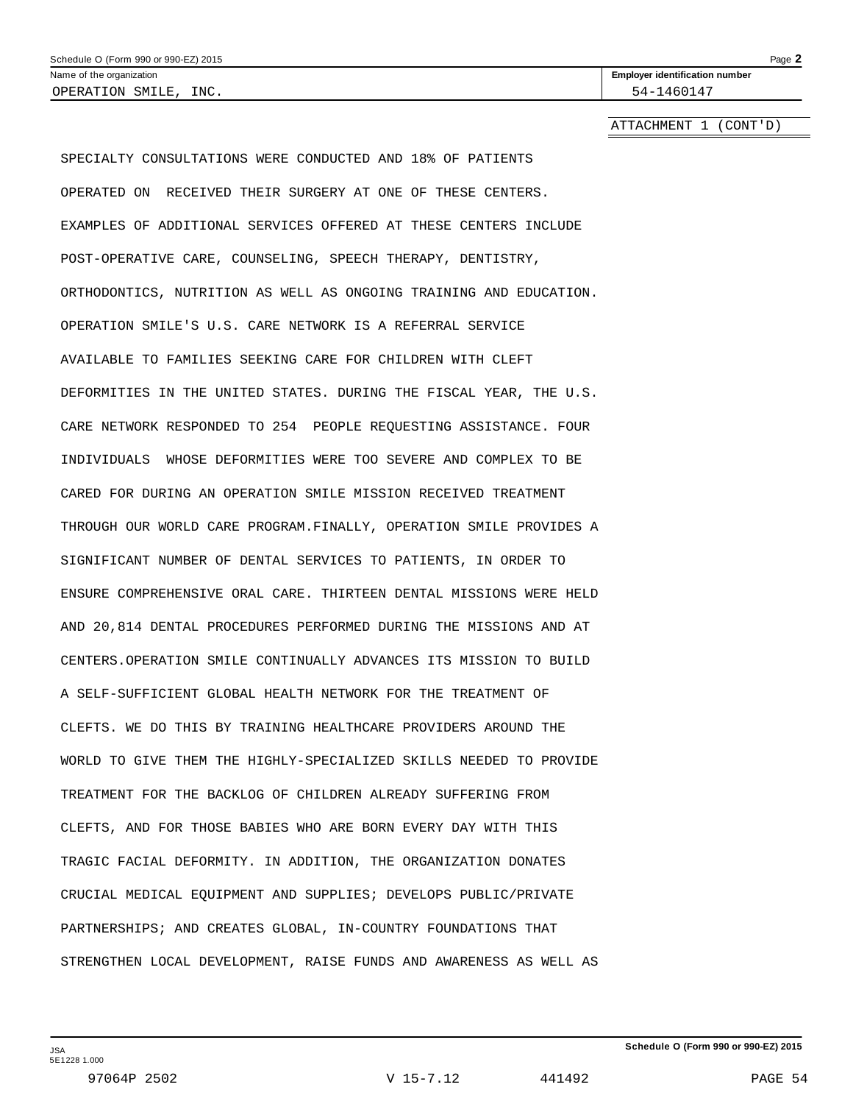| Schedule O (Form 990 or 990-EZ) 2015 |                                       | Page $\blacktriangle$ |
|--------------------------------------|---------------------------------------|-----------------------|
| Name of the organization             | <b>Employer identification number</b> |                       |
| INC.<br>OPERATION SMILE,             | 54-1460147                            |                       |
|                                      |                                       |                       |

ATTACHMENT 1 (CONT'D)

SPECIALTY CONSULTATIONS WERE CONDUCTED AND 18% OF PATIENTS OPERATED ON RECEIVED THEIR SURGERY AT ONE OF THESE CENTERS. EXAMPLES OF ADDITIONAL SERVICES OFFERED AT THESE CENTERS INCLUDE POST-OPERATIVE CARE, COUNSELING, SPEECH THERAPY, DENTISTRY, ORTHODONTICS, NUTRITION AS WELL AS ONGOING TRAINING AND EDUCATION. OPERATION SMILE'S U.S. CARE NETWORK IS A REFERRAL SERVICE AVAILABLE TO FAMILIES SEEKING CARE FOR CHILDREN WITH CLEFT DEFORMITIES IN THE UNITED STATES. DURING THE FISCAL YEAR, THE U.S. CARE NETWORK RESPONDED TO 254 PEOPLE REQUESTING ASSISTANCE. FOUR INDIVIDUALS WHOSE DEFORMITIES WERE TOO SEVERE AND COMPLEX TO BE CARED FOR DURING AN OPERATION SMILE MISSION RECEIVED TREATMENT THROUGH OUR WORLD CARE PROGRAM.FINALLY, OPERATION SMILE PROVIDES A SIGNIFICANT NUMBER OF DENTAL SERVICES TO PATIENTS, IN ORDER TO ENSURE COMPREHENSIVE ORAL CARE. THIRTEEN DENTAL MISSIONS WERE HELD AND 20,814 DENTAL PROCEDURES PERFORMED DURING THE MISSIONS AND AT CENTERS.OPERATION SMILE CONTINUALLY ADVANCES ITS MISSION TO BUILD A SELF-SUFFICIENT GLOBAL HEALTH NETWORK FOR THE TREATMENT OF CLEFTS. WE DO THIS BY TRAINING HEALTHCARE PROVIDERS AROUND THE WORLD TO GIVE THEM THE HIGHLY-SPECIALIZED SKILLS NEEDED TO PROVIDE TREATMENT FOR THE BACKLOG OF CHILDREN ALREADY SUFFERING FROM CLEFTS, AND FOR THOSE BABIES WHO ARE BORN EVERY DAY WITH THIS TRAGIC FACIAL DEFORMITY. IN ADDITION, THE ORGANIZATION DONATES CRUCIAL MEDICAL EQUIPMENT AND SUPPLIES; DEVELOPS PUBLIC/PRIVATE PARTNERSHIPS; AND CREATES GLOBAL, IN-COUNTRY FOUNDATIONS THAT STRENGTHEN LOCAL DEVELOPMENT, RAISE FUNDS AND AWARENESS AS WELL AS

JSA 5E1228 1.000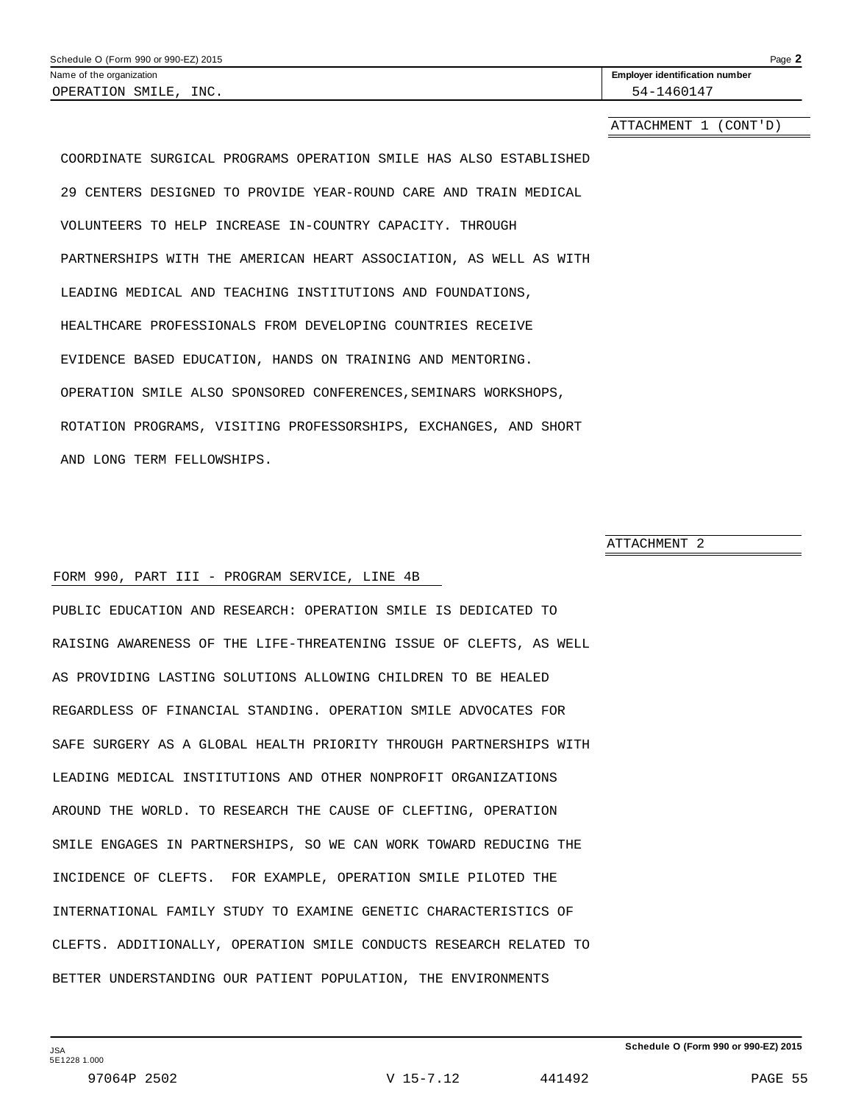| Schedule O (Form 990 or 990-EZ) 2015                              | Page 2                                |  |  |  |  |  |
|-------------------------------------------------------------------|---------------------------------------|--|--|--|--|--|
| Name of the organization                                          | <b>Employer identification number</b> |  |  |  |  |  |
| OPERATION SMILE, INC.                                             | 54-1460147                            |  |  |  |  |  |
|                                                                   | ATTACHMENT 1 (CONT'D)                 |  |  |  |  |  |
| COORDINATE SURGICAL PROGRAMS OPERATION SMILE HAS ALSO ESTABLISHED |                                       |  |  |  |  |  |
| 29 CENTERS DESIGNED TO PROVIDE YEAR-ROUND CARE AND TRAIN MEDICAL  |                                       |  |  |  |  |  |
| VOLUNTEERS TO HELP INCREASE IN-COUNTRY CAPACITY. THROUGH          |                                       |  |  |  |  |  |
| PARTNERSHIPS WITH THE AMERICAN HEART ASSOCIATION, AS WELL AS WITH |                                       |  |  |  |  |  |
| LEADING MEDICAL AND TEACHING INSTITUTIONS AND FOUNDATIONS,        |                                       |  |  |  |  |  |
| HEALTHCARE PROFESSIONALS FROM DEVELOPING COUNTRIES RECEIVE        |                                       |  |  |  |  |  |
| EVIDENCE BASED EDUCATION, HANDS ON TRAINING AND MENTORING.        |                                       |  |  |  |  |  |
| OPERATION SMILE ALSO SPONSORED CONFERENCES, SEMINARS WORKSHOPS,   |                                       |  |  |  |  |  |
| ROTATION PROGRAMS, VISITING PROFESSORSHIPS, EXCHANGES, AND SHORT  |                                       |  |  |  |  |  |
| AND LONG TERM FELLOWSHIPS.                                        |                                       |  |  |  |  |  |

ATTACHMENT 2

#### FORM 990, PART III - PROGRAM SERVICE, LINE 4B

PUBLIC EDUCATION AND RESEARCH: OPERATION SMILE IS DEDICATED TO RAISING AWARENESS OF THE LIFE-THREATENING ISSUE OF CLEFTS, AS WELL AS PROVIDING LASTING SOLUTIONS ALLOWING CHILDREN TO BE HEALED REGARDLESS OF FINANCIAL STANDING. OPERATION SMILE ADVOCATES FOR SAFE SURGERY AS A GLOBAL HEALTH PRIORITY THROUGH PARTNERSHIPS WITH LEADING MEDICAL INSTITUTIONS AND OTHER NONPROFIT ORGANIZATIONS AROUND THE WORLD. TO RESEARCH THE CAUSE OF CLEFTING, OPERATION SMILE ENGAGES IN PARTNERSHIPS, SO WE CAN WORK TOWARD REDUCING THE INCIDENCE OF CLEFTS. FOR EXAMPLE, OPERATION SMILE PILOTED THE INTERNATIONAL FAMILY STUDY TO EXAMINE GENETIC CHARACTERISTICS OF CLEFTS. ADDITIONALLY, OPERATION SMILE CONDUCTS RESEARCH RELATED TO BETTER UNDERSTANDING OUR PATIENT POPULATION, THE ENVIRONMENTS

97064P 2502 V 15-7.12 441492 PAGE 55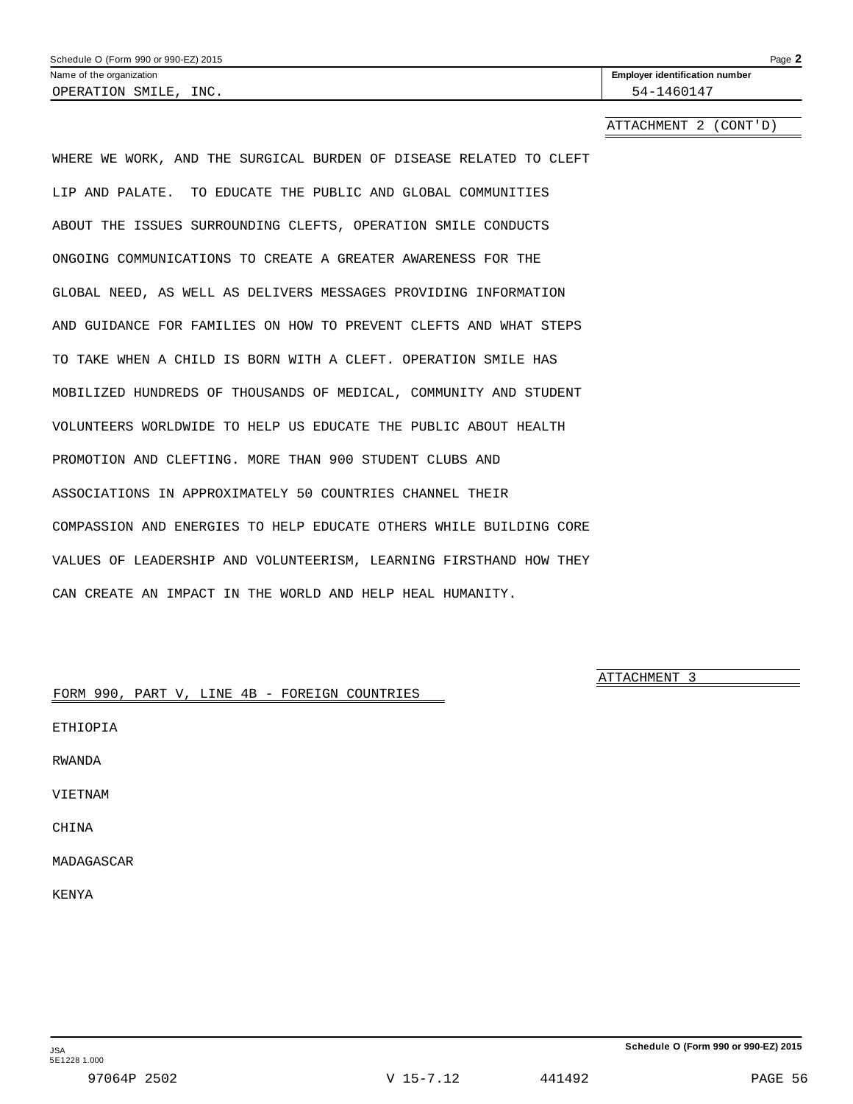| Schedule O (Form 990 or 990-EZ) 2015 | Page $\blacktriangle$                 |
|--------------------------------------|---------------------------------------|
| Name of the organization             | <b>Employer identification number</b> |
| OPERATION SMILE,<br>INC.             | 54-1460147                            |
|                                      |                                       |

ATTACHMENT 2 (CONT'D)

WHERE WE WORK, AND THE SURGICAL BURDEN OF DISEASE RELATED TO CLEFT LIP AND PALATE. TO EDUCATE THE PUBLIC AND GLOBAL COMMUNITIES ABOUT THE ISSUES SURROUNDING CLEFTS, OPERATION SMILE CONDUCTS ONGOING COMMUNICATIONS TO CREATE A GREATER AWARENESS FOR THE GLOBAL NEED, AS WELL AS DELIVERS MESSAGES PROVIDING INFORMATION AND GUIDANCE FOR FAMILIES ON HOW TO PREVENT CLEFTS AND WHAT STEPS TO TAKE WHEN A CHILD IS BORN WITH A CLEFT. OPERATION SMILE HAS MOBILIZED HUNDREDS OF THOUSANDS OF MEDICAL, COMMUNITY AND STUDENT VOLUNTEERS WORLDWIDE TO HELP US EDUCATE THE PUBLIC ABOUT HEALTH PROMOTION AND CLEFTING. MORE THAN 900 STUDENT CLUBS AND ASSOCIATIONS IN APPROXIMATELY 50 COUNTRIES CHANNEL THEIR COMPASSION AND ENERGIES TO HELP EDUCATE OTHERS WHILE BUILDING CORE VALUES OF LEADERSHIP AND VOLUNTEERISM, LEARNING FIRSTHAND HOW THEY CAN CREATE AN IMPACT IN THE WORLD AND HELP HEAL HUMANITY.

FORM 990, PART V, LINE 4B - FOREIGN COUNTRIES

ATTACHMENT 3

ETHIOPIA

RWANDA

VIETNAM

CHINA

MADAGASCAR

KENYA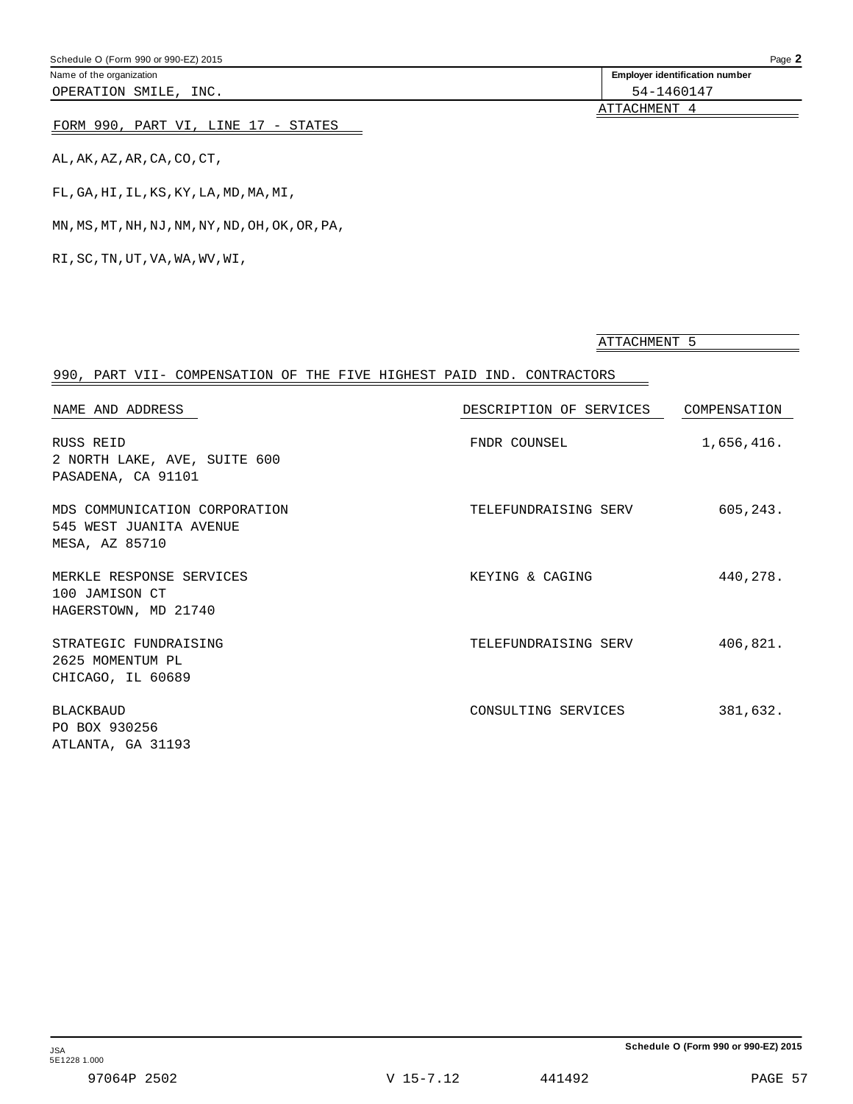| Schedule O (Form 990 or 990-EZ) 2015            | Page 2                                |
|-------------------------------------------------|---------------------------------------|
| Name of the organization                        | <b>Employer identification number</b> |
| OPERATION SMILE, INC.                           | 54-1460147                            |
|                                                 | ATTACHMENT 4                          |
| FORM 990, PART VI, LINE 17 - STATES             |                                       |
|                                                 |                                       |
| AL, AK, AZ, AR, CA, CO, CT,                     |                                       |
|                                                 |                                       |
| FL, GA, HI, IL, KS, KY, LA, MD, MA, MI,         |                                       |
|                                                 |                                       |
| MN, MS, MT, NH, NJ, NM, NY, ND, OH, OK, OR, PA, |                                       |

RI,SC,TN,UT,VA,WA,WV,WI,

| 990, PART VII- COMPENSATION OF THE FIVE HIGHEST PAID IND. CONTRACTORS      |                         |              |
|----------------------------------------------------------------------------|-------------------------|--------------|
| NAME AND ADDRESS                                                           | DESCRIPTION OF SERVICES | COMPENSATION |
| RUSS REID<br>2 NORTH LAKE, AVE, SUITE 600<br>PASADENA, CA 91101            | FNDR COUNSEL            | 1,656,416.   |
| MDS COMMUNICATION CORPORATION<br>545 WEST JUANITA AVENUE<br>MESA, AZ 85710 | TELEFUNDRAISING SERV    | 605, 243.    |
| MERKLE RESPONSE SERVICES<br>100 JAMISON CT<br>HAGERSTOWN, MD 21740         | KEYING & CAGING         | 440,278.     |
| STRATEGIC FUNDRAISING<br>2625 MOMENTUM PL<br>CHICAGO, IL 60689             | TELEFUNDRAISING SERV    | 406,821.     |
| <b>BLACKBAUD</b><br>PO BOX 930256<br>ATLANTA, GA 31193                     | CONSULTING SERVICES     | 381,632.     |

ATTACHMENT 5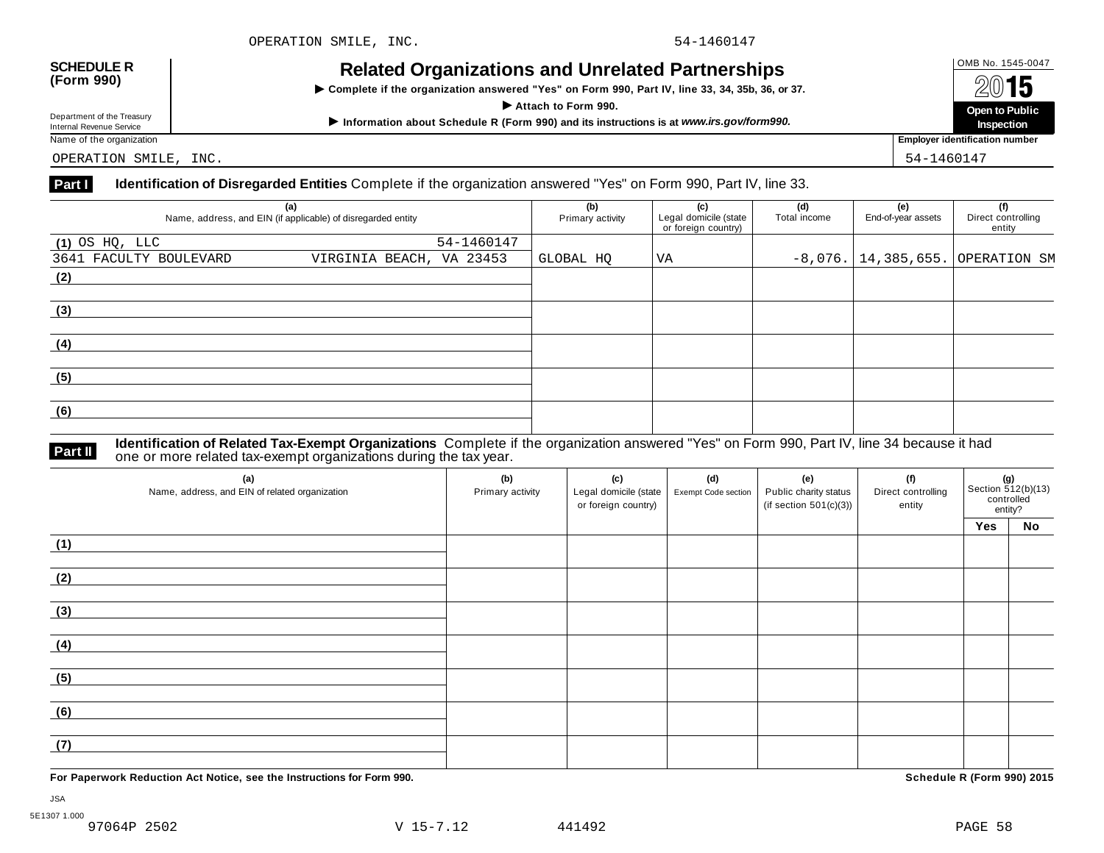## OMB No. 1545-0047 **SCHEDULE R (Form 990) Related Organizations and Unrelated Partnerships**

 $\triangleright$  Complete if the organization answered "Yes" on Form 990, Part IV, line 33, 34, 35b, 36, or 37.

Department of the Treasury<br>
Department of the Treasury Depart to Fublic<br>
Inspection<br>
Name of the organization<br>
Name of the organization

Department of the Treasury<br>Internal Revenue Service

OPERATION SMILE, INC. 54-1460147

#### **Part I Identification of Disregarded Entities** Complete if the organization answered "Yes" on Form 990, Part IV, line 33.

| Name, address, and EIN (if applicable) of disregarded entity | (b)<br>Primary activity  | (c)<br>Legal domicile (state<br>or foreign country) | (d)<br>Total income | (e)<br>End-of-year assets | (f)<br>Direct controlling<br>entity |                                    |
|--------------------------------------------------------------|--------------------------|-----------------------------------------------------|---------------------|---------------------------|-------------------------------------|------------------------------------|
| $(1)$ OS HQ, LLC                                             | 54-1460147               |                                                     |                     |                           |                                     |                                    |
| 3641 FACULTY BOULEVARD                                       | VIRGINIA BEACH, VA 23453 | GLOBAL HQ                                           | VA                  |                           |                                     | $-8,076.$ 14,385,655. OPERATION SM |
| (2)                                                          |                          |                                                     |                     |                           |                                     |                                    |
|                                                              |                          |                                                     |                     |                           |                                     |                                    |
| (3)                                                          |                          |                                                     |                     |                           |                                     |                                    |
|                                                              |                          |                                                     |                     |                           |                                     |                                    |
| (4)                                                          |                          |                                                     |                     |                           |                                     |                                    |
|                                                              |                          |                                                     |                     |                           |                                     |                                    |
| (5)                                                          |                          |                                                     |                     |                           |                                     |                                    |
|                                                              |                          |                                                     |                     |                           |                                     |                                    |
| (6)                                                          |                          |                                                     |                     |                           |                                     |                                    |
|                                                              |                          |                                                     |                     |                           |                                     |                                    |

#### **Identification of Related Tax-Exempt Organizations** Complete if the organization answered "Yes" on Form 990, Part IV, line 34 because it had **Part II** one or more related tax-exempt organizations during the tax year.

| (a)<br>Name, address, and EIN of related organization | (b)<br>Primary activity | (c)<br>Legal domicile (state<br>or foreign country) | (d)<br>Exempt Code section | (e)<br>Public charity status<br>(if section $501(c)(3)$ ) | (f)<br>Direct controlling<br>entity | <b>(g)</b><br>Section 512(b)(13)<br>controlled<br>entity? |    |
|-------------------------------------------------------|-------------------------|-----------------------------------------------------|----------------------------|-----------------------------------------------------------|-------------------------------------|-----------------------------------------------------------|----|
|                                                       |                         |                                                     |                            |                                                           |                                     | Yes                                                       | No |
| (1)                                                   |                         |                                                     |                            |                                                           |                                     |                                                           |    |
| (2)                                                   |                         |                                                     |                            |                                                           |                                     |                                                           |    |
| (3)                                                   |                         |                                                     |                            |                                                           |                                     |                                                           |    |
| (4)                                                   |                         |                                                     |                            |                                                           |                                     |                                                           |    |
| (5)                                                   |                         |                                                     |                            |                                                           |                                     |                                                           |    |
| (6)                                                   |                         |                                                     |                            |                                                           |                                     |                                                           |    |
| (7)                                                   |                         |                                                     |                            |                                                           |                                     |                                                           |    |

**For Paperwork Reduction Act Notice, see the Instructions for Form 990. Schedule R (Form 990) 2015**

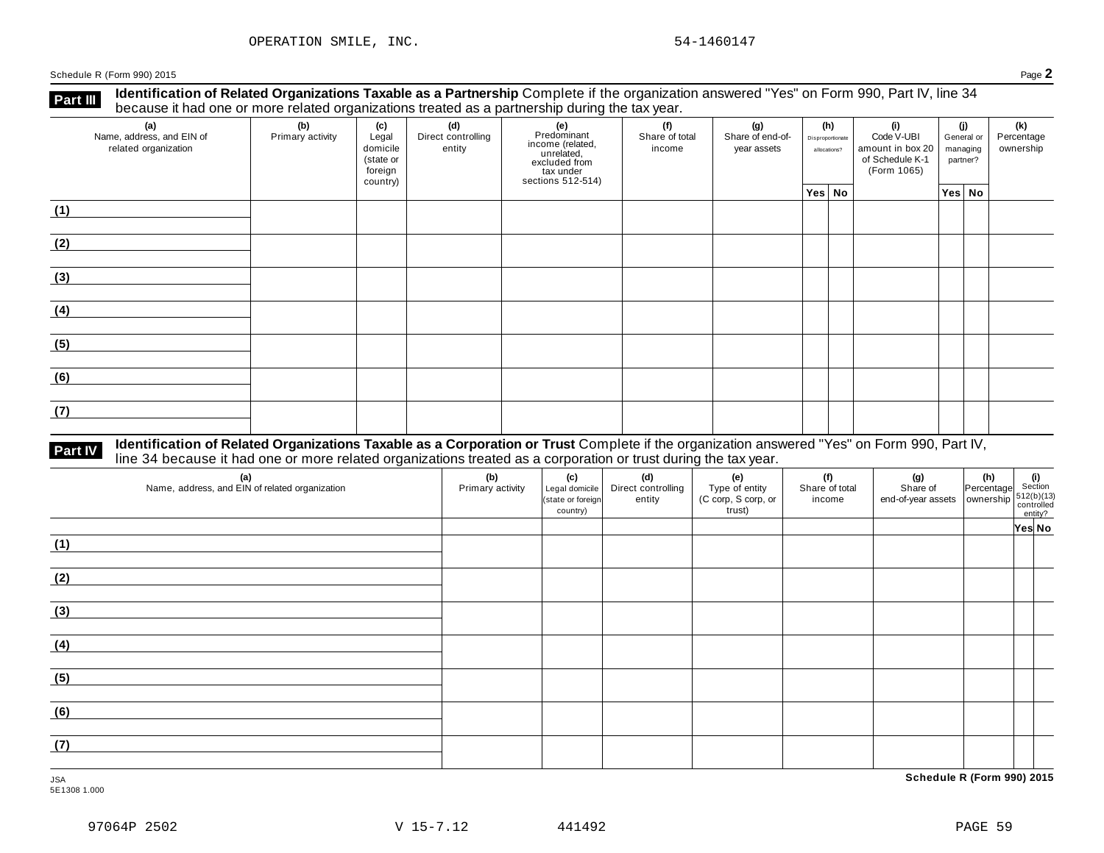Schedule <sup>R</sup> (Form 990) <sup>2015</sup> Page **2**

**Identification of Related Organizations Taxable as a Partnership** Complete if the organization answered "Yes" on Form 990, Part IV, line 34 **because it had one or more related organizations Taxable as a Partnership** Complete it the organization of Related organizations treated as a partnership during the tax year.

| (a)<br>Name, address, and EIN of<br>related organization | (b)<br>Primary activity | (c)<br>Legal<br>domicile<br>(state or<br>foreign<br>country) | (d)<br>Direct controlling<br>entity | (e)<br>Predominant<br>From (related,<br>income (related,<br>excluded from<br>tax under<br>sections 512-514) | (f)<br>Share of total<br>income | (g)<br>Share of end-of-<br>year assets | (h)<br>Disproportionate<br>allocations? | (i)<br>Code V-UBI<br>amount in box 20<br>of Schedule K-1<br>(Form 1065) | (j)<br>General or<br>managing<br>partner? |  |  |  |  |  |  |  |  |  |  |  |  |  |  |  | (k)<br>Percentage<br>ownership |
|----------------------------------------------------------|-------------------------|--------------------------------------------------------------|-------------------------------------|-------------------------------------------------------------------------------------------------------------|---------------------------------|----------------------------------------|-----------------------------------------|-------------------------------------------------------------------------|-------------------------------------------|--|--|--|--|--|--|--|--|--|--|--|--|--|--|--|--------------------------------|
|                                                          |                         |                                                              |                                     |                                                                                                             |                                 |                                        | Yes No                                  |                                                                         | Yes   No                                  |  |  |  |  |  |  |  |  |  |  |  |  |  |  |  |                                |
| (1)                                                      |                         |                                                              |                                     |                                                                                                             |                                 |                                        |                                         |                                                                         |                                           |  |  |  |  |  |  |  |  |  |  |  |  |  |  |  |                                |
| (2)                                                      |                         |                                                              |                                     |                                                                                                             |                                 |                                        |                                         |                                                                         |                                           |  |  |  |  |  |  |  |  |  |  |  |  |  |  |  |                                |
| (3)                                                      |                         |                                                              |                                     |                                                                                                             |                                 |                                        |                                         |                                                                         |                                           |  |  |  |  |  |  |  |  |  |  |  |  |  |  |  |                                |
| (4)                                                      |                         |                                                              |                                     |                                                                                                             |                                 |                                        |                                         |                                                                         |                                           |  |  |  |  |  |  |  |  |  |  |  |  |  |  |  |                                |
| (5)                                                      |                         |                                                              |                                     |                                                                                                             |                                 |                                        |                                         |                                                                         |                                           |  |  |  |  |  |  |  |  |  |  |  |  |  |  |  |                                |
| (6)                                                      |                         |                                                              |                                     |                                                                                                             |                                 |                                        |                                         |                                                                         |                                           |  |  |  |  |  |  |  |  |  |  |  |  |  |  |  |                                |
| (7)                                                      |                         |                                                              |                                     |                                                                                                             |                                 |                                        |                                         |                                                                         |                                           |  |  |  |  |  |  |  |  |  |  |  |  |  |  |  |                                |

# **Part IV** Identification of Related Organizations Taxable as a Corporation or Trust Complete if the organization answered "Yes" on Form 990, Part IV,<br>line 34 because it had one or more related organizations treated as a co

| (a)<br>Name, address, and EIN of related organization | (b)<br>Primary activity | (c)<br>Legal domicile<br>(state or foreign<br>country) | (d)<br>Direct controlling<br>entity | (e)<br>Type of entity<br>(C corp, S corp, or<br>trust) | (f)<br>Share of total<br>income | (g) (h) $\frac{1}{2}$ (i) $\frac{1}{2}$ (i) $\frac{1}{2}$ (i) $\frac{1}{2}$ (i) $\frac{1}{2}$ (i) $\frac{1}{2}$ (i) $\frac{1}{2}$ (i) $\frac{1}{2}$ (i) $\frac{1}{2}$ (i) $\frac{1}{2}$ (i) $\frac{1}{2}$ (i) $\frac{1}{2}$ (i) $\frac{1}{2}$ (i) $\frac{1}{2}$ (i) $\frac{1}{2}$ (i) $\frac$ |        |
|-------------------------------------------------------|-------------------------|--------------------------------------------------------|-------------------------------------|--------------------------------------------------------|---------------------------------|-----------------------------------------------------------------------------------------------------------------------------------------------------------------------------------------------------------------------------------------------------------------------------------------------|--------|
|                                                       |                         |                                                        |                                     |                                                        |                                 |                                                                                                                                                                                                                                                                                               | Yes No |
| (1)                                                   |                         |                                                        |                                     |                                                        |                                 |                                                                                                                                                                                                                                                                                               |        |
| (2)                                                   |                         |                                                        |                                     |                                                        |                                 |                                                                                                                                                                                                                                                                                               |        |
| (3)                                                   |                         |                                                        |                                     |                                                        |                                 |                                                                                                                                                                                                                                                                                               |        |
| (4)                                                   |                         |                                                        |                                     |                                                        |                                 |                                                                                                                                                                                                                                                                                               |        |
| (5)                                                   |                         |                                                        |                                     |                                                        |                                 |                                                                                                                                                                                                                                                                                               |        |
| (6)                                                   |                         |                                                        |                                     |                                                        |                                 |                                                                                                                                                                                                                                                                                               |        |
| (7)                                                   |                         |                                                        |                                     |                                                        |                                 |                                                                                                                                                                                                                                                                                               |        |

JSA **Schedule R (Form 990) 2015** 5E1308 1.000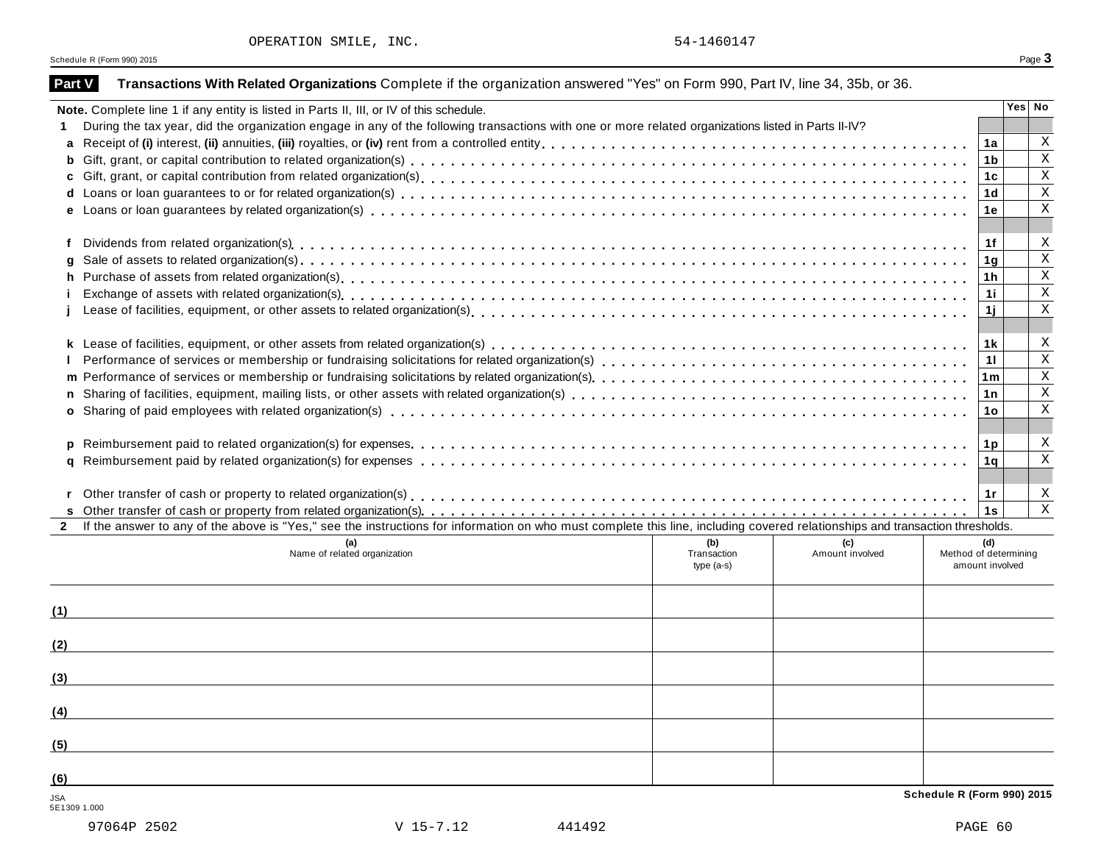OPERATION SMILE, INC. 54-1460147

Schedule <sup>R</sup> (Form 990) <sup>2015</sup> Page **3**

| Part V              | Transactions With Related Organizations Complete if the organization answered "Yes" on Form 990, Part IV, line 34, 35b, or 36.                                               |                        |                  |
|---------------------|------------------------------------------------------------------------------------------------------------------------------------------------------------------------------|------------------------|------------------|
|                     | Note. Complete line 1 if any entity is listed in Parts II, III, or IV of this schedule.                                                                                      |                        | Yes No           |
|                     | During the tax year, did the organization engage in any of the following transactions with one or more related organizations listed in Parts II-IV?                          |                        |                  |
|                     |                                                                                                                                                                              | 1a                     | X                |
| b                   |                                                                                                                                                                              | 1b.                    | $\mathbf X$      |
|                     |                                                                                                                                                                              | 1c                     | $\mathbf X$      |
| d                   |                                                                                                                                                                              | 1 <sub>d</sub>         | Χ                |
|                     |                                                                                                                                                                              | 1е                     | X                |
|                     |                                                                                                                                                                              |                        |                  |
| f                   |                                                                                                                                                                              | 1f                     | X                |
| g                   |                                                                                                                                                                              | 1g                     | $\mathbf X$      |
|                     |                                                                                                                                                                              | 1 <sub>h</sub>         | Χ                |
|                     |                                                                                                                                                                              | 11                     | Χ<br>$\mathbf x$ |
|                     |                                                                                                                                                                              | 1j                     |                  |
|                     |                                                                                                                                                                              | 1 <sub>k</sub>         | X                |
|                     |                                                                                                                                                                              | 11                     | $\mathbf X$      |
|                     |                                                                                                                                                                              | 1 <sub>m</sub>         | X                |
|                     |                                                                                                                                                                              | 1 n                    | X                |
|                     |                                                                                                                                                                              | 1o                     | Χ                |
|                     |                                                                                                                                                                              |                        |                  |
| p                   |                                                                                                                                                                              | 1p                     | X                |
|                     |                                                                                                                                                                              | 1q                     | $\mathbf x$      |
|                     |                                                                                                                                                                              |                        |                  |
|                     |                                                                                                                                                                              | 1r                     | Χ                |
|                     |                                                                                                                                                                              | 1s                     | $\mathbf{X}$     |
| $\mathbf{2}$        | If the answer to any of the above is "Yes," see the instructions for information on who must complete this line, including covered relationships and transaction thresholds. |                        |                  |
|                     | (b)<br>(c)<br>(a)<br>Name of related organization<br>Method of determining<br>Transaction<br>Amount involved<br>$type(a-s)$                                                  | (d)<br>amount involved |                  |
| (1)                 |                                                                                                                                                                              |                        |                  |
| (2)                 |                                                                                                                                                                              |                        |                  |
| (3)                 |                                                                                                                                                                              |                        |                  |
| (4)                 |                                                                                                                                                                              |                        |                  |
| (5)                 |                                                                                                                                                                              |                        |                  |
| (6)                 |                                                                                                                                                                              |                        |                  |
|                     | Schedule R (Form 990) 2015                                                                                                                                                   |                        |                  |
| JSA<br>5E1309 1.000 |                                                                                                                                                                              |                        |                  |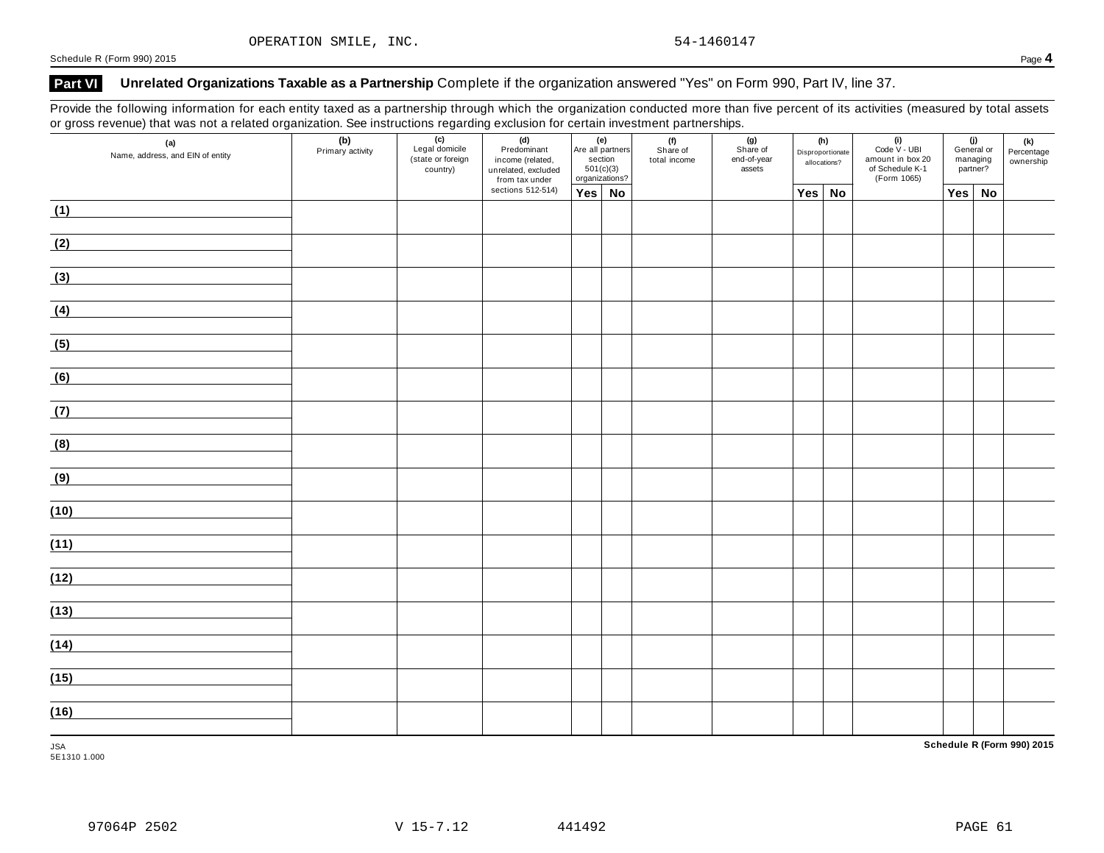Schedule <sup>R</sup> (Form 990) <sup>2015</sup> Page **4**

### **Part VI Unrelated Organizations Taxable as a Partnership** Complete if the organization answered "Yes" on Form 990, Part IV, line 37.

Provide the following information for each entity taxed as a partnership through which the organization conducted more than five percent of its activities (measured by total assets or gross revenue) that was not a related organization. See instructions regarding exclusion for certain investment partnerships.

| ັ<br>$\epsilon$<br>ັ<br>(a)<br>Name, address, and EIN of entity |  | (b)<br>Primary activity | ັ<br>$\overline{(c)}$<br>Legal domicile<br>(state or foreign<br>country) | ັ<br>(d)<br>Predominant<br>income (related,<br>unrelated, excluded<br>from tax under | (e)<br>Are all partners<br>section<br>501(c)(3)<br>organizations? |  | . .<br>(f)<br>Share of<br>total income | (g)<br>Share of<br>end-of-year<br>assets | (h)<br>Disproportionate<br>allocations? |        | $(i)$<br>Code V - UBI<br>amount in box 20<br>of Schedule K-1<br>(Form 1065) | (j)<br>General or<br>managing<br>partner? |    | (k)<br>Percentage<br>ownership |
|-----------------------------------------------------------------|--|-------------------------|--------------------------------------------------------------------------|--------------------------------------------------------------------------------------|-------------------------------------------------------------------|--|----------------------------------------|------------------------------------------|-----------------------------------------|--------|-----------------------------------------------------------------------------|-------------------------------------------|----|--------------------------------|
|                                                                 |  |                         |                                                                          | sections 512-514)                                                                    | $Yes \mid No$                                                     |  |                                        |                                          |                                         | Yes No |                                                                             | Yes                                       | No |                                |
| (1)                                                             |  |                         |                                                                          |                                                                                      |                                                                   |  |                                        |                                          |                                         |        |                                                                             |                                           |    |                                |
| (2)                                                             |  |                         |                                                                          |                                                                                      |                                                                   |  |                                        |                                          |                                         |        |                                                                             |                                           |    |                                |
| (3)                                                             |  |                         |                                                                          |                                                                                      |                                                                   |  |                                        |                                          |                                         |        |                                                                             |                                           |    |                                |
| (4)                                                             |  |                         |                                                                          |                                                                                      |                                                                   |  |                                        |                                          |                                         |        |                                                                             |                                           |    |                                |
| (5)                                                             |  |                         |                                                                          |                                                                                      |                                                                   |  |                                        |                                          |                                         |        |                                                                             |                                           |    |                                |
| (6)                                                             |  |                         |                                                                          |                                                                                      |                                                                   |  |                                        |                                          |                                         |        |                                                                             |                                           |    |                                |
| (7)                                                             |  |                         |                                                                          |                                                                                      |                                                                   |  |                                        |                                          |                                         |        |                                                                             |                                           |    |                                |
| (8)                                                             |  |                         |                                                                          |                                                                                      |                                                                   |  |                                        |                                          |                                         |        |                                                                             |                                           |    |                                |
| (9)                                                             |  |                         |                                                                          |                                                                                      |                                                                   |  |                                        |                                          |                                         |        |                                                                             |                                           |    |                                |
| (10)                                                            |  |                         |                                                                          |                                                                                      |                                                                   |  |                                        |                                          |                                         |        |                                                                             |                                           |    |                                |
| (11)                                                            |  |                         |                                                                          |                                                                                      |                                                                   |  |                                        |                                          |                                         |        |                                                                             |                                           |    |                                |
| (12)                                                            |  |                         |                                                                          |                                                                                      |                                                                   |  |                                        |                                          |                                         |        |                                                                             |                                           |    |                                |
| (13)                                                            |  |                         |                                                                          |                                                                                      |                                                                   |  |                                        |                                          |                                         |        |                                                                             |                                           |    |                                |
| (14)                                                            |  |                         |                                                                          |                                                                                      |                                                                   |  |                                        |                                          |                                         |        |                                                                             |                                           |    |                                |
| (15)                                                            |  |                         |                                                                          |                                                                                      |                                                                   |  |                                        |                                          |                                         |        |                                                                             |                                           |    |                                |
| (16)                                                            |  |                         |                                                                          |                                                                                      |                                                                   |  |                                        |                                          |                                         |        |                                                                             |                                           |    |                                |

5E1310 1.000

JSA **Schedule R (Form 990) 2015**